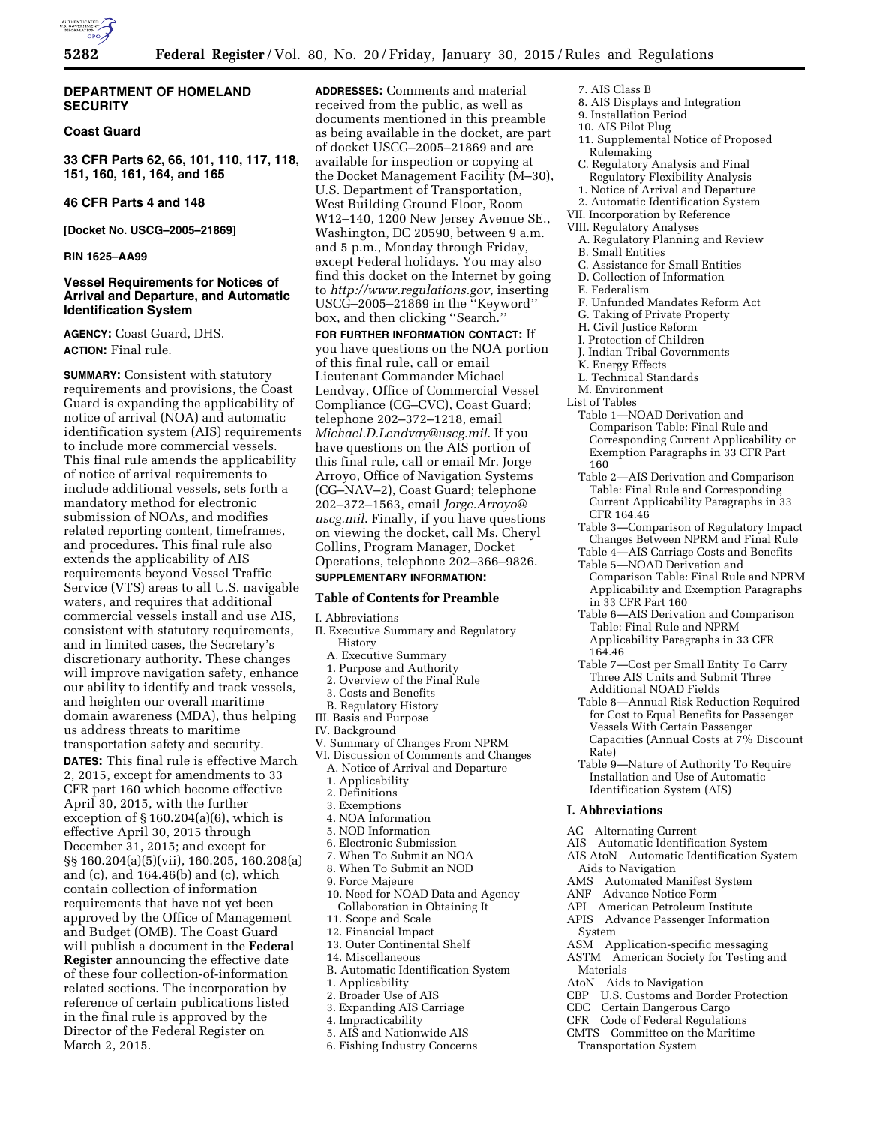

## **DEPARTMENT OF HOMELAND SECURITY**

## **Coast Guard**

**33 CFR Parts 62, 66, 101, 110, 117, 118, 151, 160, 161, 164, and 165** 

## **46 CFR Parts 4 and 148**

**[Docket No. USCG–2005–21869]** 

## **RIN 1625–AA99**

## **Vessel Requirements for Notices of Arrival and Departure, and Automatic Identification System**

**AGENCY:** Coast Guard, DHS. **ACTION:** Final rule.

**SUMMARY:** Consistent with statutory requirements and provisions, the Coast Guard is expanding the applicability of notice of arrival (NOA) and automatic identification system (AIS) requirements to include more commercial vessels. This final rule amends the applicability of notice of arrival requirements to include additional vessels, sets forth a mandatory method for electronic submission of NOAs, and modifies related reporting content, timeframes, and procedures. This final rule also extends the applicability of AIS requirements beyond Vessel Traffic Service (VTS) areas to all U.S. navigable waters, and requires that additional commercial vessels install and use AIS, consistent with statutory requirements, and in limited cases, the Secretary's discretionary authority. These changes will improve navigation safety, enhance our ability to identify and track vessels, and heighten our overall maritime domain awareness (MDA), thus helping us address threats to maritime transportation safety and security.

**DATES:** This final rule is effective March 2, 2015, except for amendments to 33 CFR part 160 which become effective April 30, 2015, with the further exception of § 160.204(a)(6), which is effective April 30, 2015 through December 31, 2015; and except for §§ 160.204(a)(5)(vii), 160.205, 160.208(a) and (c), and 164.46(b) and (c), which contain collection of information requirements that have not yet been approved by the Office of Management and Budget (OMB). The Coast Guard will publish a document in the **Federal Register** announcing the effective date of these four collection-of-information related sections. The incorporation by reference of certain publications listed in the final rule is approved by the Director of the Federal Register on March 2, 2015.

**ADDRESSES:** Comments and material received from the public, as well as documents mentioned in this preamble as being available in the docket, are part of docket USCG–2005–21869 and are available for inspection or copying at the Docket Management Facility (M–30), U.S. Department of Transportation, West Building Ground Floor, Room W12–140, 1200 New Jersey Avenue SE., Washington, DC 20590, between 9 a.m. and 5 p.m., Monday through Friday, except Federal holidays. You may also find this docket on the Internet by going to *[http://www.regulations.gov,](http://www.regulations.gov)* inserting USCG–2005–21869 in the ''Keyword'' box, and then clicking ''Search.''

**FOR FURTHER INFORMATION CONTACT:** If you have questions on the NOA portion of this final rule, call or email Lieutenant Commander Michael Lendvay, Office of Commercial Vessel Compliance (CG–CVC), Coast Guard; telephone 202–372–1218, email *[Michael.D.Lendvay@uscg.mil](mailto:Michael.D.Lendvay@uscg.mil)*. If you have questions on the AIS portion of this final rule, call or email Mr. Jorge Arroyo, Office of Navigation Systems (CG–NAV–2), Coast Guard; telephone 202–372–1563, email *[Jorge.Arroyo@](mailto:Jorge.Arroyo@uscg.mil) [uscg.mil](mailto:Jorge.Arroyo@uscg.mil)*. Finally, if you have questions on viewing the docket, call Ms. Cheryl Collins, Program Manager, Docket Operations, telephone 202–366–9826.

## **SUPPLEMENTARY INFORMATION:**

## **Table of Contents for Preamble**

## I. Abbreviations

- II. Executive Summary and Regulatory History
	- A. Executive Summary
	- 1. Purpose and Authority
- 2. Overview of the Final Rule
- 3. Costs and Benefits
- B. Regulatory History
- III. Basis and Purpose
- IV. Background
- V. Summary of Changes From NPRM
- VI. Discussion of Comments and Changes A. Notice of Arrival and Departure
	-
	- 1. Applicability
	- 2. Definitions
	- 3. Exemptions 4. NOA Information
	-
	- 5. NOD Information 6. Electronic Submission
	- 7. When To Submit an NOA
	- 8. When To Submit an NOD
	- 9. Force Majeure
	- 10. Need for NOAD Data and Agency Collaboration in Obtaining It
	- 11. Scope and Scale
	- 12. Financial Impact
	- 13. Outer Continental Shelf
	- 14. Miscellaneous
	- B. Automatic Identification System
	- 1. Applicability
	- 2. Broader Use of AIS
	- 3. Expanding AIS Carriage
	- 4. Impracticability
- 5. AIS and Nationwide AIS
- 6. Fishing Industry Concerns
- 7. AIS Class B
- 8. AIS Displays and Integration
- 9. Installation Period
- 10. AIS Pilot Plug
- 11. Supplemental Notice of Proposed Rulemaking
- C. Regulatory Analysis and Final Regulatory Flexibility Analysis
- 1. Notice of Arrival and Departure
- 2. Automatic Identification System
- VII. Incorporation by Reference
- VIII. Regulatory Analyses
- A. Regulatory Planning and Review
- B. Small Entities
- C. Assistance for Small Entities
- D. Collection of Information
- E. Federalism
- F. Unfunded Mandates Reform Act
- G. Taking of Private Property
- H. Civil Justice Reform
- I. Protection of Children
- J. Indian Tribal Governments
- K. Energy Effects
- L. Technical Standards
- M. Environment
- List of Tables
	- Table 1—NOAD Derivation and Comparison Table: Final Rule and Corresponding Current Applicability or Exemption Paragraphs in 33 CFR Part 160
	- Table 2—AIS Derivation and Comparison Table: Final Rule and Corresponding Current Applicability Paragraphs in 33 CFR 164.46
	- Table 3—Comparison of Regulatory Impact Changes Between NPRM and Final Rule
	- Table 4—AIS Carriage Costs and Benefits Table 5—NOAD Derivation and
	- Comparison Table: Final Rule and NPRM Applicability and Exemption Paragraphs in 33 CFR Part 160
	- Table 6—AIS Derivation and Comparison Table: Final Rule and NPRM Applicability Paragraphs in 33 CFR 164.46
	- Table 7—Cost per Small Entity To Carry Three AIS Units and Submit Three Additional NOAD Fields
	- Table 8—Annual Risk Reduction Required for Cost to Equal Benefits for Passenger Vessels With Certain Passenger Capacities (Annual Costs at 7% Discount Rate)
	- Table 9—Nature of Authority To Require Installation and Use of Automatic Identification System (AIS)

#### **I. Abbreviations**

- AC Alternating Current
- AIS Automatic Identification System
- AIS AtoN Automatic Identification System Aids to Navigation
- AMS Automated Manifest System
- ANF Advance Notice Form
- API American Petroleum Institute
- APIS Advance Passenger Information System
- ASM Application-specific messaging
- ASTM American Society for Testing and Materials
- AtoN Aids to Navigation
- CBP U.S. Customs and Border Protection
- CDC Certain Dangerous Cargo
- CFR Code of Federal Regulations
- CMTS Committee on the Maritime
- Transportation System
-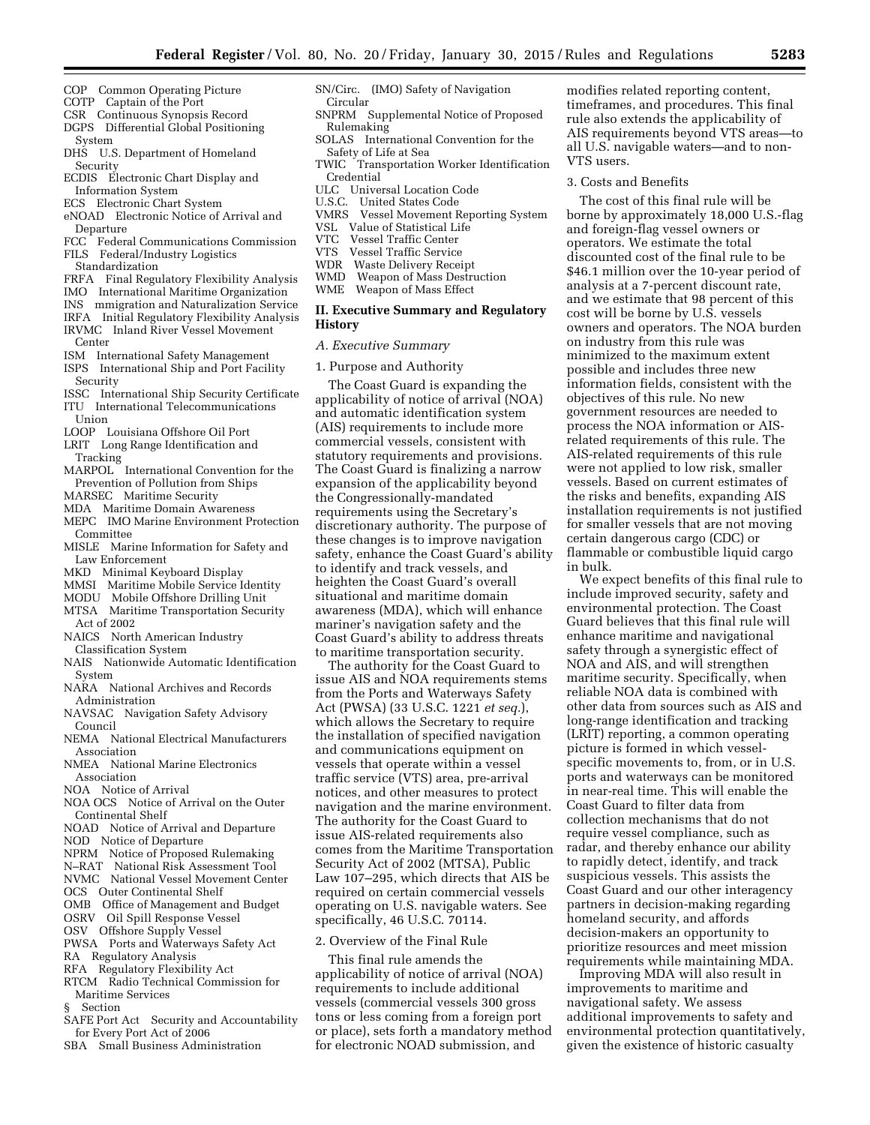- COP Common Operating Picture
- COTP Captain of the Port
- CSR Continuous Synopsis Record
- DGPS Differential Global Positioning System
- DHS U.S. Department of Homeland Security
- ECDIS Electronic Chart Display and Information System
- ECS Electronic Chart System
- eNOAD Electronic Notice of Arrival and Departure
- FCC Federal Communications Commission
- FILS Federal/Industry Logistics
- Standardization
- FRFA Final Regulatory Flexibility Analysis
- IMO International Maritime Organization
- INS mmigration and Naturalization Service IRFA Initial Regulatory Flexibility Analysis
- IRVMC Inland River Vessel Movement Center
- ISM International Safety Management
- ISPS International Ship and Port Facility Security
- ISSC International Ship Security Certificate ITU International Telecommunications
- Union LOOP Louisiana Offshore Oil Port
- LRIT Long Range Identification and
- Tracking
- MARPOL International Convention for the Prevention of Pollution from Ships
- MARSEC Maritime Security
- MDA Maritime Domain Awareness
- MEPC IMO Marine Environment Protection Committee
- MISLE Marine Information for Safety and Law Enforcement
- MKD Minimal Keyboard Display
- MMSI Maritime Mobile Service Identity
- MODU Mobile Offshore Drilling Unit
- MTSA Maritime Transportation Security Act of 2002
- NAICS North American Industry Classification System
- NAIS Nationwide Automatic Identification System
- NARA National Archives and Records Administration
- NAVSAC Navigation Safety Advisory Council
- NEMA National Electrical Manufacturers Association
- NMEA National Marine Electronics Association
- NOA Notice of Arrival
- NOA OCS Notice of Arrival on the Outer Continental Shelf
- NOAD Notice of Arrival and Departure
- NOD Notice of Departure
- NPRM Notice of Proposed Rulemaking
- N–RAT National Risk Assessment Tool
- NVMC National Vessel Movement Center
- OCS Outer Continental Shelf
- OMB Office of Management and Budget
- OSRV Oil Spill Response Vessel
- OSV Offshore Supply Vessel
- PWSA Ports and Waterways Safety Act
- RA Regulatory Analysis
- RFA Regulatory Flexibility Act
- RTCM Radio Technical Commission for Maritime Services
- § Section
- SAFE Port Act Security and Accountability for Every Port Act of 2006
- SBA Small Business Administration
- SN/Circ. (IMO) Safety of Navigation
- Circular
- SNPRM Supplemental Notice of Proposed Rulemaking
- SOLAS International Convention for the Safety of Life at Sea<br>TWIC Transportation
- Transportation Worker Identification Credential
- ULC Universal Location Code<br>U.S.C. United States Code
- United States Code
- VMRS Vessel Movement Reporting System
- VSL Value of Statistical Life
- VTC Vessel Traffic Center
- VTS Vessel Traffic Service
- Waste Delivery Receipt
- WMD Weapon of Mass Destruction
- WME Weapon of Mass Effect

## **II. Executive Summary and Regulatory History**

- *A. Executive Summary*
- 1. Purpose and Authority

The Coast Guard is expanding the applicability of notice of arrival (NOA) and automatic identification system (AIS) requirements to include more commercial vessels, consistent with statutory requirements and provisions. The Coast Guard is finalizing a narrow expansion of the applicability beyond the Congressionally-mandated requirements using the Secretary's discretionary authority. The purpose of these changes is to improve navigation safety, enhance the Coast Guard's ability to identify and track vessels, and heighten the Coast Guard's overall situational and maritime domain awareness (MDA), which will enhance mariner's navigation safety and the Coast Guard's ability to address threats to maritime transportation security.

The authority for the Coast Guard to issue AIS and NOA requirements stems from the Ports and Waterways Safety Act (PWSA) (33 U.S.C. 1221 *et seq.*), which allows the Secretary to require the installation of specified navigation and communications equipment on vessels that operate within a vessel traffic service (VTS) area, pre-arrival notices, and other measures to protect navigation and the marine environment. The authority for the Coast Guard to issue AIS-related requirements also comes from the Maritime Transportation Security Act of 2002 (MTSA), Public Law 107–295, which directs that AIS be required on certain commercial vessels operating on U.S. navigable waters. See specifically, 46 U.S.C. 70114.

## 2. Overview of the Final Rule

This final rule amends the applicability of notice of arrival (NOA) requirements to include additional vessels (commercial vessels 300 gross tons or less coming from a foreign port or place), sets forth a mandatory method for electronic NOAD submission, and

modifies related reporting content, timeframes, and procedures. This final rule also extends the applicability of AIS requirements beyond VTS areas—to all U.S. navigable waters—and to non-VTS users.

3. Costs and Benefits

The cost of this final rule will be borne by approximately 18,000 U.S.-flag and foreign-flag vessel owners or operators. We estimate the total discounted cost of the final rule to be \$46.1 million over the 10-year period of analysis at a 7-percent discount rate, and we estimate that 98 percent of this cost will be borne by U.S. vessels owners and operators. The NOA burden on industry from this rule was minimized to the maximum extent possible and includes three new information fields, consistent with the objectives of this rule. No new government resources are needed to process the NOA information or AISrelated requirements of this rule. The AIS-related requirements of this rule were not applied to low risk, smaller vessels. Based on current estimates of the risks and benefits, expanding AIS installation requirements is not justified for smaller vessels that are not moving certain dangerous cargo (CDC) or flammable or combustible liquid cargo in bulk.

We expect benefits of this final rule to include improved security, safety and environmental protection. The Coast Guard believes that this final rule will enhance maritime and navigational safety through a synergistic effect of NOA and AIS, and will strengthen maritime security. Specifically, when reliable NOA data is combined with other data from sources such as AIS and long-range identification and tracking (LRIT) reporting, a common operating picture is formed in which vesselspecific movements to, from, or in U.S. ports and waterways can be monitored in near-real time. This will enable the Coast Guard to filter data from collection mechanisms that do not require vessel compliance, such as radar, and thereby enhance our ability to rapidly detect, identify, and track suspicious vessels. This assists the Coast Guard and our other interagency partners in decision-making regarding homeland security, and affords decision-makers an opportunity to prioritize resources and meet mission requirements while maintaining MDA.

Improving MDA will also result in improvements to maritime and navigational safety. We assess additional improvements to safety and environmental protection quantitatively, given the existence of historic casualty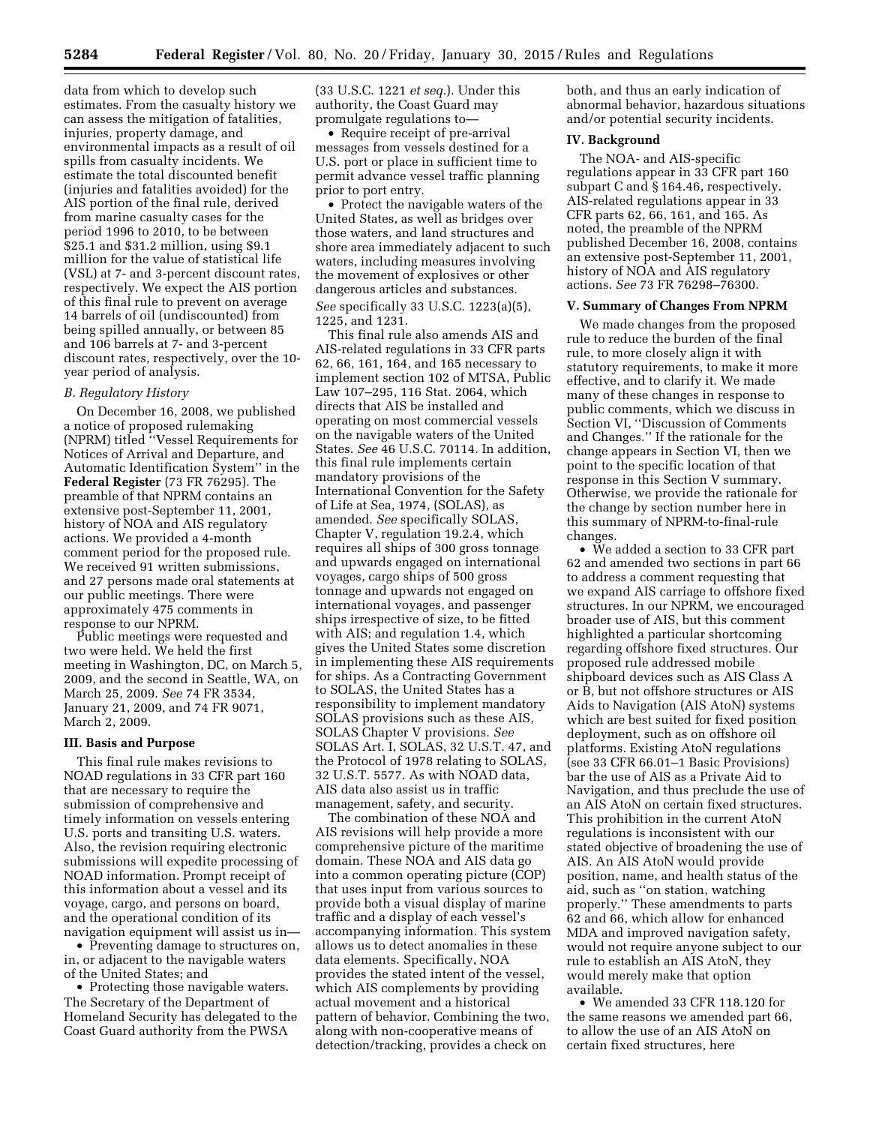data from which to develop such estimates. From the casualty history we can assess the mitigation of fatalities, injuries, property damage, and environmental impacts as a result of oil spills from casualty incidents. We estimate the total discounted benefit (injuries and fatalities avoided) for the AIS portion of the final rule, derived from marine casualty cases for the period 1996 to 2010, to be between \$25.1 and \$31.2 million, using \$9.1 million for the value of statistical life (VSL) at 7- and 3-percent discount rates, respectively. We expect the AIS portion of this final rule to prevent on average 14 barrels of oil (undiscounted) from being spilled annually, or between 85 and 106 barrels at 7- and 3-percent discount rates, respectively, over the 10 year period of analysis.

## *B. Regulatory History*

On December 16, 2008, we published a notice of proposed rulemaking (NPRM) titled ''Vessel Requirements for Notices of Arrival and Departure, and Automatic Identification System'' in the **Federal Register** (73 FR 76295). The preamble of that NPRM contains an extensive post-September 11, 2001, history of NOA and AIS regulatory actions. We provided a 4-month comment period for the proposed rule. We received 91 written submissions. and 27 persons made oral statements at our public meetings. There were approximately 475 comments in response to our NPRM.

Public meetings were requested and two were held. We held the first meeting in Washington, DC, on March 5, 2009, and the second in Seattle, WA, on March 25, 2009. *See* 74 FR 3534, January 21, 2009, and 74 FR 9071, March 2, 2009.

## **III. Basis and Purpose**

This final rule makes revisions to NOAD regulations in 33 CFR part 160 that are necessary to require the submission of comprehensive and timely information on vessels entering U.S. ports and transiting U.S. waters. Also, the revision requiring electronic submissions will expedite processing of NOAD information. Prompt receipt of this information about a vessel and its voyage, cargo, and persons on board, and the operational condition of its navigation equipment will assist us in—

• Preventing damage to structures on, in, or adjacent to the navigable waters of the United States; and

• Protecting those navigable waters. The Secretary of the Department of Homeland Security has delegated to the Coast Guard authority from the PWSA

(33 U.S.C. 1221 *et seq.*). Under this authority, the Coast Guard may promulgate regulations to—

• Require receipt of pre-arrival messages from vessels destined for a U.S. port or place in sufficient time to permit advance vessel traffic planning prior to port entry.

• Protect the navigable waters of the United States, as well as bridges over those waters, and land structures and shore area immediately adjacent to such waters, including measures involving the movement of explosives or other dangerous articles and substances. *See* specifically 33 U.S.C. 1223(a)(5), 1225, and 1231.

This final rule also amends AIS and AIS-related regulations in 33 CFR parts 62, 66, 161, 164, and 165 necessary to implement section 102 of MTSA, Public Law 107–295, 116 Stat. 2064, which directs that AIS be installed and operating on most commercial vessels on the navigable waters of the United States. *See* 46 U.S.C. 70114. In addition, this final rule implements certain mandatory provisions of the International Convention for the Safety of Life at Sea, 1974, (SOLAS), as amended. *See* specifically SOLAS, Chapter V, regulation 19.2.4, which requires all ships of 300 gross tonnage and upwards engaged on international voyages, cargo ships of 500 gross tonnage and upwards not engaged on international voyages, and passenger ships irrespective of size, to be fitted with AIS; and regulation 1.4, which gives the United States some discretion in implementing these AIS requirements for ships. As a Contracting Government to SOLAS, the United States has a responsibility to implement mandatory SOLAS provisions such as these AIS, SOLAS Chapter V provisions. *See*  SOLAS Art. I, SOLAS, 32 U.S.T. 47, and the Protocol of 1978 relating to SOLAS, 32 U.S.T. 5577. As with NOAD data, AIS data also assist us in traffic management, safety, and security.

The combination of these NOA and AIS revisions will help provide a more comprehensive picture of the maritime domain. These NOA and AIS data go into a common operating picture (COP) that uses input from various sources to provide both a visual display of marine traffic and a display of each vessel's accompanying information. This system allows us to detect anomalies in these data elements. Specifically, NOA provides the stated intent of the vessel, which AIS complements by providing actual movement and a historical pattern of behavior. Combining the two, along with non-cooperative means of detection/tracking, provides a check on

both, and thus an early indication of abnormal behavior, hazardous situations and/or potential security incidents.

## **IV. Background**

The NOA- and AIS-specific regulations appear in 33 CFR part 160 subpart C and § 164.46, respectively. AIS-related regulations appear in 33 CFR parts 62, 66, 161, and 165. As noted, the preamble of the NPRM published December 16, 2008, contains an extensive post-September 11, 2001, history of NOA and AIS regulatory actions. *See* 73 FR 76298–76300.

#### **V. Summary of Changes From NPRM**

We made changes from the proposed rule to reduce the burden of the final rule, to more closely align it with statutory requirements, to make it more effective, and to clarify it. We made many of these changes in response to public comments, which we discuss in Section VI, ''Discussion of Comments and Changes.'' If the rationale for the change appears in Section VI, then we point to the specific location of that response in this Section V summary. Otherwise, we provide the rationale for the change by section number here in this summary of NPRM-to-final-rule changes.

• We added a section to 33 CFR part 62 and amended two sections in part 66 to address a comment requesting that we expand AIS carriage to offshore fixed structures. In our NPRM, we encouraged broader use of AIS, but this comment highlighted a particular shortcoming regarding offshore fixed structures. Our proposed rule addressed mobile shipboard devices such as AIS Class A or B, but not offshore structures or AIS Aids to Navigation (AIS AtoN) systems which are best suited for fixed position deployment, such as on offshore oil platforms. Existing AtoN regulations (see 33 CFR 66.01–1 Basic Provisions) bar the use of AIS as a Private Aid to Navigation, and thus preclude the use of an AIS AtoN on certain fixed structures. This prohibition in the current AtoN regulations is inconsistent with our stated objective of broadening the use of AIS. An AIS AtoN would provide position, name, and health status of the aid, such as ''on station, watching properly.'' These amendments to parts 62 and 66, which allow for enhanced MDA and improved navigation safety, would not require anyone subject to our rule to establish an AIS AtoN, they would merely make that option available.

• We amended 33 CFR 118.120 for the same reasons we amended part 66, to allow the use of an AIS AtoN on certain fixed structures, here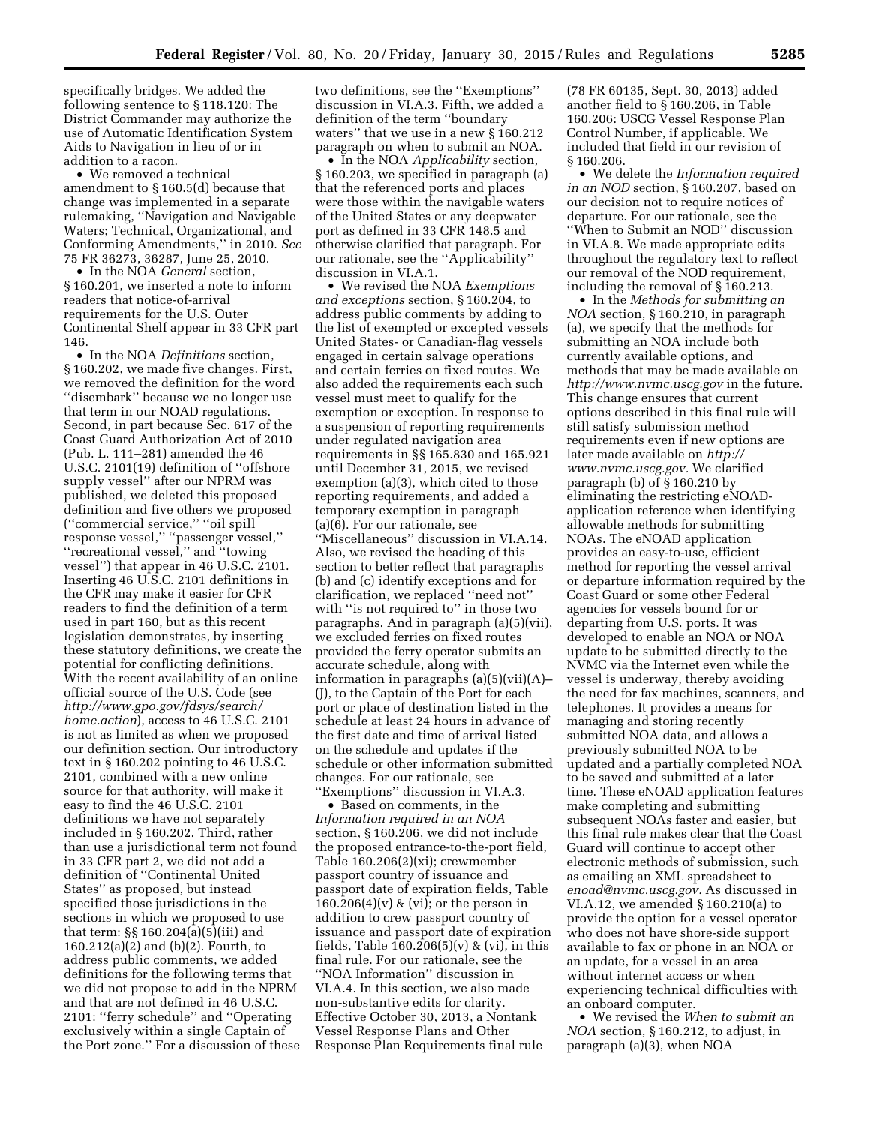specifically bridges. We added the following sentence to § 118.120: The District Commander may authorize the use of Automatic Identification System Aids to Navigation in lieu of or in addition to a racon.

• We removed a technical amendment to § 160.5(d) because that change was implemented in a separate rulemaking, ''Navigation and Navigable Waters; Technical, Organizational, and Conforming Amendments,'' in 2010. *See*  75 FR 36273, 36287, June 25, 2010.

• In the NOA *General* section, § 160.201, we inserted a note to inform readers that notice-of-arrival requirements for the U.S. Outer Continental Shelf appear in 33 CFR part 146.

• In the NOA *Definitions* section, § 160.202, we made five changes. First, we removed the definition for the word ''disembark'' because we no longer use that term in our NOAD regulations. Second, in part because Sec. 617 of the Coast Guard Authorization Act of 2010 (Pub. L. 111–281) amended the 46 U.S.C. 2101(19) definition of ''offshore supply vessel'' after our NPRM was published, we deleted this proposed definition and five others we proposed (''commercial service,'' ''oil spill response vessel,'' ''passenger vessel,'' ''recreational vessel,'' and ''towing vessel'') that appear in 46 U.S.C. 2101. Inserting 46 U.S.C. 2101 definitions in the CFR may make it easier for CFR readers to find the definition of a term used in part 160, but as this recent legislation demonstrates, by inserting these statutory definitions, we create the potential for conflicting definitions. With the recent availability of an online official source of the U.S. Code (see *[http://www.gpo.gov/fdsys/search/](http://www.gpo.gov/fdsys/search/home.action) [home.action](http://www.gpo.gov/fdsys/search/home.action)*), access to 46 U.S.C. 2101 is not as limited as when we proposed our definition section. Our introductory text in § 160.202 pointing to 46 U.S.C. 2101, combined with a new online source for that authority, will make it easy to find the 46 U.S.C. 2101 definitions we have not separately included in § 160.202. Third, rather than use a jurisdictional term not found in 33 CFR part 2, we did not add a definition of ''Continental United States'' as proposed, but instead specified those jurisdictions in the sections in which we proposed to use that term: §§ 160.204(a)(5)(iii) and 160.212(a)(2) and (b)(2). Fourth, to address public comments, we added definitions for the following terms that we did not propose to add in the NPRM and that are not defined in 46 U.S.C. 2101: ''ferry schedule'' and ''Operating exclusively within a single Captain of the Port zone.'' For a discussion of these

two definitions, see the ''Exemptions'' discussion in VI.A.3. Fifth, we added a definition of the term ''boundary waters'' that we use in a new § 160.212 paragraph on when to submit an NOA.

• In the NOA *Applicability* section, § 160.203, we specified in paragraph (a) that the referenced ports and places were those within the navigable waters of the United States or any deepwater port as defined in 33 CFR 148.5 and otherwise clarified that paragraph. For our rationale, see the ''Applicability'' discussion in VI.A.1.

• We revised the NOA *Exemptions and exceptions* section, § 160.204, to address public comments by adding to the list of exempted or excepted vessels United States- or Canadian-flag vessels engaged in certain salvage operations and certain ferries on fixed routes. We also added the requirements each such vessel must meet to qualify for the exemption or exception. In response to a suspension of reporting requirements under regulated navigation area requirements in §§ 165.830 and 165.921 until December 31, 2015, we revised exemption (a)(3), which cited to those reporting requirements, and added a temporary exemption in paragraph (a)(6). For our rationale, see ''Miscellaneous'' discussion in VI.A.14. Also, we revised the heading of this section to better reflect that paragraphs (b) and (c) identify exceptions and for clarification, we replaced ''need not'' with ''is not required to'' in those two paragraphs. And in paragraph (a)(5)(vii), we excluded ferries on fixed routes provided the ferry operator submits an accurate schedule, along with information in paragraphs (a)(5)(vii)(A)– (J), to the Captain of the Port for each port or place of destination listed in the schedule at least 24 hours in advance of the first date and time of arrival listed on the schedule and updates if the schedule or other information submitted changes. For our rationale, see ''Exemptions'' discussion in VI.A.3.

• Based on comments, in the *Information required in an NOA*  section, § 160.206, we did not include the proposed entrance-to-the-port field, Table 160.206(2)(xi); crewmember passport country of issuance and passport date of expiration fields, Table  $160.206(4)(v)$  & (vi); or the person in addition to crew passport country of issuance and passport date of expiration fields, Table  $160.206(5)(v)$  & (vi), in this final rule. For our rationale, see the ''NOA Information'' discussion in VI.A.4. In this section, we also made non-substantive edits for clarity. Effective October 30, 2013, a Nontank Vessel Response Plans and Other Response Plan Requirements final rule

(78 FR 60135, Sept. 30, 2013) added another field to § 160.206, in Table 160.206: USCG Vessel Response Plan Control Number, if applicable. We included that field in our revision of § 160.206.

• We delete the *Information required in an NOD* section, § 160.207, based on our decision not to require notices of departure. For our rationale, see the ''When to Submit an NOD'' discussion in VI.A.8. We made appropriate edits throughout the regulatory text to reflect our removal of the NOD requirement, including the removal of § 160.213.

• In the *Methods for submitting an NOA* section, § 160.210, in paragraph (a), we specify that the methods for submitting an NOA include both currently available options, and methods that may be made available on *<http://www.nvmc.uscg.gov>*in the future. This change ensures that current options described in this final rule will still satisfy submission method requirements even if new options are later made available on *[http://](http://www.nvmc.uscg.gov) [www.nvmc.uscg.gov.](http://www.nvmc.uscg.gov)* We clarified paragraph (b) of § 160.210 by eliminating the restricting eNOADapplication reference when identifying allowable methods for submitting NOAs. The eNOAD application provides an easy-to-use, efficient method for reporting the vessel arrival or departure information required by the Coast Guard or some other Federal agencies for vessels bound for or departing from U.S. ports. It was developed to enable an NOA or NOA update to be submitted directly to the NVMC via the Internet even while the vessel is underway, thereby avoiding the need for fax machines, scanners, and telephones. It provides a means for managing and storing recently submitted NOA data, and allows a previously submitted NOA to be updated and a partially completed NOA to be saved and submitted at a later time. These eNOAD application features make completing and submitting subsequent NOAs faster and easier, but this final rule makes clear that the Coast Guard will continue to accept other electronic methods of submission, such as emailing an XML spreadsheet to *[enoad@nvmc.uscg.gov.](mailto:enoad@nvmc.uscg.gov)* As discussed in VI.A.12, we amended § 160.210(a) to provide the option for a vessel operator who does not have shore-side support available to fax or phone in an NOA or an update, for a vessel in an area without internet access or when experiencing technical difficulties with an onboard computer.

• We revised the *When to submit an NOA* section, § 160.212, to adjust, in paragraph (a)(3), when NOA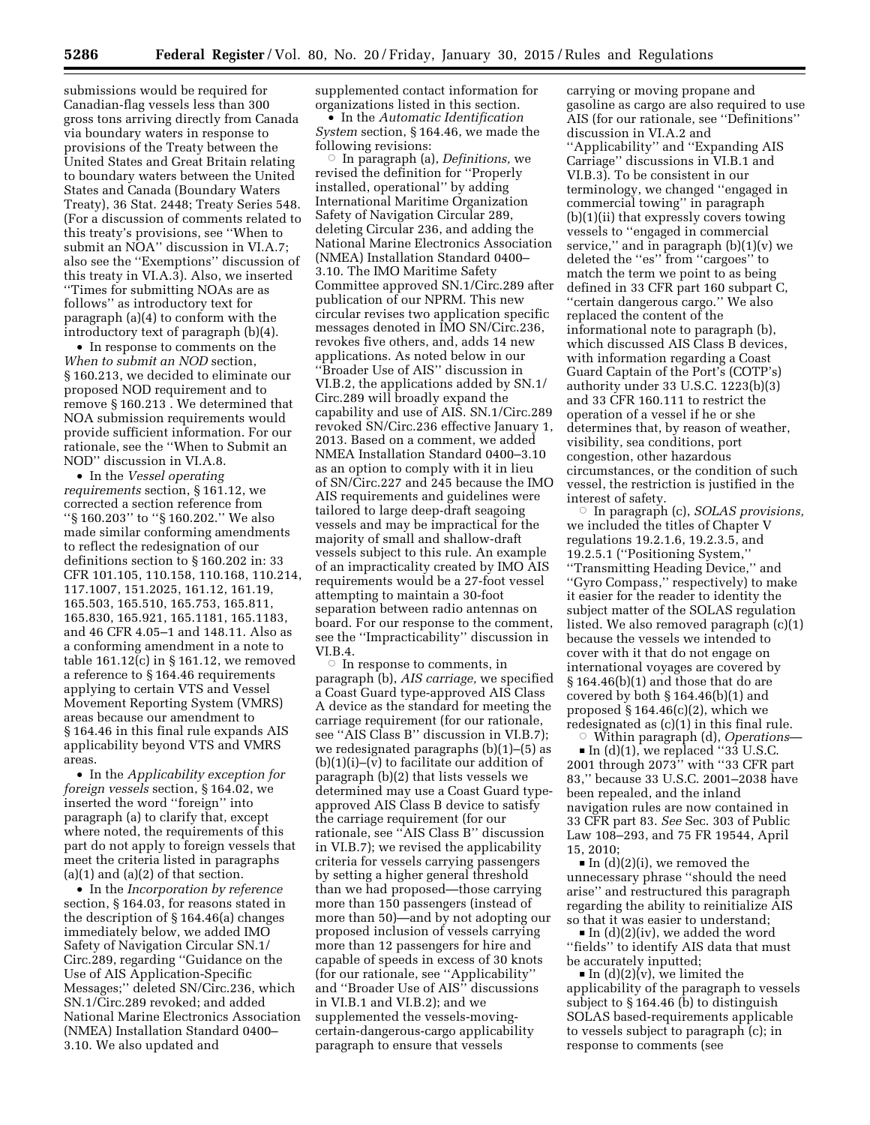submissions would be required for Canadian-flag vessels less than 300 gross tons arriving directly from Canada via boundary waters in response to provisions of the Treaty between the United States and Great Britain relating to boundary waters between the United States and Canada (Boundary Waters Treaty), 36 Stat. 2448; Treaty Series 548. (For a discussion of comments related to this treaty's provisions, see ''When to submit an NOA'' discussion in VI.A.7; also see the ''Exemptions'' discussion of this treaty in VI.A.3). Also, we inserted ''Times for submitting NOAs are as follows'' as introductory text for paragraph (a)(4) to conform with the introductory text of paragraph (b)(4).

• In response to comments on the *When to submit an NOD* section, § 160.213, we decided to eliminate our proposed NOD requirement and to remove § 160.213 . We determined that NOA submission requirements would provide sufficient information. For our rationale, see the ''When to Submit an NOD'' discussion in VI.A.8.

• In the *Vessel operating requirements* section, § 161.12, we corrected a section reference from ''§ 160.203'' to ''§ 160.202.'' We also made similar conforming amendments to reflect the redesignation of our definitions section to § 160.202 in: 33 CFR 101.105, 110.158, 110.168, 110.214, 117.1007, 151.2025, 161.12, 161.19, 165.503, 165.510, 165.753, 165.811, 165.830, 165.921, 165.1181, 165.1183, and 46 CFR 4.05–1 and 148.11. Also as a conforming amendment in a note to table 161.12(c) in § 161.12, we removed a reference to § 164.46 requirements applying to certain VTS and Vessel Movement Reporting System (VMRS) areas because our amendment to § 164.46 in this final rule expands AIS applicability beyond VTS and VMRS areas.

• In the *Applicability exception for foreign vessels* section, § 164.02, we inserted the word ''foreign'' into paragraph (a) to clarify that, except where noted, the requirements of this part do not apply to foreign vessels that meet the criteria listed in paragraphs  $(a)(1)$  and  $(a)(2)$  of that section.

• In the *Incorporation by reference*  section, § 164.03, for reasons stated in the description of § 164.46(a) changes immediately below, we added IMO Safety of Navigation Circular SN.1/ Circ.289, regarding ''Guidance on the Use of AIS Application-Specific Messages;'' deleted SN/Circ.236, which SN.1/Circ.289 revoked; and added National Marine Electronics Association (NMEA) Installation Standard 0400– 3.10. We also updated and

supplemented contact information for organizations listed in this section.

• In the *Automatic Identification System* section, § 164.46, we made the following revisions:

Æ In paragraph (a), *Definitions,* we revised the definition for ''Properly installed, operational'' by adding International Maritime Organization Safety of Navigation Circular 289, deleting Circular 236, and adding the National Marine Electronics Association (NMEA) Installation Standard 0400– 3.10. The IMO Maritime Safety Committee approved SN.1/Circ.289 after publication of our NPRM. This new circular revises two application specific messages denoted in IMO SN/Circ.236, revokes five others, and, adds 14 new applications. As noted below in our ''Broader Use of AIS'' discussion in VI.B.2, the applications added by SN.1/ Circ.289 will broadly expand the capability and use of AIS. SN.1/Circ.289 revoked SN/Circ.236 effective January 1, 2013. Based on a comment, we added NMEA Installation Standard 0400–3.10 as an option to comply with it in lieu of SN/Circ.227 and 245 because the IMO AIS requirements and guidelines were tailored to large deep-draft seagoing vessels and may be impractical for the majority of small and shallow-draft vessels subject to this rule. An example of an impracticality created by IMO AIS requirements would be a 27-foot vessel attempting to maintain a 30-foot separation between radio antennas on board. For our response to the comment, see the ''Impracticability'' discussion in VI.B.4.

 $\circ$  In response to comments, in paragraph (b), *AIS carriage,* we specified a Coast Guard type-approved AIS Class A device as the standard for meeting the carriage requirement (for our rationale, see "AIS Class B" discussion in VI.B.7); we redesignated paragraphs (b)(1)–(5) as  $(b)(1)(i)$ – $(v)$  to facilitate our addition of paragraph (b)(2) that lists vessels we determined may use a Coast Guard typeapproved AIS Class B device to satisfy the carriage requirement (for our rationale, see ''AIS Class B'' discussion in VI.B.7); we revised the applicability criteria for vessels carrying passengers by setting a higher general threshold than we had proposed—those carrying more than 150 passengers (instead of more than 50)—and by not adopting our proposed inclusion of vessels carrying more than 12 passengers for hire and capable of speeds in excess of 30 knots (for our rationale, see ''Applicability'' and ''Broader Use of AIS'' discussions in VI.B.1 and VI.B.2); and we supplemented the vessels-movingcertain-dangerous-cargo applicability paragraph to ensure that vessels

carrying or moving propane and gasoline as cargo are also required to use AIS (for our rationale, see ''Definitions'' discussion in VI.A.2 and ''Applicability'' and ''Expanding AIS Carriage'' discussions in VI.B.1 and VI.B.3). To be consistent in our terminology, we changed ''engaged in commercial towing'' in paragraph (b)(1)(ii) that expressly covers towing vessels to ''engaged in commercial service,'' and in paragraph (b)(1)(v) we deleted the ''es'' from ''cargoes'' to match the term we point to as being defined in 33 CFR part 160 subpart C, ''certain dangerous cargo.'' We also replaced the content of the informational note to paragraph (b), which discussed AIS Class B devices, with information regarding a Coast Guard Captain of the Port's (COTP's) authority under 33 U.S.C. 1223(b)(3) and 33 CFR 160.111 to restrict the operation of a vessel if he or she determines that, by reason of weather, visibility, sea conditions, port congestion, other hazardous circumstances, or the condition of such vessel, the restriction is justified in the interest of safety.

Æ In paragraph (c), *SOLAS provisions,*  we included the titles of Chapter V regulations 19.2.1.6, 19.2.3.5, and 19.2.5.1 (''Positioning System,'' ''Transmitting Heading Device,'' and ''Gyro Compass,'' respectively) to make it easier for the reader to identity the subject matter of the SOLAS regulation listed. We also removed paragraph (c)(1) because the vessels we intended to cover with it that do not engage on international voyages are covered by § 164.46(b)(1) and those that do are covered by both § 164.46(b)(1) and proposed  $\S 164.46(c)(2)$ , which we redesignated as (c)(1) in this final rule.  $\overline{\circ}$ 

 Within paragraph (d), *Operations*—  $\blacksquare$  In (d)(1), we replaced "33 U.S.C. 2001 through 2073'' with ''33 CFR part 83,'' because 33 U.S.C. 2001–2038 have been repealed, and the inland navigation rules are now contained in 33 CFR part 83. *See* Sec. 303 of Public Law 108–293, and 75 FR 19544, April 15, 2010;

 $\blacksquare$  In (d)(2)(i), we removed the unnecessary phrase ''should the need arise'' and restructured this paragraph regarding the ability to reinitialize AIS so that it was easier to understand;

 $\blacksquare$  In (d)(2)(iv), we added the word ''fields'' to identify AIS data that must be accurately inputted;

 $\blacksquare$  In (d)(2)(v), we limited the applicability of the paragraph to vessels subject to § 164.46 (b) to distinguish SOLAS based-requirements applicable to vessels subject to paragraph (c); in response to comments (see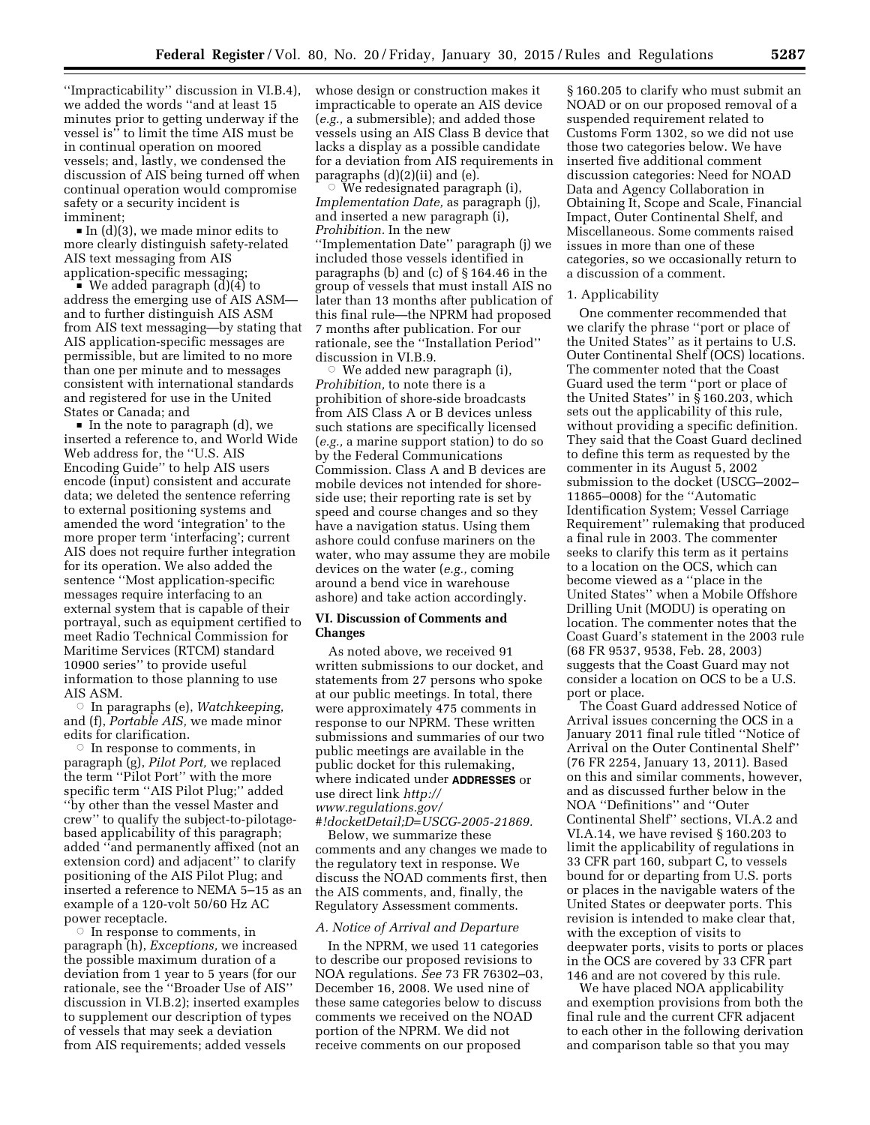''Impracticability'' discussion in VI.B.4), we added the words ''and at least 15 minutes prior to getting underway if the vessel is'' to limit the time AIS must be in continual operation on moored vessels; and, lastly, we condensed the discussion of AIS being turned off when continual operation would compromise safety or a security incident is imminent;

 $\blacksquare$  In (d)(3), we made minor edits to more clearly distinguish safety-related AIS text messaging from AIS application-specific messaging;

 $\blacksquare$  We added paragraph (d)(4) to address the emerging use of AIS ASM and to further distinguish AIS ASM from AIS text messaging—by stating that AIS application-specific messages are permissible, but are limited to no more than one per minute and to messages consistent with international standards and registered for use in the United States or Canada; and

 $\blacksquare$  In the note to paragraph (d), we inserted a reference to, and World Wide Web address for, the ''U.S. AIS Encoding Guide'' to help AIS users encode (input) consistent and accurate data; we deleted the sentence referring to external positioning systems and amended the word 'integration' to the more proper term 'interfacing'; current AIS does not require further integration for its operation. We also added the sentence ''Most application-specific messages require interfacing to an external system that is capable of their portrayal, such as equipment certified to meet Radio Technical Commission for Maritime Services (RTCM) standard 10900 series'' to provide useful information to those planning to use AIS ASM.

Æ In paragraphs (e), *Watchkeeping,*  and (f), *Portable AIS,* we made minor edits for clarification.

 $\circ$  In response to comments, in paragraph (g), *Pilot Port,* we replaced the term ''Pilot Port'' with the more specific term ''AIS Pilot Plug;'' added ''by other than the vessel Master and crew'' to qualify the subject-to-pilotagebased applicability of this paragraph; added ''and permanently affixed (not an extension cord) and adjacent'' to clarify positioning of the AIS Pilot Plug; and inserted a reference to NEMA 5–15 as an example of a 120-volt 50/60 Hz AC power receptacle.

 $\circ$  In response to comments, in paragraph (h), *Exceptions,* we increased the possible maximum duration of a deviation from 1 year to 5 years (for our rationale, see the ''Broader Use of AIS'' discussion in VI.B.2); inserted examples to supplement our description of types of vessels that may seek a deviation from AIS requirements; added vessels

whose design or construction makes it impracticable to operate an AIS device (*e.g.,* a submersible); and added those vessels using an AIS Class B device that lacks a display as a possible candidate for a deviation from AIS requirements in paragraphs (d)(2)(ii) and (e).

 $\circ$  We redesignated paragraph (i), *Implementation Date,* as paragraph (j), and inserted a new paragraph (i), *Prohibition.* In the new ''Implementation Date'' paragraph (j) we included those vessels identified in paragraphs (b) and (c) of § 164.46 in the group of vessels that must install AIS no later than 13 months after publication of this final rule—the NPRM had proposed 7 months after publication. For our rationale, see the ''Installation Period'' discussion in VI.B.9.

 $\circ$  We added new paragraph (i), *Prohibition,* to note there is a prohibition of shore-side broadcasts from AIS Class A or B devices unless such stations are specifically licensed (*e.g.,* a marine support station) to do so by the Federal Communications Commission. Class A and B devices are mobile devices not intended for shoreside use; their reporting rate is set by speed and course changes and so they have a navigation status. Using them ashore could confuse mariners on the water, who may assume they are mobile devices on the water (*e.g.,* coming around a bend vice in warehouse ashore) and take action accordingly.

## **VI. Discussion of Comments and Changes**

As noted above, we received 91 written submissions to our docket, and statements from 27 persons who spoke at our public meetings. In total, there were approximately 475 comments in response to our NPRM. These written submissions and summaries of our two public meetings are available in the public docket for this rulemaking, where indicated under **ADDRESSES** or use direct link *[http://](http://www.regulations.gov/#!docketDetail;D=USCG-2005-21869) [www.regulations.gov/](http://www.regulations.gov/#!docketDetail;D=USCG-2005-21869)*

*[#!docketDetail;D=USCG-2005-21869.](http://www.regulations.gov/#!docketDetail;D=USCG-2005-21869)*  Below, we summarize these comments and any changes we made to the regulatory text in response. We discuss the NOAD comments first, then the AIS comments, and, finally, the Regulatory Assessment comments.

## *A. Notice of Arrival and Departure*

In the NPRM, we used 11 categories to describe our proposed revisions to NOA regulations. *See* 73 FR 76302–03, December 16, 2008. We used nine of these same categories below to discuss comments we received on the NOAD portion of the NPRM. We did not receive comments on our proposed

§ 160.205 to clarify who must submit an NOAD or on our proposed removal of a suspended requirement related to Customs Form 1302, so we did not use those two categories below. We have inserted five additional comment discussion categories: Need for NOAD Data and Agency Collaboration in Obtaining It, Scope and Scale, Financial Impact, Outer Continental Shelf, and Miscellaneous. Some comments raised issues in more than one of these categories, so we occasionally return to a discussion of a comment.

## 1. Applicability

One commenter recommended that we clarify the phrase ''port or place of the United States'' as it pertains to U.S. Outer Continental Shelf (OCS) locations. The commenter noted that the Coast Guard used the term ''port or place of the United States'' in § 160.203, which sets out the applicability of this rule, without providing a specific definition. They said that the Coast Guard declined to define this term as requested by the commenter in its August 5, 2002 submission to the docket (USCG–2002– 11865–0008) for the ''Automatic Identification System; Vessel Carriage Requirement'' rulemaking that produced a final rule in 2003. The commenter seeks to clarify this term as it pertains to a location on the OCS, which can become viewed as a ''place in the United States'' when a Mobile Offshore Drilling Unit (MODU) is operating on location. The commenter notes that the Coast Guard's statement in the 2003 rule (68 FR 9537, 9538, Feb. 28, 2003) suggests that the Coast Guard may not consider a location on OCS to be a U.S. port or place.

The Coast Guard addressed Notice of Arrival issues concerning the OCS in a January 2011 final rule titled ''Notice of Arrival on the Outer Continental Shelf'' (76 FR 2254, January 13, 2011). Based on this and similar comments, however, and as discussed further below in the NOA ''Definitions'' and ''Outer Continental Shelf'' sections, VI.A.2 and VI.A.14, we have revised § 160.203 to limit the applicability of regulations in 33 CFR part 160, subpart C, to vessels bound for or departing from U.S. ports or places in the navigable waters of the United States or deepwater ports. This revision is intended to make clear that, with the exception of visits to deepwater ports, visits to ports or places in the OCS are covered by 33 CFR part 146 and are not covered by this rule.

We have placed NOA applicability and exemption provisions from both the final rule and the current CFR adjacent to each other in the following derivation and comparison table so that you may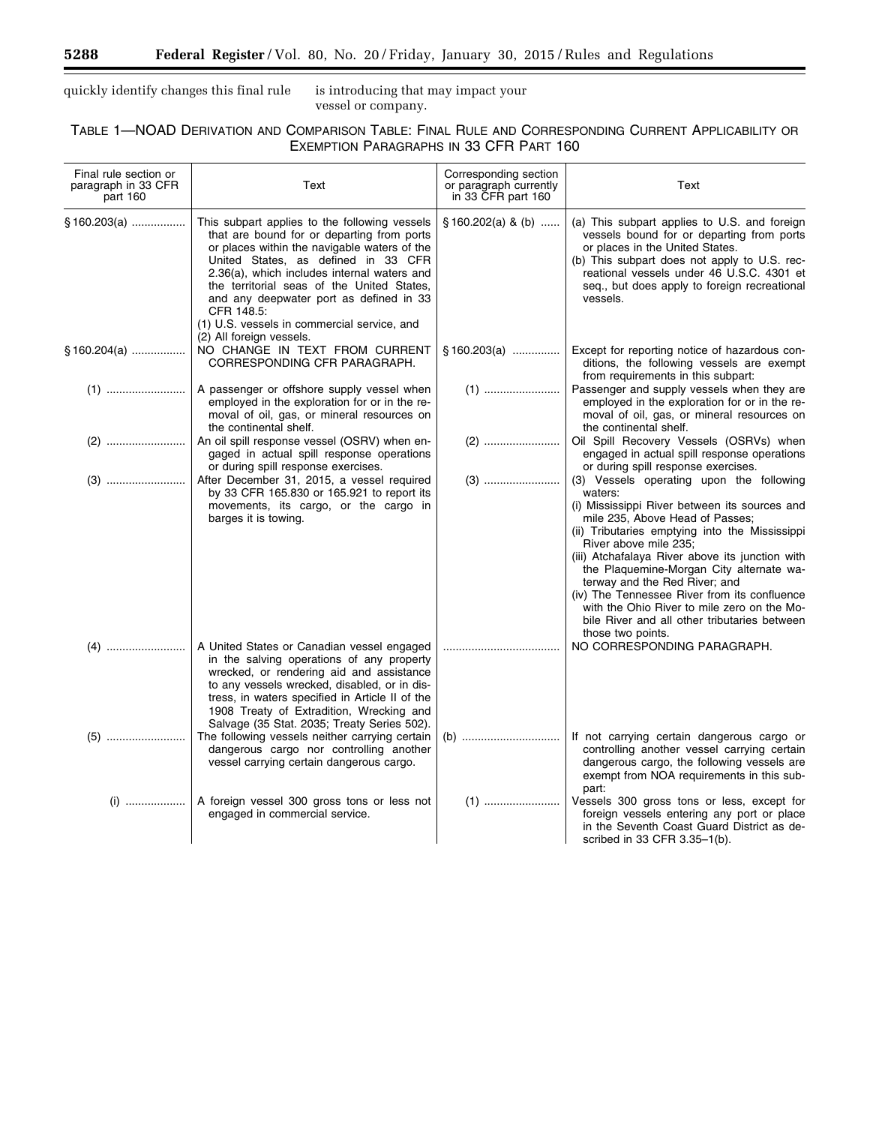$\equiv$ 

quickly identify changes this final rule is introducing that may impact your

vessel or company.

# TABLE 1—NOAD DERIVATION AND COMPARISON TABLE: FINAL RULE AND CORRESPONDING CURRENT APPLICABILITY OR EXEMPTION PARAGRAPHS IN 33 CFR PART 160

| Final rule section or<br>paragraph in 33 CFR<br>part 160 | Text                                                                                                                                                                                                                                                                                                                                                                                                                | Corresponding section<br>or paragraph currently<br>in 33 CFR part 160 | Text                                                                                                                                                                                                                                                                                                                                                                                                                                                                                                                   |
|----------------------------------------------------------|---------------------------------------------------------------------------------------------------------------------------------------------------------------------------------------------------------------------------------------------------------------------------------------------------------------------------------------------------------------------------------------------------------------------|-----------------------------------------------------------------------|------------------------------------------------------------------------------------------------------------------------------------------------------------------------------------------------------------------------------------------------------------------------------------------------------------------------------------------------------------------------------------------------------------------------------------------------------------------------------------------------------------------------|
| §160.203(a)                                              | This subpart applies to the following vessels<br>that are bound for or departing from ports<br>or places within the navigable waters of the<br>United States, as defined in 33 CFR<br>2.36(a), which includes internal waters and<br>the territorial seas of the United States,<br>and any deepwater port as defined in 33<br>CFR 148.5:<br>(1) U.S. vessels in commercial service, and<br>(2) All foreign vessels. | $$160.202(a)$ & (b)                                                   | (a) This subpart applies to U.S. and foreign<br>vessels bound for or departing from ports<br>or places in the United States.<br>(b) This subpart does not apply to U.S. rec-<br>reational vessels under 46 U.S.C. 4301 et<br>seq., but does apply to foreign recreational<br>vessels.                                                                                                                                                                                                                                  |
| § 160.204(a) ………………                                      | NO CHANGE IN TEXT FROM CURRENT<br>CORRESPONDING CFR PARAGRAPH.                                                                                                                                                                                                                                                                                                                                                      | $§160.203(a)$                                                         | Except for reporting notice of hazardous con-<br>ditions, the following vessels are exempt<br>from requirements in this subpart:                                                                                                                                                                                                                                                                                                                                                                                       |
|                                                          | A passenger or offshore supply vessel when<br>employed in the exploration for or in the re-<br>moval of oil, gas, or mineral resources on<br>the continental shelf.                                                                                                                                                                                                                                                 |                                                                       | Passenger and supply vessels when they are<br>employed in the exploration for or in the re-<br>moval of oil, gas, or mineral resources on<br>the continental shelf.                                                                                                                                                                                                                                                                                                                                                    |
|                                                          | An oil spill response vessel (OSRV) when en-<br>gaged in actual spill response operations<br>or during spill response exercises.                                                                                                                                                                                                                                                                                    |                                                                       | Oil Spill Recovery Vessels (OSRVs) when<br>engaged in actual spill response operations<br>or during spill response exercises.                                                                                                                                                                                                                                                                                                                                                                                          |
|                                                          | After December 31, 2015, a vessel required<br>by 33 CFR 165.830 or 165.921 to report its<br>movements, its cargo, or the cargo in<br>barges it is towing.                                                                                                                                                                                                                                                           |                                                                       | (3) Vessels operating upon the following<br>waters:<br>(i) Mississippi River between its sources and<br>mile 235, Above Head of Passes;<br>(ii) Tributaries emptying into the Mississippi<br>River above mile 235;<br>(iii) Atchafalaya River above its junction with<br>the Plaquemine-Morgan City alternate wa-<br>terway and the Red River; and<br>(iv) The Tennessee River from its confluence<br>with the Ohio River to mile zero on the Mo-<br>bile River and all other tributaries between<br>those two points. |
|                                                          | A United States or Canadian vessel engaged<br>in the salving operations of any property<br>wrecked, or rendering aid and assistance<br>to any vessels wrecked, disabled, or in dis-<br>tress, in waters specified in Article II of the<br>1908 Treaty of Extradition, Wrecking and<br>Salvage (35 Stat. 2035; Treaty Series 502).                                                                                   |                                                                       | NO CORRESPONDING PARAGRAPH.                                                                                                                                                                                                                                                                                                                                                                                                                                                                                            |
|                                                          | The following vessels neither carrying certain<br>dangerous cargo nor controlling another<br>vessel carrying certain dangerous cargo.                                                                                                                                                                                                                                                                               |                                                                       | If not carrying certain dangerous cargo or<br>controlling another vessel carrying certain<br>dangerous cargo, the following vessels are<br>exempt from NOA requirements in this sub-<br>part:                                                                                                                                                                                                                                                                                                                          |
|                                                          | A foreign vessel 300 gross tons or less not<br>engaged in commercial service.                                                                                                                                                                                                                                                                                                                                       |                                                                       | Vessels 300 gross tons or less, except for<br>foreign vessels entering any port or place<br>in the Seventh Coast Guard District as de-<br>scribed in 33 CFR 3.35-1(b).                                                                                                                                                                                                                                                                                                                                                 |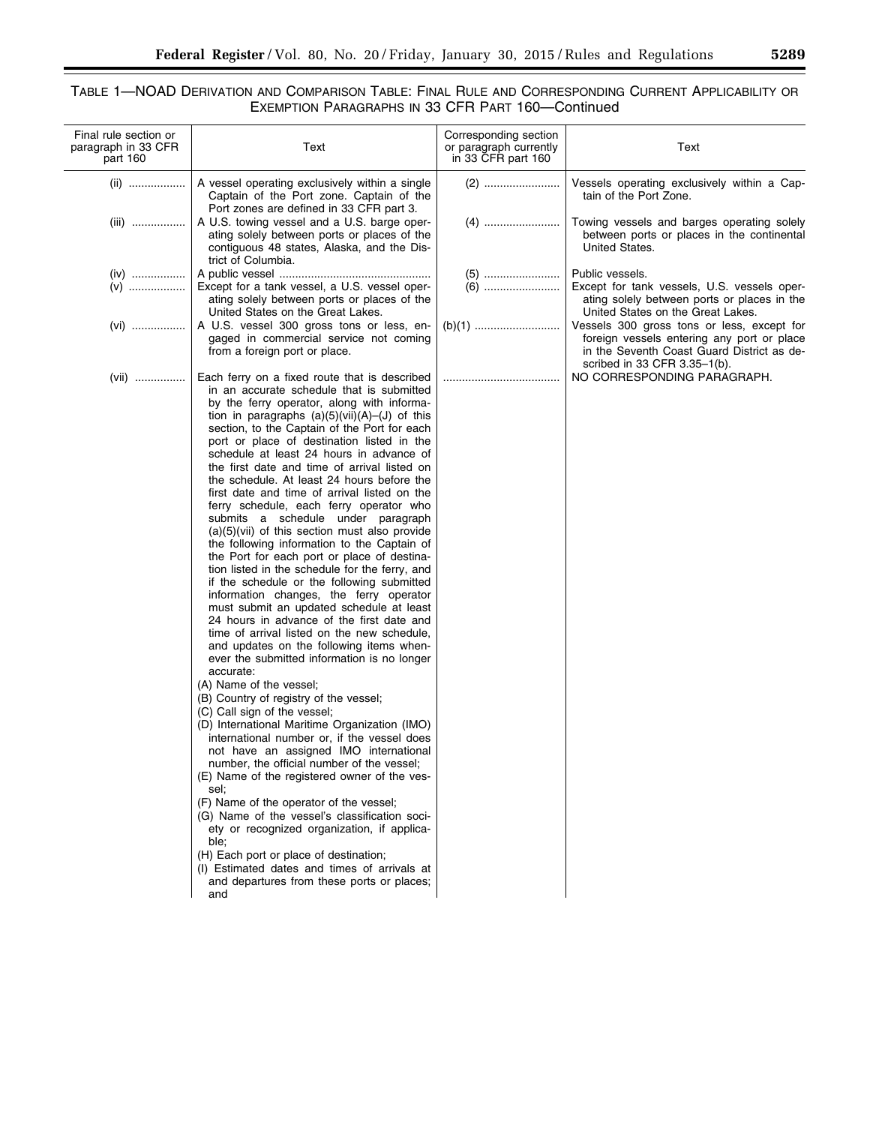## TABLE 1—NOAD DERIVATION AND COMPARISON TABLE: FINAL RULE AND CORRESPONDING CURRENT APPLICABILITY OR EXEMPTION PARAGRAPHS IN 33 CFR PART 160—Continued

| Final rule section or<br>paragraph in 33 CFR<br>part 160 | Text                                                                                                                                                                                                                                                                                                                                                                                                                                                                                                                                                                                                                                                                                                                                                                                                                                                                                                                                                                                                                                                                                                                                                                                                                                                                                                                                                                                                                                                                                                                                                                                                                                                                                                                                                                        | Corresponding section<br>or paragraph currently<br>in 33 CFR part 160 | Text                                                                                                                                                                   |
|----------------------------------------------------------|-----------------------------------------------------------------------------------------------------------------------------------------------------------------------------------------------------------------------------------------------------------------------------------------------------------------------------------------------------------------------------------------------------------------------------------------------------------------------------------------------------------------------------------------------------------------------------------------------------------------------------------------------------------------------------------------------------------------------------------------------------------------------------------------------------------------------------------------------------------------------------------------------------------------------------------------------------------------------------------------------------------------------------------------------------------------------------------------------------------------------------------------------------------------------------------------------------------------------------------------------------------------------------------------------------------------------------------------------------------------------------------------------------------------------------------------------------------------------------------------------------------------------------------------------------------------------------------------------------------------------------------------------------------------------------------------------------------------------------------------------------------------------------|-----------------------------------------------------------------------|------------------------------------------------------------------------------------------------------------------------------------------------------------------------|
| (ii)                                                     | A vessel operating exclusively within a single<br>Captain of the Port zone. Captain of the<br>Port zones are defined in 33 CFR part 3.                                                                                                                                                                                                                                                                                                                                                                                                                                                                                                                                                                                                                                                                                                                                                                                                                                                                                                                                                                                                                                                                                                                                                                                                                                                                                                                                                                                                                                                                                                                                                                                                                                      |                                                                       | Vessels operating exclusively within a Cap-<br>tain of the Port Zone.                                                                                                  |
| (iii)                                                    | A U.S. towing vessel and a U.S. barge oper-<br>ating solely between ports or places of the<br>contiguous 48 states, Alaska, and the Dis-<br>trict of Columbia.                                                                                                                                                                                                                                                                                                                                                                                                                                                                                                                                                                                                                                                                                                                                                                                                                                                                                                                                                                                                                                                                                                                                                                                                                                                                                                                                                                                                                                                                                                                                                                                                              |                                                                       | Towing vessels and barges operating solely<br>between ports or places in the continental<br>United States.                                                             |
| $(iv)$<br>$(v)$                                          | Except for a tank vessel, a U.S. vessel oper-<br>ating solely between ports or places of the<br>United States on the Great Lakes.                                                                                                                                                                                                                                                                                                                                                                                                                                                                                                                                                                                                                                                                                                                                                                                                                                                                                                                                                                                                                                                                                                                                                                                                                                                                                                                                                                                                                                                                                                                                                                                                                                           |                                                                       | Public vessels.<br>Except for tank vessels, U.S. vessels oper-<br>ating solely between ports or places in the<br>United States on the Great Lakes.                     |
| $(vi)$                                                   | A U.S. vessel 300 gross tons or less, en-<br>gaged in commercial service not coming<br>from a foreign port or place.                                                                                                                                                                                                                                                                                                                                                                                                                                                                                                                                                                                                                                                                                                                                                                                                                                                                                                                                                                                                                                                                                                                                                                                                                                                                                                                                                                                                                                                                                                                                                                                                                                                        |                                                                       | Vessels 300 gross tons or less, except for<br>foreign vessels entering any port or place<br>in the Seventh Coast Guard District as de-<br>scribed in 33 CFR 3.35-1(b). |
| (vii) ……………                                              | Each ferry on a fixed route that is described<br>in an accurate schedule that is submitted<br>by the ferry operator, along with informa-<br>tion in paragraphs $(a)(5)(vii)(A)$ – $(J)$ of this<br>section, to the Captain of the Port for each<br>port or place of destination listed in the<br>schedule at least 24 hours in advance of<br>the first date and time of arrival listed on<br>the schedule. At least 24 hours before the<br>first date and time of arrival listed on the<br>ferry schedule, each ferry operator who<br>submits a schedule under paragraph<br>$(a)(5)(vii)$ of this section must also provide<br>the following information to the Captain of<br>the Port for each port or place of destina-<br>tion listed in the schedule for the ferry, and<br>if the schedule or the following submitted<br>information changes, the ferry operator<br>must submit an updated schedule at least<br>24 hours in advance of the first date and<br>time of arrival listed on the new schedule,<br>and updates on the following items when-<br>ever the submitted information is no longer<br>accurate:<br>(A) Name of the vessel;<br>(B) Country of registry of the vessel;<br>(C) Call sign of the vessel;<br>(D) International Maritime Organization (IMO)<br>international number or, if the vessel does<br>not have an assigned IMO international<br>number, the official number of the vessel;<br>(E) Name of the registered owner of the ves-<br>sel:<br>(F) Name of the operator of the vessel;<br>(G) Name of the vessel's classification soci-<br>ety or recognized organization, if applica-<br>ble;<br>(H) Each port or place of destination;<br>(I) Estimated dates and times of arrivals at<br>and departures from these ports or places;<br>and |                                                                       | NO CORRESPONDING PARAGRAPH.                                                                                                                                            |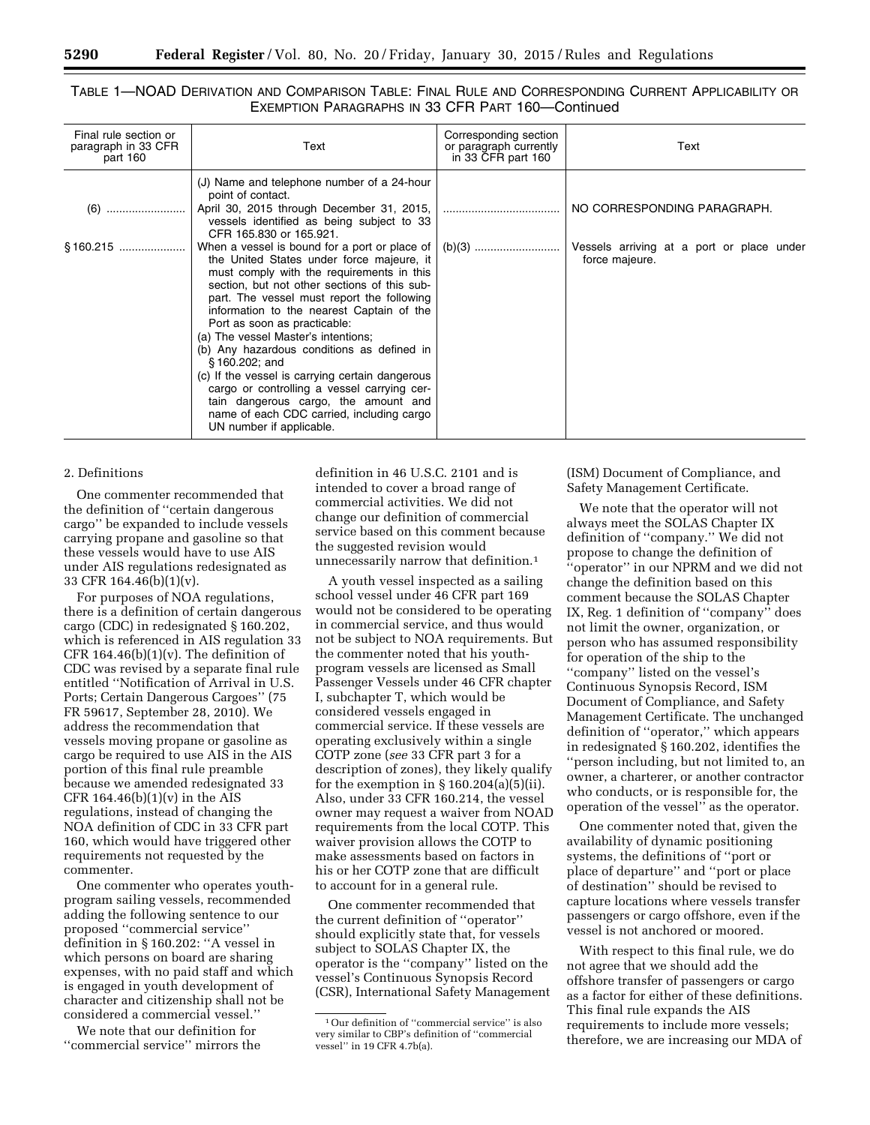## TABLE 1—NOAD DERIVATION AND COMPARISON TABLE: FINAL RULE AND CORRESPONDING CURRENT APPLICABILITY OR EXEMPTION PARAGRAPHS IN 33 CFR PART 160—Continued

| Final rule section or<br>paragraph in 33 CFR<br>part 160 | Text                                                                                                                                                                                                                                                                                                                                                                                                                                                                                                                                                                                                                                                                                                                  | Corresponding section<br>or paragraph currently<br>in 33 CFR part 160 | Text                                                                                       |
|----------------------------------------------------------|-----------------------------------------------------------------------------------------------------------------------------------------------------------------------------------------------------------------------------------------------------------------------------------------------------------------------------------------------------------------------------------------------------------------------------------------------------------------------------------------------------------------------------------------------------------------------------------------------------------------------------------------------------------------------------------------------------------------------|-----------------------------------------------------------------------|--------------------------------------------------------------------------------------------|
| (6)                                                      | (J) Name and telephone number of a 24-hour<br>point of contact.<br>April 30, 2015 through December 31, 2015,<br>vessels identified as being subject to 33<br>CFR 165.830 or 165.921.<br>When a vessel is bound for a port or place of<br>the United States under force majeure, it<br>must comply with the requirements in this<br>section, but not other sections of this sub-<br>part. The vessel must report the following<br>information to the nearest Captain of the<br>Port as soon as practicable:<br>(a) The vessel Master's intentions;<br>(b) Any hazardous conditions as defined in<br>$$160.202$ ; and<br>(c) If the vessel is carrying certain dangerous<br>cargo or controlling a vessel carrying cer- |                                                                       | NO CORRESPONDING PARAGRAPH.<br>Vessels arriving at a port or place under<br>force majeure. |
|                                                          | tain dangerous cargo, the amount and<br>name of each CDC carried, including cargo<br>UN number if applicable.                                                                                                                                                                                                                                                                                                                                                                                                                                                                                                                                                                                                         |                                                                       |                                                                                            |

### 2. Definitions

One commenter recommended that the definition of ''certain dangerous cargo'' be expanded to include vessels carrying propane and gasoline so that these vessels would have to use AIS under AIS regulations redesignated as 33 CFR 164.46(b)(1)(v).

For purposes of NOA regulations, there is a definition of certain dangerous cargo (CDC) in redesignated § 160.202, which is referenced in AIS regulation 33 CFR 164.46 $(b)(1)(v)$ . The definition of CDC was revised by a separate final rule entitled ''Notification of Arrival in U.S. Ports; Certain Dangerous Cargoes'' (75 FR 59617, September 28, 2010). We address the recommendation that vessels moving propane or gasoline as cargo be required to use AIS in the AIS portion of this final rule preamble because we amended redesignated 33 CFR  $164.46(b)(1)(v)$  in the AIS regulations, instead of changing the NOA definition of CDC in 33 CFR part 160, which would have triggered other requirements not requested by the commenter.

One commenter who operates youthprogram sailing vessels, recommended adding the following sentence to our proposed ''commercial service'' definition in § 160.202: ''A vessel in which persons on board are sharing expenses, with no paid staff and which is engaged in youth development of character and citizenship shall not be considered a commercial vessel.''

We note that our definition for ''commercial service'' mirrors the definition in 46 U.S.C. 2101 and is intended to cover a broad range of commercial activities. We did not change our definition of commercial service based on this comment because the suggested revision would unnecessarily narrow that definition.1

A youth vessel inspected as a sailing school vessel under 46 CFR part 169 would not be considered to be operating in commercial service, and thus would not be subject to NOA requirements. But the commenter noted that his youthprogram vessels are licensed as Small Passenger Vessels under 46 CFR chapter I, subchapter T, which would be considered vessels engaged in commercial service. If these vessels are operating exclusively within a single COTP zone (*see* 33 CFR part 3 for a description of zones), they likely qualify for the exemption in  $\S$  160.204(a)(5)(ii). Also, under 33 CFR 160.214, the vessel owner may request a waiver from NOAD requirements from the local COTP. This waiver provision allows the COTP to make assessments based on factors in his or her COTP zone that are difficult to account for in a general rule.

One commenter recommended that the current definition of ''operator'' should explicitly state that, for vessels subject to SOLAS Chapter IX, the operator is the ''company'' listed on the vessel's Continuous Synopsis Record (CSR), International Safety Management (ISM) Document of Compliance, and Safety Management Certificate.

We note that the operator will not always meet the SOLAS Chapter IX definition of ''company.'' We did not propose to change the definition of ''operator'' in our NPRM and we did not change the definition based on this comment because the SOLAS Chapter IX, Reg. 1 definition of ''company'' does not limit the owner, organization, or person who has assumed responsibility for operation of the ship to the "company" listed on the vessel's Continuous Synopsis Record, ISM Document of Compliance, and Safety Management Certificate. The unchanged definition of ''operator,'' which appears in redesignated § 160.202, identifies the ''person including, but not limited to, an owner, a charterer, or another contractor who conducts, or is responsible for, the operation of the vessel'' as the operator.

One commenter noted that, given the availability of dynamic positioning systems, the definitions of ''port or place of departure'' and ''port or place of destination'' should be revised to capture locations where vessels transfer passengers or cargo offshore, even if the vessel is not anchored or moored.

With respect to this final rule, we do not agree that we should add the offshore transfer of passengers or cargo as a factor for either of these definitions. This final rule expands the AIS requirements to include more vessels; therefore, we are increasing our MDA of

<sup>1</sup>Our definition of ''commercial service'' is also very similar to CBP's definition of ''commercial vessel'' in 19 CFR 4.7b(a).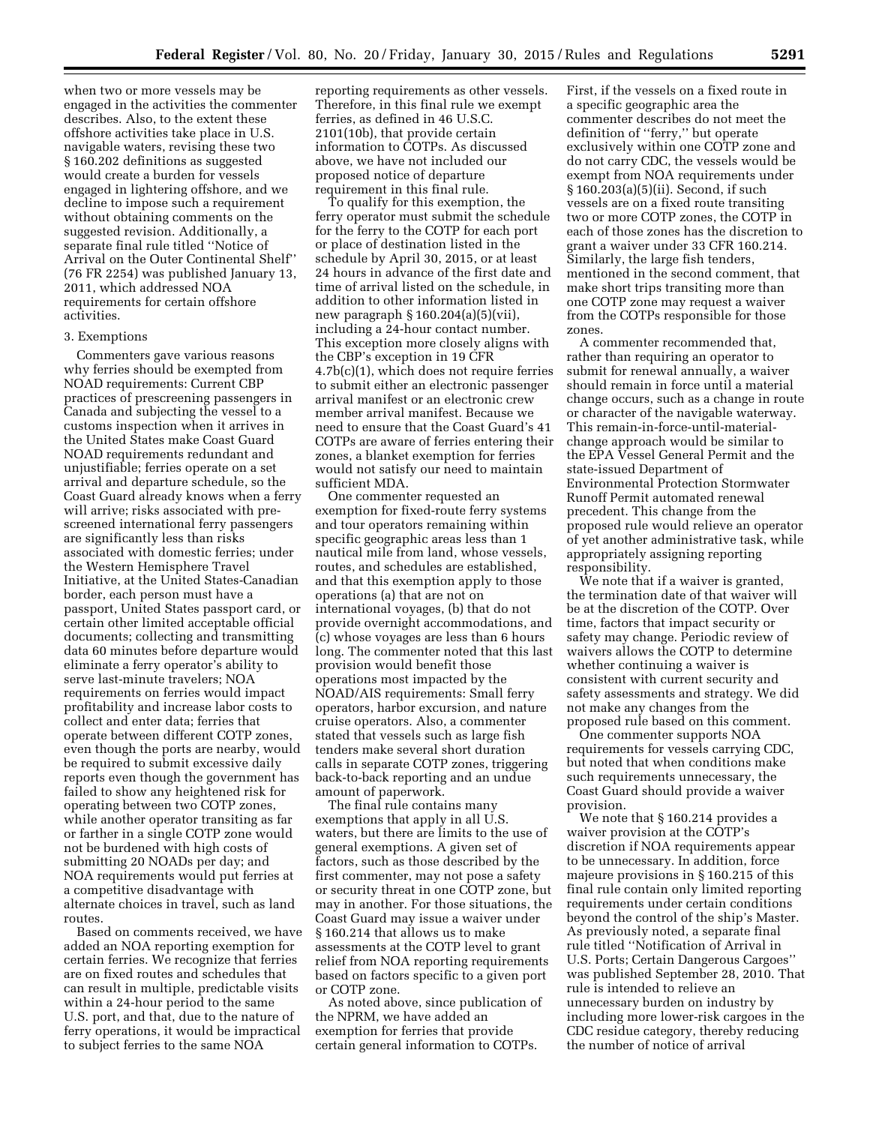when two or more vessels may be engaged in the activities the commenter describes. Also, to the extent these offshore activities take place in U.S. navigable waters, revising these two § 160.202 definitions as suggested would create a burden for vessels engaged in lightering offshore, and we decline to impose such a requirement without obtaining comments on the suggested revision. Additionally, a separate final rule titled ''Notice of Arrival on the Outer Continental Shelf'' (76 FR 2254) was published January 13, 2011, which addressed NOA requirements for certain offshore activities.

#### 3. Exemptions

Commenters gave various reasons why ferries should be exempted from NOAD requirements: Current CBP practices of prescreening passengers in Canada and subjecting the vessel to a customs inspection when it arrives in the United States make Coast Guard NOAD requirements redundant and unjustifiable; ferries operate on a set arrival and departure schedule, so the Coast Guard already knows when a ferry will arrive; risks associated with prescreened international ferry passengers are significantly less than risks associated with domestic ferries; under the Western Hemisphere Travel Initiative, at the United States-Canadian border, each person must have a passport, United States passport card, or certain other limited acceptable official documents; collecting and transmitting data 60 minutes before departure would eliminate a ferry operator's ability to serve last-minute travelers; NOA requirements on ferries would impact profitability and increase labor costs to collect and enter data; ferries that operate between different COTP zones, even though the ports are nearby, would be required to submit excessive daily reports even though the government has failed to show any heightened risk for operating between two COTP zones, while another operator transiting as far or farther in a single COTP zone would not be burdened with high costs of submitting 20 NOADs per day; and NOA requirements would put ferries at a competitive disadvantage with alternate choices in travel, such as land routes.

Based on comments received, we have added an NOA reporting exemption for certain ferries. We recognize that ferries are on fixed routes and schedules that can result in multiple, predictable visits within a 24-hour period to the same U.S. port, and that, due to the nature of ferry operations, it would be impractical to subject ferries to the same NOA

reporting requirements as other vessels. Therefore, in this final rule we exempt ferries, as defined in 46 U.S.C. 2101(10b), that provide certain information to COTPs. As discussed above, we have not included our proposed notice of departure requirement in this final rule.

To qualify for this exemption, the ferry operator must submit the schedule for the ferry to the COTP for each port or place of destination listed in the schedule by April 30, 2015, or at least 24 hours in advance of the first date and time of arrival listed on the schedule, in addition to other information listed in new paragraph § 160.204(a)(5)(vii), including a 24-hour contact number. This exception more closely aligns with the CBP's exception in 19 CFR 4.7b(c)(1), which does not require ferries to submit either an electronic passenger arrival manifest or an electronic crew member arrival manifest. Because we need to ensure that the Coast Guard's 41 COTPs are aware of ferries entering their zones, a blanket exemption for ferries would not satisfy our need to maintain sufficient MDA.

One commenter requested an exemption for fixed-route ferry systems and tour operators remaining within specific geographic areas less than 1 nautical mile from land, whose vessels, routes, and schedules are established, and that this exemption apply to those operations (a) that are not on international voyages, (b) that do not provide overnight accommodations, and (c) whose voyages are less than 6 hours long. The commenter noted that this last provision would benefit those operations most impacted by the NOAD/AIS requirements: Small ferry operators, harbor excursion, and nature cruise operators. Also, a commenter stated that vessels such as large fish tenders make several short duration calls in separate COTP zones, triggering back-to-back reporting and an undue amount of paperwork.

The final rule contains many exemptions that apply in all U.S. waters, but there are limits to the use of general exemptions. A given set of factors, such as those described by the first commenter, may not pose a safety or security threat in one COTP zone, but may in another. For those situations, the Coast Guard may issue a waiver under § 160.214 that allows us to make assessments at the COTP level to grant relief from NOA reporting requirements based on factors specific to a given port or COTP zone.

As noted above, since publication of the NPRM, we have added an exemption for ferries that provide certain general information to COTPs.

First, if the vessels on a fixed route in a specific geographic area the commenter describes do not meet the definition of ''ferry,'' but operate exclusively within one COTP zone and do not carry CDC, the vessels would be exempt from NOA requirements under § 160.203(a)(5)(ii). Second, if such vessels are on a fixed route transiting two or more COTP zones, the COTP in each of those zones has the discretion to grant a waiver under 33 CFR 160.214. Similarly, the large fish tenders, mentioned in the second comment, that make short trips transiting more than one COTP zone may request a waiver from the COTPs responsible for those zones.

A commenter recommended that, rather than requiring an operator to submit for renewal annually, a waiver should remain in force until a material change occurs, such as a change in route or character of the navigable waterway. This remain-in-force-until-materialchange approach would be similar to the EPA Vessel General Permit and the state-issued Department of Environmental Protection Stormwater Runoff Permit automated renewal precedent. This change from the proposed rule would relieve an operator of yet another administrative task, while appropriately assigning reporting responsibility.

We note that if a waiver is granted, the termination date of that waiver will be at the discretion of the COTP. Over time, factors that impact security or safety may change. Periodic review of waivers allows the COTP to determine whether continuing a waiver is consistent with current security and safety assessments and strategy. We did not make any changes from the proposed rule based on this comment.

One commenter supports NOA requirements for vessels carrying CDC, but noted that when conditions make such requirements unnecessary, the Coast Guard should provide a waiver provision.

We note that § 160.214 provides a waiver provision at the COTP's discretion if NOA requirements appear to be unnecessary. In addition, force majeure provisions in § 160.215 of this final rule contain only limited reporting requirements under certain conditions beyond the control of the ship's Master. As previously noted, a separate final rule titled ''Notification of Arrival in U.S. Ports; Certain Dangerous Cargoes'' was published September 28, 2010. That rule is intended to relieve an unnecessary burden on industry by including more lower-risk cargoes in the CDC residue category, thereby reducing the number of notice of arrival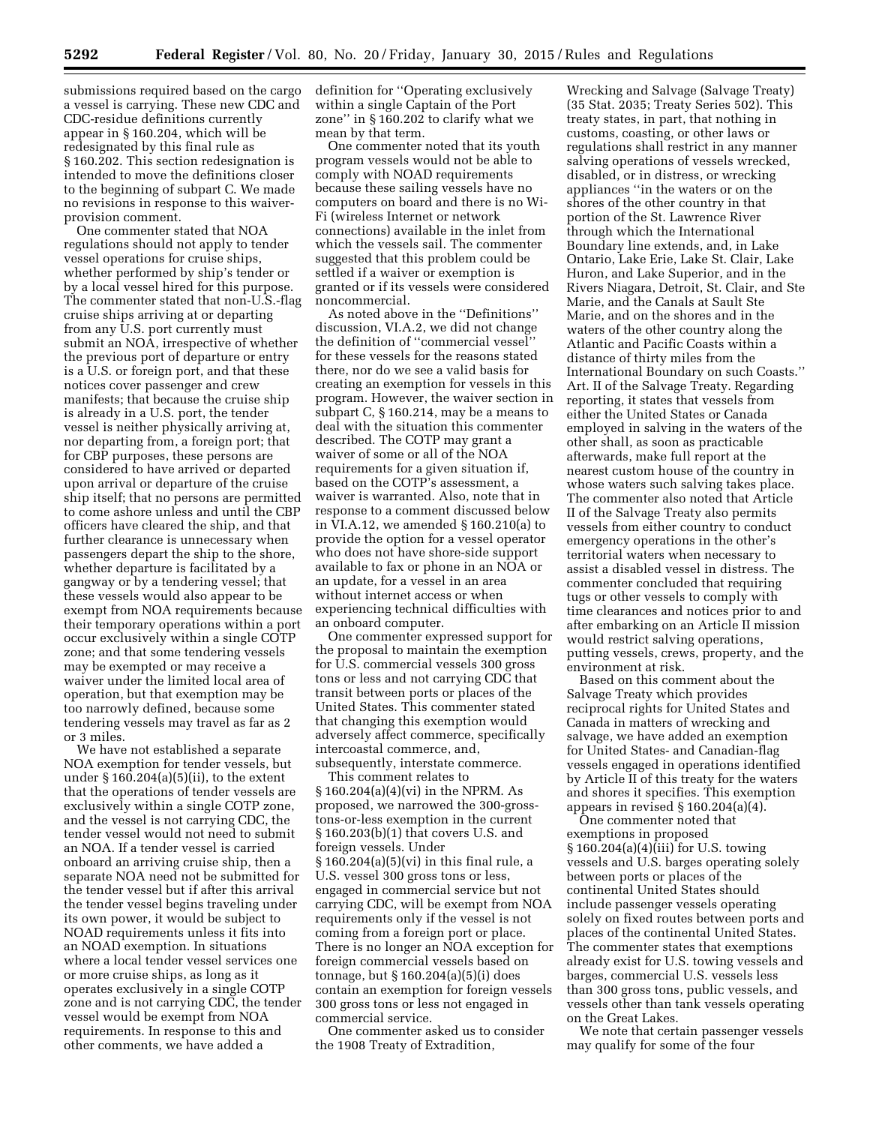submissions required based on the cargo a vessel is carrying. These new CDC and CDC-residue definitions currently appear in § 160.204, which will be redesignated by this final rule as § 160.202. This section redesignation is intended to move the definitions closer to the beginning of subpart C. We made no revisions in response to this waiverprovision comment.

One commenter stated that NOA regulations should not apply to tender vessel operations for cruise ships, whether performed by ship's tender or by a local vessel hired for this purpose. The commenter stated that non-U.S.-flag cruise ships arriving at or departing from any U.S. port currently must submit an NOA, irrespective of whether the previous port of departure or entry is a U.S. or foreign port, and that these notices cover passenger and crew manifests; that because the cruise ship is already in a U.S. port, the tender vessel is neither physically arriving at, nor departing from, a foreign port; that for CBP purposes, these persons are considered to have arrived or departed upon arrival or departure of the cruise ship itself; that no persons are permitted to come ashore unless and until the CBP officers have cleared the ship, and that further clearance is unnecessary when passengers depart the ship to the shore, whether departure is facilitated by a gangway or by a tendering vessel; that these vessels would also appear to be exempt from NOA requirements because their temporary operations within a port occur exclusively within a single COTP zone; and that some tendering vessels may be exempted or may receive a waiver under the limited local area of operation, but that exemption may be too narrowly defined, because some tendering vessels may travel as far as 2 or 3 miles.

We have not established a separate NOA exemption for tender vessels, but under  $\S 160.204(a)(5)(ii)$ , to the extent that the operations of tender vessels are exclusively within a single COTP zone, and the vessel is not carrying CDC, the tender vessel would not need to submit an NOA. If a tender vessel is carried onboard an arriving cruise ship, then a separate NOA need not be submitted for the tender vessel but if after this arrival the tender vessel begins traveling under its own power, it would be subject to NOAD requirements unless it fits into an NOAD exemption. In situations where a local tender vessel services one or more cruise ships, as long as it operates exclusively in a single COTP zone and is not carrying CDC, the tender vessel would be exempt from NOA requirements. In response to this and other comments, we have added a

definition for ''Operating exclusively within a single Captain of the Port zone'' in § 160.202 to clarify what we mean by that term.

One commenter noted that its youth program vessels would not be able to comply with NOAD requirements because these sailing vessels have no computers on board and there is no Wi-Fi (wireless Internet or network connections) available in the inlet from which the vessels sail. The commenter suggested that this problem could be settled if a waiver or exemption is granted or if its vessels were considered noncommercial.

As noted above in the ''Definitions'' discussion, VI.A.2, we did not change the definition of ''commercial vessel'' for these vessels for the reasons stated there, nor do we see a valid basis for creating an exemption for vessels in this program. However, the waiver section in subpart C, § 160.214, may be a means to deal with the situation this commenter described. The COTP may grant a waiver of some or all of the NOA requirements for a given situation if, based on the COTP's assessment, a waiver is warranted. Also, note that in response to a comment discussed below in VI.A.12, we amended § 160.210(a) to provide the option for a vessel operator who does not have shore-side support available to fax or phone in an NOA or an update, for a vessel in an area without internet access or when experiencing technical difficulties with an onboard computer.

One commenter expressed support for the proposal to maintain the exemption for U.S. commercial vessels 300 gross tons or less and not carrying CDC that transit between ports or places of the United States. This commenter stated that changing this exemption would adversely affect commerce, specifically intercoastal commerce, and, subsequently, interstate commerce.

This comment relates to § 160.204(a)(4)(vi) in the NPRM. As proposed, we narrowed the 300-grosstons-or-less exemption in the current § 160.203(b)(1) that covers U.S. and foreign vessels. Under § 160.204(a)(5)(vi) in this final rule, a U.S. vessel 300 gross tons or less, engaged in commercial service but not carrying CDC, will be exempt from NOA requirements only if the vessel is not coming from a foreign port or place. There is no longer an NOA exception for foreign commercial vessels based on tonnage, but § 160.204(a)(5)(i) does contain an exemption for foreign vessels 300 gross tons or less not engaged in commercial service.

One commenter asked us to consider the 1908 Treaty of Extradition,

Wrecking and Salvage (Salvage Treaty) (35 Stat. 2035; Treaty Series 502). This treaty states, in part, that nothing in customs, coasting, or other laws or regulations shall restrict in any manner salving operations of vessels wrecked, disabled, or in distress, or wrecking appliances ''in the waters or on the shores of the other country in that portion of the St. Lawrence River through which the International Boundary line extends, and, in Lake Ontario, Lake Erie, Lake St. Clair, Lake Huron, and Lake Superior, and in the Rivers Niagara, Detroit, St. Clair, and Ste Marie, and the Canals at Sault Ste Marie, and on the shores and in the waters of the other country along the Atlantic and Pacific Coasts within a distance of thirty miles from the International Boundary on such Coasts.'' Art. II of the Salvage Treaty. Regarding reporting, it states that vessels from either the United States or Canada employed in salving in the waters of the other shall, as soon as practicable afterwards, make full report at the nearest custom house of the country in whose waters such salving takes place. The commenter also noted that Article II of the Salvage Treaty also permits vessels from either country to conduct emergency operations in the other's territorial waters when necessary to assist a disabled vessel in distress. The commenter concluded that requiring tugs or other vessels to comply with time clearances and notices prior to and after embarking on an Article II mission would restrict salving operations, putting vessels, crews, property, and the environment at risk.

Based on this comment about the Salvage Treaty which provides reciprocal rights for United States and Canada in matters of wrecking and salvage, we have added an exemption for United States- and Canadian-flag vessels engaged in operations identified by Article II of this treaty for the waters and shores it specifies. This exemption appears in revised § 160.204(a)(4).

One commenter noted that exemptions in proposed § 160.204(a)(4)(iii) for U.S. towing vessels and U.S. barges operating solely between ports or places of the continental United States should include passenger vessels operating solely on fixed routes between ports and places of the continental United States. The commenter states that exemptions already exist for U.S. towing vessels and barges, commercial U.S. vessels less than 300 gross tons, public vessels, and vessels other than tank vessels operating on the Great Lakes.

We note that certain passenger vessels may qualify for some of the four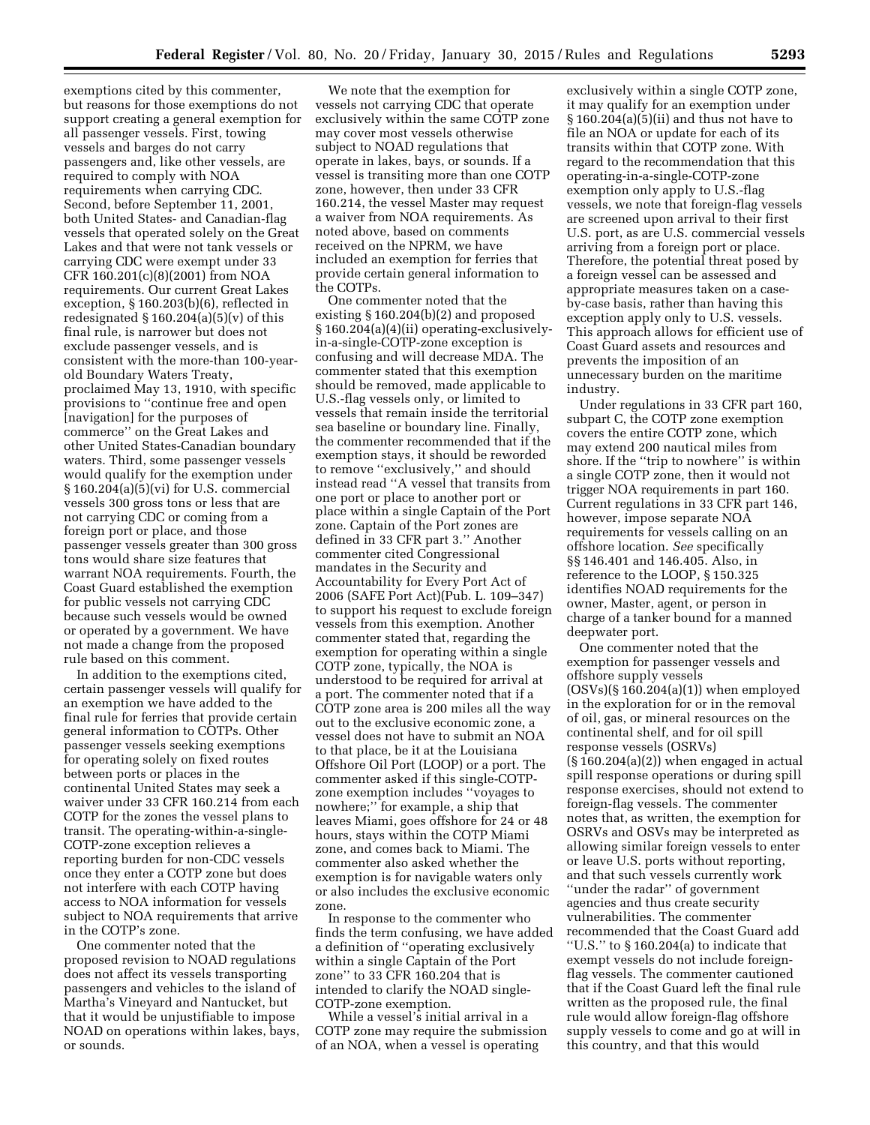exemptions cited by this commenter, but reasons for those exemptions do not support creating a general exemption for all passenger vessels. First, towing vessels and barges do not carry passengers and, like other vessels, are required to comply with NOA requirements when carrying CDC. Second, before September 11, 2001, both United States- and Canadian-flag vessels that operated solely on the Great Lakes and that were not tank vessels or carrying CDC were exempt under 33 CFR 160.201(c)(8)(2001) from NOA requirements. Our current Great Lakes exception, § 160.203(b)(6), reflected in redesignated  $\S 160.204(a)(5)(v)$  of this final rule, is narrower but does not exclude passenger vessels, and is consistent with the more-than 100-yearold Boundary Waters Treaty, proclaimed May 13, 1910, with specific provisions to ''continue free and open [navigation] for the purposes of commerce'' on the Great Lakes and other United States-Canadian boundary waters. Third, some passenger vessels would qualify for the exemption under § 160.204(a)(5)(vi) for U.S. commercial vessels 300 gross tons or less that are not carrying CDC or coming from a foreign port or place, and those passenger vessels greater than 300 gross tons would share size features that warrant NOA requirements. Fourth, the Coast Guard established the exemption for public vessels not carrying CDC because such vessels would be owned or operated by a government. We have not made a change from the proposed rule based on this comment.

In addition to the exemptions cited, certain passenger vessels will qualify for an exemption we have added to the final rule for ferries that provide certain general information to COTPs. Other passenger vessels seeking exemptions for operating solely on fixed routes between ports or places in the continental United States may seek a waiver under 33 CFR 160.214 from each COTP for the zones the vessel plans to transit. The operating-within-a-single-COTP-zone exception relieves a reporting burden for non-CDC vessels once they enter a COTP zone but does not interfere with each COTP having access to NOA information for vessels subject to NOA requirements that arrive in the COTP's zone.

One commenter noted that the proposed revision to NOAD regulations does not affect its vessels transporting passengers and vehicles to the island of Martha's Vineyard and Nantucket, but that it would be unjustifiable to impose NOAD on operations within lakes, bays, or sounds.

We note that the exemption for vessels not carrying CDC that operate exclusively within the same COTP zone may cover most vessels otherwise subject to NOAD regulations that operate in lakes, bays, or sounds. If a vessel is transiting more than one COTP zone, however, then under 33 CFR 160.214, the vessel Master may request a waiver from NOA requirements. As noted above, based on comments received on the NPRM, we have included an exemption for ferries that provide certain general information to the COTPs.

One commenter noted that the existing § 160.204(b)(2) and proposed § 160.204(a)(4)(ii) operating-exclusivelyin-a-single-COTP-zone exception is confusing and will decrease MDA. The commenter stated that this exemption should be removed, made applicable to U.S.-flag vessels only, or limited to vessels that remain inside the territorial sea baseline or boundary line. Finally, the commenter recommended that if the exemption stays, it should be reworded to remove ''exclusively,'' and should instead read ''A vessel that transits from one port or place to another port or place within a single Captain of the Port zone. Captain of the Port zones are defined in 33 CFR part 3.'' Another commenter cited Congressional mandates in the Security and Accountability for Every Port Act of 2006 (SAFE Port Act)(Pub. L. 109–347) to support his request to exclude foreign vessels from this exemption. Another commenter stated that, regarding the exemption for operating within a single COTP zone, typically, the NOA is understood to be required for arrival at a port. The commenter noted that if a COTP zone area is 200 miles all the way out to the exclusive economic zone, a vessel does not have to submit an NOA to that place, be it at the Louisiana Offshore Oil Port (LOOP) or a port. The commenter asked if this single-COTPzone exemption includes ''voyages to nowhere;'' for example, a ship that leaves Miami, goes offshore for 24 or 48 hours, stays within the COTP Miami zone, and comes back to Miami. The commenter also asked whether the exemption is for navigable waters only or also includes the exclusive economic zone.

In response to the commenter who finds the term confusing, we have added a definition of ''operating exclusively within a single Captain of the Port zone'' to 33 CFR 160.204 that is intended to clarify the NOAD single-COTP-zone exemption.

While a vessel's initial arrival in a COTP zone may require the submission of an NOA, when a vessel is operating

exclusively within a single COTP zone, it may qualify for an exemption under § 160.204(a)(5)(ii) and thus not have to file an NOA or update for each of its transits within that COTP zone. With regard to the recommendation that this operating-in-a-single-COTP-zone exemption only apply to U.S.-flag vessels, we note that foreign-flag vessels are screened upon arrival to their first U.S. port, as are U.S. commercial vessels arriving from a foreign port or place. Therefore, the potential threat posed by a foreign vessel can be assessed and appropriate measures taken on a caseby-case basis, rather than having this exception apply only to U.S. vessels. This approach allows for efficient use of Coast Guard assets and resources and prevents the imposition of an unnecessary burden on the maritime industry.

Under regulations in 33 CFR part 160, subpart C, the COTP zone exemption covers the entire COTP zone, which may extend 200 nautical miles from shore. If the ''trip to nowhere'' is within a single COTP zone, then it would not trigger NOA requirements in part 160. Current regulations in 33 CFR part 146, however, impose separate NOA requirements for vessels calling on an offshore location. *See* specifically §§ 146.401 and 146.405. Also, in reference to the LOOP, § 150.325 identifies NOAD requirements for the owner, Master, agent, or person in charge of a tanker bound for a manned deepwater port.

One commenter noted that the exemption for passenger vessels and offshore supply vessels  $(OSVs)(\$160.204(a)(1))$  when employed in the exploration for or in the removal of oil, gas, or mineral resources on the continental shelf, and for oil spill response vessels (OSRVs)  $(\S 160.204(a)(2))$  when engaged in actual spill response operations or during spill response exercises, should not extend to foreign-flag vessels. The commenter notes that, as written, the exemption for OSRVs and OSVs may be interpreted as allowing similar foreign vessels to enter or leave U.S. ports without reporting, and that such vessels currently work ''under the radar'' of government agencies and thus create security vulnerabilities. The commenter recommended that the Coast Guard add ''U.S.'' to § 160.204(a) to indicate that exempt vessels do not include foreignflag vessels. The commenter cautioned that if the Coast Guard left the final rule written as the proposed rule, the final rule would allow foreign-flag offshore supply vessels to come and go at will in this country, and that this would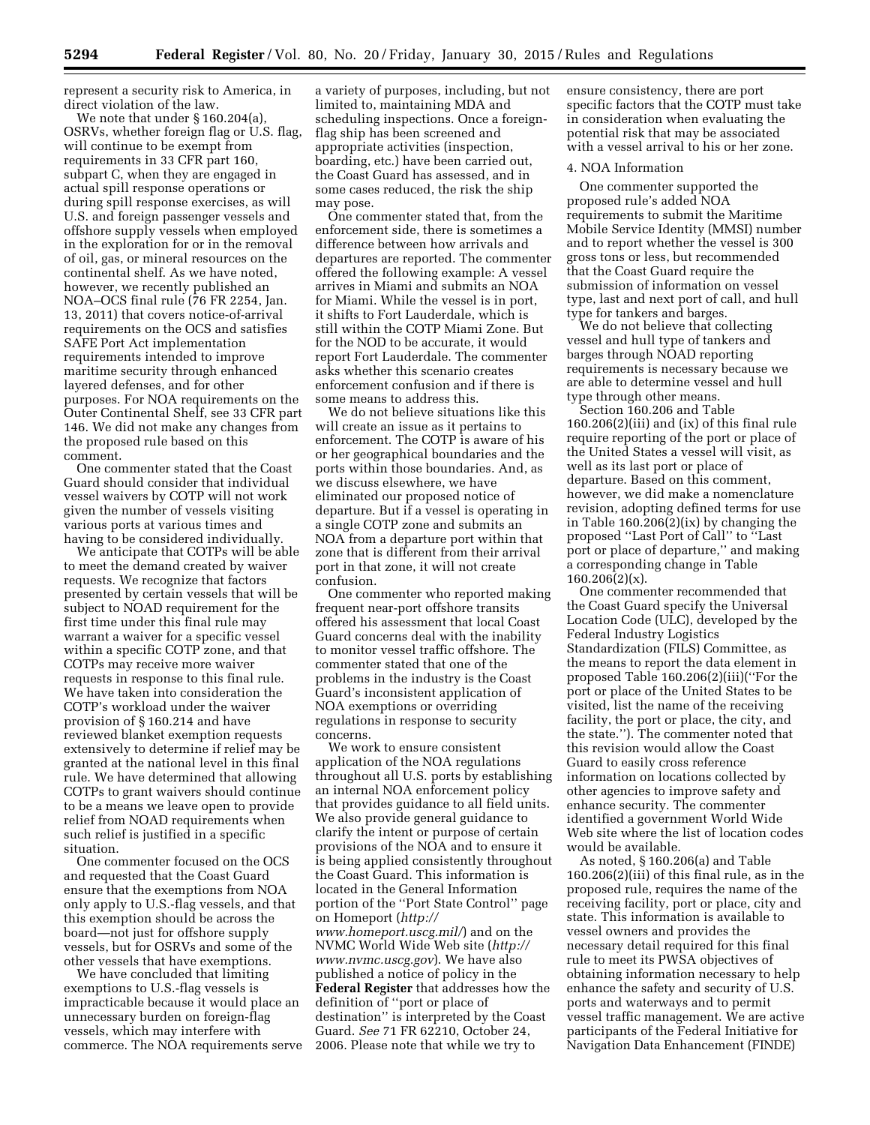represent a security risk to America, in direct violation of the law.

We note that under § 160.204(a), OSRVs, whether foreign flag or U.S. flag, will continue to be exempt from requirements in 33 CFR part 160, subpart C, when they are engaged in actual spill response operations or during spill response exercises, as will U.S. and foreign passenger vessels and offshore supply vessels when employed in the exploration for or in the removal of oil, gas, or mineral resources on the continental shelf. As we have noted, however, we recently published an NOA–OCS final rule (76 FR 2254, Jan. 13, 2011) that covers notice-of-arrival requirements on the OCS and satisfies SAFE Port Act implementation requirements intended to improve maritime security through enhanced layered defenses, and for other purposes. For NOA requirements on the Outer Continental Shelf, see 33 CFR part 146. We did not make any changes from the proposed rule based on this comment.

One commenter stated that the Coast Guard should consider that individual vessel waivers by COTP will not work given the number of vessels visiting various ports at various times and having to be considered individually.

We anticipate that COTPs will be able to meet the demand created by waiver requests. We recognize that factors presented by certain vessels that will be subject to NOAD requirement for the first time under this final rule may warrant a waiver for a specific vessel within a specific COTP zone, and that COTPs may receive more waiver requests in response to this final rule. We have taken into consideration the COTP's workload under the waiver provision of § 160.214 and have reviewed blanket exemption requests extensively to determine if relief may be granted at the national level in this final rule. We have determined that allowing COTPs to grant waivers should continue to be a means we leave open to provide relief from NOAD requirements when such relief is justified in a specific situation.

One commenter focused on the OCS and requested that the Coast Guard ensure that the exemptions from NOA only apply to U.S.-flag vessels, and that this exemption should be across the board—not just for offshore supply vessels, but for OSRVs and some of the other vessels that have exemptions.

We have concluded that limiting exemptions to U.S.-flag vessels is impracticable because it would place an unnecessary burden on foreign-flag vessels, which may interfere with commerce. The NOA requirements serve

a variety of purposes, including, but not limited to, maintaining MDA and scheduling inspections. Once a foreignflag ship has been screened and appropriate activities (inspection, boarding, etc.) have been carried out, the Coast Guard has assessed, and in some cases reduced, the risk the ship may pose.

One commenter stated that, from the enforcement side, there is sometimes a difference between how arrivals and departures are reported. The commenter offered the following example: A vessel arrives in Miami and submits an NOA for Miami. While the vessel is in port, it shifts to Fort Lauderdale, which is still within the COTP Miami Zone. But for the NOD to be accurate, it would report Fort Lauderdale. The commenter asks whether this scenario creates enforcement confusion and if there is some means to address this.

We do not believe situations like this will create an issue as it pertains to enforcement. The COTP is aware of his or her geographical boundaries and the ports within those boundaries. And, as we discuss elsewhere, we have eliminated our proposed notice of departure. But if a vessel is operating in a single COTP zone and submits an NOA from a departure port within that zone that is different from their arrival port in that zone, it will not create confusion.

One commenter who reported making frequent near-port offshore transits offered his assessment that local Coast Guard concerns deal with the inability to monitor vessel traffic offshore. The commenter stated that one of the problems in the industry is the Coast Guard's inconsistent application of NOA exemptions or overriding regulations in response to security concerns.

We work to ensure consistent application of the NOA regulations throughout all U.S. ports by establishing an internal NOA enforcement policy that provides guidance to all field units. We also provide general guidance to clarify the intent or purpose of certain provisions of the NOA and to ensure it is being applied consistently throughout the Coast Guard. This information is located in the General Information portion of the ''Port State Control'' page on Homeport (*[http://](http://www.homeport.uscg.mil/) [www.homeport.uscg.mil/](http://www.homeport.uscg.mil/)*) and on the NVMC World Wide Web site (*[http://](http://www.nvmc.uscg.gov) [www.nvmc.uscg.gov](http://www.nvmc.uscg.gov)*). We have also published a notice of policy in the **Federal Register** that addresses how the definition of ''port or place of destination'' is interpreted by the Coast Guard. *See* 71 FR 62210, October 24, 2006. Please note that while we try to

ensure consistency, there are port specific factors that the COTP must take in consideration when evaluating the potential risk that may be associated with a vessel arrival to his or her zone.

#### 4. NOA Information

One commenter supported the proposed rule's added NOA requirements to submit the Maritime Mobile Service Identity (MMSI) number and to report whether the vessel is 300 gross tons or less, but recommended that the Coast Guard require the submission of information on vessel type, last and next port of call, and hull type for tankers and barges.

We do not believe that collecting vessel and hull type of tankers and barges through NOAD reporting requirements is necessary because we are able to determine vessel and hull type through other means.

Section 160.206 and Table 160.206(2)(iii) and (ix) of this final rule require reporting of the port or place of the United States a vessel will visit, as well as its last port or place of departure. Based on this comment, however, we did make a nomenclature revision, adopting defined terms for use in Table 160.206(2)(ix) by changing the proposed ''Last Port of Call'' to ''Last port or place of departure,'' and making a corresponding change in Table 160.206(2)(x).

One commenter recommended that the Coast Guard specify the Universal Location Code (ULC), developed by the Federal Industry Logistics Standardization (FILS) Committee, as the means to report the data element in proposed Table 160.206(2)(iii)(''For the port or place of the United States to be visited, list the name of the receiving facility, the port or place, the city, and the state.''). The commenter noted that this revision would allow the Coast Guard to easily cross reference information on locations collected by other agencies to improve safety and enhance security. The commenter identified a government World Wide Web site where the list of location codes would be available.

As noted, § 160.206(a) and Table 160.206(2)(iii) of this final rule, as in the proposed rule, requires the name of the receiving facility, port or place, city and state. This information is available to vessel owners and provides the necessary detail required for this final rule to meet its PWSA objectives of obtaining information necessary to help enhance the safety and security of U.S. ports and waterways and to permit vessel traffic management. We are active participants of the Federal Initiative for Navigation Data Enhancement (FINDE)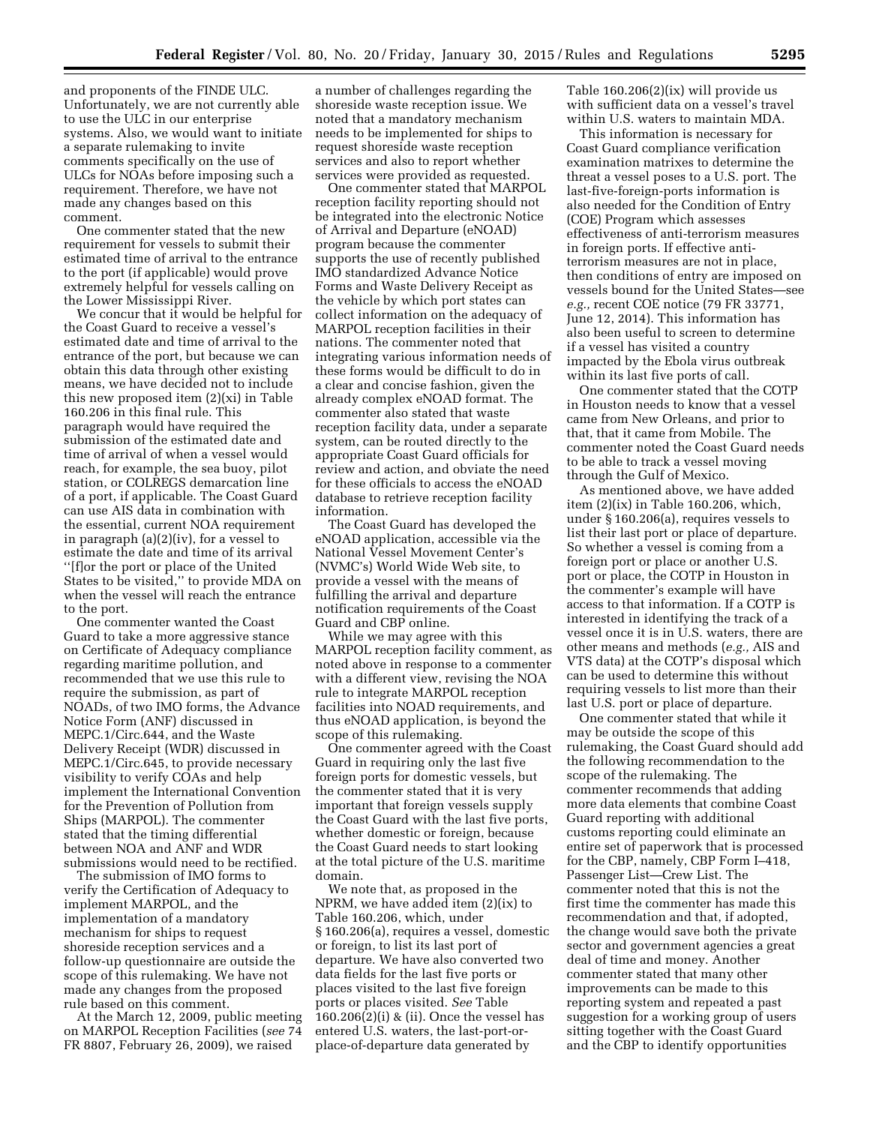and proponents of the FINDE ULC. Unfortunately, we are not currently able to use the ULC in our enterprise systems. Also, we would want to initiate a separate rulemaking to invite comments specifically on the use of ULCs for NOAs before imposing such a requirement. Therefore, we have not made any changes based on this comment.

One commenter stated that the new requirement for vessels to submit their estimated time of arrival to the entrance to the port (if applicable) would prove extremely helpful for vessels calling on the Lower Mississippi River.

We concur that it would be helpful for the Coast Guard to receive a vessel's estimated date and time of arrival to the entrance of the port, but because we can obtain this data through other existing means, we have decided not to include this new proposed item (2)(xi) in Table 160.206 in this final rule. This paragraph would have required the submission of the estimated date and time of arrival of when a vessel would reach, for example, the sea buoy, pilot station, or COLREGS demarcation line of a port, if applicable. The Coast Guard can use AIS data in combination with the essential, current NOA requirement in paragraph (a)(2)(iv), for a vessel to estimate the date and time of its arrival ''[f]or the port or place of the United States to be visited,'' to provide MDA on when the vessel will reach the entrance to the port.

One commenter wanted the Coast Guard to take a more aggressive stance on Certificate of Adequacy compliance regarding maritime pollution, and recommended that we use this rule to require the submission, as part of NOADs, of two IMO forms, the Advance Notice Form (ANF) discussed in MEPC.1/Circ.644, and the Waste Delivery Receipt (WDR) discussed in MEPC.1/Circ.645, to provide necessary visibility to verify COAs and help implement the International Convention for the Prevention of Pollution from Ships (MARPOL). The commenter stated that the timing differential between NOA and ANF and WDR submissions would need to be rectified.

The submission of IMO forms to verify the Certification of Adequacy to implement MARPOL, and the implementation of a mandatory mechanism for ships to request shoreside reception services and a follow-up questionnaire are outside the scope of this rulemaking. We have not made any changes from the proposed rule based on this comment.

At the March 12, 2009, public meeting on MARPOL Reception Facilities (*see* 74 FR 8807, February 26, 2009), we raised

a number of challenges regarding the shoreside waste reception issue. We noted that a mandatory mechanism needs to be implemented for ships to request shoreside waste reception services and also to report whether services were provided as requested.

One commenter stated that MARPOL reception facility reporting should not be integrated into the electronic Notice of Arrival and Departure (eNOAD) program because the commenter supports the use of recently published IMO standardized Advance Notice Forms and Waste Delivery Receipt as the vehicle by which port states can collect information on the adequacy of MARPOL reception facilities in their nations. The commenter noted that integrating various information needs of these forms would be difficult to do in a clear and concise fashion, given the already complex eNOAD format. The commenter also stated that waste reception facility data, under a separate system, can be routed directly to the appropriate Coast Guard officials for review and action, and obviate the need for these officials to access the eNOAD database to retrieve reception facility information.

The Coast Guard has developed the eNOAD application, accessible via the National Vessel Movement Center's (NVMC's) World Wide Web site, to provide a vessel with the means of fulfilling the arrival and departure notification requirements of the Coast Guard and CBP online.

While we may agree with this MARPOL reception facility comment, as noted above in response to a commenter with a different view, revising the NOA rule to integrate MARPOL reception facilities into NOAD requirements, and thus eNOAD application, is beyond the scope of this rulemaking.

One commenter agreed with the Coast Guard in requiring only the last five foreign ports for domestic vessels, but the commenter stated that it is very important that foreign vessels supply the Coast Guard with the last five ports, whether domestic or foreign, because the Coast Guard needs to start looking at the total picture of the U.S. maritime domain.

We note that, as proposed in the NPRM, we have added item (2)(ix) to Table 160.206, which, under § 160.206(a), requires a vessel, domestic or foreign, to list its last port of departure. We have also converted two data fields for the last five ports or places visited to the last five foreign ports or places visited. *See* Table 160.206(2)(i) & (ii). Once the vessel has entered U.S. waters, the last-port-orplace-of-departure data generated by

Table 160.206(2)(ix) will provide us with sufficient data on a vessel's travel within U.S. waters to maintain MDA.

This information is necessary for Coast Guard compliance verification examination matrixes to determine the threat a vessel poses to a U.S. port. The last-five-foreign-ports information is also needed for the Condition of Entry (COE) Program which assesses effectiveness of anti-terrorism measures in foreign ports. If effective antiterrorism measures are not in place, then conditions of entry are imposed on vessels bound for the United States—see *e.g.,* recent COE notice (79 FR 33771, June 12, 2014). This information has also been useful to screen to determine if a vessel has visited a country impacted by the Ebola virus outbreak within its last five ports of call.

One commenter stated that the COTP in Houston needs to know that a vessel came from New Orleans, and prior to that, that it came from Mobile. The commenter noted the Coast Guard needs to be able to track a vessel moving through the Gulf of Mexico.

As mentioned above, we have added item (2)(ix) in Table 160.206, which, under § 160.206(a), requires vessels to list their last port or place of departure. So whether a vessel is coming from a foreign port or place or another U.S. port or place, the COTP in Houston in the commenter's example will have access to that information. If a COTP is interested in identifying the track of a vessel once it is in U.S. waters, there are other means and methods (*e.g.,* AIS and VTS data) at the COTP's disposal which can be used to determine this without requiring vessels to list more than their last U.S. port or place of departure.

One commenter stated that while it may be outside the scope of this rulemaking, the Coast Guard should add the following recommendation to the scope of the rulemaking. The commenter recommends that adding more data elements that combine Coast Guard reporting with additional customs reporting could eliminate an entire set of paperwork that is processed for the CBP, namely, CBP Form I–418, Passenger List—Crew List. The commenter noted that this is not the first time the commenter has made this recommendation and that, if adopted, the change would save both the private sector and government agencies a great deal of time and money. Another commenter stated that many other improvements can be made to this reporting system and repeated a past suggestion for a working group of users sitting together with the Coast Guard and the CBP to identify opportunities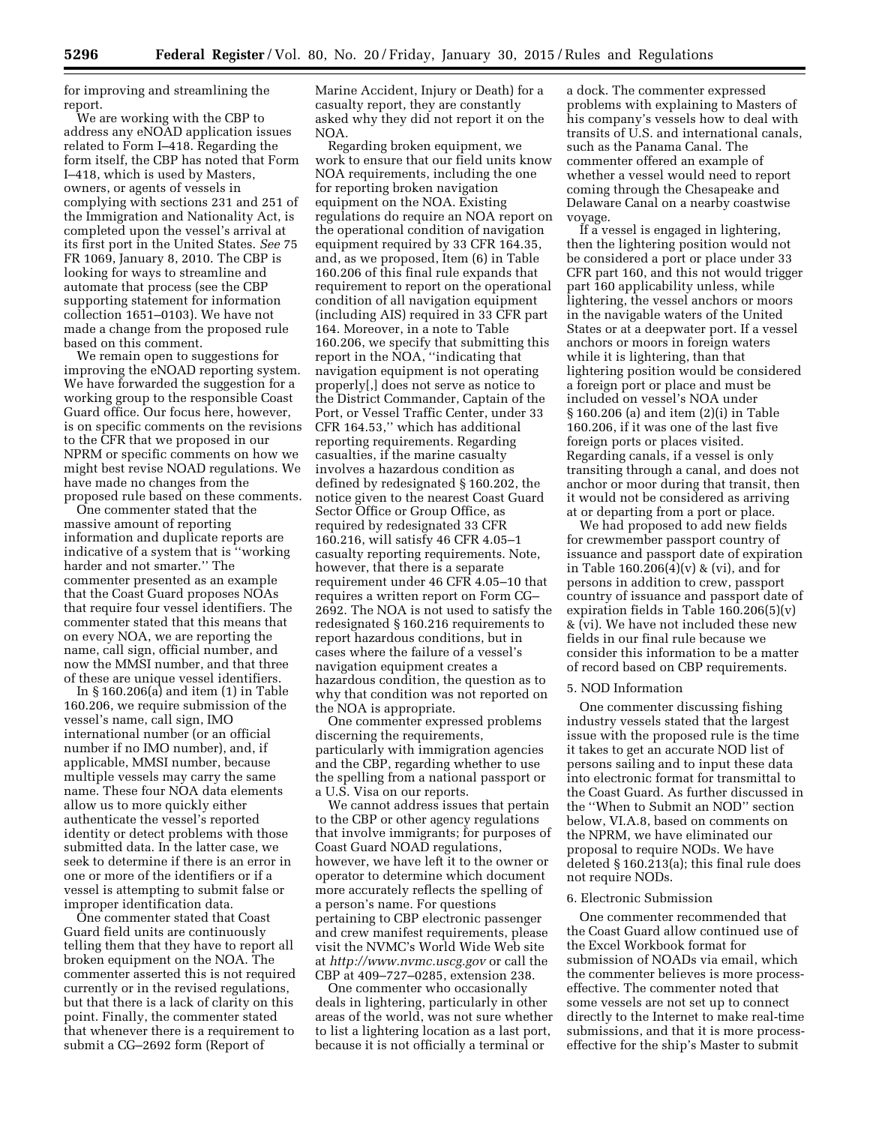for improving and streamlining the report.

We are working with the CBP to address any eNOAD application issues related to Form I–418. Regarding the form itself, the CBP has noted that Form I–418, which is used by Masters, owners, or agents of vessels in complying with sections 231 and 251 of the Immigration and Nationality Act, is completed upon the vessel's arrival at its first port in the United States. *See* 75 FR 1069, January 8, 2010. The CBP is looking for ways to streamline and automate that process (see the CBP supporting statement for information collection 1651–0103). We have not made a change from the proposed rule based on this comment.

We remain open to suggestions for improving the eNOAD reporting system. We have forwarded the suggestion for a working group to the responsible Coast Guard office. Our focus here, however, is on specific comments on the revisions to the CFR that we proposed in our NPRM or specific comments on how we might best revise NOAD regulations. We have made no changes from the proposed rule based on these comments.

One commenter stated that the massive amount of reporting information and duplicate reports are indicative of a system that is ''working harder and not smarter.'' The commenter presented as an example that the Coast Guard proposes NOAs that require four vessel identifiers. The commenter stated that this means that on every NOA, we are reporting the name, call sign, official number, and now the MMSI number, and that three of these are unique vessel identifiers.

In § 160.206(a) and item (1) in Table 160.206, we require submission of the vessel's name, call sign, IMO international number (or an official number if no IMO number), and, if applicable, MMSI number, because multiple vessels may carry the same name. These four NOA data elements allow us to more quickly either authenticate the vessel's reported identity or detect problems with those submitted data. In the latter case, we seek to determine if there is an error in one or more of the identifiers or if a vessel is attempting to submit false or improper identification data.

One commenter stated that Coast Guard field units are continuously telling them that they have to report all broken equipment on the NOA. The commenter asserted this is not required currently or in the revised regulations, but that there is a lack of clarity on this point. Finally, the commenter stated that whenever there is a requirement to submit a CG–2692 form (Report of

Marine Accident, Injury or Death) for a casualty report, they are constantly asked why they did not report it on the NOA.

Regarding broken equipment, we work to ensure that our field units know NOA requirements, including the one for reporting broken navigation equipment on the NOA. Existing regulations do require an NOA report on the operational condition of navigation equipment required by 33 CFR 164.35, and, as we proposed, Item (6) in Table 160.206 of this final rule expands that requirement to report on the operational condition of all navigation equipment (including AIS) required in 33 CFR part 164. Moreover, in a note to Table 160.206, we specify that submitting this report in the NOA, ''indicating that navigation equipment is not operating properly[,] does not serve as notice to the District Commander, Captain of the Port, or Vessel Traffic Center, under 33 CFR 164.53,'' which has additional reporting requirements. Regarding casualties, if the marine casualty involves a hazardous condition as defined by redesignated § 160.202, the notice given to the nearest Coast Guard Sector Office or Group Office, as required by redesignated 33 CFR 160.216, will satisfy 46 CFR 4.05–1 casualty reporting requirements. Note, however, that there is a separate requirement under 46 CFR 4.05–10 that requires a written report on Form CG– 2692. The NOA is not used to satisfy the redesignated § 160.216 requirements to report hazardous conditions, but in cases where the failure of a vessel's navigation equipment creates a hazardous condition, the question as to why that condition was not reported on the NOA is appropriate.

One commenter expressed problems discerning the requirements, particularly with immigration agencies and the CBP, regarding whether to use the spelling from a national passport or a U.S. Visa on our reports.

We cannot address issues that pertain to the CBP or other agency regulations that involve immigrants; for purposes of Coast Guard NOAD regulations, however, we have left it to the owner or operator to determine which document more accurately reflects the spelling of a person's name. For questions pertaining to CBP electronic passenger and crew manifest requirements, please visit the NVMC's World Wide Web site at *<http://www.nvmc.uscg.gov>*or call the CBP at 409–727–0285, extension 238.

One commenter who occasionally deals in lightering, particularly in other areas of the world, was not sure whether to list a lightering location as a last port, because it is not officially a terminal or

a dock. The commenter expressed problems with explaining to Masters of his company's vessels how to deal with transits of U.S. and international canals, such as the Panama Canal. The commenter offered an example of whether a vessel would need to report coming through the Chesapeake and Delaware Canal on a nearby coastwise voyage.

If a vessel is engaged in lightering, then the lightering position would not be considered a port or place under 33 CFR part 160, and this not would trigger part 160 applicability unless, while lightering, the vessel anchors or moors in the navigable waters of the United States or at a deepwater port. If a vessel anchors or moors in foreign waters while it is lightering, than that lightering position would be considered a foreign port or place and must be included on vessel's NOA under § 160.206 (a) and item (2)(i) in Table 160.206, if it was one of the last five foreign ports or places visited. Regarding canals, if a vessel is only transiting through a canal, and does not anchor or moor during that transit, then it would not be considered as arriving at or departing from a port or place.

We had proposed to add new fields for crewmember passport country of issuance and passport date of expiration in Table 160.206(4)(v) & (vi), and for persons in addition to crew, passport country of issuance and passport date of expiration fields in Table 160.206(5)(v) & (vi). We have not included these new fields in our final rule because we consider this information to be a matter of record based on CBP requirements.

#### 5. NOD Information

One commenter discussing fishing industry vessels stated that the largest issue with the proposed rule is the time it takes to get an accurate NOD list of persons sailing and to input these data into electronic format for transmittal to the Coast Guard. As further discussed in the ''When to Submit an NOD'' section below, VI.A.8, based on comments on the NPRM, we have eliminated our proposal to require NODs. We have deleted § 160.213(a); this final rule does not require NODs.

#### 6. Electronic Submission

One commenter recommended that the Coast Guard allow continued use of the Excel Workbook format for submission of NOADs via email, which the commenter believes is more processeffective. The commenter noted that some vessels are not set up to connect directly to the Internet to make real-time submissions, and that it is more processeffective for the ship's Master to submit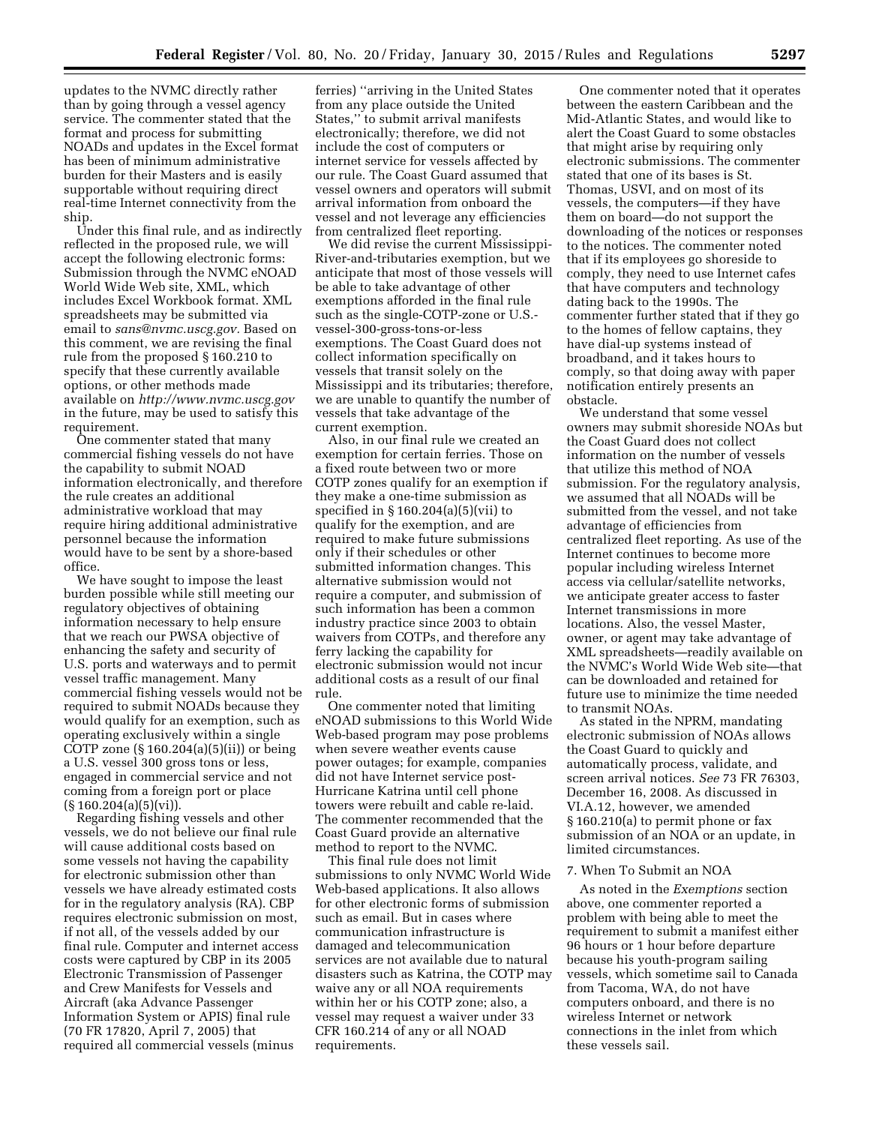updates to the NVMC directly rather than by going through a vessel agency service. The commenter stated that the format and process for submitting NOADs and updates in the Excel format has been of minimum administrative burden for their Masters and is easily supportable without requiring direct real-time Internet connectivity from the ship.

Under this final rule, and as indirectly reflected in the proposed rule, we will accept the following electronic forms: Submission through the NVMC eNOAD World Wide Web site, XML, which includes Excel Workbook format. XML spreadsheets may be submitted via email to *[sans@nvmc.uscg.gov.](mailto:sans@nvmc.uscg.gov)* Based on this comment, we are revising the final rule from the proposed § 160.210 to specify that these currently available options, or other methods made available on *<http://www.nvmc.uscg.gov>*  in the future, may be used to satisfy this requirement.

One commenter stated that many commercial fishing vessels do not have the capability to submit NOAD information electronically, and therefore the rule creates an additional administrative workload that may require hiring additional administrative personnel because the information would have to be sent by a shore-based office.

We have sought to impose the least burden possible while still meeting our regulatory objectives of obtaining information necessary to help ensure that we reach our PWSA objective of enhancing the safety and security of U.S. ports and waterways and to permit vessel traffic management. Many commercial fishing vessels would not be required to submit NOADs because they would qualify for an exemption, such as operating exclusively within a single COTP zone (§ 160.204(a)(5)(ii)) or being a U.S. vessel 300 gross tons or less, engaged in commercial service and not coming from a foreign port or place  $(\S 160.204(a)(5)(vi)).$ 

Regarding fishing vessels and other vessels, we do not believe our final rule will cause additional costs based on some vessels not having the capability for electronic submission other than vessels we have already estimated costs for in the regulatory analysis (RA). CBP requires electronic submission on most, if not all, of the vessels added by our final rule. Computer and internet access costs were captured by CBP in its 2005 Electronic Transmission of Passenger and Crew Manifests for Vessels and Aircraft (aka Advance Passenger Information System or APIS) final rule (70 FR 17820, April 7, 2005) that required all commercial vessels (minus

ferries) ''arriving in the United States from any place outside the United States,'' to submit arrival manifests electronically; therefore, we did not include the cost of computers or internet service for vessels affected by our rule. The Coast Guard assumed that vessel owners and operators will submit arrival information from onboard the vessel and not leverage any efficiencies from centralized fleet reporting.

We did revise the current Mississippi-River-and-tributaries exemption, but we anticipate that most of those vessels will be able to take advantage of other exemptions afforded in the final rule such as the single-COTP-zone or U.S. vessel-300-gross-tons-or-less exemptions. The Coast Guard does not collect information specifically on vessels that transit solely on the Mississippi and its tributaries; therefore, we are unable to quantify the number of vessels that take advantage of the current exemption.

Also, in our final rule we created an exemption for certain ferries. Those on a fixed route between two or more COTP zones qualify for an exemption if they make a one-time submission as specified in  $§ 160.204(a)(5)(vii)$  to qualify for the exemption, and are required to make future submissions only if their schedules or other submitted information changes. This alternative submission would not require a computer, and submission of such information has been a common industry practice since 2003 to obtain waivers from COTPs, and therefore any ferry lacking the capability for electronic submission would not incur additional costs as a result of our final rule.

One commenter noted that limiting eNOAD submissions to this World Wide Web-based program may pose problems when severe weather events cause power outages; for example, companies did not have Internet service post-Hurricane Katrina until cell phone towers were rebuilt and cable re-laid. The commenter recommended that the Coast Guard provide an alternative method to report to the NVMC.

This final rule does not limit submissions to only NVMC World Wide Web-based applications. It also allows for other electronic forms of submission such as email. But in cases where communication infrastructure is damaged and telecommunication services are not available due to natural disasters such as Katrina, the COTP may waive any or all NOA requirements within her or his COTP zone; also, a vessel may request a waiver under 33 CFR 160.214 of any or all NOAD requirements.

One commenter noted that it operates between the eastern Caribbean and the Mid-Atlantic States, and would like to alert the Coast Guard to some obstacles that might arise by requiring only electronic submissions. The commenter stated that one of its bases is St. Thomas, USVI, and on most of its vessels, the computers—if they have them on board—do not support the downloading of the notices or responses to the notices. The commenter noted that if its employees go shoreside to comply, they need to use Internet cafes that have computers and technology dating back to the 1990s. The commenter further stated that if they go to the homes of fellow captains, they have dial-up systems instead of broadband, and it takes hours to comply, so that doing away with paper notification entirely presents an obstacle.

We understand that some vessel owners may submit shoreside NOAs but the Coast Guard does not collect information on the number of vessels that utilize this method of NOA submission. For the regulatory analysis, we assumed that all NOADs will be submitted from the vessel, and not take advantage of efficiencies from centralized fleet reporting. As use of the Internet continues to become more popular including wireless Internet access via cellular/satellite networks, we anticipate greater access to faster Internet transmissions in more locations. Also, the vessel Master, owner, or agent may take advantage of XML spreadsheets—readily available on the NVMC's World Wide Web site—that can be downloaded and retained for future use to minimize the time needed to transmit NOAs.

As stated in the NPRM, mandating electronic submission of NOAs allows the Coast Guard to quickly and automatically process, validate, and screen arrival notices. *See* 73 FR 76303, December 16, 2008. As discussed in VI.A.12, however, we amended § 160.210(a) to permit phone or fax submission of an NOA or an update, in limited circumstances.

#### 7. When To Submit an NOA

As noted in the *Exemptions* section above, one commenter reported a problem with being able to meet the requirement to submit a manifest either 96 hours or 1 hour before departure because his youth-program sailing vessels, which sometime sail to Canada from Tacoma, WA, do not have computers onboard, and there is no wireless Internet or network connections in the inlet from which these vessels sail.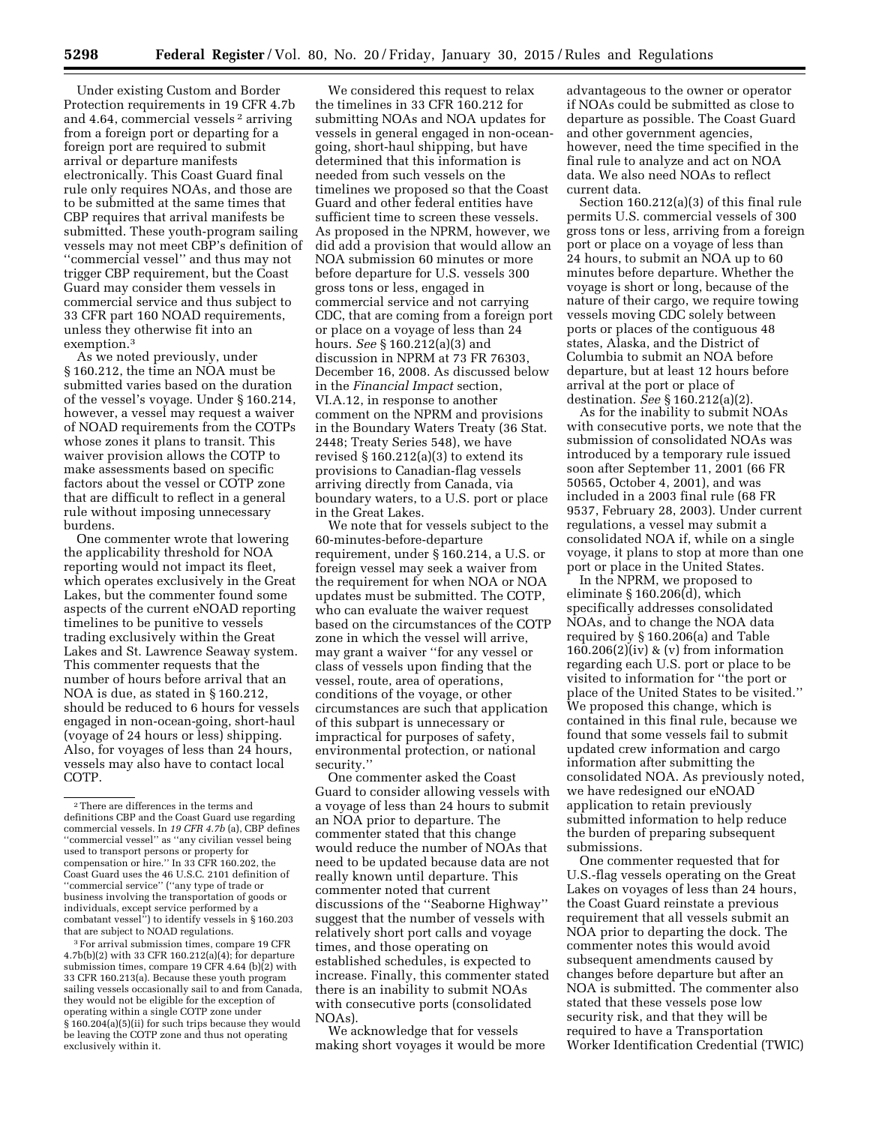Under existing Custom and Border Protection requirements in 19 CFR 4.7b and 4.64, commercial vessels 2 arriving from a foreign port or departing for a foreign port are required to submit arrival or departure manifests electronically. This Coast Guard final rule only requires NOAs, and those are to be submitted at the same times that CBP requires that arrival manifests be submitted. These youth-program sailing vessels may not meet CBP's definition of ''commercial vessel'' and thus may not trigger CBP requirement, but the Coast Guard may consider them vessels in commercial service and thus subject to 33 CFR part 160 NOAD requirements, unless they otherwise fit into an exemption.3

As we noted previously, under § 160.212, the time an NOA must be submitted varies based on the duration of the vessel's voyage. Under § 160.214, however, a vessel may request a waiver of NOAD requirements from the COTPs whose zones it plans to transit. This waiver provision allows the COTP to make assessments based on specific factors about the vessel or COTP zone that are difficult to reflect in a general rule without imposing unnecessary burdens.

One commenter wrote that lowering the applicability threshold for NOA reporting would not impact its fleet, which operates exclusively in the Great Lakes, but the commenter found some aspects of the current eNOAD reporting timelines to be punitive to vessels trading exclusively within the Great Lakes and St. Lawrence Seaway system. This commenter requests that the number of hours before arrival that an NOA is due, as stated in § 160.212, should be reduced to 6 hours for vessels engaged in non-ocean-going, short-haul (voyage of 24 hours or less) shipping. Also, for voyages of less than 24 hours, vessels may also have to contact local COTP.

3For arrival submission times, compare 19 CFR 4.7b(b)(2) with 33 CFR 160.212(a)(4); for departure submission times, compare 19 CFR 4.64 (b) $(2)$  with 33 CFR 160.213(a). Because these youth program sailing vessels occasionally sail to and from Canada, they would not be eligible for the exception of operating within a single COTP zone under § 160.204(a)(5)(ii) for such trips because they would be leaving the COTP zone and thus not operating exclusively within it.

We considered this request to relax the timelines in 33 CFR 160.212 for submitting NOAs and NOA updates for vessels in general engaged in non-oceangoing, short-haul shipping, but have determined that this information is needed from such vessels on the timelines we proposed so that the Coast Guard and other federal entities have sufficient time to screen these vessels. As proposed in the NPRM, however, we did add a provision that would allow an NOA submission 60 minutes or more before departure for U.S. vessels 300 gross tons or less, engaged in commercial service and not carrying CDC, that are coming from a foreign port or place on a voyage of less than 24 hours. *See* § 160.212(a)(3) and discussion in NPRM at 73 FR 76303, December 16, 2008. As discussed below in the *Financial Impact* section, VI.A.12, in response to another comment on the NPRM and provisions in the Boundary Waters Treaty (36 Stat. 2448; Treaty Series 548), we have revised  $\S 160.212(a)(3)$  to extend its provisions to Canadian-flag vessels arriving directly from Canada, via boundary waters, to a U.S. port or place in the Great Lakes.

We note that for vessels subject to the 60-minutes-before-departure requirement, under § 160.214, a U.S. or foreign vessel may seek a waiver from the requirement for when NOA or NOA updates must be submitted. The COTP, who can evaluate the waiver request based on the circumstances of the COTP zone in which the vessel will arrive, may grant a waiver ''for any vessel or class of vessels upon finding that the vessel, route, area of operations, conditions of the voyage, or other circumstances are such that application of this subpart is unnecessary or impractical for purposes of safety, environmental protection, or national security.''

One commenter asked the Coast Guard to consider allowing vessels with a voyage of less than 24 hours to submit an NOA prior to departure. The commenter stated that this change would reduce the number of NOAs that need to be updated because data are not really known until departure. This commenter noted that current discussions of the ''Seaborne Highway'' suggest that the number of vessels with relatively short port calls and voyage times, and those operating on established schedules, is expected to increase. Finally, this commenter stated there is an inability to submit NOAs with consecutive ports (consolidated NOAs).

We acknowledge that for vessels making short voyages it would be more

advantageous to the owner or operator if NOAs could be submitted as close to departure as possible. The Coast Guard and other government agencies, however, need the time specified in the final rule to analyze and act on NOA data. We also need NOAs to reflect current data.

Section 160.212(a)(3) of this final rule permits U.S. commercial vessels of 300 gross tons or less, arriving from a foreign port or place on a voyage of less than 24 hours, to submit an NOA up to 60 minutes before departure. Whether the voyage is short or long, because of the nature of their cargo, we require towing vessels moving CDC solely between ports or places of the contiguous 48 states, Alaska, and the District of Columbia to submit an NOA before departure, but at least 12 hours before arrival at the port or place of destination. *See* § 160.212(a)(2).

As for the inability to submit NOAs with consecutive ports, we note that the submission of consolidated NOAs was introduced by a temporary rule issued soon after September 11, 2001 (66 FR 50565, October 4, 2001), and was included in a 2003 final rule (68 FR 9537, February 28, 2003). Under current regulations, a vessel may submit a consolidated NOA if, while on a single voyage, it plans to stop at more than one port or place in the United States.

In the NPRM, we proposed to eliminate § 160.206(d), which specifically addresses consolidated NOAs, and to change the NOA data required by § 160.206(a) and Table 160.206(2)(iv) & (v) from information regarding each U.S. port or place to be visited to information for ''the port or place of the United States to be visited.'' We proposed this change, which is contained in this final rule, because we found that some vessels fail to submit updated crew information and cargo information after submitting the consolidated NOA. As previously noted, we have redesigned our eNOAD application to retain previously submitted information to help reduce the burden of preparing subsequent submissions.

One commenter requested that for U.S.-flag vessels operating on the Great Lakes on voyages of less than 24 hours, the Coast Guard reinstate a previous requirement that all vessels submit an NOA prior to departing the dock. The commenter notes this would avoid subsequent amendments caused by changes before departure but after an NOA is submitted. The commenter also stated that these vessels pose low security risk, and that they will be required to have a Transportation Worker Identification Credential (TWIC)

<sup>2</sup>There are differences in the terms and definitions CBP and the Coast Guard use regarding commercial vessels. In *19 CFR 4.7b* (a), CBP defines ''commercial vessel'' as ''any civilian vessel being used to transport persons or property for compensation or hire.'' In 33 CFR 160.202, the Coast Guard uses the 46 U.S.C. 2101 definition of ''commercial service'' (''any type of trade or business involving the transportation of goods or individuals, except service performed by a combatant vessel'') to identify vessels in § 160.203 that are subject to NOAD regulations.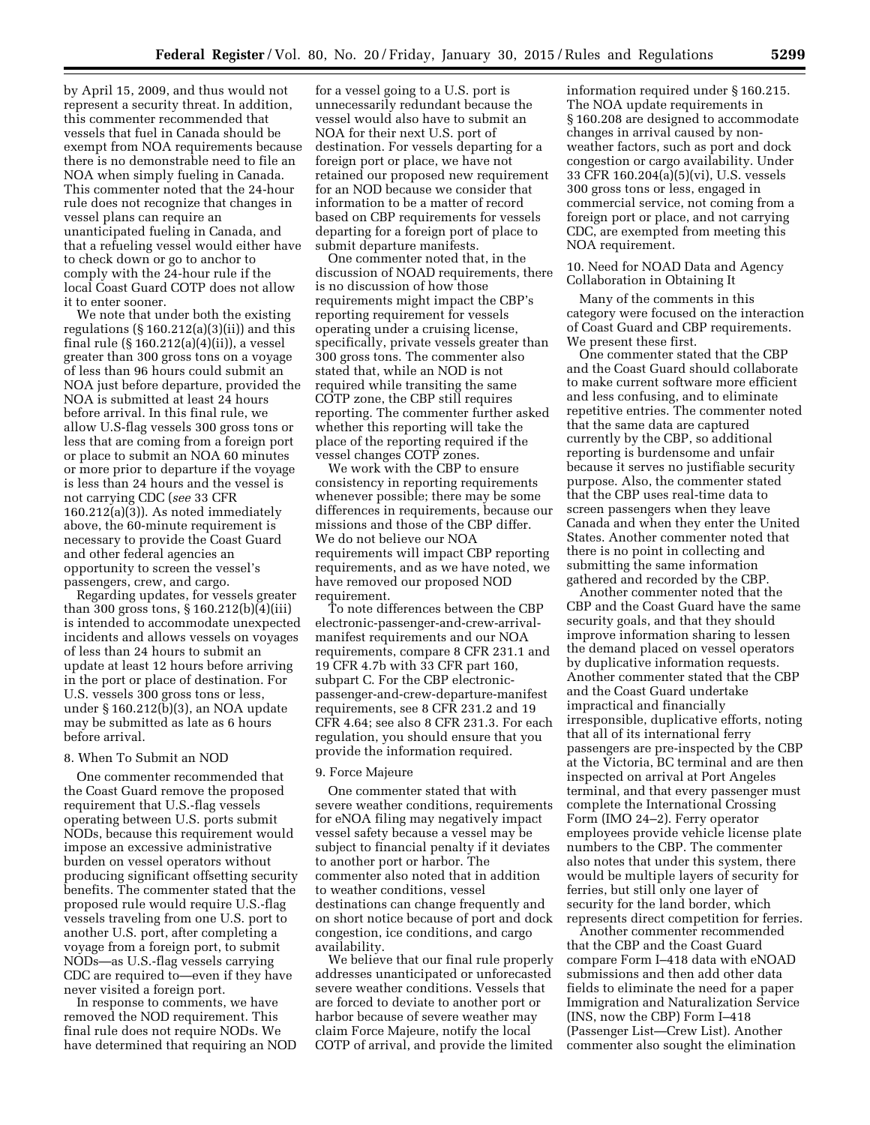by April 15, 2009, and thus would not represent a security threat. In addition, this commenter recommended that vessels that fuel in Canada should be exempt from NOA requirements because there is no demonstrable need to file an NOA when simply fueling in Canada. This commenter noted that the 24-hour rule does not recognize that changes in vessel plans can require an unanticipated fueling in Canada, and that a refueling vessel would either have to check down or go to anchor to comply with the 24-hour rule if the local Coast Guard COTP does not allow it to enter sooner.

We note that under both the existing regulations  $(\S 160.212(a)(3)(ii))$  and this final rule (§ 160.212(a)(4)(ii)), a vessel greater than 300 gross tons on a voyage of less than 96 hours could submit an NOA just before departure, provided the NOA is submitted at least 24 hours before arrival. In this final rule, we allow U.S-flag vessels 300 gross tons or less that are coming from a foreign port or place to submit an NOA 60 minutes or more prior to departure if the voyage is less than 24 hours and the vessel is not carrying CDC (*see* 33 CFR 160.212(a)(3)). As noted immediately above, the 60-minute requirement is necessary to provide the Coast Guard and other federal agencies an opportunity to screen the vessel's passengers, crew, and cargo.

Regarding updates, for vessels greater than 300 gross tons, § 160.212(b)(4)(iii) is intended to accommodate unexpected incidents and allows vessels on voyages of less than 24 hours to submit an update at least 12 hours before arriving in the port or place of destination. For U.S. vessels 300 gross tons or less, under § 160.212(b)(3), an NOA update may be submitted as late as 6 hours before arrival.

## 8. When To Submit an NOD

One commenter recommended that the Coast Guard remove the proposed requirement that U.S.-flag vessels operating between U.S. ports submit NODs, because this requirement would impose an excessive administrative burden on vessel operators without producing significant offsetting security benefits. The commenter stated that the proposed rule would require U.S.-flag vessels traveling from one U.S. port to another U.S. port, after completing a voyage from a foreign port, to submit NODs—as U.S.-flag vessels carrying CDC are required to—even if they have never visited a foreign port.

In response to comments, we have removed the NOD requirement. This final rule does not require NODs. We have determined that requiring an NOD

for a vessel going to a U.S. port is unnecessarily redundant because the vessel would also have to submit an NOA for their next U.S. port of destination. For vessels departing for a foreign port or place, we have not retained our proposed new requirement for an NOD because we consider that information to be a matter of record based on CBP requirements for vessels departing for a foreign port of place to submit departure manifests.

One commenter noted that, in the discussion of NOAD requirements, there is no discussion of how those requirements might impact the CBP's reporting requirement for vessels operating under a cruising license, specifically, private vessels greater than 300 gross tons. The commenter also stated that, while an NOD is not required while transiting the same COTP zone, the CBP still requires reporting. The commenter further asked whether this reporting will take the place of the reporting required if the vessel changes COTP zones.

We work with the CBP to ensure consistency in reporting requirements whenever possible; there may be some differences in requirements, because our missions and those of the CBP differ. We do not believe our NOA requirements will impact CBP reporting requirements, and as we have noted, we have removed our proposed NOD requirement.

To note differences between the CBP electronic-passenger-and-crew-arrivalmanifest requirements and our NOA requirements, compare 8 CFR 231.1 and 19 CFR 4.7b with 33 CFR part 160, subpart C. For the CBP electronicpassenger-and-crew-departure-manifest requirements, see 8 CFR 231.2 and 19 CFR 4.64; see also 8 CFR 231.3. For each regulation, you should ensure that you provide the information required.

#### 9. Force Majeure

One commenter stated that with severe weather conditions, requirements for eNOA filing may negatively impact vessel safety because a vessel may be subject to financial penalty if it deviates to another port or harbor. The commenter also noted that in addition to weather conditions, vessel destinations can change frequently and on short notice because of port and dock congestion, ice conditions, and cargo availability.

We believe that our final rule properly addresses unanticipated or unforecasted severe weather conditions. Vessels that are forced to deviate to another port or harbor because of severe weather may claim Force Majeure, notify the local COTP of arrival, and provide the limited information required under § 160.215. The NOA update requirements in § 160.208 are designed to accommodate changes in arrival caused by nonweather factors, such as port and dock congestion or cargo availability. Under 33 CFR 160.204(a)(5)(vi), U.S. vessels 300 gross tons or less, engaged in commercial service, not coming from a foreign port or place, and not carrying CDC, are exempted from meeting this NOA requirement.

10. Need for NOAD Data and Agency Collaboration in Obtaining It

Many of the comments in this category were focused on the interaction of Coast Guard and CBP requirements. We present these first.

One commenter stated that the CBP and the Coast Guard should collaborate to make current software more efficient and less confusing, and to eliminate repetitive entries. The commenter noted that the same data are captured currently by the CBP, so additional reporting is burdensome and unfair because it serves no justifiable security purpose. Also, the commenter stated that the CBP uses real-time data to screen passengers when they leave Canada and when they enter the United States. Another commenter noted that there is no point in collecting and submitting the same information gathered and recorded by the CBP.

Another commenter noted that the CBP and the Coast Guard have the same security goals, and that they should improve information sharing to lessen the demand placed on vessel operators by duplicative information requests. Another commenter stated that the CBP and the Coast Guard undertake impractical and financially irresponsible, duplicative efforts, noting that all of its international ferry passengers are pre-inspected by the CBP at the Victoria, BC terminal and are then inspected on arrival at Port Angeles terminal, and that every passenger must complete the International Crossing Form (IMO 24–2). Ferry operator employees provide vehicle license plate numbers to the CBP. The commenter also notes that under this system, there would be multiple layers of security for ferries, but still only one layer of security for the land border, which represents direct competition for ferries.

Another commenter recommended that the CBP and the Coast Guard compare Form I–418 data with eNOAD submissions and then add other data fields to eliminate the need for a paper Immigration and Naturalization Service (INS, now the CBP) Form I–418 (Passenger List—Crew List). Another commenter also sought the elimination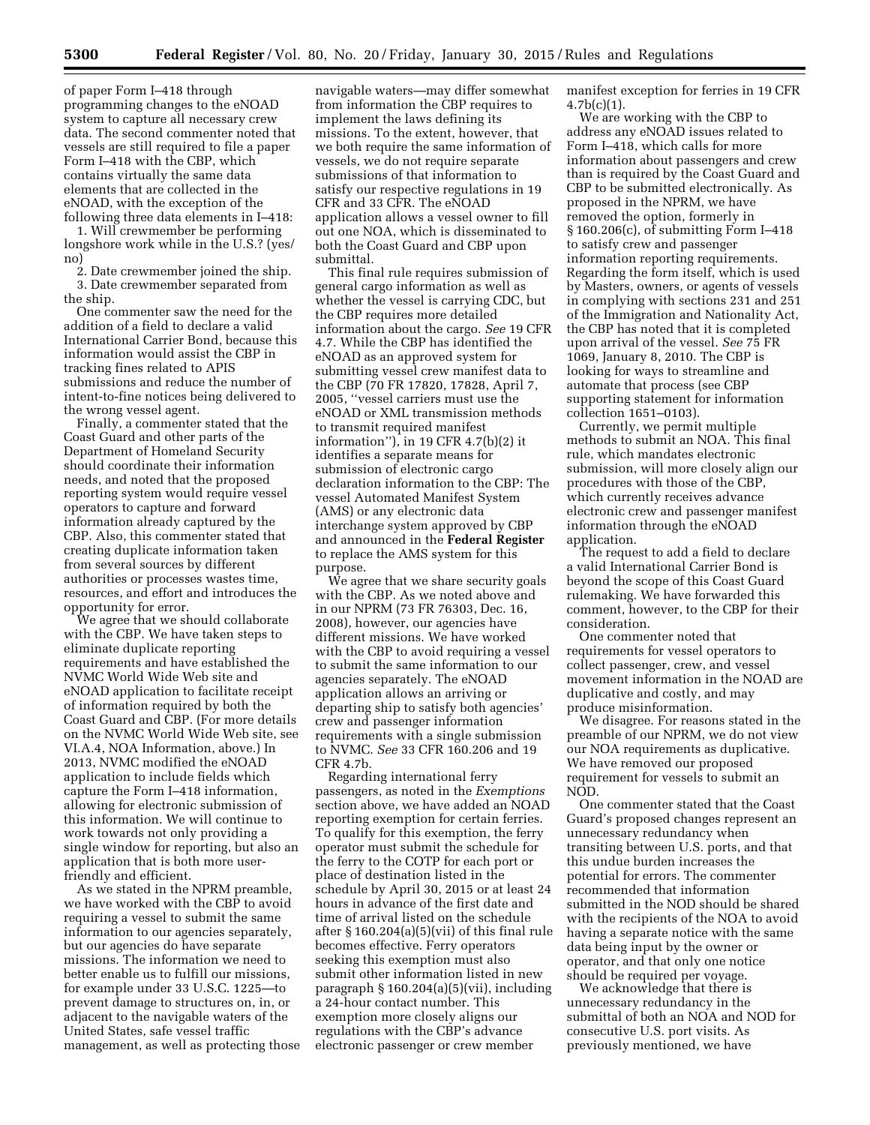of paper Form I–418 through programming changes to the eNOAD system to capture all necessary crew data. The second commenter noted that vessels are still required to file a paper Form I–418 with the CBP, which contains virtually the same data elements that are collected in the eNOAD, with the exception of the following three data elements in I–418:

1. Will crewmember be performing longshore work while in the U.S.? (yes/ no)

2. Date crewmember joined the ship. 3. Date crewmember separated from the ship.

One commenter saw the need for the addition of a field to declare a valid International Carrier Bond, because this information would assist the CBP in tracking fines related to APIS submissions and reduce the number of intent-to-fine notices being delivered to the wrong vessel agent.

Finally, a commenter stated that the Coast Guard and other parts of the Department of Homeland Security should coordinate their information needs, and noted that the proposed reporting system would require vessel operators to capture and forward information already captured by the CBP. Also, this commenter stated that creating duplicate information taken from several sources by different authorities or processes wastes time, resources, and effort and introduces the opportunity for error.

We agree that we should collaborate with the CBP. We have taken steps to eliminate duplicate reporting requirements and have established the NVMC World Wide Web site and eNOAD application to facilitate receipt of information required by both the Coast Guard and CBP. (For more details on the NVMC World Wide Web site, see VI.A.4, NOA Information, above.) In 2013, NVMC modified the eNOAD application to include fields which capture the Form I–418 information, allowing for electronic submission of this information. We will continue to work towards not only providing a single window for reporting, but also an application that is both more userfriendly and efficient.

As we stated in the NPRM preamble, we have worked with the CBP to avoid requiring a vessel to submit the same information to our agencies separately, but our agencies do have separate missions. The information we need to better enable us to fulfill our missions, for example under 33 U.S.C. 1225—to prevent damage to structures on, in, or adjacent to the navigable waters of the United States, safe vessel traffic management, as well as protecting those

navigable waters—may differ somewhat from information the CBP requires to implement the laws defining its missions. To the extent, however, that we both require the same information of vessels, we do not require separate submissions of that information to satisfy our respective regulations in 19 CFR and 33 CFR. The eNOAD application allows a vessel owner to fill out one NOA, which is disseminated to both the Coast Guard and CBP upon submittal.

This final rule requires submission of general cargo information as well as whether the vessel is carrying CDC, but the CBP requires more detailed information about the cargo. *See* 19 CFR 4.7. While the CBP has identified the eNOAD as an approved system for submitting vessel crew manifest data to the CBP (70 FR 17820, 17828, April 7, 2005, ''vessel carriers must use the eNOAD or XML transmission methods to transmit required manifest information''), in 19 CFR 4.7(b)(2) it identifies a separate means for submission of electronic cargo declaration information to the CBP: The vessel Automated Manifest System (AMS) or any electronic data interchange system approved by CBP and announced in the **Federal Register**  to replace the AMS system for this purpose.

We agree that we share security goals with the CBP. As we noted above and in our NPRM (73 FR 76303, Dec. 16, 2008), however, our agencies have different missions. We have worked with the CBP to avoid requiring a vessel to submit the same information to our agencies separately. The eNOAD application allows an arriving or departing ship to satisfy both agencies' crew and passenger information requirements with a single submission to NVMC. *See* 33 CFR 160.206 and 19 CFR 4.7b.

Regarding international ferry passengers, as noted in the *Exemptions*  section above, we have added an NOAD reporting exemption for certain ferries. To qualify for this exemption, the ferry operator must submit the schedule for the ferry to the COTP for each port or place of destination listed in the schedule by April 30, 2015 or at least 24 hours in advance of the first date and time of arrival listed on the schedule after § 160.204(a)(5)(vii) of this final rule becomes effective. Ferry operators seeking this exemption must also submit other information listed in new paragraph § 160.204(a)(5)(vii), including a 24-hour contact number. This exemption more closely aligns our regulations with the CBP's advance electronic passenger or crew member

manifest exception for ferries in 19 CFR  $4.7b(c)(1)$ .

We are working with the CBP to address any eNOAD issues related to Form I–418, which calls for more information about passengers and crew than is required by the Coast Guard and CBP to be submitted electronically. As proposed in the NPRM, we have removed the option, formerly in § 160.206(c), of submitting Form I–418 to satisfy crew and passenger information reporting requirements. Regarding the form itself, which is used by Masters, owners, or agents of vessels in complying with sections 231 and 251 of the Immigration and Nationality Act, the CBP has noted that it is completed upon arrival of the vessel. *See* 75 FR 1069, January 8, 2010. The CBP is looking for ways to streamline and automate that process (see CBP supporting statement for information collection 1651–0103).

Currently, we permit multiple methods to submit an NOA. This final rule, which mandates electronic submission, will more closely align our procedures with those of the CBP, which currently receives advance electronic crew and passenger manifest information through the eNOAD application.

The request to add a field to declare a valid International Carrier Bond is beyond the scope of this Coast Guard rulemaking. We have forwarded this comment, however, to the CBP for their consideration.

One commenter noted that requirements for vessel operators to collect passenger, crew, and vessel movement information in the NOAD are duplicative and costly, and may produce misinformation.

We disagree. For reasons stated in the preamble of our NPRM, we do not view our NOA requirements as duplicative. We have removed our proposed requirement for vessels to submit an NOD.

One commenter stated that the Coast Guard's proposed changes represent an unnecessary redundancy when transiting between U.S. ports, and that this undue burden increases the potential for errors. The commenter recommended that information submitted in the NOD should be shared with the recipients of the NOA to avoid having a separate notice with the same data being input by the owner or operator, and that only one notice should be required per voyage.

We acknowledge that there is unnecessary redundancy in the submittal of both an NOA and NOD for consecutive U.S. port visits. As previously mentioned, we have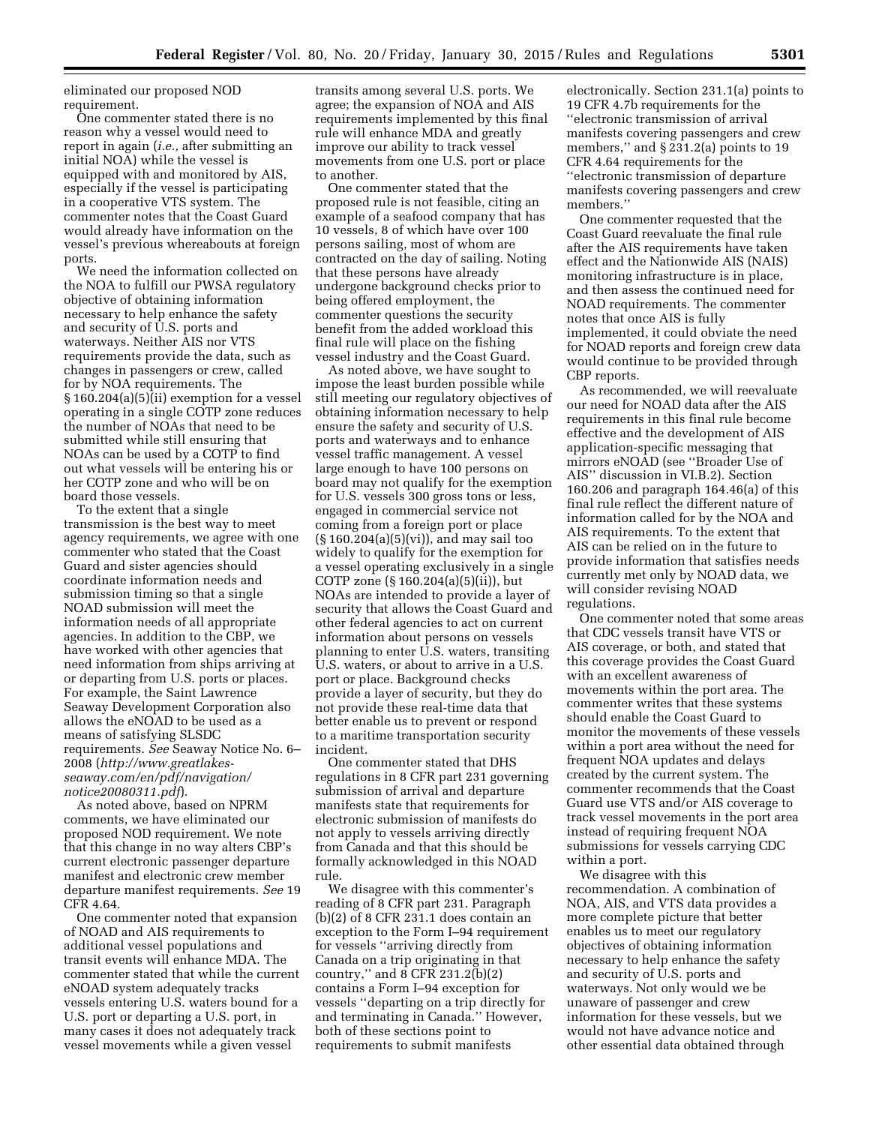eliminated our proposed NOD requirement.

One commenter stated there is no reason why a vessel would need to report in again (*i.e.,* after submitting an initial NOA) while the vessel is equipped with and monitored by AIS, especially if the vessel is participating in a cooperative VTS system. The commenter notes that the Coast Guard would already have information on the vessel's previous whereabouts at foreign ports.

We need the information collected on the NOA to fulfill our PWSA regulatory objective of obtaining information necessary to help enhance the safety and security of U.S. ports and waterways. Neither AIS nor VTS requirements provide the data, such as changes in passengers or crew, called for by NOA requirements. The § 160.204(a)(5)(ii) exemption for a vessel operating in a single COTP zone reduces the number of NOAs that need to be submitted while still ensuring that NOAs can be used by a COTP to find out what vessels will be entering his or her COTP zone and who will be on board those vessels.

To the extent that a single transmission is the best way to meet agency requirements, we agree with one commenter who stated that the Coast Guard and sister agencies should coordinate information needs and submission timing so that a single NOAD submission will meet the information needs of all appropriate agencies. In addition to the CBP, we have worked with other agencies that need information from ships arriving at or departing from U.S. ports or places. For example, the Saint Lawrence Seaway Development Corporation also allows the eNOAD to be used as a means of satisfying SLSDC requirements. *See* Seaway Notice No. 6– 2008 (*[http://www.greatlakes](http://www.greatlakes-seaway.com/en/pdf/navigation/notice20080311.pdf)[seaway.com/en/pdf/navigation/](http://www.greatlakes-seaway.com/en/pdf/navigation/notice20080311.pdf) [notice20080311.pdf](http://www.greatlakes-seaway.com/en/pdf/navigation/notice20080311.pdf)*).

As noted above, based on NPRM comments, we have eliminated our proposed NOD requirement. We note that this change in no way alters CBP's current electronic passenger departure manifest and electronic crew member departure manifest requirements. *See* 19 CFR 4.64.

One commenter noted that expansion of NOAD and AIS requirements to additional vessel populations and transit events will enhance MDA. The commenter stated that while the current eNOAD system adequately tracks vessels entering U.S. waters bound for a U.S. port or departing a U.S. port, in many cases it does not adequately track vessel movements while a given vessel

transits among several U.S. ports. We agree; the expansion of NOA and AIS requirements implemented by this final rule will enhance MDA and greatly improve our ability to track vessel movements from one U.S. port or place to another.

One commenter stated that the proposed rule is not feasible, citing an example of a seafood company that has 10 vessels, 8 of which have over 100 persons sailing, most of whom are contracted on the day of sailing. Noting that these persons have already undergone background checks prior to being offered employment, the commenter questions the security benefit from the added workload this final rule will place on the fishing vessel industry and the Coast Guard.

As noted above, we have sought to impose the least burden possible while still meeting our regulatory objectives of obtaining information necessary to help ensure the safety and security of U.S. ports and waterways and to enhance vessel traffic management. A vessel large enough to have 100 persons on board may not qualify for the exemption for U.S. vessels 300 gross tons or less, engaged in commercial service not coming from a foreign port or place (§ 160.204(a)(5)(vi)), and may sail too widely to qualify for the exemption for a vessel operating exclusively in a single COTP zone (§ 160.204(a)(5)(ii)), but NOAs are intended to provide a layer of security that allows the Coast Guard and other federal agencies to act on current information about persons on vessels planning to enter U.S. waters, transiting U.S. waters, or about to arrive in a U.S. port or place. Background checks provide a layer of security, but they do not provide these real-time data that better enable us to prevent or respond to a maritime transportation security incident.

One commenter stated that DHS regulations in 8 CFR part 231 governing submission of arrival and departure manifests state that requirements for electronic submission of manifests do not apply to vessels arriving directly from Canada and that this should be formally acknowledged in this NOAD rule.

We disagree with this commenter's reading of 8 CFR part 231. Paragraph (b)(2) of 8 CFR 231.1 does contain an exception to the Form I–94 requirement for vessels ''arriving directly from Canada on a trip originating in that country,'' and 8 CFR 231.2(b)(2) contains a Form I–94 exception for vessels ''departing on a trip directly for and terminating in Canada.'' However, both of these sections point to requirements to submit manifests

electronically. Section 231.1(a) points to 19 CFR 4.7b requirements for the ''electronic transmission of arrival manifests covering passengers and crew members,'' and § 231.2(a) points to 19 CFR 4.64 requirements for the ''electronic transmission of departure manifests covering passengers and crew members.''

One commenter requested that the Coast Guard reevaluate the final rule after the AIS requirements have taken effect and the Nationwide AIS (NAIS) monitoring infrastructure is in place, and then assess the continued need for NOAD requirements. The commenter notes that once AIS is fully implemented, it could obviate the need for NOAD reports and foreign crew data would continue to be provided through CBP reports.

As recommended, we will reevaluate our need for NOAD data after the AIS requirements in this final rule become effective and the development of AIS application-specific messaging that mirrors eNOAD (see ''Broader Use of AIS'' discussion in VI.B.2). Section 160.206 and paragraph 164.46(a) of this final rule reflect the different nature of information called for by the NOA and AIS requirements. To the extent that AIS can be relied on in the future to provide information that satisfies needs currently met only by NOAD data, we will consider revising NOAD regulations.

One commenter noted that some areas that CDC vessels transit have VTS or AIS coverage, or both, and stated that this coverage provides the Coast Guard with an excellent awareness of movements within the port area. The commenter writes that these systems should enable the Coast Guard to monitor the movements of these vessels within a port area without the need for frequent NOA updates and delays created by the current system. The commenter recommends that the Coast Guard use VTS and/or AIS coverage to track vessel movements in the port area instead of requiring frequent NOA submissions for vessels carrying CDC within a port.

We disagree with this recommendation. A combination of NOA, AIS, and VTS data provides a more complete picture that better enables us to meet our regulatory objectives of obtaining information necessary to help enhance the safety and security of U.S. ports and waterways. Not only would we be unaware of passenger and crew information for these vessels, but we would not have advance notice and other essential data obtained through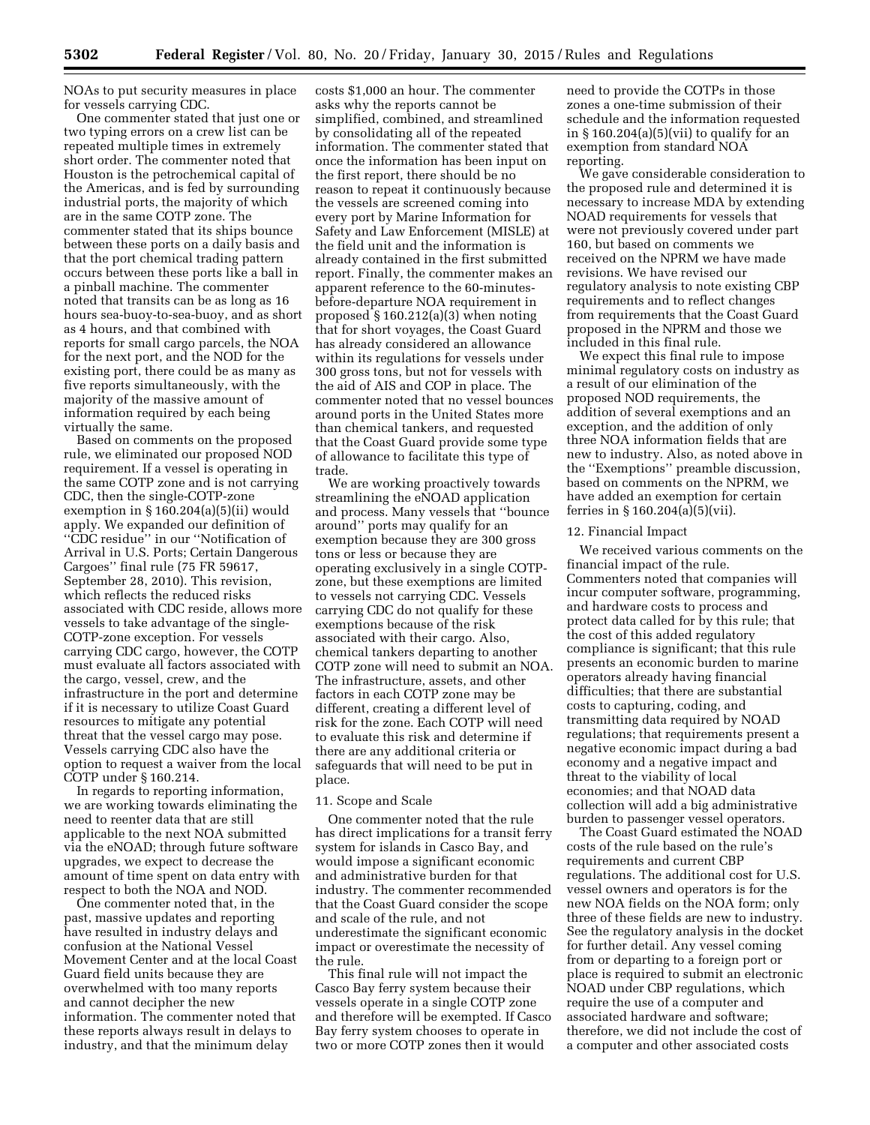NOAs to put security measures in place for vessels carrying CDC.

One commenter stated that just one or two typing errors on a crew list can be repeated multiple times in extremely short order. The commenter noted that Houston is the petrochemical capital of the Americas, and is fed by surrounding industrial ports, the majority of which are in the same COTP zone. The commenter stated that its ships bounce between these ports on a daily basis and that the port chemical trading pattern occurs between these ports like a ball in a pinball machine. The commenter noted that transits can be as long as 16 hours sea-buoy-to-sea-buoy, and as short as 4 hours, and that combined with reports for small cargo parcels, the NOA for the next port, and the NOD for the existing port, there could be as many as five reports simultaneously, with the majority of the massive amount of information required by each being virtually the same.

Based on comments on the proposed rule, we eliminated our proposed NOD requirement. If a vessel is operating in the same COTP zone and is not carrying CDC, then the single-COTP-zone exemption in  $\S 160.204(a)(5)(ii)$  would apply. We expanded our definition of ''CDC residue'' in our ''Notification of Arrival in U.S. Ports; Certain Dangerous Cargoes'' final rule (75 FR 59617, September 28, 2010). This revision, which reflects the reduced risks associated with CDC reside, allows more vessels to take advantage of the single-COTP-zone exception. For vessels carrying CDC cargo, however, the COTP must evaluate all factors associated with the cargo, vessel, crew, and the infrastructure in the port and determine if it is necessary to utilize Coast Guard resources to mitigate any potential threat that the vessel cargo may pose. Vessels carrying CDC also have the option to request a waiver from the local COTP under § 160.214.

In regards to reporting information, we are working towards eliminating the need to reenter data that are still applicable to the next NOA submitted via the eNOAD; through future software upgrades, we expect to decrease the amount of time spent on data entry with respect to both the NOA and NOD.

One commenter noted that, in the past, massive updates and reporting have resulted in industry delays and confusion at the National Vessel Movement Center and at the local Coast Guard field units because they are overwhelmed with too many reports and cannot decipher the new information. The commenter noted that these reports always result in delays to industry, and that the minimum delay

costs \$1,000 an hour. The commenter asks why the reports cannot be simplified, combined, and streamlined by consolidating all of the repeated information. The commenter stated that once the information has been input on the first report, there should be no reason to repeat it continuously because the vessels are screened coming into every port by Marine Information for Safety and Law Enforcement (MISLE) at the field unit and the information is already contained in the first submitted report. Finally, the commenter makes an apparent reference to the 60-minutesbefore-departure NOA requirement in proposed  $\S 160.212(a)(3)$  when noting that for short voyages, the Coast Guard has already considered an allowance within its regulations for vessels under 300 gross tons, but not for vessels with the aid of AIS and COP in place. The commenter noted that no vessel bounces around ports in the United States more than chemical tankers, and requested that the Coast Guard provide some type of allowance to facilitate this type of trade.

We are working proactively towards streamlining the eNOAD application and process. Many vessels that ''bounce around'' ports may qualify for an exemption because they are 300 gross tons or less or because they are operating exclusively in a single COTPzone, but these exemptions are limited to vessels not carrying CDC. Vessels carrying CDC do not qualify for these exemptions because of the risk associated with their cargo. Also, chemical tankers departing to another COTP zone will need to submit an NC The infrastructure, assets, and other factors in each COTP zone may be different, creating a different level of risk for the zone. Each COTP will need to evaluate this risk and determine if there are any additional criteria or safeguards that will need to be put in place.

#### 11. Scope and Scale

One commenter noted that the rule has direct implications for a transit ferry system for islands in Casco Bay, and would impose a significant economic and administrative burden for that industry. The commenter recommended that the Coast Guard consider the scope and scale of the rule, and not underestimate the significant economic impact or overestimate the necessity of the rule.

This final rule will not impact the Casco Bay ferry system because their vessels operate in a single COTP zone and therefore will be exempted. If Casco Bay ferry system chooses to operate in two or more COTP zones then it would

need to provide the COTPs in those zones a one-time submission of their schedule and the information requested in  $\S 160.204(a)(5)(vii)$  to qualify for an exemption from standard NOA reporting.

We gave considerable consideration to the proposed rule and determined it is necessary to increase MDA by extending NOAD requirements for vessels that were not previously covered under part 160, but based on comments we received on the NPRM we have made revisions. We have revised our regulatory analysis to note existing CBP requirements and to reflect changes from requirements that the Coast Guard proposed in the NPRM and those we included in this final rule.

We expect this final rule to impose minimal regulatory costs on industry as a result of our elimination of the proposed NOD requirements, the addition of several exemptions and an exception, and the addition of only three NOA information fields that are new to industry. Also, as noted above in the ''Exemptions'' preamble discussion, based on comments on the NPRM, we have added an exemption for certain ferries in § 160.204(a)(5)(vii).

#### 12. Financial Impact

We received various comments on the financial impact of the rule. Commenters noted that companies will incur computer software, programming, and hardware costs to process and protect data called for by this rule; that the cost of this added regulatory compliance is significant; that this rule presents an economic burden to marine operators already having financial difficulties; that there are substantial costs to capturing, coding, and transmitting data required by NOAD regulations; that requirements present a negative economic impact during a bad economy and a negative impact and threat to the viability of local economies; and that NOAD data collection will add a big administrative burden to passenger vessel operators.

The Coast Guard estimated the NOAD costs of the rule based on the rule's requirements and current CBP regulations. The additional cost for U.S. vessel owners and operators is for the new NOA fields on the NOA form; only three of these fields are new to industry. See the regulatory analysis in the docket for further detail. Any vessel coming from or departing to a foreign port or place is required to submit an electronic NOAD under CBP regulations, which require the use of a computer and associated hardware and software; therefore, we did not include the cost of a computer and other associated costs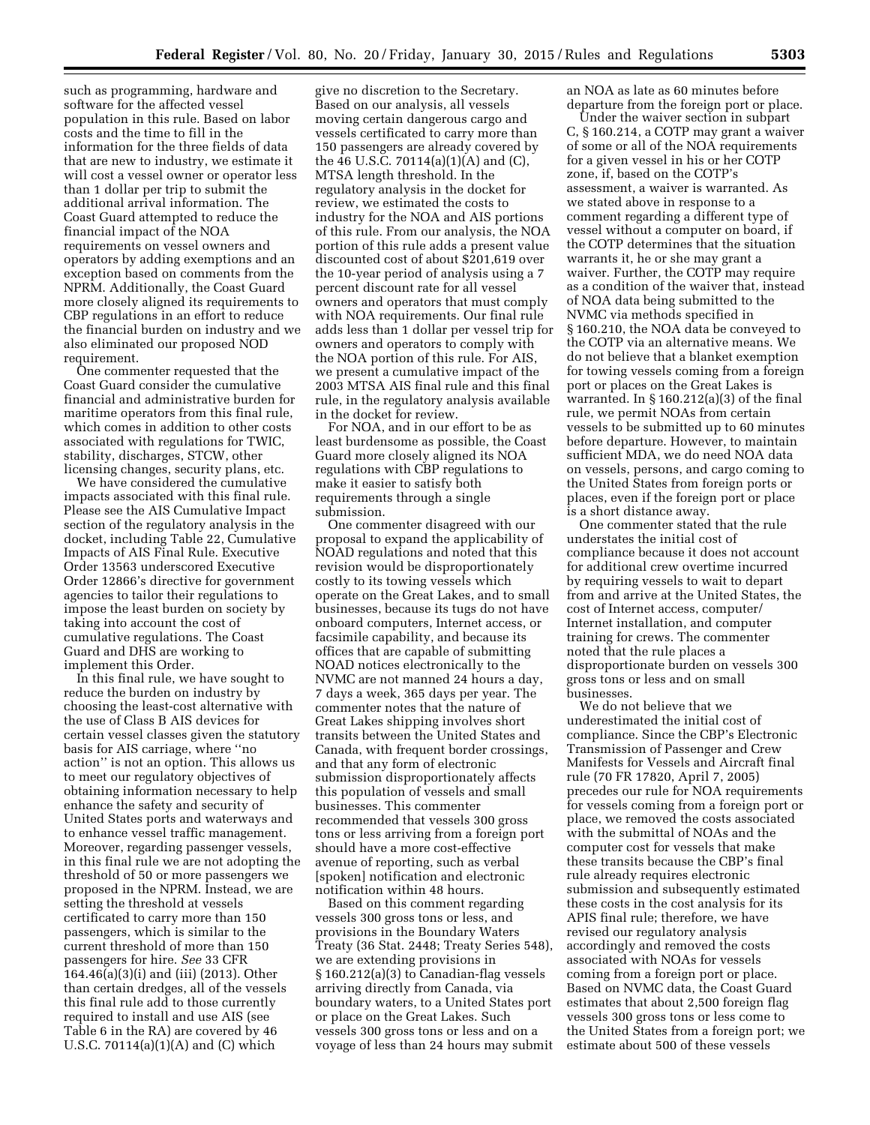such as programming, hardware and software for the affected vessel population in this rule. Based on labor costs and the time to fill in the information for the three fields of data that are new to industry, we estimate it will cost a vessel owner or operator less than 1 dollar per trip to submit the additional arrival information. The Coast Guard attempted to reduce the financial impact of the NOA requirements on vessel owners and operators by adding exemptions and an exception based on comments from the NPRM. Additionally, the Coast Guard more closely aligned its requirements to CBP regulations in an effort to reduce the financial burden on industry and we also eliminated our proposed NOD requirement.

One commenter requested that the Coast Guard consider the cumulative financial and administrative burden for maritime operators from this final rule, which comes in addition to other costs associated with regulations for TWIC, stability, discharges, STCW, other licensing changes, security plans, etc.

We have considered the cumulative impacts associated with this final rule. Please see the AIS Cumulative Impact section of the regulatory analysis in the docket, including Table 22, Cumulative Impacts of AIS Final Rule. Executive Order 13563 underscored Executive Order 12866's directive for government agencies to tailor their regulations to impose the least burden on society by taking into account the cost of cumulative regulations. The Coast Guard and DHS are working to implement this Order.

In this final rule, we have sought to reduce the burden on industry by choosing the least-cost alternative with the use of Class B AIS devices for certain vessel classes given the statutory basis for AIS carriage, where ''no action'' is not an option. This allows us to meet our regulatory objectives of obtaining information necessary to help enhance the safety and security of United States ports and waterways and to enhance vessel traffic management. Moreover, regarding passenger vessels, in this final rule we are not adopting the threshold of 50 or more passengers we proposed in the NPRM. Instead, we are setting the threshold at vessels certificated to carry more than 150 passengers, which is similar to the current threshold of more than 150 passengers for hire. *See* 33 CFR  $164.46(a)(3)(i)$  and (iii) (2013). Other than certain dredges, all of the vessels this final rule add to those currently required to install and use AIS (see Table 6 in the RA) are covered by 46 U.S.C. 70114(a)(1)(A) and (C) which

give no discretion to the Secretary. Based on our analysis, all vessels moving certain dangerous cargo and vessels certificated to carry more than 150 passengers are already covered by the 46 U.S.C. 70114(a)(1)(A) and (C), MTSA length threshold. In the regulatory analysis in the docket for review, we estimated the costs to industry for the NOA and AIS portions of this rule. From our analysis, the NOA portion of this rule adds a present value discounted cost of about \$201,619 over the 10-year period of analysis using a 7 percent discount rate for all vessel owners and operators that must comply with NOA requirements. Our final rule adds less than 1 dollar per vessel trip for owners and operators to comply with the NOA portion of this rule. For AIS, we present a cumulative impact of the 2003 MTSA AIS final rule and this final rule, in the regulatory analysis available in the docket for review.

For NOA, and in our effort to be as least burdensome as possible, the Coast Guard more closely aligned its NOA regulations with CBP regulations to make it easier to satisfy both requirements through a single submission.

One commenter disagreed with our proposal to expand the applicability of NOAD regulations and noted that this revision would be disproportionately costly to its towing vessels which operate on the Great Lakes, and to small businesses, because its tugs do not have onboard computers, Internet access, or facsimile capability, and because its offices that are capable of submitting NOAD notices electronically to the NVMC are not manned 24 hours a day, 7 days a week, 365 days per year. The commenter notes that the nature of Great Lakes shipping involves short transits between the United States and Canada, with frequent border crossings, and that any form of electronic submission disproportionately affects this population of vessels and small businesses. This commenter recommended that vessels 300 gross tons or less arriving from a foreign port should have a more cost-effective avenue of reporting, such as verbal [spoken] notification and electronic notification within 48 hours.

Based on this comment regarding vessels 300 gross tons or less, and provisions in the Boundary Waters Treaty (36 Stat. 2448; Treaty Series 548), we are extending provisions in § 160.212(a)(3) to Canadian-flag vessels arriving directly from Canada, via boundary waters, to a United States port or place on the Great Lakes. Such vessels 300 gross tons or less and on a voyage of less than 24 hours may submit an NOA as late as 60 minutes before departure from the foreign port or place.

Under the waiver section in subpart C, § 160.214, a COTP may grant a waiver of some or all of the NOA requirements for a given vessel in his or her COTP zone, if, based on the COTP's assessment, a waiver is warranted. As we stated above in response to a comment regarding a different type of vessel without a computer on board, if the COTP determines that the situation warrants it, he or she may grant a waiver. Further, the COTP may require as a condition of the waiver that, instead of NOA data being submitted to the NVMC via methods specified in § 160.210, the NOA data be conveyed to the COTP via an alternative means. We do not believe that a blanket exemption for towing vessels coming from a foreign port or places on the Great Lakes is warranted. In § 160.212(a)(3) of the final rule, we permit NOAs from certain vessels to be submitted up to 60 minutes before departure. However, to maintain sufficient MDA, we do need NOA data on vessels, persons, and cargo coming to the United States from foreign ports or places, even if the foreign port or place is a short distance away.

One commenter stated that the rule understates the initial cost of compliance because it does not account for additional crew overtime incurred by requiring vessels to wait to depart from and arrive at the United States, the cost of Internet access, computer/ Internet installation, and computer training for crews. The commenter noted that the rule places a disproportionate burden on vessels 300 gross tons or less and on small businesses.

We do not believe that we underestimated the initial cost of compliance. Since the CBP's Electronic Transmission of Passenger and Crew Manifests for Vessels and Aircraft final rule (70 FR 17820, April 7, 2005) precedes our rule for NOA requirements for vessels coming from a foreign port or place, we removed the costs associated with the submittal of NOAs and the computer cost for vessels that make these transits because the CBP's final rule already requires electronic submission and subsequently estimated these costs in the cost analysis for its APIS final rule; therefore, we have revised our regulatory analysis accordingly and removed the costs associated with NOAs for vessels coming from a foreign port or place. Based on NVMC data, the Coast Guard estimates that about 2,500 foreign flag vessels 300 gross tons or less come to the United States from a foreign port; we estimate about 500 of these vessels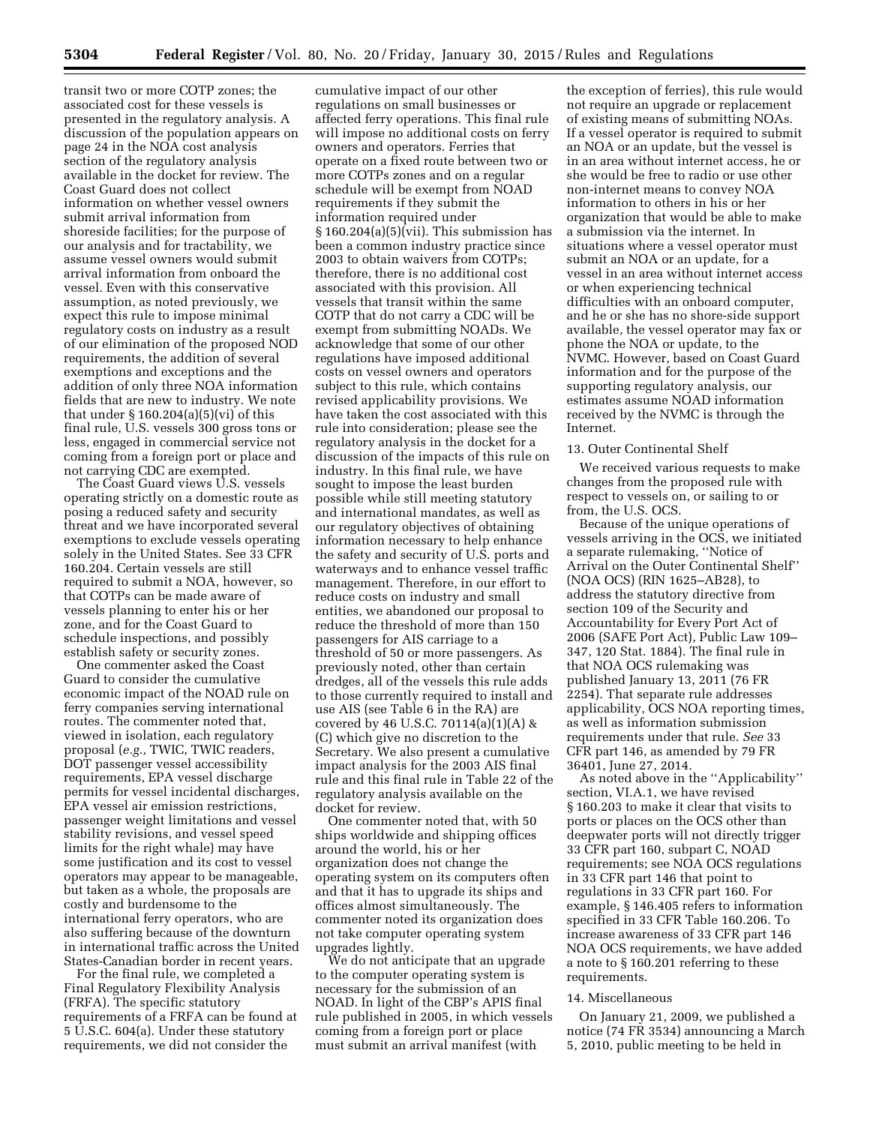transit two or more COTP zones; the associated cost for these vessels is presented in the regulatory analysis. A discussion of the population appears on page 24 in the NOA cost analysis section of the regulatory analysis available in the docket for review. The Coast Guard does not collect information on whether vessel owners submit arrival information from shoreside facilities; for the purpose of our analysis and for tractability, we assume vessel owners would submit arrival information from onboard the vessel. Even with this conservative assumption, as noted previously, we expect this rule to impose minimal regulatory costs on industry as a result of our elimination of the proposed NOD requirements, the addition of several exemptions and exceptions and the addition of only three NOA information fields that are new to industry. We note that under  $\S 160.204(a)(5)(vi)$  of this final rule, U.S. vessels 300 gross tons or less, engaged in commercial service not coming from a foreign port or place and not carrying CDC are exempted.

The Coast Guard views U.S. vessels operating strictly on a domestic route as posing a reduced safety and security threat and we have incorporated several exemptions to exclude vessels operating solely in the United States. See 33 CFR 160.204. Certain vessels are still required to submit a NOA, however, so that COTPs can be made aware of vessels planning to enter his or her zone, and for the Coast Guard to schedule inspections, and possibly establish safety or security zones.

One commenter asked the Coast Guard to consider the cumulative economic impact of the NOAD rule on ferry companies serving international routes. The commenter noted that, viewed in isolation, each regulatory proposal (*e.g.,* TWIC, TWIC readers, DOT passenger vessel accessibility requirements, EPA vessel discharge permits for vessel incidental discharges, EPA vessel air emission restrictions, passenger weight limitations and vessel stability revisions, and vessel speed limits for the right whale) may have some justification and its cost to vessel operators may appear to be manageable, but taken as a whole, the proposals are costly and burdensome to the international ferry operators, who are also suffering because of the downturn in international traffic across the United States-Canadian border in recent years.

For the final rule, we completed a Final Regulatory Flexibility Analysis (FRFA). The specific statutory requirements of a FRFA can be found at 5 U.S.C. 604(a). Under these statutory requirements, we did not consider the

cumulative impact of our other regulations on small businesses or affected ferry operations. This final rule will impose no additional costs on ferry owners and operators. Ferries that operate on a fixed route between two or more COTPs zones and on a regular schedule will be exempt from NOAD requirements if they submit the information required under § 160.204(a)(5)(vii). This submission has been a common industry practice since 2003 to obtain waivers from COTPs; therefore, there is no additional cost associated with this provision. All vessels that transit within the same COTP that do not carry a CDC will be exempt from submitting NOADs. We acknowledge that some of our other regulations have imposed additional costs on vessel owners and operators subject to this rule, which contains revised applicability provisions. We have taken the cost associated with this rule into consideration; please see the regulatory analysis in the docket for a discussion of the impacts of this rule on industry. In this final rule, we have sought to impose the least burden possible while still meeting statutory and international mandates, as well as our regulatory objectives of obtaining information necessary to help enhance the safety and security of U.S. ports and waterways and to enhance vessel traffic management. Therefore, in our effort to reduce costs on industry and small entities, we abandoned our proposal to reduce the threshold of more than 150 passengers for AIS carriage to a threshold of 50 or more passengers. As previously noted, other than certain dredges, all of the vessels this rule adds to those currently required to install and use AIS (see Table 6 in the RA) are covered by 46 U.S.C. 70114(a)(1)(A) & (C) which give no discretion to the Secretary. We also present a cumulative impact analysis for the 2003 AIS final rule and this final rule in Table 22 of the regulatory analysis available on the docket for review.

One commenter noted that, with 50 ships worldwide and shipping offices around the world, his or her organization does not change the operating system on its computers often and that it has to upgrade its ships and offices almost simultaneously. The commenter noted its organization does not take computer operating system upgrades lightly.

We do not anticipate that an upgrade to the computer operating system is necessary for the submission of an NOAD. In light of the CBP's APIS final rule published in 2005, in which vessels coming from a foreign port or place must submit an arrival manifest (with

the exception of ferries), this rule would not require an upgrade or replacement of existing means of submitting NOAs. If a vessel operator is required to submit an NOA or an update, but the vessel is in an area without internet access, he or she would be free to radio or use other non-internet means to convey NOA information to others in his or her organization that would be able to make a submission via the internet. In situations where a vessel operator must submit an NOA or an update, for a vessel in an area without internet access or when experiencing technical difficulties with an onboard computer, and he or she has no shore-side support available, the vessel operator may fax or phone the NOA or update, to the NVMC. However, based on Coast Guard information and for the purpose of the supporting regulatory analysis, our estimates assume NOAD information received by the NVMC is through the Internet.

#### 13. Outer Continental Shelf

We received various requests to make changes from the proposed rule with respect to vessels on, or sailing to or from, the U.S. OCS.

Because of the unique operations of vessels arriving in the OCS, we initiated a separate rulemaking, ''Notice of Arrival on the Outer Continental Shelf'' (NOA OCS) (RIN 1625–AB28), to address the statutory directive from section 109 of the Security and Accountability for Every Port Act of 2006 (SAFE Port Act), Public Law 109– 347, 120 Stat. 1884). The final rule in that NOA OCS rulemaking was published January 13, 2011 (76 FR 2254). That separate rule addresses applicability, OCS NOA reporting times, as well as information submission requirements under that rule. *See* 33 CFR part 146, as amended by 79 FR 36401, June 27, 2014.

As noted above in the ''Applicability'' section, VI.A.1, we have revised § 160.203 to make it clear that visits to ports or places on the OCS other than deepwater ports will not directly trigger 33 CFR part 160, subpart C, NOAD requirements; see NOA OCS regulations in 33 CFR part 146 that point to regulations in 33 CFR part 160. For example, § 146.405 refers to information specified in 33 CFR Table 160.206. To increase awareness of 33 CFR part 146 NOA OCS requirements, we have added a note to § 160.201 referring to these requirements.

#### 14. Miscellaneous

On January 21, 2009, we published a notice (74 FR 3534) announcing a March 5, 2010, public meeting to be held in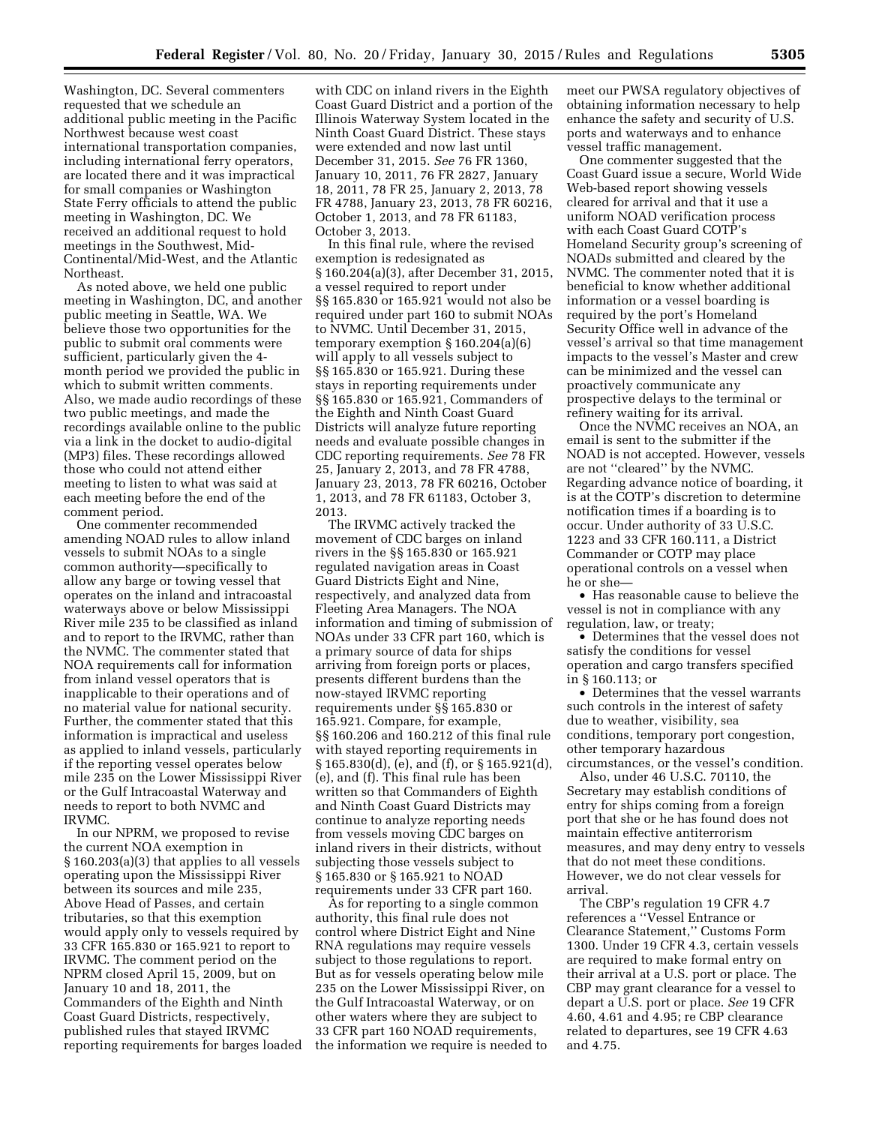Washington, DC. Several commenters requested that we schedule an additional public meeting in the Pacific Northwest because west coast international transportation companies, including international ferry operators, are located there and it was impractical for small companies or Washington State Ferry officials to attend the public meeting in Washington, DC. We received an additional request to hold meetings in the Southwest, Mid-Continental/Mid-West, and the Atlantic Northeast.

As noted above, we held one public meeting in Washington, DC, and another public meeting in Seattle, WA. We believe those two opportunities for the public to submit oral comments were sufficient, particularly given the 4 month period we provided the public in which to submit written comments. Also, we made audio recordings of these two public meetings, and made the recordings available online to the public via a link in the docket to audio-digital (MP3) files. These recordings allowed those who could not attend either meeting to listen to what was said at each meeting before the end of the comment period.

One commenter recommended amending NOAD rules to allow inland vessels to submit NOAs to a single common authority—specifically to allow any barge or towing vessel that operates on the inland and intracoastal waterways above or below Mississippi River mile 235 to be classified as inland and to report to the IRVMC, rather than the NVMC. The commenter stated that NOA requirements call for information from inland vessel operators that is inapplicable to their operations and of no material value for national security. Further, the commenter stated that this information is impractical and useless as applied to inland vessels, particularly if the reporting vessel operates below mile 235 on the Lower Mississippi River or the Gulf Intracoastal Waterway and needs to report to both NVMC and IRVMC.

In our NPRM, we proposed to revise the current NOA exemption in § 160.203(a)(3) that applies to all vessels operating upon the Mississippi River between its sources and mile 235, Above Head of Passes, and certain tributaries, so that this exemption would apply only to vessels required by 33 CFR 165.830 or 165.921 to report to IRVMC. The comment period on the NPRM closed April 15, 2009, but on January 10 and 18, 2011, the Commanders of the Eighth and Ninth Coast Guard Districts, respectively, published rules that stayed IRVMC reporting requirements for barges loaded

with CDC on inland rivers in the Eighth Coast Guard District and a portion of the Illinois Waterway System located in the Ninth Coast Guard District. These stays were extended and now last until December 31, 2015. *See* 76 FR 1360, January 10, 2011, 76 FR 2827, January 18, 2011, 78 FR 25, January 2, 2013, 78 FR 4788, January 23, 2013, 78 FR 60216, October 1, 2013, and 78 FR 61183, October 3, 2013.

In this final rule, where the revised exemption is redesignated as § 160.204(a)(3), after December 31, 2015, a vessel required to report under §§ 165.830 or 165.921 would not also be required under part 160 to submit NOAs to NVMC. Until December 31, 2015, temporary exemption § 160.204(a)(6) will apply to all vessels subject to §§ 165.830 or 165.921. During these stays in reporting requirements under §§ 165.830 or 165.921, Commanders of the Eighth and Ninth Coast Guard Districts will analyze future reporting needs and evaluate possible changes in CDC reporting requirements. *See* 78 FR 25, January 2, 2013, and 78 FR 4788, January 23, 2013, 78 FR 60216, October 1, 2013, and 78 FR 61183, October 3, 2013.

The IRVMC actively tracked the movement of CDC barges on inland rivers in the §§ 165.830 or 165.921 regulated navigation areas in Coast Guard Districts Eight and Nine, respectively, and analyzed data from Fleeting Area Managers. The NOA information and timing of submission of NOAs under 33 CFR part 160, which is a primary source of data for ships arriving from foreign ports or places, presents different burdens than the now-stayed IRVMC reporting requirements under §§ 165.830 or 165.921. Compare, for example, §§ 160.206 and 160.212 of this final rule with stayed reporting requirements in § 165.830(d), (e), and (f), or § 165.921(d), (e), and (f). This final rule has been written so that Commanders of Eighth and Ninth Coast Guard Districts may continue to analyze reporting needs from vessels moving CDC barges on inland rivers in their districts, without subjecting those vessels subject to § 165.830 or § 165.921 to NOAD requirements under 33 CFR part 160.

As for reporting to a single common authority, this final rule does not control where District Eight and Nine RNA regulations may require vessels subject to those regulations to report. But as for vessels operating below mile 235 on the Lower Mississippi River, on the Gulf Intracoastal Waterway, or on other waters where they are subject to 33 CFR part 160 NOAD requirements, the information we require is needed to meet our PWSA regulatory objectives of obtaining information necessary to help enhance the safety and security of U.S. ports and waterways and to enhance vessel traffic management.

One commenter suggested that the Coast Guard issue a secure, World Wide Web-based report showing vessels cleared for arrival and that it use a uniform NOAD verification process with each Coast Guard COTP's Homeland Security group's screening of NOADs submitted and cleared by the NVMC. The commenter noted that it is beneficial to know whether additional information or a vessel boarding is required by the port's Homeland Security Office well in advance of the vessel's arrival so that time management impacts to the vessel's Master and crew can be minimized and the vessel can proactively communicate any prospective delays to the terminal or refinery waiting for its arrival.

Once the NVMC receives an NOA, an email is sent to the submitter if the NOAD is not accepted. However, vessels are not ''cleared'' by the NVMC. Regarding advance notice of boarding, it is at the COTP's discretion to determine notification times if a boarding is to occur. Under authority of 33 U.S.C. 1223 and 33 CFR 160.111, a District Commander or COTP may place operational controls on a vessel when he or she—

• Has reasonable cause to believe the vessel is not in compliance with any regulation, law, or treaty;

• Determines that the vessel does not satisfy the conditions for vessel operation and cargo transfers specified in § 160.113; or

• Determines that the vessel warrants such controls in the interest of safety due to weather, visibility, sea conditions, temporary port congestion, other temporary hazardous circumstances, or the vessel's condition.

Also, under 46 U.S.C. 70110, the Secretary may establish conditions of entry for ships coming from a foreign port that she or he has found does not maintain effective antiterrorism measures, and may deny entry to vessels that do not meet these conditions. However, we do not clear vessels for arrival.

The CBP's regulation 19 CFR 4.7 references a ''Vessel Entrance or Clearance Statement,'' Customs Form 1300. Under 19 CFR 4.3, certain vessels are required to make formal entry on their arrival at a U.S. port or place. The CBP may grant clearance for a vessel to depart a U.S. port or place. *See* 19 CFR 4.60, 4.61 and 4.95; re CBP clearance related to departures, see 19 CFR 4.63 and 4.75.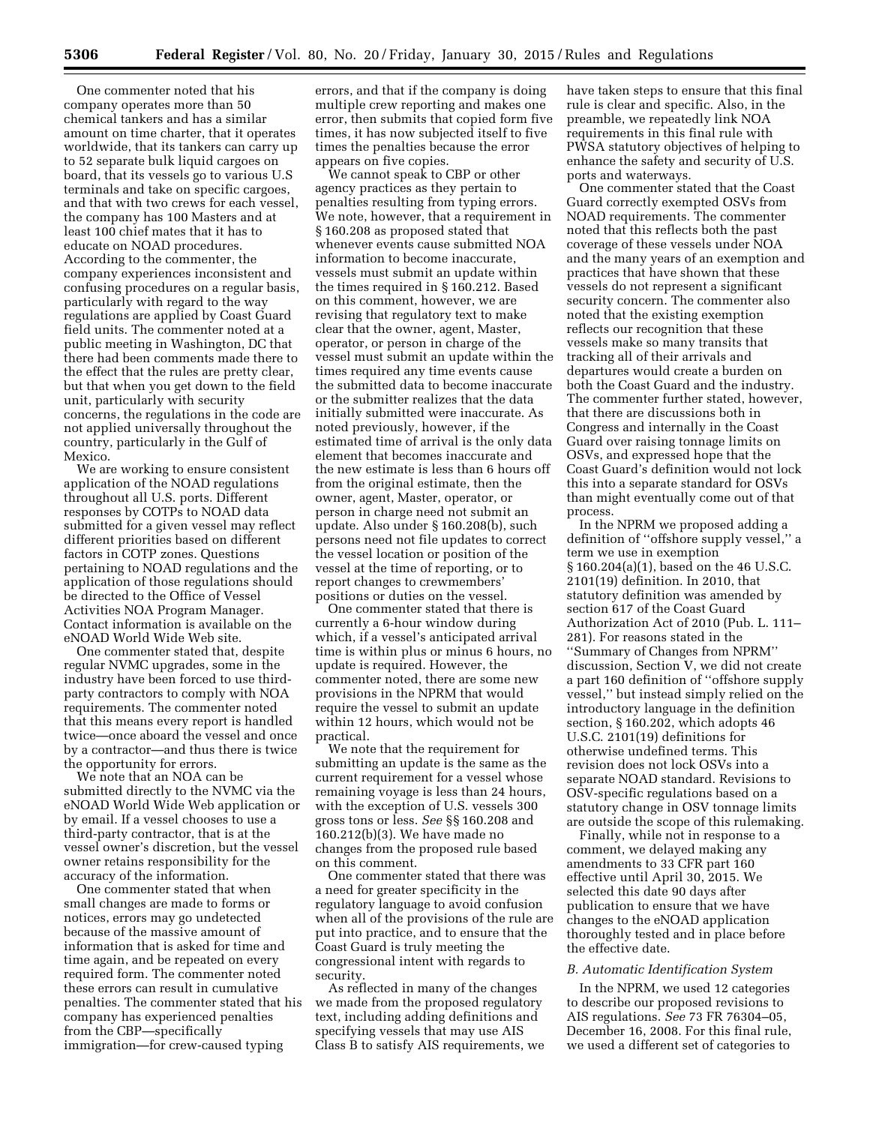One commenter noted that his company operates more than 50 chemical tankers and has a similar amount on time charter, that it operates worldwide, that its tankers can carry up to 52 separate bulk liquid cargoes on board, that its vessels go to various U.S terminals and take on specific cargoes, and that with two crews for each vessel, the company has 100 Masters and at least 100 chief mates that it has to educate on NOAD procedures. According to the commenter, the company experiences inconsistent and confusing procedures on a regular basis, particularly with regard to the way regulations are applied by Coast Guard field units. The commenter noted at a public meeting in Washington, DC that there had been comments made there to the effect that the rules are pretty clear, but that when you get down to the field unit, particularly with security concerns, the regulations in the code are not applied universally throughout the country, particularly in the Gulf of Mexico.

We are working to ensure consistent application of the NOAD regulations throughout all U.S. ports. Different responses by COTPs to NOAD data submitted for a given vessel may reflect different priorities based on different factors in COTP zones. Questions pertaining to NOAD regulations and the application of those regulations should be directed to the Office of Vessel Activities NOA Program Manager. Contact information is available on the eNOAD World Wide Web site.

One commenter stated that, despite regular NVMC upgrades, some in the industry have been forced to use thirdparty contractors to comply with NOA requirements. The commenter noted that this means every report is handled twice—once aboard the vessel and once by a contractor—and thus there is twice the opportunity for errors.

We note that an NOA can be submitted directly to the NVMC via the eNOAD World Wide Web application or by email. If a vessel chooses to use a third-party contractor, that is at the vessel owner's discretion, but the vessel owner retains responsibility for the accuracy of the information.

One commenter stated that when small changes are made to forms or notices, errors may go undetected because of the massive amount of information that is asked for time and time again, and be repeated on every required form. The commenter noted these errors can result in cumulative penalties. The commenter stated that his company has experienced penalties from the CBP—specifically immigration—for crew-caused typing

errors, and that if the company is doing multiple crew reporting and makes one error, then submits that copied form five times, it has now subjected itself to five times the penalties because the error appears on five copies.

We cannot speak to CBP or other agency practices as they pertain to penalties resulting from typing errors. We note, however, that a requirement in § 160.208 as proposed stated that whenever events cause submitted NOA information to become inaccurate, vessels must submit an update within the times required in § 160.212. Based on this comment, however, we are revising that regulatory text to make clear that the owner, agent, Master, operator, or person in charge of the vessel must submit an update within the times required any time events cause the submitted data to become inaccurate or the submitter realizes that the data initially submitted were inaccurate. As noted previously, however, if the estimated time of arrival is the only data element that becomes inaccurate and the new estimate is less than 6 hours off from the original estimate, then the owner, agent, Master, operator, or person in charge need not submit an update. Also under § 160.208(b), such persons need not file updates to correct the vessel location or position of the vessel at the time of reporting, or to report changes to crewmembers' positions or duties on the vessel.

One commenter stated that there is currently a 6-hour window during which, if a vessel's anticipated arrival time is within plus or minus 6 hours, no update is required. However, the commenter noted, there are some new provisions in the NPRM that would require the vessel to submit an update within 12 hours, which would not be practical.

We note that the requirement for submitting an update is the same as the current requirement for a vessel whose remaining voyage is less than 24 hours, with the exception of U.S. vessels 300 gross tons or less. *See* §§ 160.208 and 160.212(b)(3). We have made no changes from the proposed rule based on this comment.

One commenter stated that there was a need for greater specificity in the regulatory language to avoid confusion when all of the provisions of the rule are put into practice, and to ensure that the Coast Guard is truly meeting the congressional intent with regards to security.

As reflected in many of the changes we made from the proposed regulatory text, including adding definitions and specifying vessels that may use AIS Class B to satisfy AIS requirements, we have taken steps to ensure that this final rule is clear and specific. Also, in the preamble, we repeatedly link NOA requirements in this final rule with PWSA statutory objectives of helping to enhance the safety and security of U.S. ports and waterways.

One commenter stated that the Coast Guard correctly exempted OSVs from NOAD requirements. The commenter noted that this reflects both the past coverage of these vessels under NOA and the many years of an exemption and practices that have shown that these vessels do not represent a significant security concern. The commenter also noted that the existing exemption reflects our recognition that these vessels make so many transits that tracking all of their arrivals and departures would create a burden on both the Coast Guard and the industry. The commenter further stated, however, that there are discussions both in Congress and internally in the Coast Guard over raising tonnage limits on OSVs, and expressed hope that the Coast Guard's definition would not lock this into a separate standard for OSVs than might eventually come out of that process.

In the NPRM we proposed adding a definition of ''offshore supply vessel,'' a term we use in exemption § 160.204(a)(1), based on the 46 U.S.C. 2101(19) definition. In 2010, that statutory definition was amended by section 617 of the Coast Guard Authorization Act of 2010 (Pub. L. 111– 281). For reasons stated in the ''Summary of Changes from NPRM'' discussion, Section V, we did not create a part 160 definition of ''offshore supply vessel,'' but instead simply relied on the introductory language in the definition section, § 160.202, which adopts 46 U.S.C. 2101(19) definitions for otherwise undefined terms. This revision does not lock OSVs into a separate NOAD standard. Revisions to OSV-specific regulations based on a statutory change in OSV tonnage limits are outside the scope of this rulemaking.

Finally, while not in response to a comment, we delayed making any amendments to 33 CFR part 160 effective until April 30, 2015. We selected this date 90 days after publication to ensure that we have changes to the eNOAD application thoroughly tested and in place before the effective date.

### *B. Automatic Identification System*

In the NPRM, we used 12 categories to describe our proposed revisions to AIS regulations. *See* 73 FR 76304–05, December 16, 2008. For this final rule, we used a different set of categories to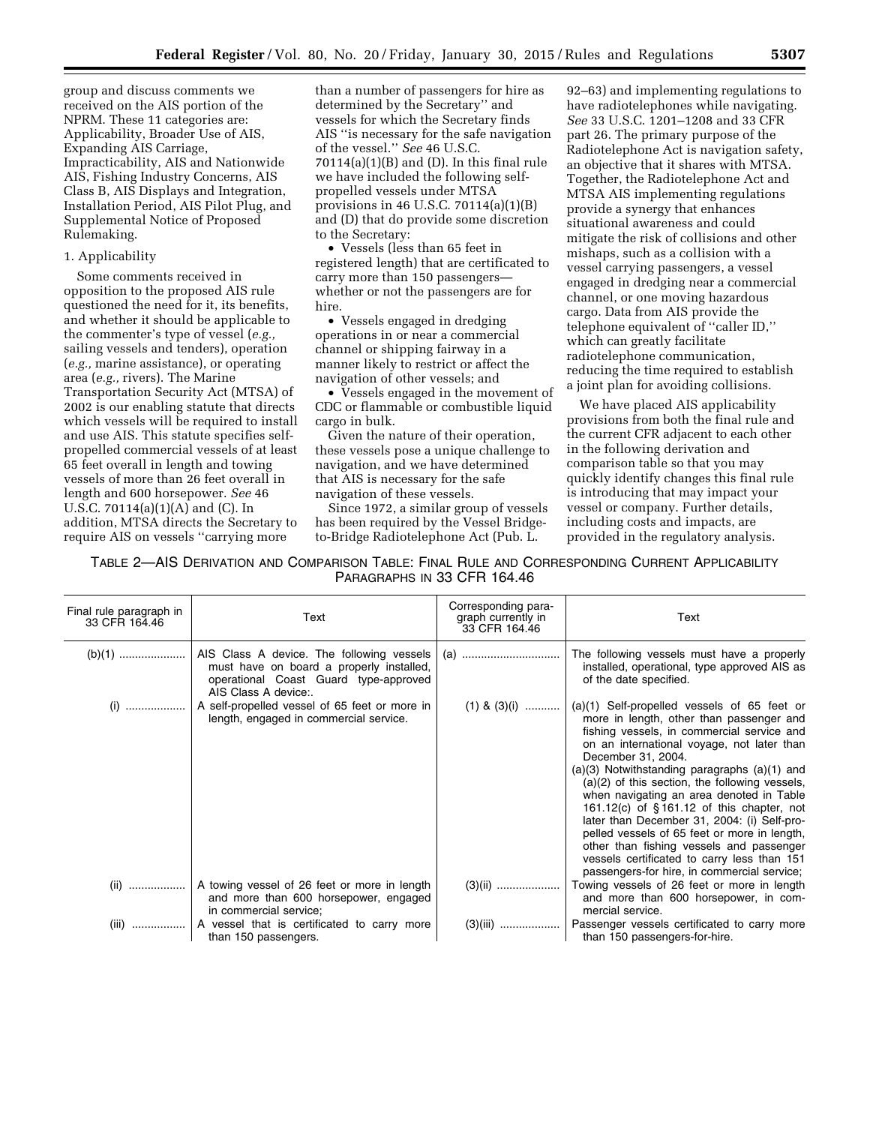group and discuss comments we received on the AIS portion of the NPRM. These 11 categories are: Applicability, Broader Use of AIS, Expanding AIS Carriage, Impracticability, AIS and Nationwide AIS, Fishing Industry Concerns, AIS Class B, AIS Displays and Integration, Installation Period, AIS Pilot Plug, and Supplemental Notice of Proposed Rulemaking.

## 1. Applicability

Some comments received in opposition to the proposed AIS rule questioned the need for it, its benefits, and whether it should be applicable to the commenter's type of vessel (*e.g.,*  sailing vessels and tenders), operation (*e.g.,* marine assistance), or operating area (*e.g.,* rivers). The Marine Transportation Security Act (MTSA) of 2002 is our enabling statute that directs which vessels will be required to install and use AIS. This statute specifies selfpropelled commercial vessels of at least 65 feet overall in length and towing vessels of more than 26 feet overall in length and 600 horsepower. *See* 46 U.S.C. 70114(a)(1)(A) and (C). In addition, MTSA directs the Secretary to require AIS on vessels ''carrying more

than a number of passengers for hire as determined by the Secretary'' and vessels for which the Secretary finds AIS ''is necessary for the safe navigation of the vessel.'' *See* 46 U.S.C.  $70114(a)(1)(B)$  and (D). In this final rule we have included the following selfpropelled vessels under MTSA provisions in 46 U.S.C. 70114(a)(1)(B) and (D) that do provide some discretion to the Secretary:

• Vessels (less than 65 feet in registered length) that are certificated to carry more than 150 passengers whether or not the passengers are for hire.

• Vessels engaged in dredging operations in or near a commercial channel or shipping fairway in a manner likely to restrict or affect the navigation of other vessels; and

• Vessels engaged in the movement of CDC or flammable or combustible liquid cargo in bulk.

Given the nature of their operation, these vessels pose a unique challenge to navigation, and we have determined that AIS is necessary for the safe navigation of these vessels.

Since 1972, a similar group of vessels has been required by the Vessel Bridgeto-Bridge Radiotelephone Act (Pub. L.

92–63) and implementing regulations to have radiotelephones while navigating. *See* 33 U.S.C. 1201–1208 and 33 CFR part 26. The primary purpose of the Radiotelephone Act is navigation safety, an objective that it shares with MTSA. Together, the Radiotelephone Act and MTSA AIS implementing regulations provide a synergy that enhances situational awareness and could mitigate the risk of collisions and other mishaps, such as a collision with a vessel carrying passengers, a vessel engaged in dredging near a commercial channel, or one moving hazardous cargo. Data from AIS provide the telephone equivalent of ''caller ID,'' which can greatly facilitate radiotelephone communication, reducing the time required to establish a joint plan for avoiding collisions.

We have placed AIS applicability provisions from both the final rule and the current CFR adjacent to each other in the following derivation and comparison table so that you may quickly identify changes this final rule is introducing that may impact your vessel or company. Further details, including costs and impacts, are provided in the regulatory analysis.

TABLE 2—AIS DERIVATION AND COMPARISON TABLE: FINAL RULE AND CORRESPONDING CURRENT APPLICABILITY PARAGRAPHS IN 33 CFR 164.46

| Final rule paragraph in<br>33 CFR 164.46 | Text                                                                                                                                                       | Corresponding para-<br>graph currently in<br>33 CFR 164.46 | Text                                                                                                                                                                                                                                                                                                                                                                                                                                                                                                                                                                                                                                                     |
|------------------------------------------|------------------------------------------------------------------------------------------------------------------------------------------------------------|------------------------------------------------------------|----------------------------------------------------------------------------------------------------------------------------------------------------------------------------------------------------------------------------------------------------------------------------------------------------------------------------------------------------------------------------------------------------------------------------------------------------------------------------------------------------------------------------------------------------------------------------------------------------------------------------------------------------------|
|                                          | must have on board a properly installed,<br>operational Coast Guard type-approved<br>AIS Class A device:.                                                  |                                                            | The following vessels must have a properly<br>installed, operational, type approved AIS as<br>of the date specified.                                                                                                                                                                                                                                                                                                                                                                                                                                                                                                                                     |
|                                          | (i) $\ldots$ $\ldots$ $\ldots$ $\ldots$ $\ldots$ $\ldots$ $\ldots$ A self-propelled vessel of 65 feet or more in<br>length, engaged in commercial service. | $(1)$ & $(3)$ (i)                                          | $(a)(1)$ Self-propelled vessels of 65 feet or<br>more in length, other than passenger and<br>fishing vessels, in commercial service and<br>on an international voyage, not later than<br>December 31, 2004.<br>$(a)(3)$ Notwithstanding paragraphs $(a)(1)$ and<br>$(a)(2)$ of this section, the following vessels,<br>when navigating an area denoted in Table<br>161.12(c) of $§$ 161.12 of this chapter, not<br>later than December 31, 2004: (i) Self-pro-<br>pelled vessels of 65 feet or more in length,<br>other than fishing vessels and passenger<br>vessels certificated to carry less than 151<br>passengers-for hire, in commercial service; |
|                                          | (ii) $\ldots$ $\ldots$ $\ldots$ $\ldots$   A towing vessel of 26 feet or more in length<br>and more than 600 horsepower, engaged<br>in commercial service; |                                                            | Towing vessels of 26 feet or more in length<br>and more than 600 horsepower, in com-<br>mercial service.                                                                                                                                                                                                                                                                                                                                                                                                                                                                                                                                                 |
|                                          | (iii)    A vessel that is certificated to carry more<br>than 150 passengers.                                                                               |                                                            | than 150 passengers-for-hire.                                                                                                                                                                                                                                                                                                                                                                                                                                                                                                                                                                                                                            |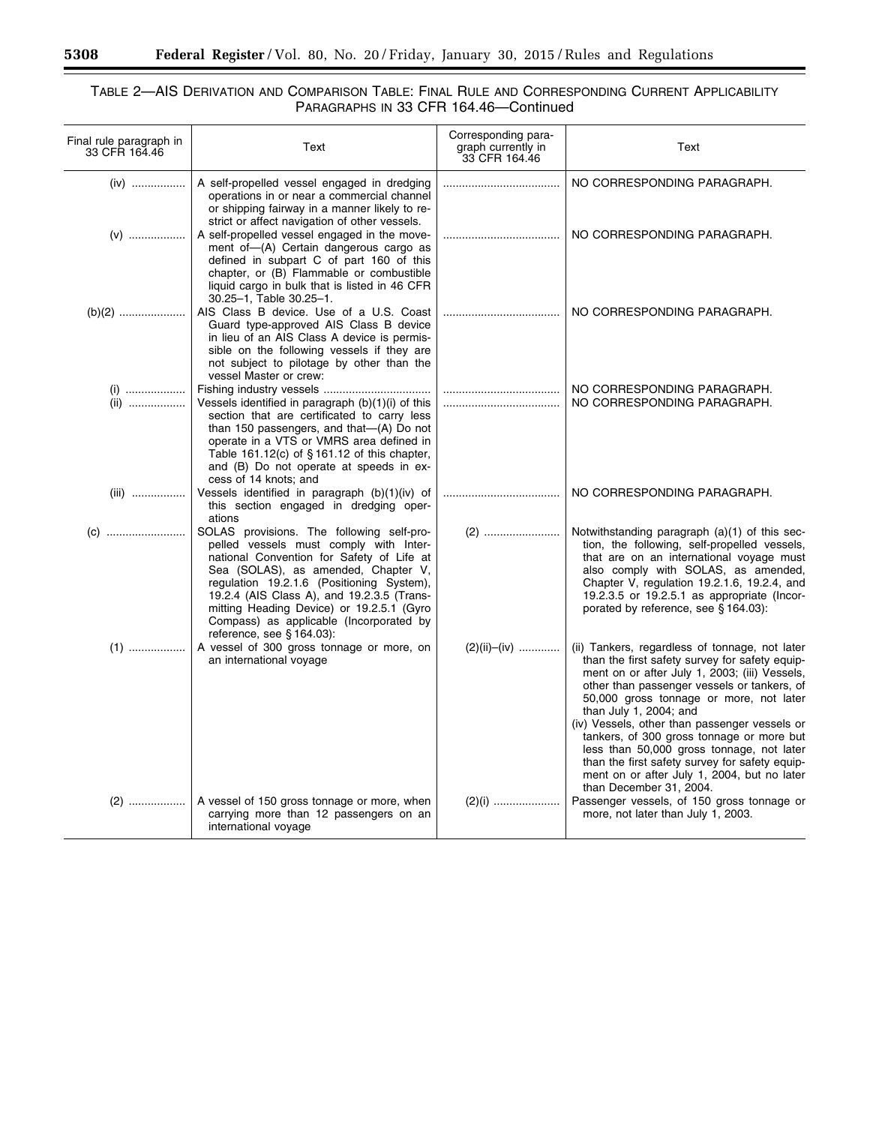۰

## TABLE 2—AIS DERIVATION AND COMPARISON TABLE: FINAL RULE AND CORRESPONDING CURRENT APPLICABILITY PARAGRAPHS IN 33 CFR 164.46—Continued

| Final rule paragraph in<br>33 CFR 164.46 | Text                                                                                                                                                                                                                                                                                                                                                                                    | Corresponding para-<br>graph currently in<br>33 CFR 164.46 | Text                                                                                                                                                                                                                                                                                                                                                                                                                                                                                                                                         |
|------------------------------------------|-----------------------------------------------------------------------------------------------------------------------------------------------------------------------------------------------------------------------------------------------------------------------------------------------------------------------------------------------------------------------------------------|------------------------------------------------------------|----------------------------------------------------------------------------------------------------------------------------------------------------------------------------------------------------------------------------------------------------------------------------------------------------------------------------------------------------------------------------------------------------------------------------------------------------------------------------------------------------------------------------------------------|
| $(iv)$                                   | A self-propelled vessel engaged in dredging<br>operations in or near a commercial channel<br>or shipping fairway in a manner likely to re-                                                                                                                                                                                                                                              |                                                            | NO CORRESPONDING PARAGRAPH.                                                                                                                                                                                                                                                                                                                                                                                                                                                                                                                  |
| $(V)$                                    | strict or affect navigation of other vessels.<br>A self-propelled vessel engaged in the move-<br>ment of-(A) Certain dangerous cargo as<br>defined in subpart C of part 160 of this<br>chapter, or (B) Flammable or combustible<br>liquid cargo in bulk that is listed in 46 CFR                                                                                                        |                                                            | NO CORRESPONDING PARAGRAPH.                                                                                                                                                                                                                                                                                                                                                                                                                                                                                                                  |
|                                          | 30.25-1, Table 30.25-1.<br>AIS Class B device. Use of a U.S. Coast<br>Guard type-approved AIS Class B device<br>in lieu of an AIS Class A device is permis-<br>sible on the following vessels if they are<br>not subject to pilotage by other than the<br>vessel Master or crew:                                                                                                        |                                                            | NO CORRESPONDING PARAGRAPH.                                                                                                                                                                                                                                                                                                                                                                                                                                                                                                                  |
| $(i)$<br>(ii)                            | Vessels identified in paragraph (b)(1)(i) of this<br>section that are certificated to carry less<br>than 150 passengers, and that-(A) Do not<br>operate in a VTS or VMRS area defined in<br>Table 161.12(c) of §161.12 of this chapter,<br>and (B) Do not operate at speeds in ex-<br>cess of 14 knots; and                                                                             |                                                            | NO CORRESPONDING PARAGRAPH.<br>NO CORRESPONDING PARAGRAPH.                                                                                                                                                                                                                                                                                                                                                                                                                                                                                   |
| (iii)                                    | Vessels identified in paragraph (b)(1)(iv) of<br>this section engaged in dredging oper-<br>ations                                                                                                                                                                                                                                                                                       |                                                            | NO CORRESPONDING PARAGRAPH.                                                                                                                                                                                                                                                                                                                                                                                                                                                                                                                  |
|                                          | SOLAS provisions. The following self-pro-<br>pelled vessels must comply with Inter-<br>national Convention for Safety of Life at<br>Sea (SOLAS), as amended, Chapter V,<br>regulation 19.2.1.6 (Positioning System),<br>19.2.4 (AIS Class A), and 19.2.3.5 (Trans-<br>mitting Heading Device) or 19.2.5.1 (Gyro<br>Compass) as applicable (Incorporated by<br>reference, see § 164.03): |                                                            | Notwithstanding paragraph (a)(1) of this sec-<br>tion, the following, self-propelled vessels,<br>that are on an international voyage must<br>also comply with SOLAS, as amended,<br>Chapter V, regulation 19.2.1.6, 19.2.4, and<br>19.2.3.5 or 19.2.5.1 as appropriate (Incor-<br>porated by reference, see § 164.03):                                                                                                                                                                                                                       |
| $(1)$                                    | A vessel of 300 gross tonnage or more, on<br>an international voyage                                                                                                                                                                                                                                                                                                                    | $(2)(ii)$ - $(iv)$                                         | (ii) Tankers, regardless of tonnage, not later<br>than the first safety survey for safety equip-<br>ment on or after July 1, 2003; (iii) Vessels,<br>other than passenger vessels or tankers, of<br>50,000 gross tonnage or more, not later<br>than July 1, 2004; and<br>(iv) Vessels, other than passenger vessels or<br>tankers, of 300 gross tonnage or more but<br>less than 50,000 gross tonnage, not later<br>than the first safety survey for safety equip-<br>ment on or after July 1, 2004, but no later<br>than December 31, 2004. |
| $(2)$                                    | A vessel of 150 gross tonnage or more, when<br>carrying more than 12 passengers on an<br>international voyage                                                                                                                                                                                                                                                                           |                                                            | Passenger vessels, of 150 gross tonnage or<br>more, not later than July 1, 2003.                                                                                                                                                                                                                                                                                                                                                                                                                                                             |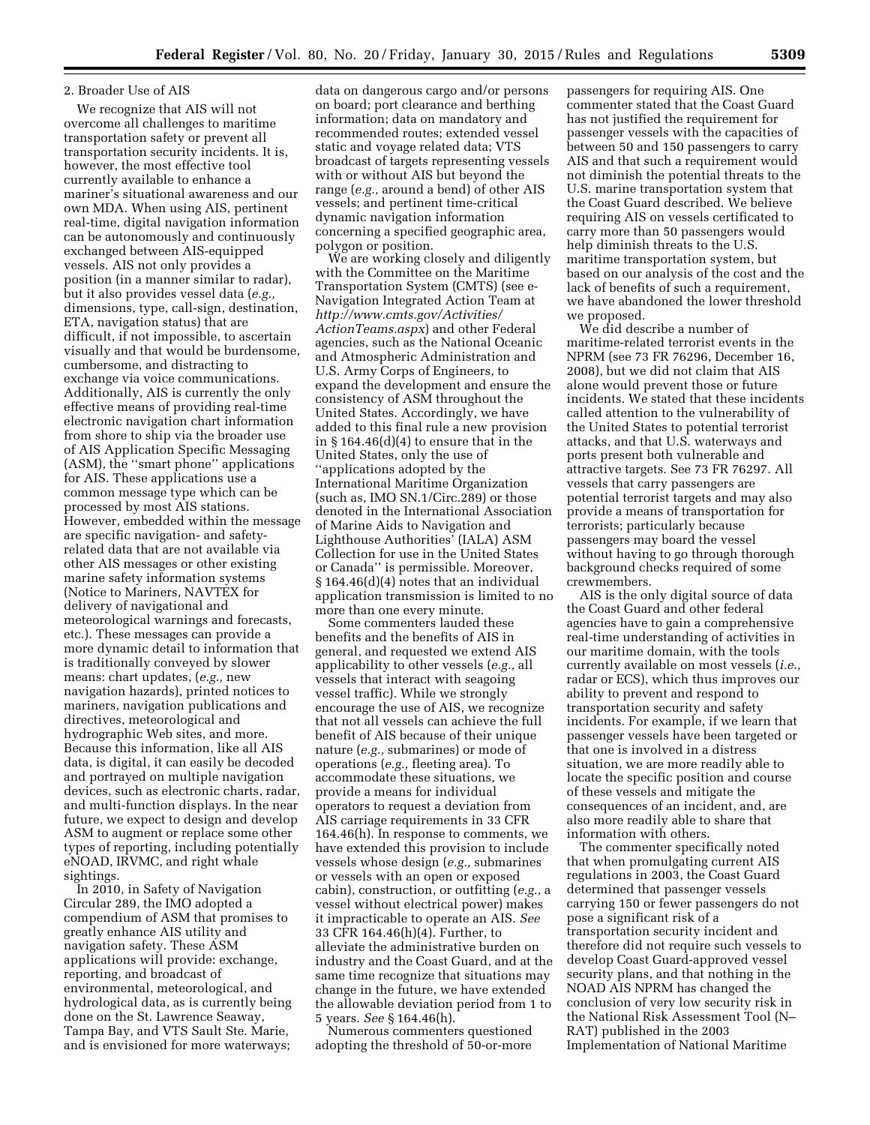### 2. Broader Use of AIS

We recognize that AIS will not overcome all challenges to maritime transportation safety or prevent all transportation security incidents. It is, however, the most effective tool currently available to enhance a mariner's situational awareness and our own MDA. When using AIS, pertinent real-time, digital navigation information can be autonomously and continuously exchanged between AIS-equipped vessels. AIS not only provides a position (in a manner similar to radar), but it also provides vessel data (*e.g.,*  dimensions, type, call-sign, destination, ETA, navigation status) that are difficult, if not impossible, to ascertain visually and that would be burdensome, cumbersome, and distracting to exchange via voice communications. Additionally, AIS is currently the only effective means of providing real-time electronic navigation chart information from shore to ship via the broader use of AIS Application Specific Messaging (ASM), the ''smart phone'' applications for AIS. These applications use a common message type which can be processed by most AIS stations. However, embedded within the message are specific navigation- and safetyrelated data that are not available via other AIS messages or other existing marine safety information systems (Notice to Mariners, NAVTEX for delivery of navigational and meteorological warnings and forecasts, etc.). These messages can provide a more dynamic detail to information that is traditionally conveyed by slower means: chart updates, (*e.g.,* new navigation hazards), printed notices to mariners, navigation publications and directives, meteorological and hydrographic Web sites, and more. Because this information, like all AIS data, is digital, it can easily be decoded and portrayed on multiple navigation devices, such as electronic charts, radar, and multi-function displays. In the near future, we expect to design and develop ASM to augment or replace some other types of reporting, including potentially eNOAD, IRVMC, and right whale sightings.

In 2010, in Safety of Navigation Circular 289, the IMO adopted a compendium of ASM that promises to greatly enhance AIS utility and navigation safety. These ASM applications will provide: exchange, reporting, and broadcast of environmental, meteorological, and hydrological data, as is currently being done on the St. Lawrence Seaway, Tampa Bay, and VTS Sault Ste. Marie, and is envisioned for more waterways;

data on dangerous cargo and/or persons on board; port clearance and berthing information; data on mandatory and recommended routes; extended vessel static and voyage related data; VTS broadcast of targets representing vessels with or without AIS but beyond the range (*e.g.,* around a bend) of other AIS vessels; and pertinent time-critical dynamic navigation information concerning a specified geographic area, polygon or position.

We are working closely and diligently with the Committee on the Maritime Transportation System (CMTS) (see e-Navigation Integrated Action Team at *[http://www.cmts.gov/Activities/](http://www.cmts.gov/Activities/ActionTeams.aspx) [ActionTeams.aspx](http://www.cmts.gov/Activities/ActionTeams.aspx)*) and other Federal agencies, such as the National Oceanic and Atmospheric Administration and U.S. Army Corps of Engineers, to expand the development and ensure the consistency of ASM throughout the United States. Accordingly, we have added to this final rule a new provision in § 164.46(d)(4) to ensure that in the United States, only the use of ''applications adopted by the International Maritime Organization (such as, IMO SN.1/Circ.289) or those denoted in the International Association of Marine Aids to Navigation and Lighthouse Authorities' (IALA) ASM Collection for use in the United States or Canada'' is permissible. Moreover, § 164.46(d)(4) notes that an individual application transmission is limited to no more than one every minute.

Some commenters lauded these benefits and the benefits of AIS in general, and requested we extend AIS applicability to other vessels (*e.g.,* all vessels that interact with seagoing vessel traffic). While we strongly encourage the use of AIS, we recognize that not all vessels can achieve the full benefit of AIS because of their unique nature (*e.g.,* submarines) or mode of operations (*e.g.,* fleeting area). To accommodate these situations, we provide a means for individual operators to request a deviation from AIS carriage requirements in 33 CFR 164.46(h). In response to comments, we have extended this provision to include vessels whose design (*e.g.,* submarines or vessels with an open or exposed cabin), construction, or outfitting (*e.g.,* a vessel without electrical power) makes it impracticable to operate an AIS. *See*  33 CFR 164.46(h)(4). Further, to alleviate the administrative burden on industry and the Coast Guard, and at the same time recognize that situations may change in the future, we have extended the allowable deviation period from 1 to 5 years. *See* § 164.46(h).

Numerous commenters questioned adopting the threshold of 50-or-more

passengers for requiring AIS. One commenter stated that the Coast Guard has not justified the requirement for passenger vessels with the capacities of between 50 and 150 passengers to carry AIS and that such a requirement would not diminish the potential threats to the U.S. marine transportation system that the Coast Guard described. We believe requiring AIS on vessels certificated to carry more than 50 passengers would help diminish threats to the U.S. maritime transportation system, but based on our analysis of the cost and the lack of benefits of such a requirement, we have abandoned the lower threshold we proposed.

We did describe a number of maritime-related terrorist events in the NPRM (see 73 FR 76296, December 16, 2008), but we did not claim that AIS alone would prevent those or future incidents. We stated that these incidents called attention to the vulnerability of the United States to potential terrorist attacks, and that U.S. waterways and ports present both vulnerable and attractive targets. See 73 FR 76297. All vessels that carry passengers are potential terrorist targets and may also provide a means of transportation for terrorists; particularly because passengers may board the vessel without having to go through thorough background checks required of some crewmembers.

AIS is the only digital source of data the Coast Guard and other federal agencies have to gain a comprehensive real-time understanding of activities in our maritime domain, with the tools currently available on most vessels (*i.e.,*  radar or ECS), which thus improves our ability to prevent and respond to transportation security and safety incidents. For example, if we learn that passenger vessels have been targeted or that one is involved in a distress situation, we are more readily able to locate the specific position and course of these vessels and mitigate the consequences of an incident, and, are also more readily able to share that information with others.

The commenter specifically noted that when promulgating current AIS regulations in 2003, the Coast Guard determined that passenger vessels carrying 150 or fewer passengers do not pose a significant risk of a transportation security incident and therefore did not require such vessels to develop Coast Guard-approved vessel security plans, and that nothing in the NOAD AIS NPRM has changed the conclusion of very low security risk in the National Risk Assessment Tool (N– RAT) published in the 2003 Implementation of National Maritime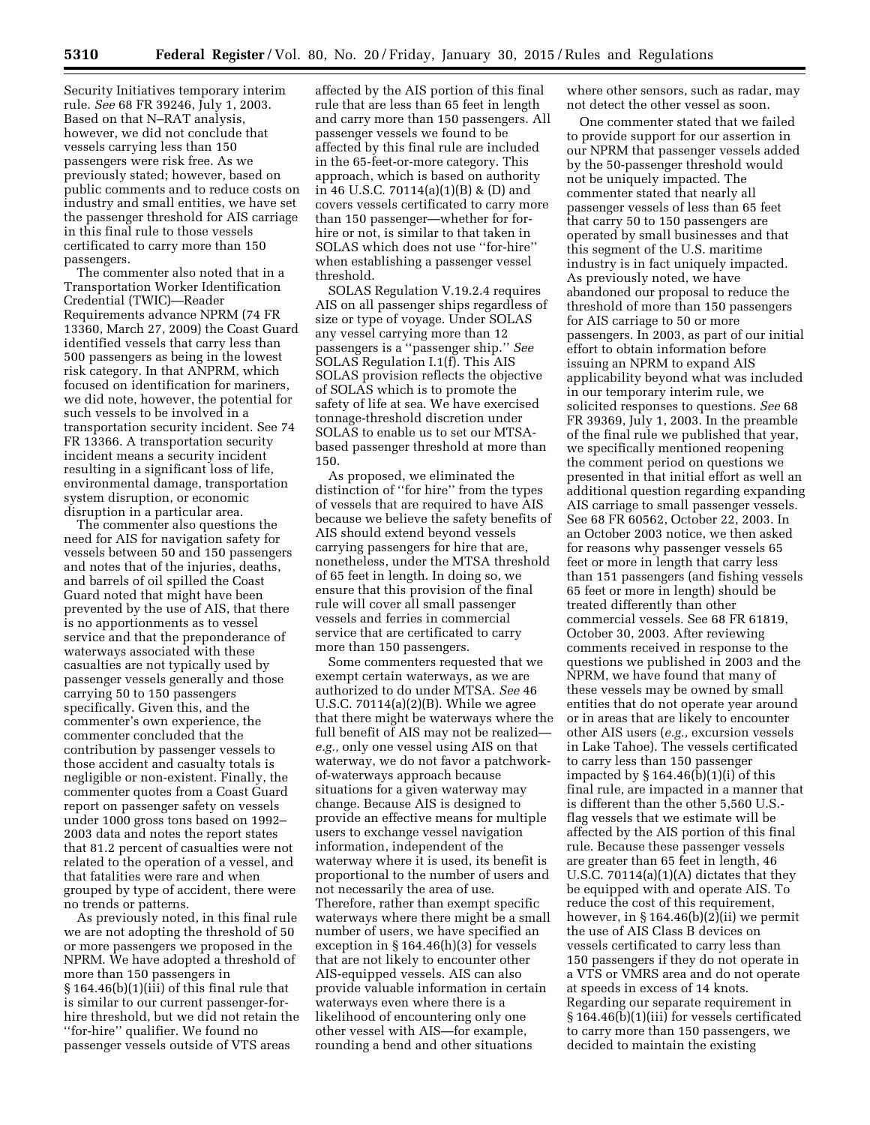Security Initiatives temporary interim rule. *See* 68 FR 39246, July 1, 2003. Based on that N–RAT analysis, however, we did not conclude that vessels carrying less than 150 passengers were risk free. As we previously stated; however, based on public comments and to reduce costs on industry and small entities, we have set the passenger threshold for AIS carriage in this final rule to those vessels certificated to carry more than 150 passengers.

The commenter also noted that in a Transportation Worker Identification Credential (TWIC)—Reader Requirements advance NPRM (74 FR 13360, March 27, 2009) the Coast Guard identified vessels that carry less than 500 passengers as being in the lowest risk category. In that ANPRM, which focused on identification for mariners, we did note, however, the potential for such vessels to be involved in a transportation security incident. See 74 FR 13366. A transportation security incident means a security incident resulting in a significant loss of life, environmental damage, transportation system disruption, or economic disruption in a particular area.

The commenter also questions the need for AIS for navigation safety for vessels between 50 and 150 passengers and notes that of the injuries, deaths, and barrels of oil spilled the Coast Guard noted that might have been prevented by the use of AIS, that there is no apportionments as to vessel service and that the preponderance of waterways associated with these casualties are not typically used by passenger vessels generally and those carrying 50 to 150 passengers specifically. Given this, and the commenter's own experience, the commenter concluded that the contribution by passenger vessels to those accident and casualty totals is negligible or non-existent. Finally, the commenter quotes from a Coast Guard report on passenger safety on vessels under 1000 gross tons based on 1992– 2003 data and notes the report states that 81.2 percent of casualties were not related to the operation of a vessel, and that fatalities were rare and when grouped by type of accident, there were no trends or patterns.

As previously noted, in this final rule we are not adopting the threshold of 50 or more passengers we proposed in the NPRM. We have adopted a threshold of more than 150 passengers in § 164.46(b)(1)(iii) of this final rule that is similar to our current passenger-forhire threshold, but we did not retain the ''for-hire'' qualifier. We found no passenger vessels outside of VTS areas

affected by the AIS portion of this final rule that are less than 65 feet in length and carry more than 150 passengers. All passenger vessels we found to be affected by this final rule are included in the 65-feet-or-more category. This approach, which is based on authority in 46 U.S.C. 70114(a)(1)(B) & (D) and covers vessels certificated to carry more than 150 passenger—whether for forhire or not, is similar to that taken in SOLAS which does not use ''for-hire'' when establishing a passenger vessel threshold.

SOLAS Regulation V.19.2.4 requires AIS on all passenger ships regardless of size or type of voyage. Under SOLAS any vessel carrying more than 12 passengers is a ''passenger ship.'' *See*  SOLAS Regulation I.1(f). This AIS SOLAS provision reflects the objective of SOLAS which is to promote the safety of life at sea. We have exercised tonnage-threshold discretion under SOLAS to enable us to set our MTSAbased passenger threshold at more than 150.

As proposed, we eliminated the distinction of ''for hire'' from the types of vessels that are required to have AIS because we believe the safety benefits of AIS should extend beyond vessels carrying passengers for hire that are, nonetheless, under the MTSA threshold of 65 feet in length. In doing so, we ensure that this provision of the final rule will cover all small passenger vessels and ferries in commercial service that are certificated to carry more than 150 passengers.

Some commenters requested that we exempt certain waterways, as we are authorized to do under MTSA. *See* 46 U.S.C. 70114(a)(2)(B). While we agree that there might be waterways where the full benefit of AIS may not be realized *e.g.,* only one vessel using AIS on that waterway, we do not favor a patchworkof-waterways approach because situations for a given waterway may change. Because AIS is designed to provide an effective means for multiple users to exchange vessel navigation information, independent of the waterway where it is used, its benefit is proportional to the number of users and not necessarily the area of use. Therefore, rather than exempt specific waterways where there might be a small number of users, we have specified an exception in § 164.46(h)(3) for vessels that are not likely to encounter other AIS-equipped vessels. AIS can also provide valuable information in certain waterways even where there is a likelihood of encountering only one other vessel with AIS—for example, rounding a bend and other situations

where other sensors, such as radar, may not detect the other vessel as soon.

One commenter stated that we failed to provide support for our assertion in our NPRM that passenger vessels added by the 50-passenger threshold would not be uniquely impacted. The commenter stated that nearly all passenger vessels of less than 65 feet that carry 50 to 150 passengers are operated by small businesses and that this segment of the U.S. maritime industry is in fact uniquely impacted. As previously noted, we have abandoned our proposal to reduce the threshold of more than 150 passengers for AIS carriage to 50 or more passengers. In 2003, as part of our initial effort to obtain information before issuing an NPRM to expand AIS applicability beyond what was included in our temporary interim rule, we solicited responses to questions. *See* 68 FR 39369, July 1, 2003. In the preamble of the final rule we published that year, we specifically mentioned reopening the comment period on questions we presented in that initial effort as well an additional question regarding expanding AIS carriage to small passenger vessels. See 68 FR 60562, October 22, 2003. In an October 2003 notice, we then asked for reasons why passenger vessels 65 feet or more in length that carry less than 151 passengers (and fishing vessels 65 feet or more in length) should be treated differently than other commercial vessels. See 68 FR 61819, October 30, 2003. After reviewing comments received in response to the questions we published in 2003 and the NPRM, we have found that many of these vessels may be owned by small entities that do not operate year around or in areas that are likely to encounter other AIS users (*e.g.,* excursion vessels in Lake Tahoe). The vessels certificated to carry less than 150 passenger impacted by  $\S$  164.46(b)(1)(i) of this final rule, are impacted in a manner that is different than the other 5,560 U.S. flag vessels that we estimate will be affected by the AIS portion of this final rule. Because these passenger vessels are greater than 65 feet in length, 46 U.S.C. 70114(a)(1)(A) dictates that they be equipped with and operate AIS. To reduce the cost of this requirement, however, in § 164.46(b)(2)(ii) we permit the use of AIS Class B devices on vessels certificated to carry less than 150 passengers if they do not operate in a VTS or VMRS area and do not operate at speeds in excess of 14 knots. Regarding our separate requirement in § 164.46(b)(1)(iii) for vessels certificated to carry more than 150 passengers, we decided to maintain the existing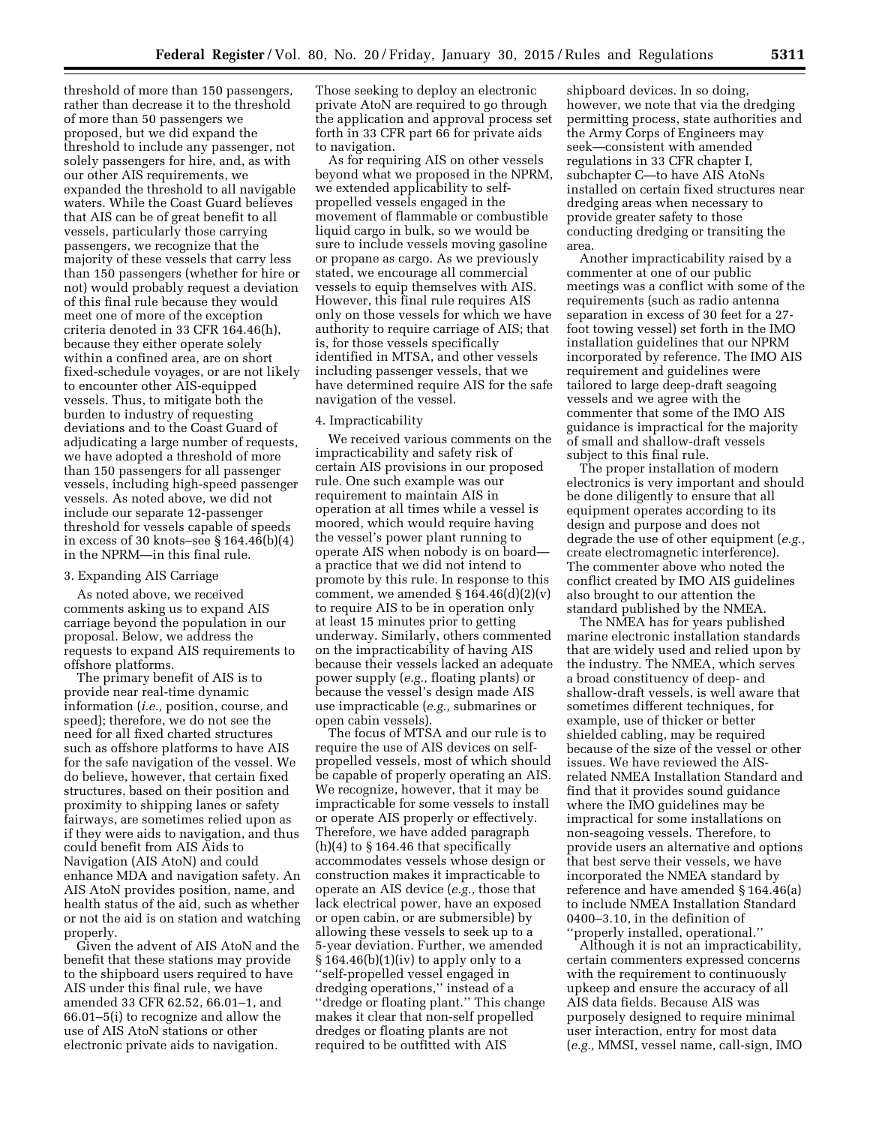threshold of more than 150 passengers, rather than decrease it to the threshold of more than 50 passengers we proposed, but we did expand the threshold to include any passenger, not solely passengers for hire, and, as with our other AIS requirements, we expanded the threshold to all navigable waters. While the Coast Guard believes that AIS can be of great benefit to all vessels, particularly those carrying passengers, we recognize that the majority of these vessels that carry less than 150 passengers (whether for hire or not) would probably request a deviation of this final rule because they would meet one of more of the exception criteria denoted in 33 CFR 164.46(h), because they either operate solely within a confined area, are on short fixed-schedule voyages, or are not likely to encounter other AIS-equipped vessels. Thus, to mitigate both the burden to industry of requesting deviations and to the Coast Guard of adjudicating a large number of requests, we have adopted a threshold of more than 150 passengers for all passenger vessels, including high-speed passenger vessels. As noted above, we did not include our separate 12-passenger threshold for vessels capable of speeds in excess of 30 knots–see § 164.46(b)(4) in the NPRM—in this final rule.

## 3. Expanding AIS Carriage

As noted above, we received comments asking us to expand AIS carriage beyond the population in our proposal. Below, we address the requests to expand AIS requirements to offshore platforms.

The primary benefit of AIS is to provide near real-time dynamic information (*i.e.,* position, course, and speed); therefore, we do not see the need for all fixed charted structures such as offshore platforms to have AIS for the safe navigation of the vessel. We do believe, however, that certain fixed structures, based on their position and proximity to shipping lanes or safety fairways, are sometimes relied upon as if they were aids to navigation, and thus could benefit from AIS Aids to Navigation (AIS AtoN) and could enhance MDA and navigation safety. An AIS AtoN provides position, name, and health status of the aid, such as whether or not the aid is on station and watching properly.

Given the advent of AIS AtoN and the benefit that these stations may provide to the shipboard users required to have AIS under this final rule, we have amended 33 CFR 62.52, 66.01–1, and 66.01–5(i) to recognize and allow the use of AIS AtoN stations or other electronic private aids to navigation.

Those seeking to deploy an electronic private AtoN are required to go through the application and approval process set forth in 33 CFR part 66 for private aids to navigation.

As for requiring AIS on other vessels beyond what we proposed in the NPRM, we extended applicability to selfpropelled vessels engaged in the movement of flammable or combustible liquid cargo in bulk, so we would be sure to include vessels moving gasoline or propane as cargo. As we previously stated, we encourage all commercial vessels to equip themselves with AIS. However, this final rule requires AIS only on those vessels for which we have authority to require carriage of AIS; that is, for those vessels specifically identified in MTSA, and other vessels including passenger vessels, that we have determined require AIS for the safe navigation of the vessel.

## 4. Impracticability

We received various comments on the impracticability and safety risk of certain AIS provisions in our proposed rule. One such example was our requirement to maintain AIS in operation at all times while a vessel is moored, which would require having the vessel's power plant running to operate AIS when nobody is on board a practice that we did not intend to promote by this rule. In response to this comment, we amended  $\S 164.46(d)(2)(v)$ to require AIS to be in operation only at least 15 minutes prior to getting underway. Similarly, others commented on the impracticability of having AIS because their vessels lacked an adequate power supply (*e.g.,* floating plants) or because the vessel's design made AIS use impracticable (*e.g.,* submarines or open cabin vessels).

The focus of MTSA and our rule is to require the use of AIS devices on selfpropelled vessels, most of which should be capable of properly operating an AIS. We recognize, however, that it may be impracticable for some vessels to install or operate AIS properly or effectively. Therefore, we have added paragraph  $(h)(4)$  to  $§$  164.46 that specifically accommodates vessels whose design or construction makes it impracticable to operate an AIS device (*e.g.,* those that lack electrical power, have an exposed or open cabin, or are submersible) by allowing these vessels to seek up to a 5-year deviation. Further, we amended  $§ 164.46(b)(1)(iv)$  to apply only to a ''self-propelled vessel engaged in dredging operations,'' instead of a ''dredge or floating plant.'' This change makes it clear that non-self propelled dredges or floating plants are not required to be outfitted with AIS

shipboard devices. In so doing, however, we note that via the dredging permitting process, state authorities and the Army Corps of Engineers may seek—consistent with amended regulations in 33 CFR chapter I, subchapter C—to have AIS AtoNs installed on certain fixed structures near dredging areas when necessary to provide greater safety to those conducting dredging or transiting the area.

Another impracticability raised by a commenter at one of our public meetings was a conflict with some of the requirements (such as radio antenna separation in excess of 30 feet for a 27 foot towing vessel) set forth in the IMO installation guidelines that our NPRM incorporated by reference. The IMO AIS requirement and guidelines were tailored to large deep-draft seagoing vessels and we agree with the commenter that some of the IMO AIS guidance is impractical for the majority of small and shallow-draft vessels subject to this final rule.

The proper installation of modern electronics is very important and should be done diligently to ensure that all equipment operates according to its design and purpose and does not degrade the use of other equipment (*e.g.,*  create electromagnetic interference). The commenter above who noted the conflict created by IMO AIS guidelines also brought to our attention the standard published by the NMEA.

The NMEA has for years published marine electronic installation standards that are widely used and relied upon by the industry. The NMEA, which serves a broad constituency of deep- and shallow-draft vessels, is well aware that sometimes different techniques, for example, use of thicker or better shielded cabling, may be required because of the size of the vessel or other issues. We have reviewed the AISrelated NMEA Installation Standard and find that it provides sound guidance where the IMO guidelines may be impractical for some installations on non-seagoing vessels. Therefore, to provide users an alternative and options that best serve their vessels, we have incorporated the NMEA standard by reference and have amended § 164.46(a) to include NMEA Installation Standard 0400–3.10, in the definition of ''properly installed, operational.''

Although it is not an impracticability, certain commenters expressed concerns with the requirement to continuously upkeep and ensure the accuracy of all AIS data fields. Because AIS was purposely designed to require minimal user interaction, entry for most data (*e.g.,* MMSI, vessel name, call-sign, IMO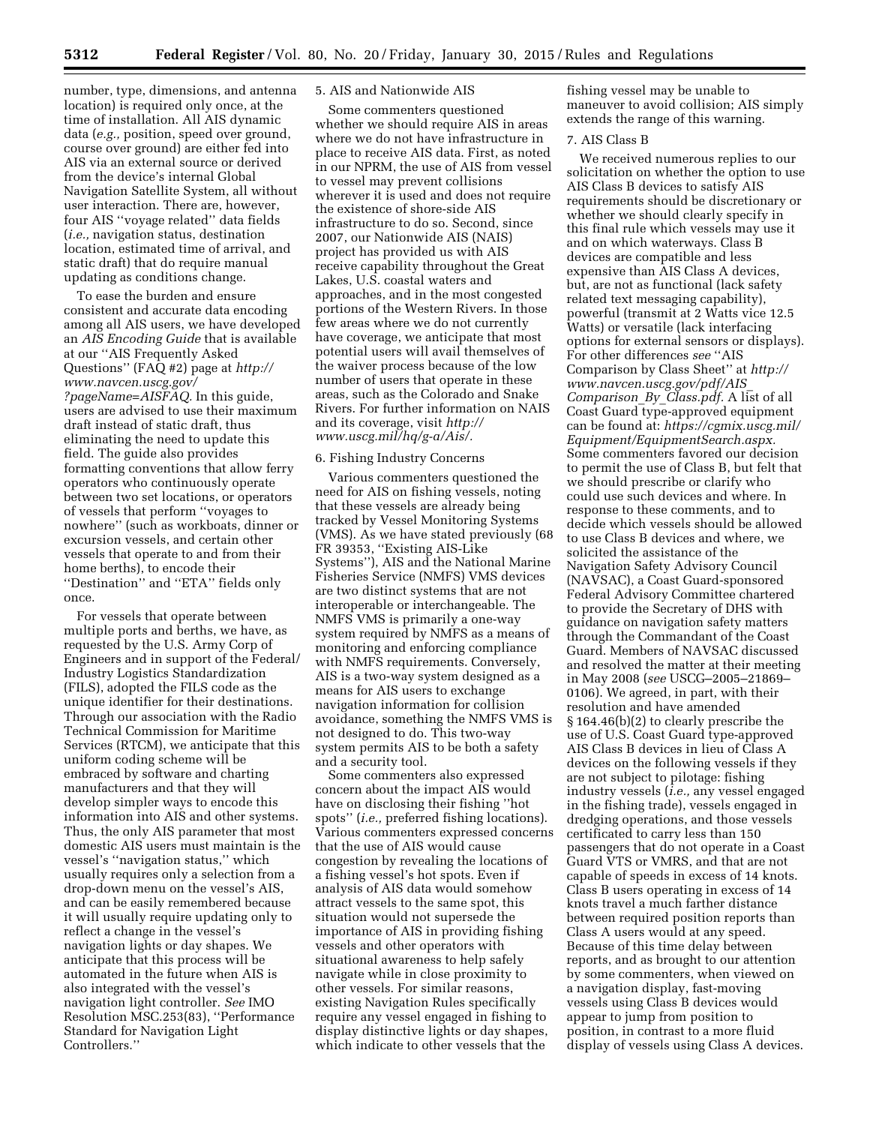number, type, dimensions, and antenna location) is required only once, at the time of installation. All AIS dynamic data (*e.g.,* position, speed over ground, course over ground) are either fed into AIS via an external source or derived from the device's internal Global Navigation Satellite System, all without user interaction. There are, however, four AIS ''voyage related'' data fields (*i.e.,* navigation status, destination location, estimated time of arrival, and static draft) that do require manual updating as conditions change.

To ease the burden and ensure consistent and accurate data encoding among all AIS users, we have developed an *AIS Encoding Guide* that is available at our ''AIS Frequently Asked Questions'' (FAQ #2) page at *[http://](http://www.navcen.uscg.gov/?pageName=AISFAQ) [www.navcen.uscg.gov/](http://www.navcen.uscg.gov/?pageName=AISFAQ) [?pageName=AISFAQ.](http://www.navcen.uscg.gov/?pageName=AISFAQ)* In this guide, users are advised to use their maximum draft instead of static draft, thus eliminating the need to update this field. The guide also provides formatting conventions that allow ferry operators who continuously operate between two set locations, or operators of vessels that perform ''voyages to nowhere'' (such as workboats, dinner or excursion vessels, and certain other vessels that operate to and from their home berths), to encode their ''Destination'' and ''ETA'' fields only once.

For vessels that operate between multiple ports and berths, we have, as requested by the U.S. Army Corp of Engineers and in support of the Federal/ Industry Logistics Standardization (FILS), adopted the FILS code as the unique identifier for their destinations. Through our association with the Radio Technical Commission for Maritime Services (RTCM), we anticipate that this uniform coding scheme will be embraced by software and charting manufacturers and that they will develop simpler ways to encode this information into AIS and other systems. Thus, the only AIS parameter that most domestic AIS users must maintain is the vessel's ''navigation status,'' which usually requires only a selection from a drop-down menu on the vessel's AIS, and can be easily remembered because it will usually require updating only to reflect a change in the vessel's navigation lights or day shapes. We anticipate that this process will be automated in the future when AIS is also integrated with the vessel's navigation light controller. *See* IMO Resolution MSC.253(83), ''Performance Standard for Navigation Light Controllers.''

## 5. AIS and Nationwide AIS

Some commenters questioned whether we should require AIS in areas where we do not have infrastructure in place to receive AIS data. First, as noted in our NPRM, the use of AIS from vessel to vessel may prevent collisions wherever it is used and does not require the existence of shore-side AIS infrastructure to do so. Second, since 2007, our Nationwide AIS (NAIS) project has provided us with AIS receive capability throughout the Great Lakes, U.S. coastal waters and approaches, and in the most congested portions of the Western Rivers. In those few areas where we do not currently have coverage, we anticipate that most potential users will avail themselves of the waiver process because of the low number of users that operate in these areas, such as the Colorado and Snake Rivers. For further information on NAIS and its coverage, visit *[http://](http://www.uscg.mil/hq/g-a/Ais/) [www.uscg.mil/hq/g-a/Ais/.](http://www.uscg.mil/hq/g-a/Ais/)* 

#### 6. Fishing Industry Concerns

Various commenters questioned the need for AIS on fishing vessels, noting that these vessels are already being tracked by Vessel Monitoring Systems (VMS). As we have stated previously (68 FR 39353, ''Existing AIS-Like Systems''), AIS and the National Marine Fisheries Service (NMFS) VMS devices are two distinct systems that are not interoperable or interchangeable. The NMFS VMS is primarily a one-way system required by NMFS as a means of monitoring and enforcing compliance with NMFS requirements. Conversely, AIS is a two-way system designed as a means for AIS users to exchange navigation information for collision avoidance, something the NMFS VMS is not designed to do. This two-way system permits AIS to be both a safety and a security tool.

Some commenters also expressed concern about the impact AIS would have on disclosing their fishing ''hot spots'' (*i.e.,* preferred fishing locations). Various commenters expressed concerns that the use of AIS would cause congestion by revealing the locations of a fishing vessel's hot spots. Even if analysis of AIS data would somehow attract vessels to the same spot, this situation would not supersede the importance of AIS in providing fishing vessels and other operators with situational awareness to help safely navigate while in close proximity to other vessels. For similar reasons, existing Navigation Rules specifically require any vessel engaged in fishing to display distinctive lights or day shapes, which indicate to other vessels that the

fishing vessel may be unable to maneuver to avoid collision; AIS simply extends the range of this warning.

## 7. AIS Class B

We received numerous replies to our solicitation on whether the option to use AIS Class B devices to satisfy AIS requirements should be discretionary or whether we should clearly specify in this final rule which vessels may use it and on which waterways. Class B devices are compatible and less expensive than AIS Class A devices, but, are not as functional (lack safety related text messaging capability), powerful (transmit at 2 Watts vice 12.5 Watts) or versatile (lack interfacing options for external sensors or displays). For other differences *see* ''AIS Comparison by Class Sheet'' at *[http://](http://www.navcen.uscg.gov/pdf/AIS_Comparison_By_Class.pdf) [www.navcen.uscg.gov/pdf/AIS](http://www.navcen.uscg.gov/pdf/AIS_Comparison_By_Class.pdf)*\_ *[Comparison](http://www.navcen.uscg.gov/pdf/AIS_Comparison_By_Class.pdf)*\_*By*\_*Class.pdf.* A list of all Coast Guard type-approved equipment can be found at: *[https://cgmix.uscg.mil/](https://cgmix.uscg.mil/Equipment/EquipmentSearch.aspx) [Equipment/EquipmentSearch.aspx.](https://cgmix.uscg.mil/Equipment/EquipmentSearch.aspx)*  Some commenters favored our decision to permit the use of Class B, but felt that we should prescribe or clarify who could use such devices and where. In response to these comments, and to decide which vessels should be allowed to use Class B devices and where, we solicited the assistance of the Navigation Safety Advisory Council (NAVSAC), a Coast Guard-sponsored Federal Advisory Committee chartered to provide the Secretary of DHS with guidance on navigation safety matters through the Commandant of the Coast Guard. Members of NAVSAC discussed and resolved the matter at their meeting in May 2008 (*see* USCG–2005–21869– 0106). We agreed, in part, with their resolution and have amended § 164.46(b)(2) to clearly prescribe the use of U.S. Coast Guard type-approved AIS Class B devices in lieu of Class A devices on the following vessels if they are not subject to pilotage: fishing industry vessels (*i.e.,* any vessel engaged in the fishing trade), vessels engaged in dredging operations, and those vessels certificated to carry less than 150 passengers that do not operate in a Coast Guard VTS or VMRS, and that are not capable of speeds in excess of 14 knots. Class B users operating in excess of 14 knots travel a much farther distance between required position reports than Class A users would at any speed. Because of this time delay between reports, and as brought to our attention by some commenters, when viewed on a navigation display, fast-moving vessels using Class B devices would appear to jump from position to position, in contrast to a more fluid display of vessels using Class A devices.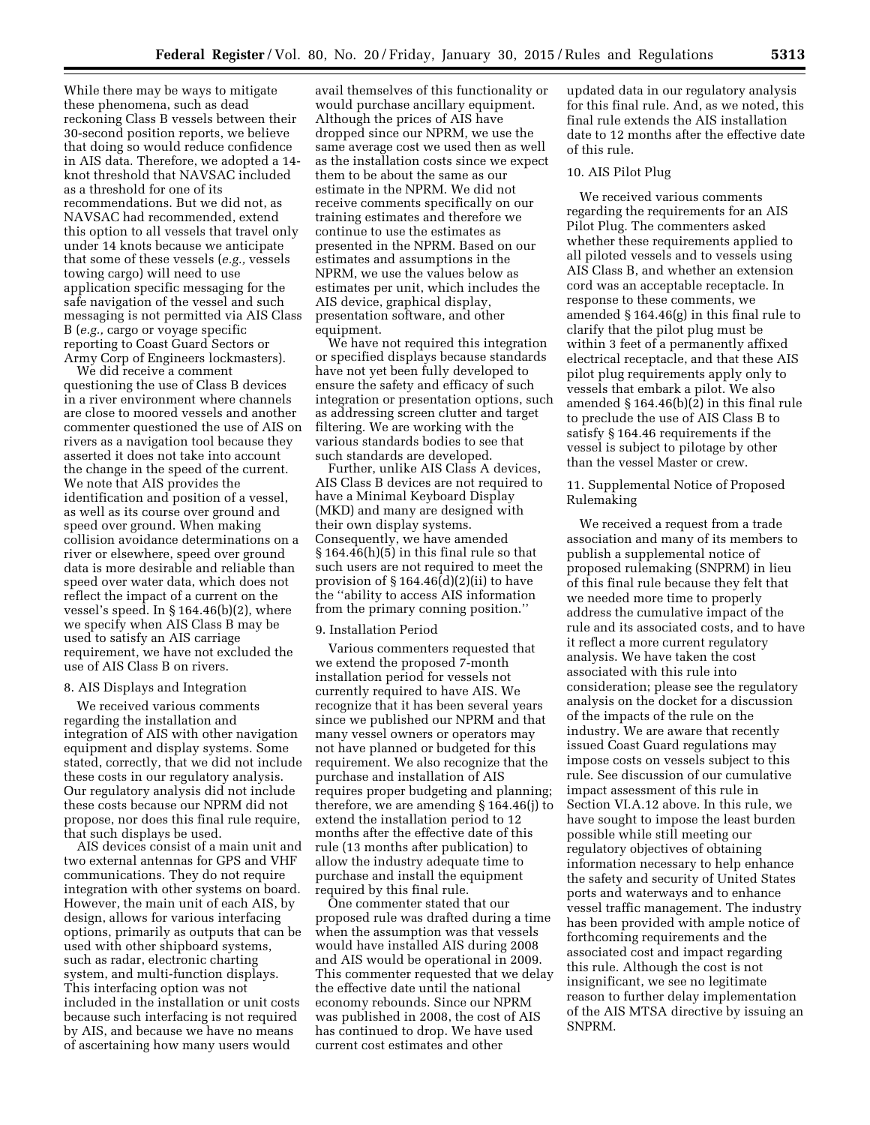While there may be ways to mitigate these phenomena, such as dead reckoning Class B vessels between their 30-second position reports, we believe that doing so would reduce confidence in AIS data. Therefore, we adopted a 14 knot threshold that NAVSAC included as a threshold for one of its recommendations. But we did not, as NAVSAC had recommended, extend this option to all vessels that travel only under 14 knots because we anticipate that some of these vessels (*e.g.,* vessels towing cargo) will need to use application specific messaging for the safe navigation of the vessel and such messaging is not permitted via AIS Class B (*e.g.,* cargo or voyage specific reporting to Coast Guard Sectors or Army Corp of Engineers lockmasters).

We did receive a comment questioning the use of Class B devices in a river environment where channels are close to moored vessels and another commenter questioned the use of AIS on rivers as a navigation tool because they asserted it does not take into account the change in the speed of the current. We note that AIS provides the identification and position of a vessel, as well as its course over ground and speed over ground. When making collision avoidance determinations on a river or elsewhere, speed over ground data is more desirable and reliable than speed over water data, which does not reflect the impact of a current on the vessel's speed. In  $\S 164.46(b)(2)$ , where we specify when AIS Class B may be used to satisfy an AIS carriage requirement, we have not excluded the use of AIS Class B on rivers.

## 8. AIS Displays and Integration

We received various comments regarding the installation and integration of AIS with other navigation equipment and display systems. Some stated, correctly, that we did not include these costs in our regulatory analysis. Our regulatory analysis did not include these costs because our NPRM did not propose, nor does this final rule require, that such displays be used.

AIS devices consist of a main unit and two external antennas for GPS and VHF communications. They do not require integration with other systems on board. However, the main unit of each AIS, by design, allows for various interfacing options, primarily as outputs that can be used with other shipboard systems, such as radar, electronic charting system, and multi-function displays. This interfacing option was not included in the installation or unit costs because such interfacing is not required by AIS, and because we have no means of ascertaining how many users would

avail themselves of this functionality or would purchase ancillary equipment. Although the prices of AIS have dropped since our NPRM, we use the same average cost we used then as well as the installation costs since we expect them to be about the same as our estimate in the NPRM. We did not receive comments specifically on our training estimates and therefore we continue to use the estimates as presented in the NPRM. Based on our estimates and assumptions in the NPRM, we use the values below as estimates per unit, which includes the AIS device, graphical display, presentation software, and other equipment.

We have not required this integration or specified displays because standards have not yet been fully developed to ensure the safety and efficacy of such integration or presentation options, such as addressing screen clutter and target filtering. We are working with the various standards bodies to see that such standards are developed.

Further, unlike AIS Class A devices, AIS Class B devices are not required to have a Minimal Keyboard Display (MKD) and many are designed with their own display systems. Consequently, we have amended § 164.46(h)(5) in this final rule so that such users are not required to meet the provision of § 164.46(d)(2)(ii) to have the ''ability to access AIS information from the primary conning position.''

#### 9. Installation Period

Various commenters requested that we extend the proposed 7-month installation period for vessels not currently required to have AIS. We recognize that it has been several years since we published our NPRM and that many vessel owners or operators may not have planned or budgeted for this requirement. We also recognize that the purchase and installation of AIS requires proper budgeting and planning; therefore, we are amending § 164.46(j) to extend the installation period to 12 months after the effective date of this rule (13 months after publication) to allow the industry adequate time to purchase and install the equipment required by this final rule.

One commenter stated that our proposed rule was drafted during a time when the assumption was that vessels would have installed AIS during 2008 and AIS would be operational in 2009. This commenter requested that we delay the effective date until the national economy rebounds. Since our NPRM was published in 2008, the cost of AIS has continued to drop. We have used current cost estimates and other

updated data in our regulatory analysis for this final rule. And, as we noted, this final rule extends the AIS installation date to 12 months after the effective date of this rule.

### 10. AIS Pilot Plug

We received various comments regarding the requirements for an AIS Pilot Plug. The commenters asked whether these requirements applied to all piloted vessels and to vessels using AIS Class B, and whether an extension cord was an acceptable receptacle. In response to these comments, we amended § 164.46(g) in this final rule to clarify that the pilot plug must be within 3 feet of a permanently affixed electrical receptacle, and that these AIS pilot plug requirements apply only to vessels that embark a pilot. We also amended § 164.46(b)(2) in this final rule to preclude the use of AIS Class B to satisfy § 164.46 requirements if the vessel is subject to pilotage by other than the vessel Master or crew.

## 11. Supplemental Notice of Proposed Rulemaking

We received a request from a trade association and many of its members to publish a supplemental notice of proposed rulemaking (SNPRM) in lieu of this final rule because they felt that we needed more time to properly address the cumulative impact of the rule and its associated costs, and to have it reflect a more current regulatory analysis. We have taken the cost associated with this rule into consideration; please see the regulatory analysis on the docket for a discussion of the impacts of the rule on the industry. We are aware that recently issued Coast Guard regulations may impose costs on vessels subject to this rule. See discussion of our cumulative impact assessment of this rule in Section VI.A.12 above. In this rule, we have sought to impose the least burden possible while still meeting our regulatory objectives of obtaining information necessary to help enhance the safety and security of United States ports and waterways and to enhance vessel traffic management. The industry has been provided with ample notice of forthcoming requirements and the associated cost and impact regarding this rule. Although the cost is not insignificant, we see no legitimate reason to further delay implementation of the AIS MTSA directive by issuing an SNPRM.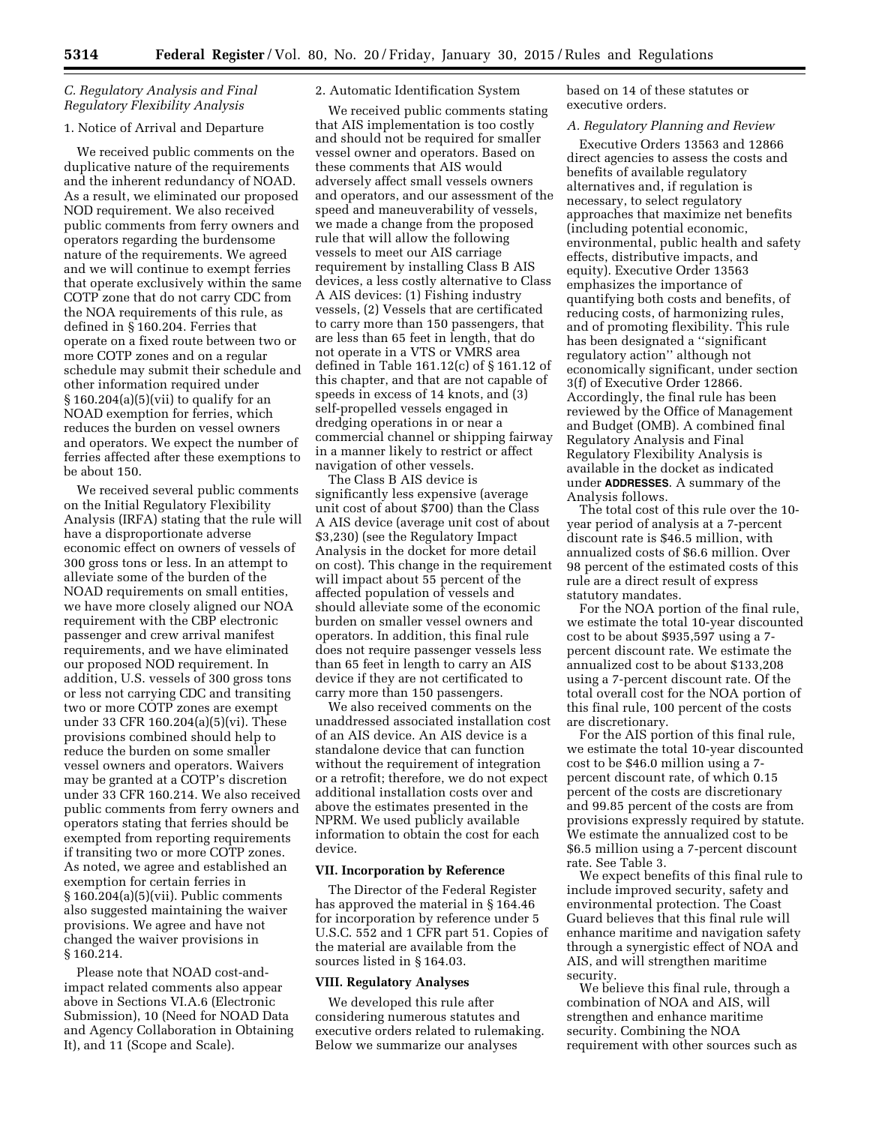## *C. Regulatory Analysis and Final Regulatory Flexibility Analysis*

# 1. Notice of Arrival and Departure

We received public comments on the duplicative nature of the requirements and the inherent redundancy of NOAD. As a result, we eliminated our proposed NOD requirement. We also received public comments from ferry owners and operators regarding the burdensome nature of the requirements. We agreed and we will continue to exempt ferries that operate exclusively within the same COTP zone that do not carry CDC from the NOA requirements of this rule, as defined in § 160.204. Ferries that operate on a fixed route between two or more COTP zones and on a regular schedule may submit their schedule and other information required under  $§ 160.204(a)(5)(vii)$  to qualify for an NOAD exemption for ferries, which reduces the burden on vessel owners and operators. We expect the number of ferries affected after these exemptions to be about 150.

We received several public comments on the Initial Regulatory Flexibility Analysis (IRFA) stating that the rule will have a disproportionate adverse economic effect on owners of vessels of 300 gross tons or less. In an attempt to alleviate some of the burden of the NOAD requirements on small entities, we have more closely aligned our NOA requirement with the CBP electronic passenger and crew arrival manifest requirements, and we have eliminated our proposed NOD requirement. In addition, U.S. vessels of 300 gross tons or less not carrying CDC and transiting two or more COTP zones are exempt under 33 CFR 160.204(a)(5)(vi). These provisions combined should help to reduce the burden on some smaller vessel owners and operators. Waivers may be granted at a COTP's discretion under 33 CFR 160.214. We also received public comments from ferry owners and operators stating that ferries should be exempted from reporting requirements if transiting two or more COTP zones. As noted, we agree and established an exemption for certain ferries in § 160.204(a)(5)(vii). Public comments also suggested maintaining the waiver provisions. We agree and have not changed the waiver provisions in § 160.214.

Please note that NOAD cost-andimpact related comments also appear above in Sections VI.A.6 (Electronic Submission), 10 (Need for NOAD Data and Agency Collaboration in Obtaining It), and 11 (Scope and Scale).

## 2. Automatic Identification System

We received public comments stating that AIS implementation is too costly and should not be required for smaller vessel owner and operators. Based on these comments that AIS would adversely affect small vessels owners and operators, and our assessment of the speed and maneuverability of vessels, we made a change from the proposed rule that will allow the following vessels to meet our AIS carriage requirement by installing Class B AIS devices, a less costly alternative to Class A AIS devices: (1) Fishing industry vessels, (2) Vessels that are certificated to carry more than 150 passengers, that are less than 65 feet in length, that do not operate in a VTS or VMRS area defined in Table 161.12(c) of § 161.12 of this chapter, and that are not capable of speeds in excess of 14 knots, and (3) self-propelled vessels engaged in dredging operations in or near a commercial channel or shipping fairway in a manner likely to restrict or affect navigation of other vessels.

The Class B AIS device is significantly less expensive (average unit cost of about \$700) than the Class A AIS device (average unit cost of about \$3,230) (see the Regulatory Impact Analysis in the docket for more detail on cost). This change in the requirement will impact about 55 percent of the affected population of vessels and should alleviate some of the economic burden on smaller vessel owners and operators. In addition, this final rule does not require passenger vessels less than 65 feet in length to carry an AIS device if they are not certificated to carry more than 150 passengers.

We also received comments on the unaddressed associated installation cost of an AIS device. An AIS device is a standalone device that can function without the requirement of integration or a retrofit; therefore, we do not expect additional installation costs over and above the estimates presented in the NPRM. We used publicly available information to obtain the cost for each device.

### **VII. Incorporation by Reference**

The Director of the Federal Register has approved the material in § 164.46 for incorporation by reference under 5 U.S.C. 552 and 1 CFR part 51. Copies of the material are available from the sources listed in § 164.03.

#### **VIII. Regulatory Analyses**

We developed this rule after considering numerous statutes and executive orders related to rulemaking. Below we summarize our analyses

based on 14 of these statutes or executive orders.

## *A. Regulatory Planning and Review*

Executive Orders 13563 and 12866 direct agencies to assess the costs and benefits of available regulatory alternatives and, if regulation is necessary, to select regulatory approaches that maximize net benefits (including potential economic, environmental, public health and safety effects, distributive impacts, and equity). Executive Order 13563 emphasizes the importance of quantifying both costs and benefits, of reducing costs, of harmonizing rules, and of promoting flexibility. This rule has been designated a ''significant regulatory action'' although not economically significant, under section 3(f) of Executive Order 12866. Accordingly, the final rule has been reviewed by the Office of Management and Budget (OMB). A combined final Regulatory Analysis and Final Regulatory Flexibility Analysis is available in the docket as indicated under **ADDRESSES**. A summary of the Analysis follows.

The total cost of this rule over the 10 year period of analysis at a 7-percent discount rate is \$46.5 million, with annualized costs of \$6.6 million. Over 98 percent of the estimated costs of this rule are a direct result of express statutory mandates.

For the NOA portion of the final rule, we estimate the total 10-year discounted cost to be about \$935,597 using a 7 percent discount rate. We estimate the annualized cost to be about \$133,208 using a 7-percent discount rate. Of the total overall cost for the NOA portion of this final rule, 100 percent of the costs are discretionary.

For the AIS portion of this final rule, we estimate the total 10-year discounted cost to be \$46.0 million using a 7 percent discount rate, of which 0.15 percent of the costs are discretionary and 99.85 percent of the costs are from provisions expressly required by statute. We estimate the annualized cost to be \$6.5 million using a 7-percent discount rate. See Table 3.

We expect benefits of this final rule to include improved security, safety and environmental protection. The Coast Guard believes that this final rule will enhance maritime and navigation safety through a synergistic effect of NOA and AIS, and will strengthen maritime security.

We believe this final rule, through a combination of NOA and AIS, will strengthen and enhance maritime security. Combining the NOA requirement with other sources such as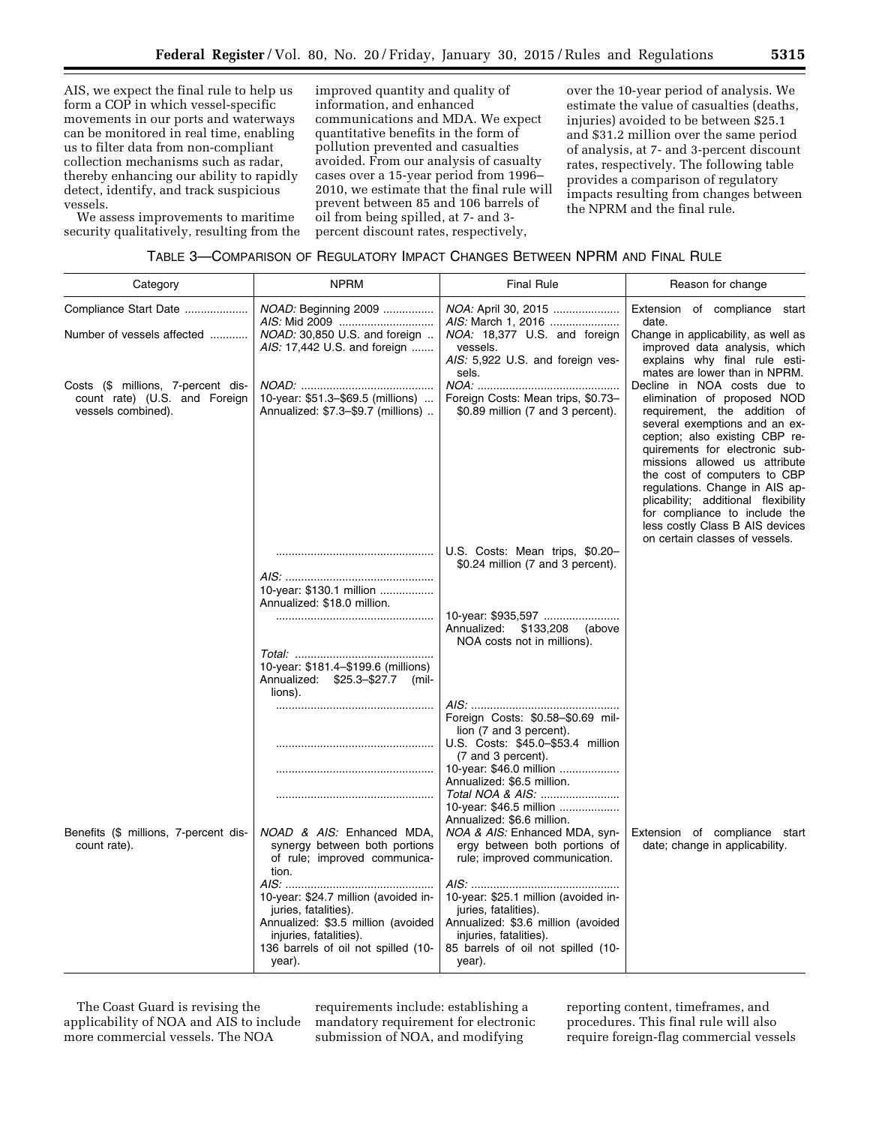AIS, we expect the final rule to help us form a COP in which vessel-specific movements in our ports and waterways can be monitored in real time, enabling us to filter data from non-compliant collection mechanisms such as radar, thereby enhancing our ability to rapidly detect, identify, and track suspicious vessels.

We assess improvements to maritime security qualitatively, resulting from the

improved quantity and quality of information, and enhanced communications and MDA. We expect quantitative benefits in the form of pollution prevented and casualties avoided. From our analysis of casualty cases over a 15-year period from 1996– 2010, we estimate that the final rule will prevent between 85 and 106 barrels of oil from being spilled, at 7- and 3 percent discount rates, respectively,

over the 10-year period of analysis. We estimate the value of casualties (deaths, injuries) avoided to be between \$25.1 and \$31.2 million over the same period of analysis, at 7- and 3-percent discount rates, respectively. The following table provides a comparison of regulatory impacts resulting from changes between the NPRM and the final rule.

| TABLE 3-COMPARISON OF REGULATORY IMPACT CHANGES BETWEEN NPRM AND FINAL RULE |  |
|-----------------------------------------------------------------------------|--|
|-----------------------------------------------------------------------------|--|

| Category                                                                                  | <b>NPRM</b>                                                                                                                                                                   | <b>Final Rule</b>                                                                                                                                                                                    | Reason for change                                                                                                                                                                                                                                                                                                                                                                                                                                                                |
|-------------------------------------------------------------------------------------------|-------------------------------------------------------------------------------------------------------------------------------------------------------------------------------|------------------------------------------------------------------------------------------------------------------------------------------------------------------------------------------------------|----------------------------------------------------------------------------------------------------------------------------------------------------------------------------------------------------------------------------------------------------------------------------------------------------------------------------------------------------------------------------------------------------------------------------------------------------------------------------------|
| Compliance Start Date<br>Number of vessels affected                                       | <i>NOAD:</i> Beginning 2009<br>NOAD: 30,850 U.S. and foreign<br>AIS: 17,442 U.S. and foreign                                                                                  | NOA: April 30, 2015<br>AIS: March 1, 2016<br>NOA: 18,377 U.S. and foreign<br>vessels.<br>AIS: 5,922 U.S. and foreign ves-                                                                            | Extension of compliance start<br>date.<br>Change in applicability, as well as<br>improved data analysis, which<br>explains why final rule esti-                                                                                                                                                                                                                                                                                                                                  |
| Costs (\$ millions, 7-percent dis-<br>count rate) (U.S. and Foreign<br>vessels combined). | 10-year: \$51.3-\$69.5 (millions)<br>Annualized: \$7.3-\$9.7 (millions)                                                                                                       | sels.<br>Foreign Costs: Mean trips, \$0.73-<br>\$0.89 million (7 and 3 percent).                                                                                                                     | mates are lower than in NPRM.<br>Decline in NOA costs due to<br>elimination of proposed NOD<br>requirement, the addition of<br>several exemptions and an ex-<br>ception; also existing CBP re-<br>quirements for electronic sub-<br>missions allowed us attribute<br>the cost of computers to CBP<br>regulations. Change in AIS ap-<br>plicability; additional flexibility<br>for compliance to include the<br>less costly Class B AIS devices<br>on certain classes of vessels. |
|                                                                                           | 10-year: \$130.1 million<br>Annualized: \$18.0 million.                                                                                                                       | U.S. Costs: Mean trips, \$0.20-<br>\$0.24 million (7 and 3 percent).                                                                                                                                 |                                                                                                                                                                                                                                                                                                                                                                                                                                                                                  |
|                                                                                           | 10-year: \$181.4-\$199.6 (millions)                                                                                                                                           | Annualized:<br>\$133,208<br>(above<br>NOA costs not in millions).                                                                                                                                    |                                                                                                                                                                                                                                                                                                                                                                                                                                                                                  |
|                                                                                           | Annualized: \$25.3-\$27.7 (mil-<br>lions).                                                                                                                                    |                                                                                                                                                                                                      |                                                                                                                                                                                                                                                                                                                                                                                                                                                                                  |
|                                                                                           |                                                                                                                                                                               | Foreign Costs: \$0.58-\$0.69 mil-<br>lion (7 and 3 percent).<br>U.S. Costs: \$45.0-\$53.4 million<br>(7 and 3 percent).<br>10-year: \$46.0 million<br>Annualized: \$6.5 million.<br>Total NOA & AIS: |                                                                                                                                                                                                                                                                                                                                                                                                                                                                                  |
| Benefits (\$ millions, 7-percent dis-<br>count rate).                                     | NOAD & AIS: Enhanced MDA,<br>synergy between both portions<br>of rule; improved communica-<br>tion.                                                                           | 10-year: \$46.5 million<br>Annualized: \$6.6 million.<br>NOA & AIS: Enhanced MDA, syn-<br>ergy between both portions of<br>rule; improved communication.                                             | Extension of compliance start<br>date; change in applicability.                                                                                                                                                                                                                                                                                                                                                                                                                  |
|                                                                                           | 10-year: \$24.7 million (avoided in-<br>juries, fatalities).<br>Annualized: \$3.5 million (avoided<br>injuries, fatalities).<br>136 barrels of oil not spilled (10-<br>year). | 10-year: \$25.1 million (avoided in-<br>juries, fatalities).<br>Annualized: \$3.6 million (avoided<br>injuries, fatalities).<br>85 barrels of oil not spilled (10-<br>year).                         |                                                                                                                                                                                                                                                                                                                                                                                                                                                                                  |

The Coast Guard is revising the applicability of NOA and AIS to include more commercial vessels. The NOA

requirements include: establishing a mandatory requirement for electronic submission of NOA, and modifying

reporting content, timeframes, and procedures. This final rule will also require foreign-flag commercial vessels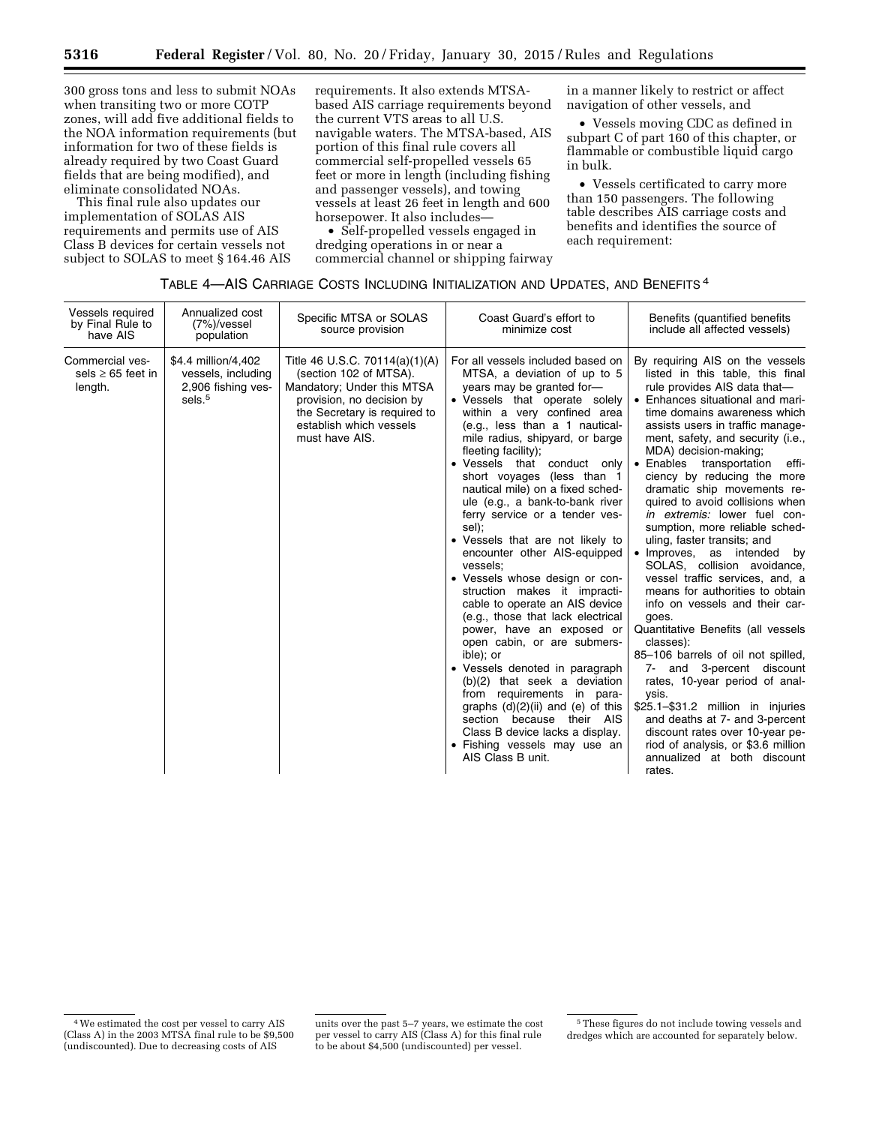300 gross tons and less to submit NOAs when transiting two or more COTP zones, will add five additional fields to the NOA information requirements (but information for two of these fields is already required by two Coast Guard fields that are being modified), and eliminate consolidated NOAs.

This final rule also updates our implementation of SOLAS AIS requirements and permits use of AIS Class B devices for certain vessels not subject to SOLAS to meet § 164.46 AIS

requirements. It also extends MTSAbased AIS carriage requirements beyond the current VTS areas to all U.S. navigable waters. The MTSA-based, AIS portion of this final rule covers all commercial self-propelled vessels 65 feet or more in length (including fishing and passenger vessels), and towing vessels at least 26 feet in length and 600 horsepower. It also includes—

• Self-propelled vessels engaged in dredging operations in or near a commercial channel or shipping fairway

in a manner likely to restrict or affect navigation of other vessels, and

• Vessels moving CDC as defined in subpart C of part 160 of this chapter, or flammable or combustible liquid cargo in bulk.

• Vessels certificated to carry more than 150 passengers. The following table describes AIS carriage costs and benefits and identifies the source of each requirement:

### TABLE 4—AIS CARRIAGE COSTS INCLUDING INITIALIZATION AND UPDATES, AND BENEFITS 4

| Vessels required<br>by Final Rule to<br>have AIS     | Annualized cost<br>$(7%)$ /vessel<br>population                                       | Specific MTSA or SOLAS<br>source provision                                                                                                                                                       | Coast Guard's effort to<br>minimize cost                                                                                                                                                                                                                                                                                                                                                                                                                                                                                                                                                                                                                                                                                                                                                                                                                                                                                                                                                                     | Benefits (quantified benefits<br>include all affected vessels)                                                                                                                                                                                                                                                                                                                                                                                                                                                                                                                                                                                                                                                                                                                                                                                                                                                                                                                                                                                                              |
|------------------------------------------------------|---------------------------------------------------------------------------------------|--------------------------------------------------------------------------------------------------------------------------------------------------------------------------------------------------|--------------------------------------------------------------------------------------------------------------------------------------------------------------------------------------------------------------------------------------------------------------------------------------------------------------------------------------------------------------------------------------------------------------------------------------------------------------------------------------------------------------------------------------------------------------------------------------------------------------------------------------------------------------------------------------------------------------------------------------------------------------------------------------------------------------------------------------------------------------------------------------------------------------------------------------------------------------------------------------------------------------|-----------------------------------------------------------------------------------------------------------------------------------------------------------------------------------------------------------------------------------------------------------------------------------------------------------------------------------------------------------------------------------------------------------------------------------------------------------------------------------------------------------------------------------------------------------------------------------------------------------------------------------------------------------------------------------------------------------------------------------------------------------------------------------------------------------------------------------------------------------------------------------------------------------------------------------------------------------------------------------------------------------------------------------------------------------------------------|
| Commercial ves-<br>sels $\geq$ 65 feet in<br>length. | \$4.4 million/4,402<br>vessels, including<br>2,906 fishing ves-<br>sels. <sup>5</sup> | Title 46 U.S.C. 70114(a)(1)(A)<br>(section 102 of MTSA).<br>Mandatory; Under this MTSA<br>provision, no decision by<br>the Secretary is required to<br>establish which vessels<br>must have AIS. | For all vessels included based on<br>MTSA, a deviation of up to 5<br>years may be granted for-<br>• Vessels that operate solely<br>within a very confined area<br>(e.g., less than a 1 nautical-<br>mile radius, shipyard, or barge<br>fleeting facility);<br>• Vessels that conduct only<br>short voyages (less than 1<br>nautical mile) on a fixed sched-<br>ule (e.g., a bank-to-bank river<br>ferry service or a tender ves-<br>sel);<br>• Vessels that are not likely to<br>encounter other AIS-equipped<br>vessels:<br>• Vessels whose design or con-<br>struction makes it impracti-<br>cable to operate an AIS device<br>(e.g., those that lack electrical<br>power, have an exposed or<br>open cabin, or are submers-<br>ible); or<br>• Vessels denoted in paragraph<br>(b)(2) that seek a deviation<br>requirements in para-<br>from<br>graphs $(d)(2)(ii)$ and $(e)$ of this<br>section because their AIS<br>Class B device lacks a display.<br>• Fishing vessels may use an<br>AIS Class B unit. | By requiring AIS on the vessels<br>listed in this table, this final<br>rule provides AIS data that-<br>• Enhances situational and mari-<br>time domains awareness which<br>assists users in traffic manage-<br>ment, safety, and security (i.e.,<br>MDA) decision-making;<br>Enables transportation<br>$\bullet$<br>effi-<br>ciency by reducing the more<br>dramatic ship movements re-<br>quired to avoid collisions when<br><i>in extremis:</i> lower fuel con-<br>sumption, more reliable sched-<br>uling, faster transits; and<br>Improves, as intended<br>by<br>SOLAS, collision avoidance,<br>vessel traffic services, and, a<br>means for authorities to obtain<br>info on vessels and their car-<br>goes.<br>Quantitative Benefits (all vessels<br>classes):<br>85-106 barrels of oil not spilled,<br>7- and 3-percent discount<br>rates, 10-year period of anal-<br>ysis.<br>\$25.1-\$31.2 million in injuries<br>and deaths at 7- and 3-percent<br>discount rates over 10-year pe-<br>riod of analysis, or \$3.6 million<br>annualized at both discount<br>rates. |

<sup>4</sup>We estimated the cost per vessel to carry AIS (Class A) in the 2003 MTSA final rule to be \$9,500 (undiscounted). Due to decreasing costs of AIS

units over the past 5–7 years, we estimate the cost per vessel to carry AIS (Class A) for this final rule to be about \$4,500 (undiscounted) per vessel.

<sup>5</sup>These figures do not include towing vessels and dredges which are accounted for separately below.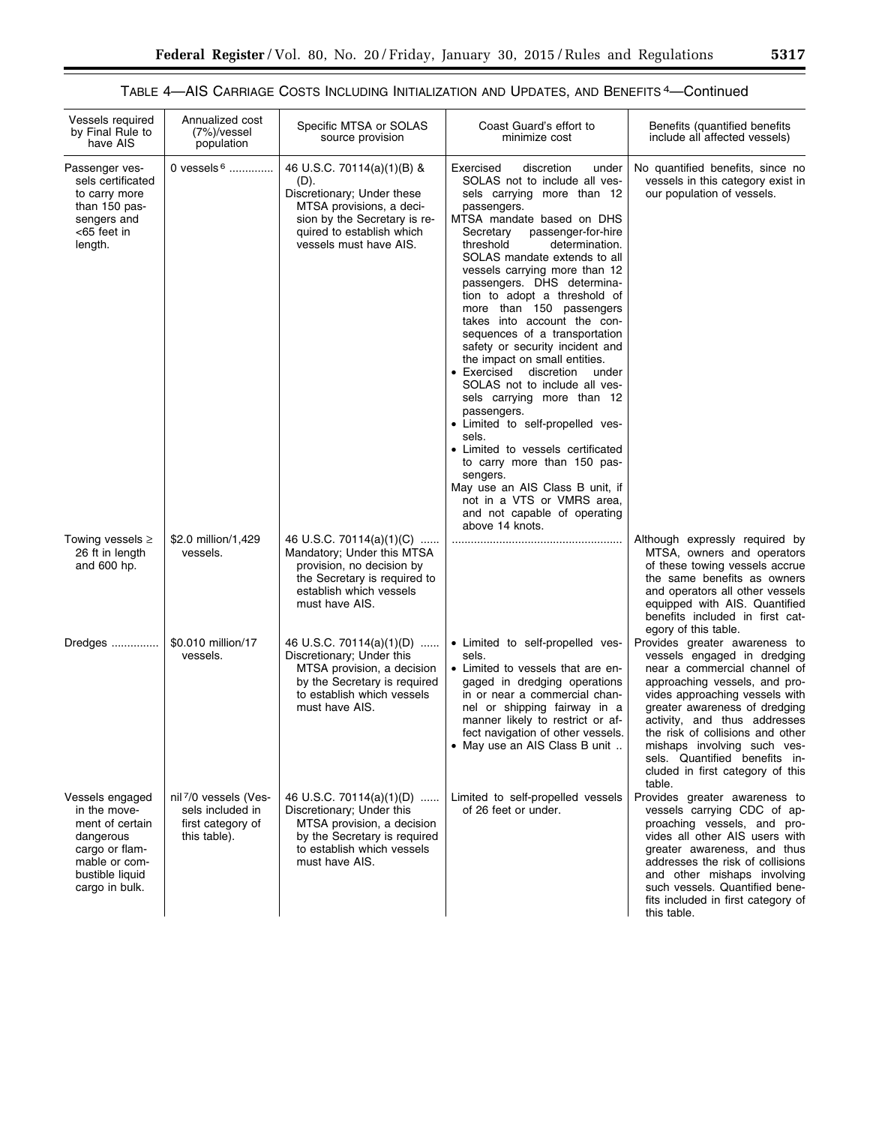# TABLE 4—AIS CARRIAGE COSTS INCLUDING INITIALIZATION AND UPDATES, AND BENEFITS 4—Continued

| Vessels required<br>by Final Rule to<br>have AIS                                                                                        | Annualized cost<br>$(7%)$ /vessel<br>population                                | Specific MTSA or SOLAS<br>source provision                                                                                                                                          | Coast Guard's effort to<br>minimize cost                                                                                                                                                                                                                                                                                                                                                                                                                                                                                                                                                                                                                                                                                                                                                                                                                                                  | Benefits (quantified benefits<br>include all affected vessels)                                                                                                                                                                                                                                                                                                                     |
|-----------------------------------------------------------------------------------------------------------------------------------------|--------------------------------------------------------------------------------|-------------------------------------------------------------------------------------------------------------------------------------------------------------------------------------|-------------------------------------------------------------------------------------------------------------------------------------------------------------------------------------------------------------------------------------------------------------------------------------------------------------------------------------------------------------------------------------------------------------------------------------------------------------------------------------------------------------------------------------------------------------------------------------------------------------------------------------------------------------------------------------------------------------------------------------------------------------------------------------------------------------------------------------------------------------------------------------------|------------------------------------------------------------------------------------------------------------------------------------------------------------------------------------------------------------------------------------------------------------------------------------------------------------------------------------------------------------------------------------|
| Passenger ves-<br>sels certificated<br>to carry more<br>than 150 pas-<br>sengers and<br><65 feet in<br>length.                          | 0 vessels $6$                                                                  | 46 U.S.C. 70114(a)(1)(B) &<br>(D).<br>Discretionary; Under these<br>MTSA provisions, a deci-<br>sion by the Secretary is re-<br>quired to establish which<br>vessels must have AIS. | Exercised<br>discretion<br>under<br>SOLAS not to include all ves-<br>sels carrying more than 12<br>passengers.<br>MTSA mandate based on DHS<br>passenger-for-hire<br>Secretary<br>threshold<br>determination.<br>SOLAS mandate extends to all<br>vessels carrying more than 12<br>passengers. DHS determina-<br>tion to adopt a threshold of<br>more than 150 passengers<br>takes into account the con-<br>sequences of a transportation<br>safety or security incident and<br>the impact on small entities.<br>$\bullet$ Exercised<br>discretion<br>under<br>SOLAS not to include all ves-<br>sels carrying more than 12<br>passengers.<br>• Limited to self-propelled ves-<br>sels.<br>• Limited to vessels certificated<br>to carry more than 150 pas-<br>sengers.<br>May use an AIS Class B unit, if<br>not in a VTS or VMRS area,<br>and not capable of operating<br>above 14 knots. | No quantified benefits, since no<br>vessels in this category exist in<br>our population of vessels.                                                                                                                                                                                                                                                                                |
| Towing vessels $\geq$<br>26 ft in length<br>and 600 hp.                                                                                 | \$2.0 million/1,429<br>vessels.                                                | 46 U.S.C. 70114(a)(1)(C)<br>Mandatory; Under this MTSA<br>provision, no decision by<br>the Secretary is required to<br>establish which vessels<br>must have AIS.                    |                                                                                                                                                                                                                                                                                                                                                                                                                                                                                                                                                                                                                                                                                                                                                                                                                                                                                           | Although expressly required by<br>MTSA, owners and operators<br>of these towing vessels accrue<br>the same benefits as owners<br>and operators all other vessels<br>equipped with AIS. Quantified<br>benefits included in first cat-<br>egory of this table.                                                                                                                       |
| Dredges                                                                                                                                 | \$0.010 million/17<br>vessels.                                                 | 46 U.S.C. 70114(a)(1)(D)<br>Discretionary; Under this<br>MTSA provision, a decision<br>by the Secretary is required<br>to establish which vessels<br>must have AIS.                 | • Limited to self-propelled ves-<br>sels.<br>• Limited to vessels that are en-<br>gaged in dredging operations<br>in or near a commercial chan-<br>nel or shipping fairway in a<br>manner likely to restrict or af-<br>fect navigation of other vessels.<br>• May use an AIS Class B unit                                                                                                                                                                                                                                                                                                                                                                                                                                                                                                                                                                                                 | Provides greater awareness to<br>vessels engaged in dredging<br>near a commercial channel of<br>approaching vessels, and pro-<br>vides approaching vessels with<br>greater awareness of dredging<br>activity, and thus addresses<br>the risk of collisions and other<br>mishaps involving such ves-<br>sels. Quantified benefits in-<br>cluded in first category of this<br>table. |
| Vessels engaged<br>in the move-<br>ment of certain<br>dangerous<br>cargo or flam-<br>mable or com-<br>bustible liquid<br>cargo in bulk. | nil 7/0 vessels (Ves-<br>sels included in<br>first category of<br>this table). | 46 U.S.C. 70114(a)(1)(D)<br>Discretionary; Under this<br>MTSA provision, a decision<br>by the Secretary is required<br>to establish which vessels<br>must have AIS.                 | Limited to self-propelled vessels<br>of 26 feet or under.                                                                                                                                                                                                                                                                                                                                                                                                                                                                                                                                                                                                                                                                                                                                                                                                                                 | Provides greater awareness to<br>vessels carrying CDC of ap-<br>proaching vessels, and pro-<br>vides all other AIS users with<br>greater awareness, and thus<br>addresses the risk of collisions<br>and other mishaps involving<br>such vessels. Quantified bene-<br>fits included in first category of<br>this table.                                                             |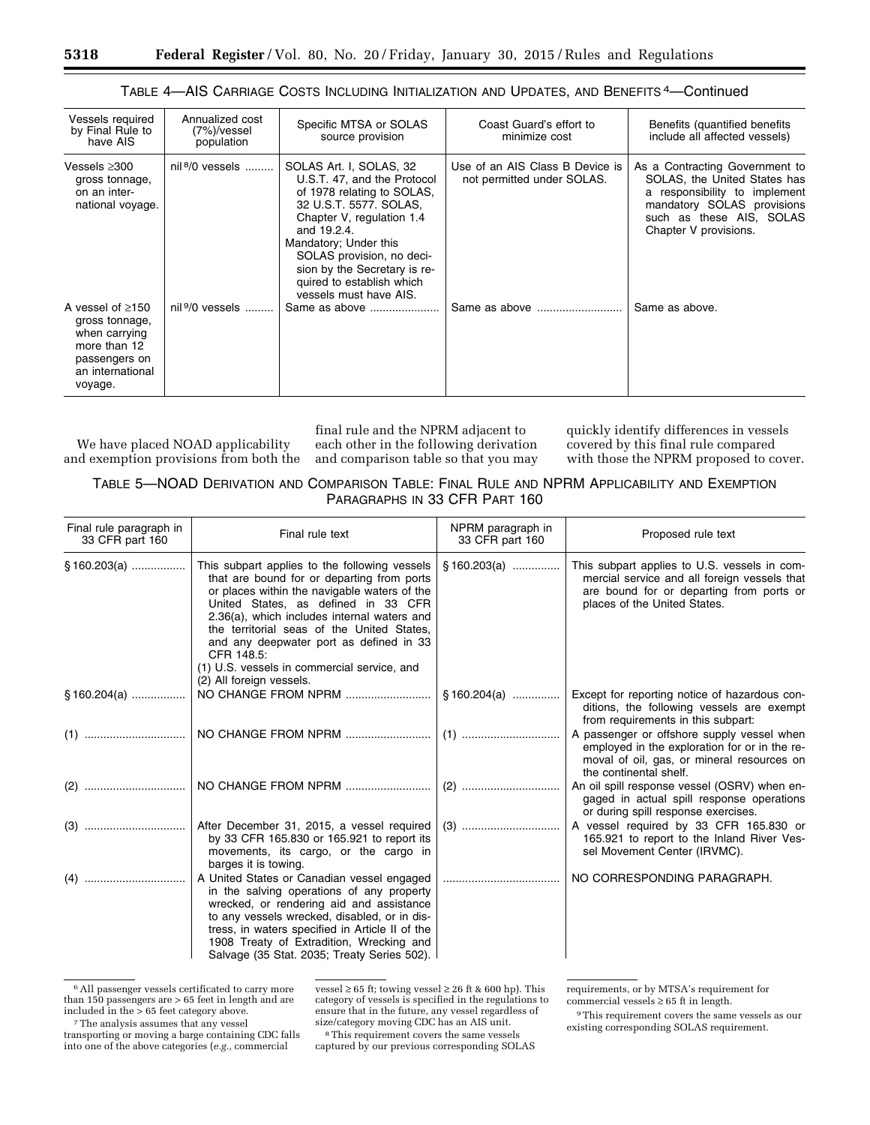| Vessels required<br>by Final Rule to<br>have AIS                                                                          | Annualized cost<br>(7%)/vessel<br>population | Specific MTSA or SOLAS<br>source provision                                                                                                                                                                                                                                                              | Coast Guard's effort to<br>minimize cost                      | Benefits (quantified benefits)<br>include all affected vessels)                                                                                                                    |
|---------------------------------------------------------------------------------------------------------------------------|----------------------------------------------|---------------------------------------------------------------------------------------------------------------------------------------------------------------------------------------------------------------------------------------------------------------------------------------------------------|---------------------------------------------------------------|------------------------------------------------------------------------------------------------------------------------------------------------------------------------------------|
| Vessels ≥300<br>gross tonnage,<br>on an inter-<br>national voyage.                                                        | nil $8/0$ vessels                            | SOLAS Art. I, SOLAS, 32<br>U.S.T. 47, and the Protocol<br>of 1978 relating to SOLAS.<br>32 U.S.T. 5577. SOLAS,<br>Chapter V, regulation 1.4<br>and 19.2.4.<br>Mandatory; Under this<br>SOLAS provision, no deci-<br>sion by the Secretary is re-<br>quired to establish which<br>vessels must have AIS. | Use of an AIS Class B Device is<br>not permitted under SOLAS. | As a Contracting Government to<br>SOLAS, the United States has<br>a responsibility to implement<br>mandatory SOLAS provisions<br>such as these AIS, SOLAS<br>Chapter V provisions. |
| A vessel of $\geq$ 150<br>gross tonnage,<br>when carrying<br>more than 12<br>passengers on<br>an international<br>voyage. | nil $9/0$ vessels                            | Same as above                                                                                                                                                                                                                                                                                           |                                                               | Same as above.                                                                                                                                                                     |

## TABLE 4—AIS CARRIAGE COSTS INCLUDING INITIALIZATION AND UPDATES, AND BENEFITS 4—Continued

We have placed NOAD applicability and exemption provisions from both the

final rule and the NPRM adjacent to each other in the following derivation and comparison table so that you may quickly identify differences in vessels covered by this final rule compared with those the NPRM proposed to cover.

TABLE 5—NOAD DERIVATION AND COMPARISON TABLE: FINAL RULE AND NPRM APPLICABILITY AND EXEMPTION PARAGRAPHS IN 33 CFR PART 160

| Final rule paragraph in<br>33 CFR part 160 | Final rule text                                                                                                                                                                                                                                                                                                                                                                                                     | NPRM paragraph in<br>33 CFR part 160 | Proposed rule text                                                                                                                                                       |
|--------------------------------------------|---------------------------------------------------------------------------------------------------------------------------------------------------------------------------------------------------------------------------------------------------------------------------------------------------------------------------------------------------------------------------------------------------------------------|--------------------------------------|--------------------------------------------------------------------------------------------------------------------------------------------------------------------------|
| $§ 160.203(a)$                             | This subpart applies to the following vessels<br>that are bound for or departing from ports<br>or places within the navigable waters of the<br>United States, as defined in 33 CFR<br>2.36(a), which includes internal waters and<br>the territorial seas of the United States,<br>and any deepwater port as defined in 33<br>CFR 148.5:<br>(1) U.S. vessels in commercial service, and<br>(2) All foreign vessels. | §160.203(a)                          | This subpart applies to U.S. vessels in com-<br>mercial service and all foreign vessels that<br>are bound for or departing from ports or<br>places of the United States. |
| $§ 160.204(a)$                             | NO CHANGE FROM NPRM                                                                                                                                                                                                                                                                                                                                                                                                 | §160.204(a)                          | Except for reporting notice of hazardous con-<br>ditions, the following vessels are exempt<br>from requirements in this subpart:                                         |
|                                            |                                                                                                                                                                                                                                                                                                                                                                                                                     |                                      | A passenger or offshore supply vessel when<br>employed in the exploration for or in the re-<br>moval of oil, gas, or mineral resources on<br>the continental shelf.      |
|                                            |                                                                                                                                                                                                                                                                                                                                                                                                                     |                                      | An oil spill response vessel (OSRV) when en-<br>gaged in actual spill response operations<br>or during spill response exercises.                                         |
|                                            | After December 31, 2015, a vessel required<br>by 33 CFR 165.830 or 165.921 to report its<br>movements, its cargo, or the cargo in<br>barges it is towing.                                                                                                                                                                                                                                                           |                                      | A vessel required by 33 CFR 165.830 or<br>165.921 to report to the Inland River Ves-<br>sel Movement Center (IRVMC).                                                     |
|                                            | A United States or Canadian vessel engaged<br>in the salving operations of any property<br>wrecked, or rendering aid and assistance<br>to any vessels wrecked, disabled, or in dis-<br>tress, in waters specified in Article II of the<br>1908 Treaty of Extradition, Wrecking and<br>Salvage (35 Stat. 2035; Treaty Series 502).                                                                                   |                                      | NO CORRESPONDING PARAGRAPH.                                                                                                                                              |

6All passenger vessels certificated to carry more than 150 passengers are > 65 feet in length and are included in the > 65 feet category above. vessel  $\geq 65$  ft; towing vessel  $\geq 26$  ft & 600 hp). This category of vessels is specified in the regulations to ensure that in the future, any vessel regardless of size/category moving CDC has an AIS unit.

8This requirement covers the same vessels captured by our previous corresponding SOLAS requirements, or by MTSA's requirement for commercial vessels  $\geq 65$  ft in length.

9This requirement covers the same vessels as our existing corresponding SOLAS requirement.

<sup>7</sup>The analysis assumes that any vessel transporting or moving a barge containing CDC falls into one of the above categories (*e.g.,* commercial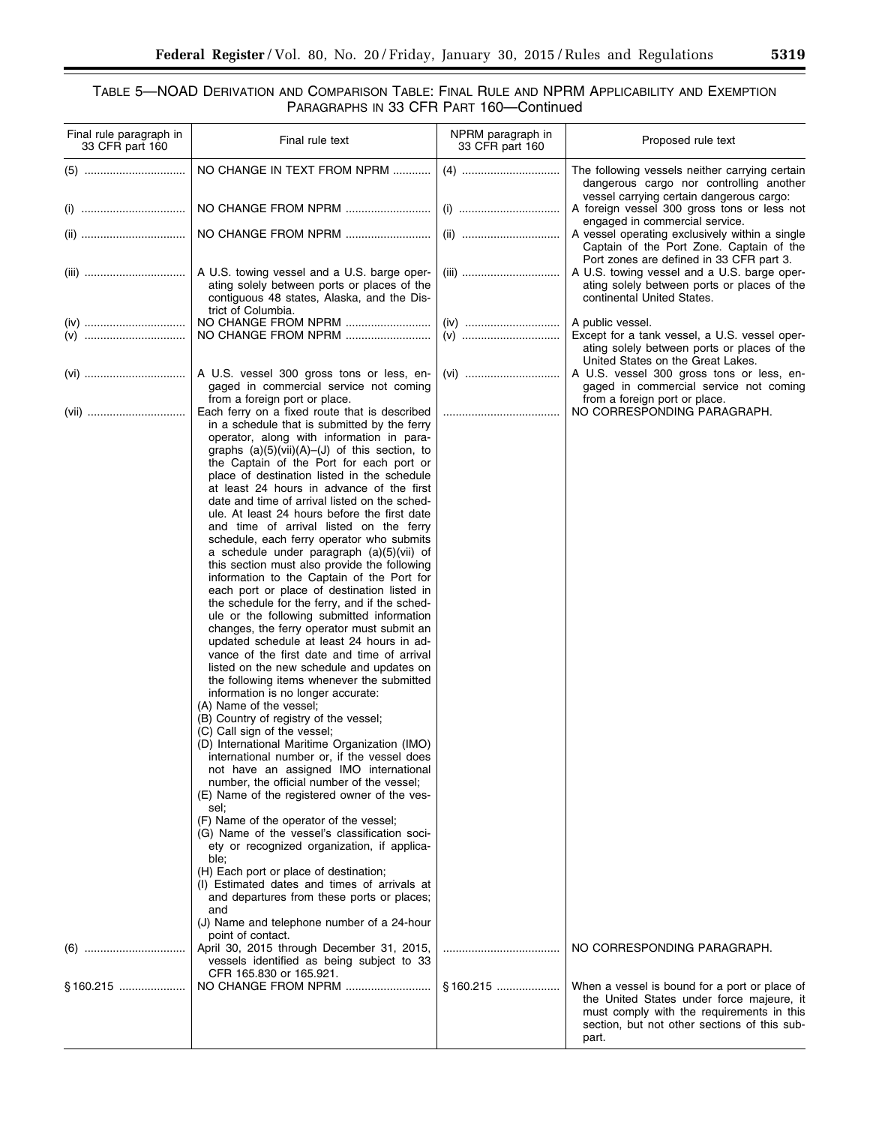## TABLE 5—NOAD DERIVATION AND COMPARISON TABLE: FINAL RULE AND NPRM APPLICABILITY AND EXEMPTION PARAGRAPHS IN 33 CFR PART 160—Continued

| Final rule paragraph in<br>33 CFR part 160 | Final rule text                                                                                                                                                                                                                                                                                                                                                                                                                                                                                                                                                                                                                                                                                                                                                                                                                                                                                                                                                                                                                                                                                                                                                                                                                                                                                                                                                                                                                                                                                                                                                                                                                                                                                                                                                                                                                                                                                                                                          | NPRM paragraph in<br>33 CFR part 160 | Proposed rule text                                                                                                                                                                      |
|--------------------------------------------|----------------------------------------------------------------------------------------------------------------------------------------------------------------------------------------------------------------------------------------------------------------------------------------------------------------------------------------------------------------------------------------------------------------------------------------------------------------------------------------------------------------------------------------------------------------------------------------------------------------------------------------------------------------------------------------------------------------------------------------------------------------------------------------------------------------------------------------------------------------------------------------------------------------------------------------------------------------------------------------------------------------------------------------------------------------------------------------------------------------------------------------------------------------------------------------------------------------------------------------------------------------------------------------------------------------------------------------------------------------------------------------------------------------------------------------------------------------------------------------------------------------------------------------------------------------------------------------------------------------------------------------------------------------------------------------------------------------------------------------------------------------------------------------------------------------------------------------------------------------------------------------------------------------------------------------------------------|--------------------------------------|-----------------------------------------------------------------------------------------------------------------------------------------------------------------------------------------|
|                                            | NO CHANGE IN TEXT FROM NPRM                                                                                                                                                                                                                                                                                                                                                                                                                                                                                                                                                                                                                                                                                                                                                                                                                                                                                                                                                                                                                                                                                                                                                                                                                                                                                                                                                                                                                                                                                                                                                                                                                                                                                                                                                                                                                                                                                                                              |                                      | The following vessels neither carrying certain<br>dangerous cargo nor controlling another<br>vessel carrying certain dangerous cargo:                                                   |
|                                            |                                                                                                                                                                                                                                                                                                                                                                                                                                                                                                                                                                                                                                                                                                                                                                                                                                                                                                                                                                                                                                                                                                                                                                                                                                                                                                                                                                                                                                                                                                                                                                                                                                                                                                                                                                                                                                                                                                                                                          |                                      | A foreign vessel 300 gross tons or less not<br>engaged in commercial service.                                                                                                           |
|                                            | NO CHANGE FROM NPRM                                                                                                                                                                                                                                                                                                                                                                                                                                                                                                                                                                                                                                                                                                                                                                                                                                                                                                                                                                                                                                                                                                                                                                                                                                                                                                                                                                                                                                                                                                                                                                                                                                                                                                                                                                                                                                                                                                                                      |                                      | A vessel operating exclusively within a single<br>Captain of the Port Zone. Captain of the                                                                                              |
|                                            | A U.S. towing vessel and a U.S. barge oper-<br>ating solely between ports or places of the<br>contiguous 48 states, Alaska, and the Dis-<br>trict of Columbia.                                                                                                                                                                                                                                                                                                                                                                                                                                                                                                                                                                                                                                                                                                                                                                                                                                                                                                                                                                                                                                                                                                                                                                                                                                                                                                                                                                                                                                                                                                                                                                                                                                                                                                                                                                                           |                                      | Port zones are defined in 33 CFR part 3.<br>A U.S. towing vessel and a U.S. barge oper-<br>ating solely between ports or places of the<br>continental United States.                    |
|                                            | NO CHANGE FROM NPRM<br>NO CHANGE FROM NPRM                                                                                                                                                                                                                                                                                                                                                                                                                                                                                                                                                                                                                                                                                                                                                                                                                                                                                                                                                                                                                                                                                                                                                                                                                                                                                                                                                                                                                                                                                                                                                                                                                                                                                                                                                                                                                                                                                                               |                                      | A public vessel.<br>Except for a tank vessel, a U.S. vessel oper-<br>ating solely between ports or places of the                                                                        |
|                                            | A U.S. vessel 300 gross tons or less, en-<br>gaged in commercial service not coming                                                                                                                                                                                                                                                                                                                                                                                                                                                                                                                                                                                                                                                                                                                                                                                                                                                                                                                                                                                                                                                                                                                                                                                                                                                                                                                                                                                                                                                                                                                                                                                                                                                                                                                                                                                                                                                                      |                                      | United States on the Great Lakes.<br>A U.S. vessel 300 gross tons or less, en-<br>gaged in commercial service not coming                                                                |
| (vii)                                      | from a foreign port or place.<br>Each ferry on a fixed route that is described<br>in a schedule that is submitted by the ferry<br>operator, along with information in para-<br>graphs $(a)(5)(vii)(A)$ –(J) of this section, to<br>the Captain of the Port for each port or<br>place of destination listed in the schedule<br>at least 24 hours in advance of the first<br>date and time of arrival listed on the sched-<br>ule. At least 24 hours before the first date<br>and time of arrival listed on the ferry<br>schedule, each ferry operator who submits<br>a schedule under paragraph (a)(5)(vii) of<br>this section must also provide the following<br>information to the Captain of the Port for<br>each port or place of destination listed in<br>the schedule for the ferry, and if the sched-<br>ule or the following submitted information<br>changes, the ferry operator must submit an<br>updated schedule at least 24 hours in ad-<br>vance of the first date and time of arrival<br>listed on the new schedule and updates on<br>the following items whenever the submitted<br>information is no longer accurate:<br>(A) Name of the vessel;<br>(B) Country of registry of the vessel;<br>(C) Call sign of the vessel;<br>(D) International Maritime Organization (IMO)<br>international number or, if the vessel does<br>not have an assigned IMO international<br>number, the official number of the vessel;<br>(E) Name of the registered owner of the ves-<br>sel:<br>(F) Name of the operator of the vessel;<br>(G) Name of the vessel's classification soci-<br>ety or recognized organization, if applica-<br>ble;<br>(H) Each port or place of destination;<br>(I) Estimated dates and times of arrivals at<br>and departures from these ports or places;<br>and<br>(J) Name and telephone number of a 24-hour<br>point of contact.<br>April 30, 2015 through December 31, 2015,<br>vessels identified as being subject to 33 |                                      | from a foreign port or place.<br>NO CORRESPONDING PARAGRAPH.<br>NO CORRESPONDING PARAGRAPH.                                                                                             |
|                                            | CFR 165.830 or 165.921.<br>NO CHANGE FROM NPRM                                                                                                                                                                                                                                                                                                                                                                                                                                                                                                                                                                                                                                                                                                                                                                                                                                                                                                                                                                                                                                                                                                                                                                                                                                                                                                                                                                                                                                                                                                                                                                                                                                                                                                                                                                                                                                                                                                           | §160.215                             | When a vessel is bound for a port or place of<br>the United States under force majeure, it<br>must comply with the requirements in this<br>section, but not other sections of this sub- |
|                                            |                                                                                                                                                                                                                                                                                                                                                                                                                                                                                                                                                                                                                                                                                                                                                                                                                                                                                                                                                                                                                                                                                                                                                                                                                                                                                                                                                                                                                                                                                                                                                                                                                                                                                                                                                                                                                                                                                                                                                          |                                      | part.                                                                                                                                                                                   |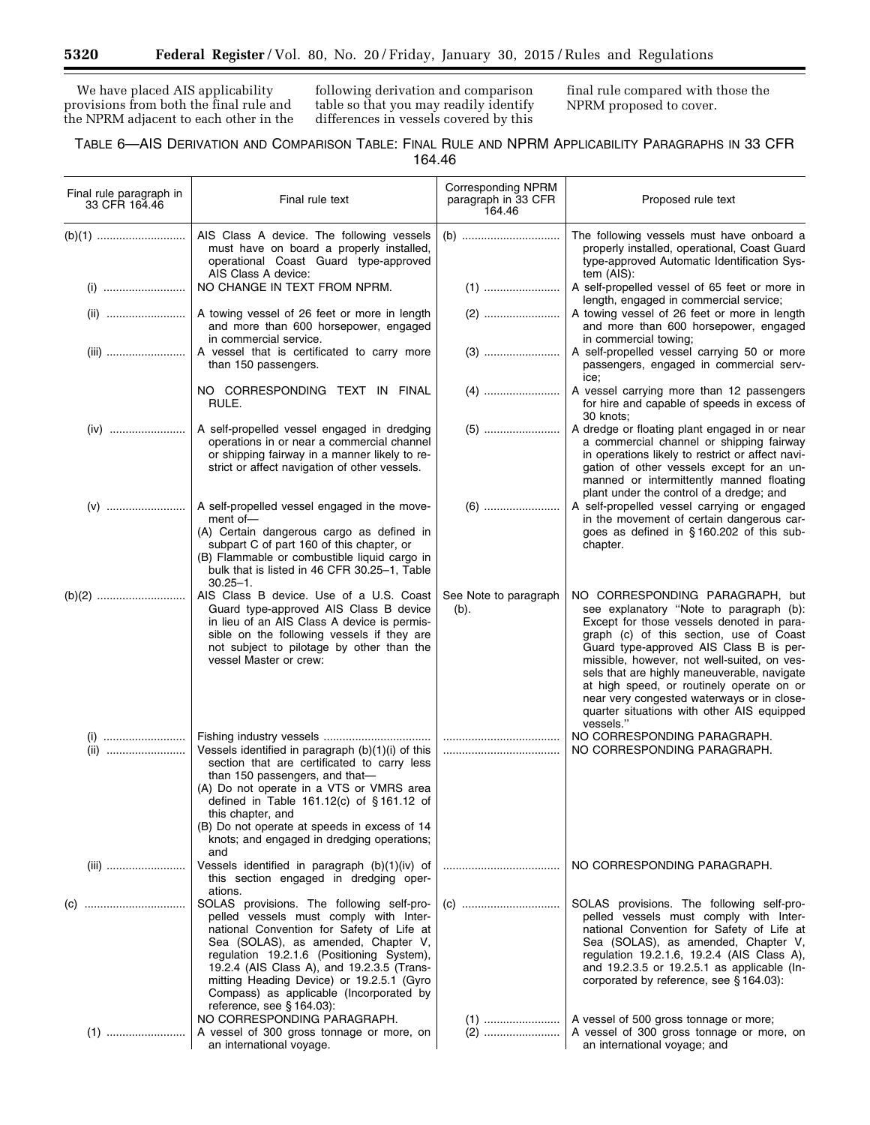We have placed AIS applicability provisions from both the final rule and the NPRM adjacent to each other in the

following derivation and comparison table so that you may readily identify differences in vessels covered by this

final rule compared with those the NPRM proposed to cover.

## TABLE 6—AIS DERIVATION AND COMPARISON TABLE: FINAL RULE AND NPRM APPLICABILITY PARAGRAPHS IN 33 CFR 164.46

| Final rule paragraph in<br>33 CFR 164.46 | Final rule text                                                                                                                                                                                                                                                                                                                                                                                    | <b>Corresponding NPRM</b><br>paragraph in 33 CFR<br>164.46 | Proposed rule text                                                                                                                                                                                                                                                                                                                                                                                                                                                |
|------------------------------------------|----------------------------------------------------------------------------------------------------------------------------------------------------------------------------------------------------------------------------------------------------------------------------------------------------------------------------------------------------------------------------------------------------|------------------------------------------------------------|-------------------------------------------------------------------------------------------------------------------------------------------------------------------------------------------------------------------------------------------------------------------------------------------------------------------------------------------------------------------------------------------------------------------------------------------------------------------|
|                                          | AIS Class A device. The following vessels<br>must have on board a properly installed,<br>operational Coast Guard type-approved                                                                                                                                                                                                                                                                     |                                                            | The following vessels must have onboard a<br>properly installed, operational, Coast Guard<br>type-approved Automatic Identification Sys-                                                                                                                                                                                                                                                                                                                          |
|                                          | AIS Class A device:<br>NO CHANGE IN TEXT FROM NPRM.                                                                                                                                                                                                                                                                                                                                                |                                                            | tem $(AIS)$ :<br>A self-propelled vessel of 65 feet or more in                                                                                                                                                                                                                                                                                                                                                                                                    |
|                                          | A towing vessel of 26 feet or more in length<br>and more than 600 horsepower, engaged                                                                                                                                                                                                                                                                                                              |                                                            | length, engaged in commercial service;<br>A towing vessel of 26 feet or more in length<br>and more than 600 horsepower, engaged                                                                                                                                                                                                                                                                                                                                   |
|                                          | in commercial service.<br>A vessel that is certificated to carry more<br>than 150 passengers.                                                                                                                                                                                                                                                                                                      |                                                            | in commercial towing;<br>A self-propelled vessel carrying 50 or more<br>passengers, engaged in commercial serv-<br>ice;                                                                                                                                                                                                                                                                                                                                           |
|                                          | NO CORRESPONDING TEXT IN FINAL<br>RULE.                                                                                                                                                                                                                                                                                                                                                            |                                                            | A vessel carrying more than 12 passengers<br>for hire and capable of speeds in excess of<br>30 knots;                                                                                                                                                                                                                                                                                                                                                             |
|                                          | A self-propelled vessel engaged in dredging<br>operations in or near a commercial channel<br>or shipping fairway in a manner likely to re-<br>strict or affect navigation of other vessels.                                                                                                                                                                                                        |                                                            | (5)    A dredge or floating plant engaged in or near<br>a commercial channel or shipping fairway<br>in operations likely to restrict or affect navi-<br>gation of other vessels except for an un-<br>manned or intermittently manned floating                                                                                                                                                                                                                     |
|                                          | A self-propelled vessel engaged in the move-<br>ment of-                                                                                                                                                                                                                                                                                                                                           |                                                            | plant under the control of a dredge; and<br>A self-propelled vessel carrying or engaged                                                                                                                                                                                                                                                                                                                                                                           |
|                                          | (A) Certain dangerous cargo as defined in<br>subpart C of part 160 of this chapter, or<br>(B) Flammable or combustible liquid cargo in<br>bulk that is listed in 46 CFR 30.25-1, Table<br>$30.25 - 1$ .                                                                                                                                                                                            |                                                            | in the movement of certain dangerous car-<br>goes as defined in §160.202 of this sub-<br>chapter.                                                                                                                                                                                                                                                                                                                                                                 |
|                                          | AIS Class B device. Use of a U.S. Coast<br>Guard type-approved AIS Class B device<br>in lieu of an AIS Class A device is permis-<br>sible on the following vessels if they are<br>not subject to pilotage by other than the<br>vessel Master or crew:                                                                                                                                              | See Note to paragraph<br>$(b)$ .                           | NO CORRESPONDING PARAGRAPH, but<br>see explanatory "Note to paragraph (b):<br>Except for those vessels denoted in para-<br>graph (c) of this section, use of Coast<br>Guard type-approved AIS Class B is per-<br>missible, however, not well-suited, on ves-<br>sels that are highly maneuverable, navigate<br>at high speed, or routinely operate on or<br>near very congested waterways or in close-<br>quarter situations with other AIS equipped<br>vessels." |
| (i)<br>(ii)                              | Vessels identified in paragraph (b)(1)(i) of this<br>section that are certificated to carry less<br>than 150 passengers, and that-                                                                                                                                                                                                                                                                 |                                                            | NO CORRESPONDING PARAGRAPH.<br>NO CORRESPONDING PARAGRAPH.                                                                                                                                                                                                                                                                                                                                                                                                        |
|                                          | (A) Do not operate in a VTS or VMRS area<br>defined in Table 161.12(c) of §161.12 of<br>this chapter, and<br>(B) Do not operate at speeds in excess of 14<br>knots; and engaged in dredging operations;                                                                                                                                                                                            |                                                            |                                                                                                                                                                                                                                                                                                                                                                                                                                                                   |
|                                          | and<br>Vessels identified in paragraph (b)(1)(iv) of<br>this section engaged in dredging oper-                                                                                                                                                                                                                                                                                                     |                                                            | NO CORRESPONDING PARAGRAPH.                                                                                                                                                                                                                                                                                                                                                                                                                                       |
|                                          | ations.<br>SOLAS provisions. The following self-pro-<br>pelled vessels must comply with Inter-<br>national Convention for Safety of Life at<br>Sea (SOLAS), as amended, Chapter V,<br>regulation 19.2.1.6 (Positioning System),<br>19.2.4 (AIS Class A), and 19.2.3.5 (Trans-<br>mitting Heading Device) or 19.2.5.1 (Gyro<br>Compass) as applicable (Incorporated by<br>reference, see § 164.03): |                                                            | SOLAS provisions. The following self-pro-<br>pelled vessels must comply with Inter-<br>national Convention for Safety of Life at<br>Sea (SOLAS), as amended, Chapter V,<br>regulation 19.2.1.6, 19.2.4 (AIS Class A),<br>and 19.2.3.5 or 19.2.5.1 as applicable (In-<br>corporated by reference, see § 164.03):                                                                                                                                                   |
|                                          | NO CORRESPONDING PARAGRAPH.<br>A vessel of 300 gross tonnage or more, on<br>an international voyage.                                                                                                                                                                                                                                                                                               |                                                            | A vessel of 500 gross tonnage or more;<br>A vessel of 300 gross tonnage or more, on<br>an international voyage; and                                                                                                                                                                                                                                                                                                                                               |

Ξ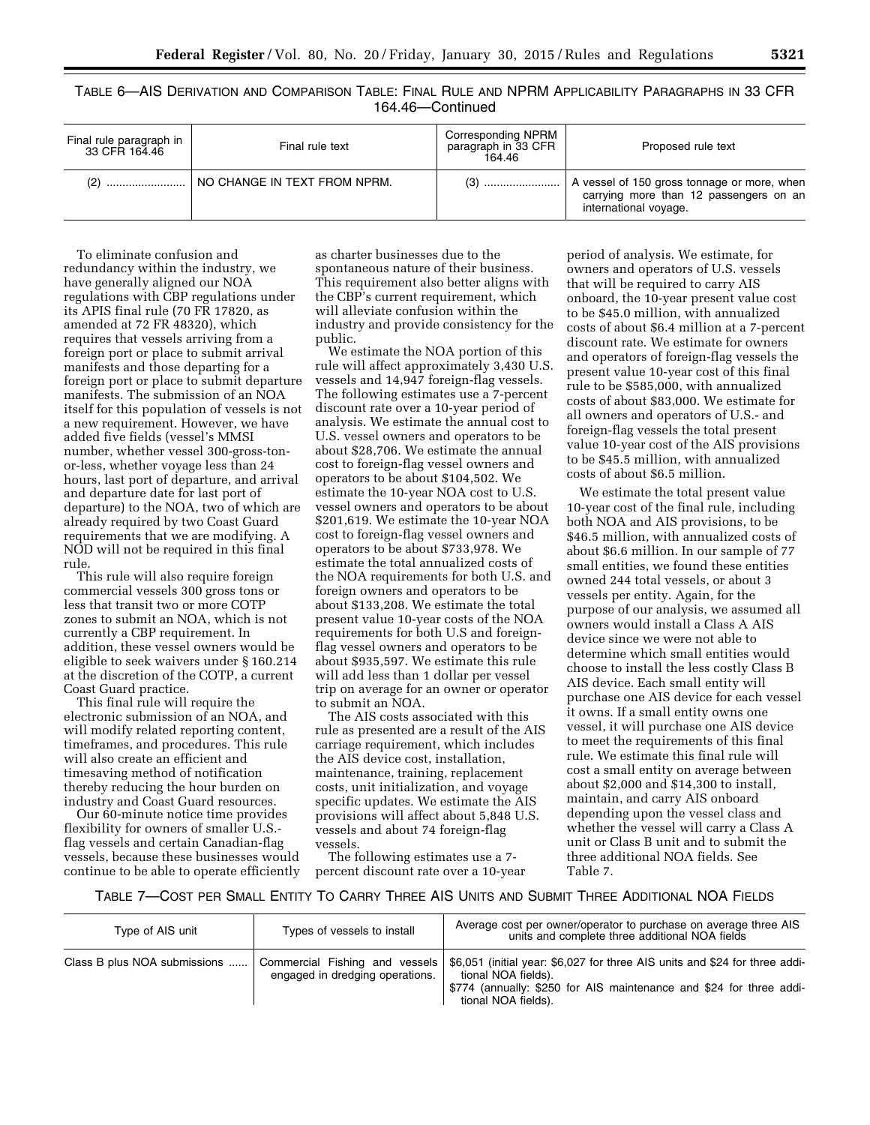TABLE 6—AIS DERIVATION AND COMPARISON TABLE: FINAL RULE AND NPRM APPLICABILITY PARAGRAPHS IN 33 CFR 164.46—Continued

| Final rule paragraph in<br>33 CFR 164.46 | Final rule text              | <b>Corresponding NPRM</b><br>paragraph in 33 CFR<br>164.46 | Proposed rule text                                                                                             |
|------------------------------------------|------------------------------|------------------------------------------------------------|----------------------------------------------------------------------------------------------------------------|
| (2)                                      | NO CHANGE IN TEXT FROM NPRM. | (3) !                                                      | A vessel of 150 gross tonnage or more, when<br>carrying more than 12 passengers on an<br>international voyage. |

To eliminate confusion and redundancy within the industry, we have generally aligned our NOA regulations with CBP regulations under its APIS final rule (70 FR 17820, as amended at 72 FR 48320), which requires that vessels arriving from a foreign port or place to submit arrival manifests and those departing for a foreign port or place to submit departure manifests. The submission of an NOA itself for this population of vessels is not a new requirement. However, we have added five fields (vessel's MMSI number, whether vessel 300-gross-tonor-less, whether voyage less than 24 hours, last port of departure, and arrival and departure date for last port of departure) to the NOA, two of which are already required by two Coast Guard requirements that we are modifying. A NOD will not be required in this final rule.

This rule will also require foreign commercial vessels 300 gross tons or less that transit two or more COTP zones to submit an NOA, which is not currently a CBP requirement. In addition, these vessel owners would be eligible to seek waivers under § 160.214 at the discretion of the COTP, a current Coast Guard practice.

This final rule will require the electronic submission of an NOA, and will modify related reporting content, timeframes, and procedures. This rule will also create an efficient and timesaving method of notification thereby reducing the hour burden on industry and Coast Guard resources.

Our 60-minute notice time provides flexibility for owners of smaller U.S. flag vessels and certain Canadian-flag vessels, because these businesses would continue to be able to operate efficiently

as charter businesses due to the spontaneous nature of their business. This requirement also better aligns with the CBP's current requirement, which will alleviate confusion within the industry and provide consistency for the public.

We estimate the NOA portion of this rule will affect approximately 3,430 U.S. vessels and 14,947 foreign-flag vessels. The following estimates use a 7-percent discount rate over a 10-year period of analysis. We estimate the annual cost to U.S. vessel owners and operators to be about \$28,706. We estimate the annual cost to foreign-flag vessel owners and operators to be about \$104,502. We estimate the 10-year NOA cost to U.S. vessel owners and operators to be about \$201,619. We estimate the 10-year NOA cost to foreign-flag vessel owners and operators to be about \$733,978. We estimate the total annualized costs of the NOA requirements for both U.S. and foreign owners and operators to be about \$133,208. We estimate the total present value 10-year costs of the NOA requirements for both U.S and foreignflag vessel owners and operators to be about \$935,597. We estimate this rule will add less than 1 dollar per vessel trip on average for an owner or operator to submit an NOA.

The AIS costs associated with this rule as presented are a result of the AIS carriage requirement, which includes the AIS device cost, installation, maintenance, training, replacement costs, unit initialization, and voyage specific updates. We estimate the AIS provisions will affect about 5,848 U.S. vessels and about 74 foreign-flag vessels.

The following estimates use a 7 percent discount rate over a 10-year

period of analysis. We estimate, for owners and operators of U.S. vessels that will be required to carry AIS onboard, the 10-year present value cost to be \$45.0 million, with annualized costs of about \$6.4 million at a 7-percent discount rate. We estimate for owners and operators of foreign-flag vessels the present value 10-year cost of this final rule to be \$585,000, with annualized costs of about \$83,000. We estimate for all owners and operators of U.S.- and foreign-flag vessels the total present value 10-year cost of the AIS provisions to be \$45.5 million, with annualized costs of about \$6.5 million.

We estimate the total present value 10-year cost of the final rule, including both NOA and AIS provisions, to be \$46.5 million, with annualized costs of about \$6.6 million. In our sample of 77 small entities, we found these entities owned 244 total vessels, or about 3 vessels per entity. Again, for the purpose of our analysis, we assumed all owners would install a Class A AIS device since we were not able to determine which small entities would choose to install the less costly Class B AIS device. Each small entity will purchase one AIS device for each vessel it owns. If a small entity owns one vessel, it will purchase one AIS device to meet the requirements of this final rule. We estimate this final rule will cost a small entity on average between about \$2,000 and \$14,300 to install, maintain, and carry AIS onboard depending upon the vessel class and whether the vessel will carry a Class A unit or Class B unit and to submit the three additional NOA fields. See Table 7.

TABLE 7—COST PER SMALL ENTITY TO CARRY THREE AIS UNITS AND SUBMIT THREE ADDITIONAL NOA FIELDS

| Type of AIS unit             | Types of vessels to install                                       | Average cost per owner/operator to purchase on average three AIS<br>units and complete three additional NOA fields                                                                               |
|------------------------------|-------------------------------------------------------------------|--------------------------------------------------------------------------------------------------------------------------------------------------------------------------------------------------|
| Class B plus NOA submissions | Commercial Fishing and vessels<br>engaged in dredging operations. | \$6,051 (initial year: \$6,027 for three AIS units and \$24 for three addi-<br>tional NOA fields).<br>\$774 (annually: \$250 for AIS maintenance and \$24 for three addi-<br>tional NOA fields). |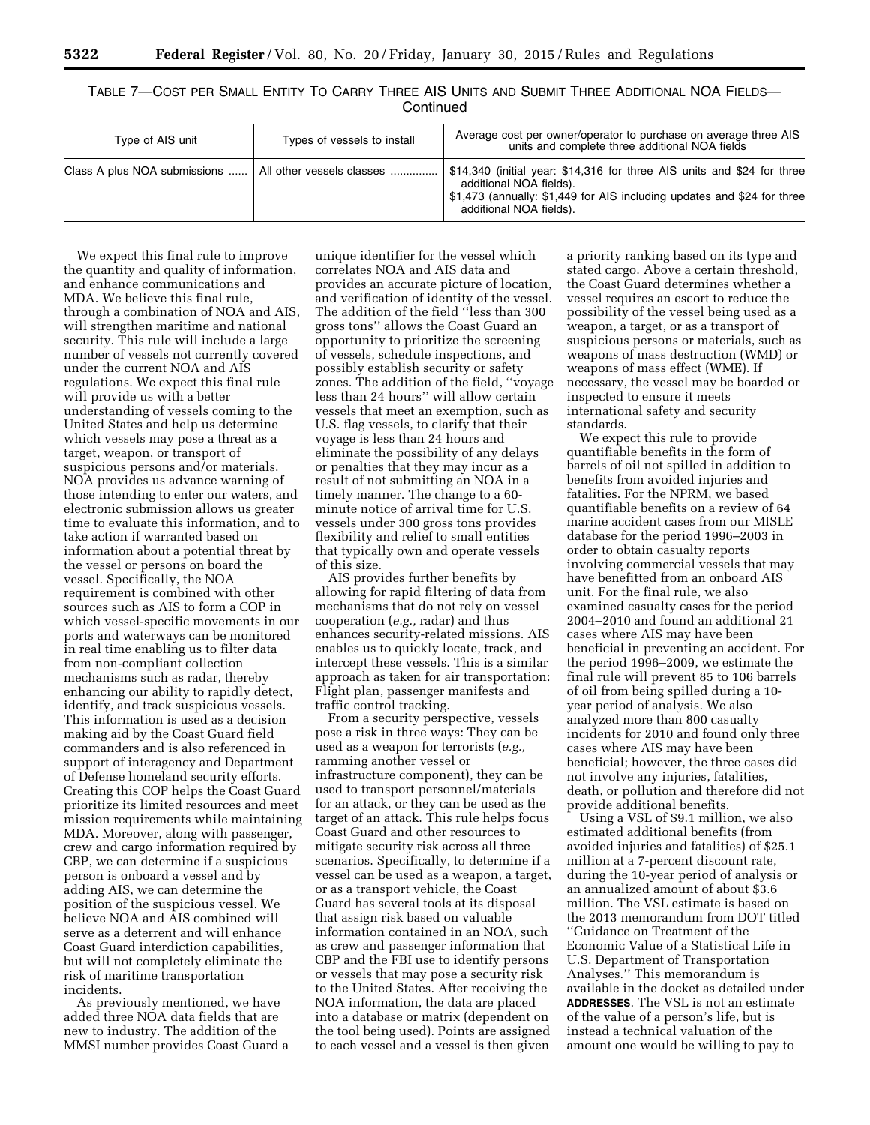## TABLE 7—COST PER SMALL ENTITY TO CARRY THREE AIS UNITS AND SUBMIT THREE ADDITIONAL NOA FIELDS— **Continued**

| Type of AIS unit             | Types of vessels to install | Average cost per owner/operator to purchase on average three AIS<br>units and complete three additional NOA fields                                                                                       |
|------------------------------|-----------------------------|----------------------------------------------------------------------------------------------------------------------------------------------------------------------------------------------------------|
| Class A plus NOA submissions | All other vessels classes   | \$14,340 (initial year: \$14,316 for three AIS units and \$24 for three<br>additional NOA fields).<br>\$1,473 (annually: \$1,449 for AIS including updates and \$24 for three<br>additional NOA fields). |

We expect this final rule to improve the quantity and quality of information, and enhance communications and MDA. We believe this final rule, through a combination of NOA and AIS, will strengthen maritime and national security. This rule will include a large number of vessels not currently covered under the current NOA and AIS regulations. We expect this final rule will provide us with a better understanding of vessels coming to the United States and help us determine which vessels may pose a threat as a target, weapon, or transport of suspicious persons and/or materials. NOA provides us advance warning of those intending to enter our waters, and electronic submission allows us greater time to evaluate this information, and to take action if warranted based on information about a potential threat by the vessel or persons on board the vessel. Specifically, the NOA requirement is combined with other sources such as AIS to form a COP in which vessel-specific movements in our ports and waterways can be monitored in real time enabling us to filter data from non-compliant collection mechanisms such as radar, thereby enhancing our ability to rapidly detect, identify, and track suspicious vessels. This information is used as a decision making aid by the Coast Guard field commanders and is also referenced in support of interagency and Department of Defense homeland security efforts. Creating this COP helps the Coast Guard prioritize its limited resources and meet mission requirements while maintaining MDA. Moreover, along with passenger, crew and cargo information required by CBP, we can determine if a suspicious person is onboard a vessel and by adding AIS, we can determine the position of the suspicious vessel. We believe NOA and AIS combined will serve as a deterrent and will enhance Coast Guard interdiction capabilities, but will not completely eliminate the risk of maritime transportation incidents.

As previously mentioned, we have added three NOA data fields that are new to industry. The addition of the MMSI number provides Coast Guard a

unique identifier for the vessel which correlates NOA and AIS data and provides an accurate picture of location, and verification of identity of the vessel. The addition of the field ''less than 300 gross tons'' allows the Coast Guard an opportunity to prioritize the screening of vessels, schedule inspections, and possibly establish security or safety zones. The addition of the field, ''voyage less than 24 hours'' will allow certain vessels that meet an exemption, such as U.S. flag vessels, to clarify that their voyage is less than 24 hours and eliminate the possibility of any delays or penalties that they may incur as a result of not submitting an NOA in a timely manner. The change to a 60 minute notice of arrival time for U.S. vessels under 300 gross tons provides flexibility and relief to small entities that typically own and operate vessels of this size.

AIS provides further benefits by allowing for rapid filtering of data from mechanisms that do not rely on vessel cooperation (*e.g.,* radar) and thus enhances security-related missions. AIS enables us to quickly locate, track, and intercept these vessels. This is a similar approach as taken for air transportation: Flight plan, passenger manifests and traffic control tracking.

From a security perspective, vessels pose a risk in three ways: They can be used as a weapon for terrorists (*e.g.,*  ramming another vessel or infrastructure component), they can be used to transport personnel/materials for an attack, or they can be used as the target of an attack. This rule helps focus Coast Guard and other resources to mitigate security risk across all three scenarios. Specifically, to determine if a vessel can be used as a weapon, a target, or as a transport vehicle, the Coast Guard has several tools at its disposal that assign risk based on valuable information contained in an NOA, such as crew and passenger information that CBP and the FBI use to identify persons or vessels that may pose a security risk to the United States. After receiving the NOA information, the data are placed into a database or matrix (dependent on the tool being used). Points are assigned to each vessel and a vessel is then given

a priority ranking based on its type and stated cargo. Above a certain threshold, the Coast Guard determines whether a vessel requires an escort to reduce the possibility of the vessel being used as a weapon, a target, or as a transport of suspicious persons or materials, such as weapons of mass destruction (WMD) or weapons of mass effect (WME). If necessary, the vessel may be boarded or inspected to ensure it meets international safety and security standards.

We expect this rule to provide quantifiable benefits in the form of barrels of oil not spilled in addition to benefits from avoided injuries and fatalities. For the NPRM, we based quantifiable benefits on a review of 64 marine accident cases from our MISLE database for the period 1996–2003 in order to obtain casualty reports involving commercial vessels that may have benefitted from an onboard AIS unit. For the final rule, we also examined casualty cases for the period 2004–2010 and found an additional 21 cases where AIS may have been beneficial in preventing an accident. For the period 1996–2009, we estimate the final rule will prevent 85 to 106 barrels of oil from being spilled during a 10 year period of analysis. We also analyzed more than 800 casualty incidents for 2010 and found only three cases where AIS may have been beneficial; however, the three cases did not involve any injuries, fatalities, death, or pollution and therefore did not provide additional benefits.

Using a VSL of \$9.1 million, we also estimated additional benefits (from avoided injuries and fatalities) of \$25.1 million at a 7-percent discount rate, during the 10-year period of analysis or an annualized amount of about \$3.6 million. The VSL estimate is based on the 2013 memorandum from DOT titled ''Guidance on Treatment of the Economic Value of a Statistical Life in U.S. Department of Transportation Analyses.'' This memorandum is available in the docket as detailed under **ADDRESSES**. The VSL is not an estimate of the value of a person's life, but is instead a technical valuation of the amount one would be willing to pay to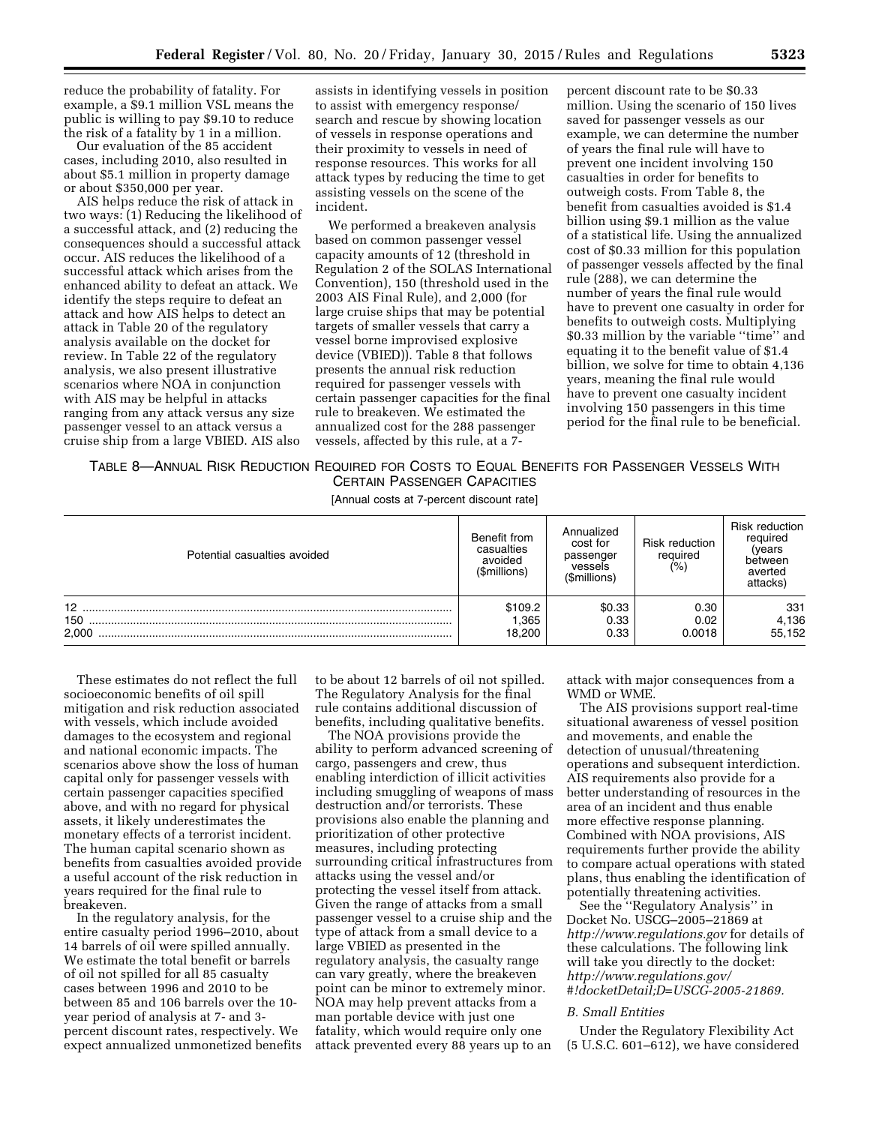reduce the probability of fatality. For example, a \$9.1 million VSL means the public is willing to pay \$9.10 to reduce the risk of a fatality by 1 in a million.

Our evaluation of the 85 accident cases, including 2010, also resulted in about \$5.1 million in property damage or about \$350,000 per year.

AIS helps reduce the risk of attack in two ways: (1) Reducing the likelihood of a successful attack, and (2) reducing the consequences should a successful attack occur. AIS reduces the likelihood of a successful attack which arises from the enhanced ability to defeat an attack. We identify the steps require to defeat an attack and how AIS helps to detect an attack in Table 20 of the regulatory analysis available on the docket for review. In Table 22 of the regulatory analysis, we also present illustrative scenarios where NOA in conjunction with AIS may be helpful in attacks ranging from any attack versus any size passenger vessel to an attack versus a cruise ship from a large VBIED. AIS also

assists in identifying vessels in position to assist with emergency response/ search and rescue by showing location of vessels in response operations and their proximity to vessels in need of response resources. This works for all attack types by reducing the time to get assisting vessels on the scene of the incident.

We performed a breakeven analysis based on common passenger vessel capacity amounts of 12 (threshold in Regulation 2 of the SOLAS International Convention), 150 (threshold used in the 2003 AIS Final Rule), and 2,000 (for large cruise ships that may be potential targets of smaller vessels that carry a vessel borne improvised explosive device (VBIED)). Table 8 that follows presents the annual risk reduction required for passenger vessels with certain passenger capacities for the final rule to breakeven. We estimated the annualized cost for the 288 passenger vessels, affected by this rule, at a 7-

percent discount rate to be \$0.33 million. Using the scenario of 150 lives saved for passenger vessels as our example, we can determine the number of years the final rule will have to prevent one incident involving 150 casualties in order for benefits to outweigh costs. From Table 8, the benefit from casualties avoided is \$1.4 billion using \$9.1 million as the value of a statistical life. Using the annualized cost of \$0.33 million for this population of passenger vessels affected by the final rule (288), we can determine the number of years the final rule would have to prevent one casualty in order for benefits to outweigh costs. Multiplying \$0.33 million by the variable ''time'' and equating it to the benefit value of \$1.4 billion, we solve for time to obtain 4,136 years, meaning the final rule would have to prevent one casualty incident involving 150 passengers in this time period for the final rule to be beneficial.

TABLE 8—ANNUAL RISK REDUCTION REQUIRED FOR COSTS TO EQUAL BENEFITS FOR PASSENGER VESSELS WITH CERTAIN PASSENGER CAPACITIES

[Annual costs at 7-percent discount rate]

| Potential casualties avoided    | Benefit from<br>casualties<br>avoided<br>(\$millions) | Annualized<br>cost for<br>passenger<br>vessels<br>(\$millions) | Risk reduction<br>required<br>(%) | <b>Risk reduction</b><br>required<br>(vears<br>between<br>averted<br>attacks) |
|---------------------------------|-------------------------------------------------------|----------------------------------------------------------------|-----------------------------------|-------------------------------------------------------------------------------|
| 12 <sup>2</sup><br>150<br>2.000 | \$109.2<br>1,365<br>18,200                            | \$0.33<br>0.33<br>0.33                                         | 0.30<br>0.02<br>0.0018            | 331<br>4,136<br>55,152                                                        |

These estimates do not reflect the full socioeconomic benefits of oil spill mitigation and risk reduction associated with vessels, which include avoided damages to the ecosystem and regional and national economic impacts. The scenarios above show the loss of human capital only for passenger vessels with certain passenger capacities specified above, and with no regard for physical assets, it likely underestimates the monetary effects of a terrorist incident. The human capital scenario shown as benefits from casualties avoided provide a useful account of the risk reduction in years required for the final rule to breakeven.

In the regulatory analysis, for the entire casualty period 1996–2010, about 14 barrels of oil were spilled annually. We estimate the total benefit or barrels of oil not spilled for all 85 casualty cases between 1996 and 2010 to be between 85 and 106 barrels over the 10 year period of analysis at 7- and 3 percent discount rates, respectively. We expect annualized unmonetized benefits

to be about 12 barrels of oil not spilled. The Regulatory Analysis for the final rule contains additional discussion of benefits, including qualitative benefits.

The NOA provisions provide the ability to perform advanced screening of cargo, passengers and crew, thus enabling interdiction of illicit activities including smuggling of weapons of mass destruction and/or terrorists. These provisions also enable the planning and prioritization of other protective measures, including protecting surrounding critical infrastructures from attacks using the vessel and/or protecting the vessel itself from attack. Given the range of attacks from a small passenger vessel to a cruise ship and the type of attack from a small device to a large VBIED as presented in the regulatory analysis, the casualty range can vary greatly, where the breakeven point can be minor to extremely minor. NOA may help prevent attacks from a man portable device with just one fatality, which would require only one attack prevented every 88 years up to an

attack with major consequences from a WMD or WME.

The AIS provisions support real-time situational awareness of vessel position and movements, and enable the detection of unusual/threatening operations and subsequent interdiction. AIS requirements also provide for a better understanding of resources in the area of an incident and thus enable more effective response planning. Combined with NOA provisions, AIS requirements further provide the ability to compare actual operations with stated plans, thus enabling the identification of potentially threatening activities.

See the ''Regulatory Analysis'' in Docket No. USCG–2005–21869 at *<http://www.regulations.gov>* for details of these calculations. The following link will take you directly to the docket: *[http://www.regulations.gov/](http://www.regulations.gov/#!docketDetail;D=USCG-2005-21869) [#!docketDetail;D=USCG-2005-21869.](http://www.regulations.gov/#!docketDetail;D=USCG-2005-21869)* 

## *B. Small Entities*

Under the Regulatory Flexibility Act (5 U.S.C. 601–612), we have considered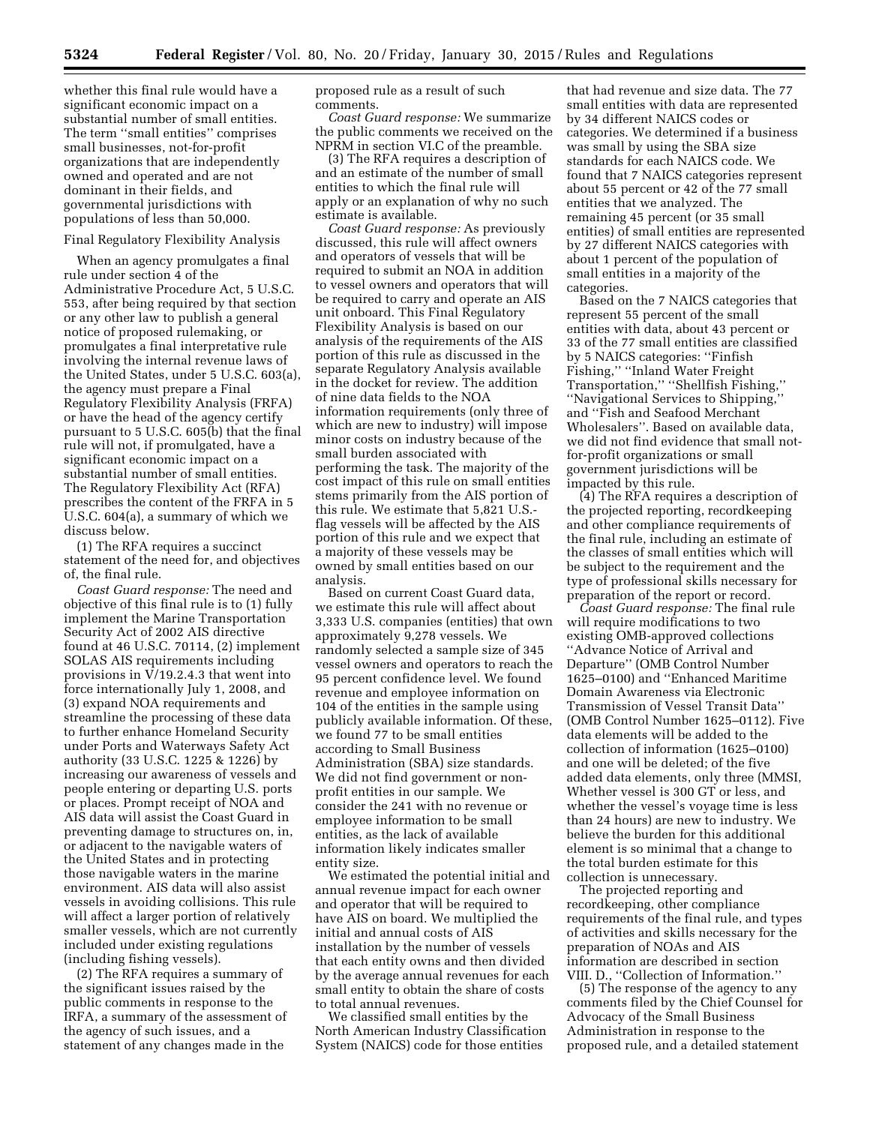whether this final rule would have a significant economic impact on a substantial number of small entities. The term ''small entities'' comprises small businesses, not-for-profit organizations that are independently owned and operated and are not dominant in their fields, and governmental jurisdictions with populations of less than 50,000.

#### Final Regulatory Flexibility Analysis

When an agency promulgates a final rule under section 4 of the Administrative Procedure Act, 5 U.S.C. 553, after being required by that section or any other law to publish a general notice of proposed rulemaking, or promulgates a final interpretative rule involving the internal revenue laws of the United States, under 5 U.S.C. 603(a), the agency must prepare a Final Regulatory Flexibility Analysis (FRFA) or have the head of the agency certify pursuant to 5 U.S.C. 605(b) that the final rule will not, if promulgated, have a significant economic impact on a substantial number of small entities. The Regulatory Flexibility Act (RFA) prescribes the content of the FRFA in 5 U.S.C. 604(a), a summary of which we discuss below.

(1) The RFA requires a succinct statement of the need for, and objectives of, the final rule.

*Coast Guard response:* The need and objective of this final rule is to (1) fully implement the Marine Transportation Security Act of 2002 AIS directive found at 46 U.S.C. 70114, (2) implement SOLAS AIS requirements including provisions in V/19.2.4.3 that went into force internationally July 1, 2008, and (3) expand NOA requirements and streamline the processing of these data to further enhance Homeland Security under Ports and Waterways Safety Act authority (33 U.S.C. 1225 & 1226) by increasing our awareness of vessels and people entering or departing U.S. ports or places. Prompt receipt of NOA and AIS data will assist the Coast Guard in preventing damage to structures on, in, or adjacent to the navigable waters of the United States and in protecting those navigable waters in the marine environment. AIS data will also assist vessels in avoiding collisions. This rule will affect a larger portion of relatively smaller vessels, which are not currently included under existing regulations (including fishing vessels).

(2) The RFA requires a summary of the significant issues raised by the public comments in response to the IRFA, a summary of the assessment of the agency of such issues, and a statement of any changes made in the

proposed rule as a result of such comments.

*Coast Guard response:* We summarize the public comments we received on the NPRM in section VI.C of the preamble.

(3) The RFA requires a description of and an estimate of the number of small entities to which the final rule will apply or an explanation of why no such estimate is available.

*Coast Guard response:* As previously discussed, this rule will affect owners and operators of vessels that will be required to submit an NOA in addition to vessel owners and operators that will be required to carry and operate an AIS unit onboard. This Final Regulatory Flexibility Analysis is based on our analysis of the requirements of the AIS portion of this rule as discussed in the separate Regulatory Analysis available in the docket for review. The addition of nine data fields to the NOA information requirements (only three of which are new to industry) will impose minor costs on industry because of the small burden associated with performing the task. The majority of the cost impact of this rule on small entities stems primarily from the AIS portion of this rule. We estimate that 5,821 U.S. flag vessels will be affected by the AIS portion of this rule and we expect that a majority of these vessels may be owned by small entities based on our analysis.

Based on current Coast Guard data, we estimate this rule will affect about 3,333 U.S. companies (entities) that own approximately 9,278 vessels. We randomly selected a sample size of 345 vessel owners and operators to reach the 95 percent confidence level. We found revenue and employee information on 104 of the entities in the sample using publicly available information. Of these, we found 77 to be small entities according to Small Business Administration (SBA) size standards. We did not find government or nonprofit entities in our sample. We consider the 241 with no revenue or employee information to be small entities, as the lack of available information likely indicates smaller entity size.

We estimated the potential initial and annual revenue impact for each owner and operator that will be required to have AIS on board. We multiplied the initial and annual costs of AIS installation by the number of vessels that each entity owns and then divided by the average annual revenues for each small entity to obtain the share of costs to total annual revenues.

We classified small entities by the North American Industry Classification System (NAICS) code for those entities

that had revenue and size data. The 77 small entities with data are represented by 34 different NAICS codes or categories. We determined if a business was small by using the SBA size standards for each NAICS code. We found that 7 NAICS categories represent about 55 percent or 42 of the 77 small entities that we analyzed. The remaining 45 percent (or 35 small entities) of small entities are represented by 27 different NAICS categories with about 1 percent of the population of small entities in a majority of the categories.

Based on the 7 NAICS categories that represent 55 percent of the small entities with data, about 43 percent or 33 of the 77 small entities are classified by 5 NAICS categories: ''Finfish Fishing,'' ''Inland Water Freight Transportation,'' ''Shellfish Fishing,'' ''Navigational Services to Shipping,'' and ''Fish and Seafood Merchant Wholesalers''. Based on available data, we did not find evidence that small notfor-profit organizations or small government jurisdictions will be impacted by this rule.

(4) The RFA requires a description of the projected reporting, recordkeeping and other compliance requirements of the final rule, including an estimate of the classes of small entities which will be subject to the requirement and the type of professional skills necessary for preparation of the report or record.

*Coast Guard response:* The final rule will require modifications to two existing OMB-approved collections ''Advance Notice of Arrival and Departure'' (OMB Control Number 1625–0100) and ''Enhanced Maritime Domain Awareness via Electronic Transmission of Vessel Transit Data'' (OMB Control Number 1625–0112). Five data elements will be added to the collection of information (1625–0100) and one will be deleted; of the five added data elements, only three (MMSI, Whether vessel is 300 GT or less, and whether the vessel's voyage time is less than 24 hours) are new to industry. We believe the burden for this additional element is so minimal that a change to the total burden estimate for this collection is unnecessary.

The projected reporting and recordkeeping, other compliance requirements of the final rule, and types of activities and skills necessary for the preparation of NOAs and AIS information are described in section VIII. D., ''Collection of Information.''

(5) The response of the agency to any comments filed by the Chief Counsel for Advocacy of the Small Business Administration in response to the proposed rule, and a detailed statement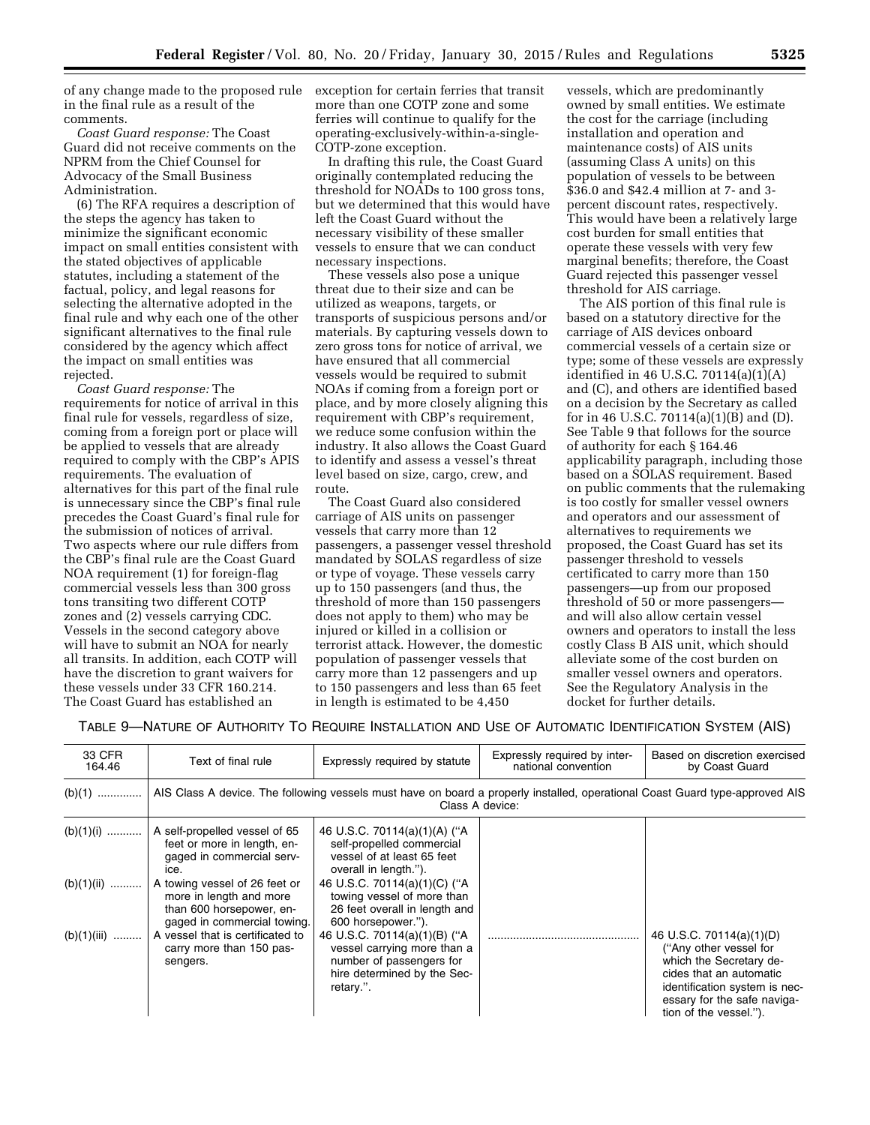of any change made to the proposed rule in the final rule as a result of the comments.

*Coast Guard response:* The Coast Guard did not receive comments on the NPRM from the Chief Counsel for Advocacy of the Small Business Administration.

(6) The RFA requires a description of the steps the agency has taken to minimize the significant economic impact on small entities consistent with the stated objectives of applicable statutes, including a statement of the factual, policy, and legal reasons for selecting the alternative adopted in the final rule and why each one of the other significant alternatives to the final rule considered by the agency which affect the impact on small entities was rejected.

*Coast Guard response:* The requirements for notice of arrival in this final rule for vessels, regardless of size, coming from a foreign port or place will be applied to vessels that are already required to comply with the CBP's APIS requirements. The evaluation of alternatives for this part of the final rule is unnecessary since the CBP's final rule precedes the Coast Guard's final rule for the submission of notices of arrival. Two aspects where our rule differs from the CBP's final rule are the Coast Guard NOA requirement (1) for foreign-flag commercial vessels less than 300 gross tons transiting two different COTP zones and (2) vessels carrying CDC. Vessels in the second category above will have to submit an NOA for nearly all transits. In addition, each COTP will have the discretion to grant waivers for these vessels under 33 CFR 160.214. The Coast Guard has established an

exception for certain ferries that transit more than one COTP zone and some ferries will continue to qualify for the operating-exclusively-within-a-single-COTP-zone exception.

In drafting this rule, the Coast Guard originally contemplated reducing the threshold for NOADs to 100 gross tons, but we determined that this would have left the Coast Guard without the necessary visibility of these smaller vessels to ensure that we can conduct necessary inspections.

These vessels also pose a unique threat due to their size and can be utilized as weapons, targets, or transports of suspicious persons and/or materials. By capturing vessels down to zero gross tons for notice of arrival, we have ensured that all commercial vessels would be required to submit NOAs if coming from a foreign port or place, and by more closely aligning this requirement with CBP's requirement, we reduce some confusion within the industry. It also allows the Coast Guard to identify and assess a vessel's threat level based on size, cargo, crew, and route.

The Coast Guard also considered carriage of AIS units on passenger vessels that carry more than 12 passengers, a passenger vessel threshold mandated by SOLAS regardless of size or type of voyage. These vessels carry up to 150 passengers (and thus, the threshold of more than 150 passengers does not apply to them) who may be injured or killed in a collision or terrorist attack. However, the domestic population of passenger vessels that carry more than 12 passengers and up to 150 passengers and less than 65 feet in length is estimated to be 4,450

vessels, which are predominantly owned by small entities. We estimate the cost for the carriage (including installation and operation and maintenance costs) of AIS units (assuming Class A units) on this population of vessels to be between \$36.0 and \$42.4 million at 7- and 3 percent discount rates, respectively. This would have been a relatively large cost burden for small entities that operate these vessels with very few marginal benefits; therefore, the Coast Guard rejected this passenger vessel threshold for AIS carriage.

The AIS portion of this final rule is based on a statutory directive for the carriage of AIS devices onboard commercial vessels of a certain size or type; some of these vessels are expressly identified in 46 U.S.C.  $70114(a)(1)(A)$ and (C), and others are identified based on a decision by the Secretary as called for in 46 U.S.C. 70114(a)(1)(B) and (D). See Table 9 that follows for the source of authority for each § 164.46 applicability paragraph, including those based on a SOLAS requirement. Based on public comments that the rulemaking is too costly for smaller vessel owners and operators and our assessment of alternatives to requirements we proposed, the Coast Guard has set its passenger threshold to vessels certificated to carry more than 150 passengers—up from our proposed threshold of 50 or more passengers and will also allow certain vessel owners and operators to install the less costly Class B AIS unit, which should alleviate some of the cost burden on smaller vessel owners and operators. See the Regulatory Analysis in the docket for further details.

TABLE 9—NATURE OF AUTHORITY TO REQUIRE INSTALLATION AND USE OF AUTOMATIC IDENTIFICATION SYSTEM (AIS)

| 33 CFR<br>164.46 | Text of final rule                                                                                                                     | Expressly required by statute                                                                                                       | Expressly required by inter-<br>national convention | Based on discretion exercised<br>by Coast Guard                                                                                                                                                    |
|------------------|----------------------------------------------------------------------------------------------------------------------------------------|-------------------------------------------------------------------------------------------------------------------------------------|-----------------------------------------------------|----------------------------------------------------------------------------------------------------------------------------------------------------------------------------------------------------|
|                  | (b)(1)    AIS Class A device. The following vessels must have on board a properly installed, operational Coast Guard type-approved AIS |                                                                                                                                     | Class A device:                                     |                                                                                                                                                                                                    |
| $(b)(1)(i)$      | A self-propelled vessel of 65<br>feet or more in length, en-<br>gaged in commercial serv-<br>ice.                                      | 46 U.S.C. 70114(a)(1)(A) ("A<br>self-propelled commercial<br>vessel of at least 65 feet<br>overall in length.").                    |                                                     |                                                                                                                                                                                                    |
| $(b)(1)(ii)$     | A towing vessel of 26 feet or<br>more in length and more<br>than 600 horsepower, en-<br>gaged in commercial towing.                    | 46 U.S.C. 70114(a)(1)(C) ("A<br>towing vessel of more than<br>26 feet overall in length and<br>600 horsepower.").                   |                                                     |                                                                                                                                                                                                    |
| $(b)(1)(iii)$    | A vessel that is certificated to<br>carry more than 150 pas-<br>sengers.                                                               | 46 U.S.C. 70114(a)(1)(B) ("A<br>vessel carrying more than a<br>number of passengers for<br>hire determined by the Sec-<br>retary.". |                                                     | 46 U.S.C. 70114(a)(1)(D)<br>("Any other vessel for<br>which the Secretary de-<br>cides that an automatic<br>identification system is nec-<br>essary for the safe naviga-<br>tion of the vessel."). |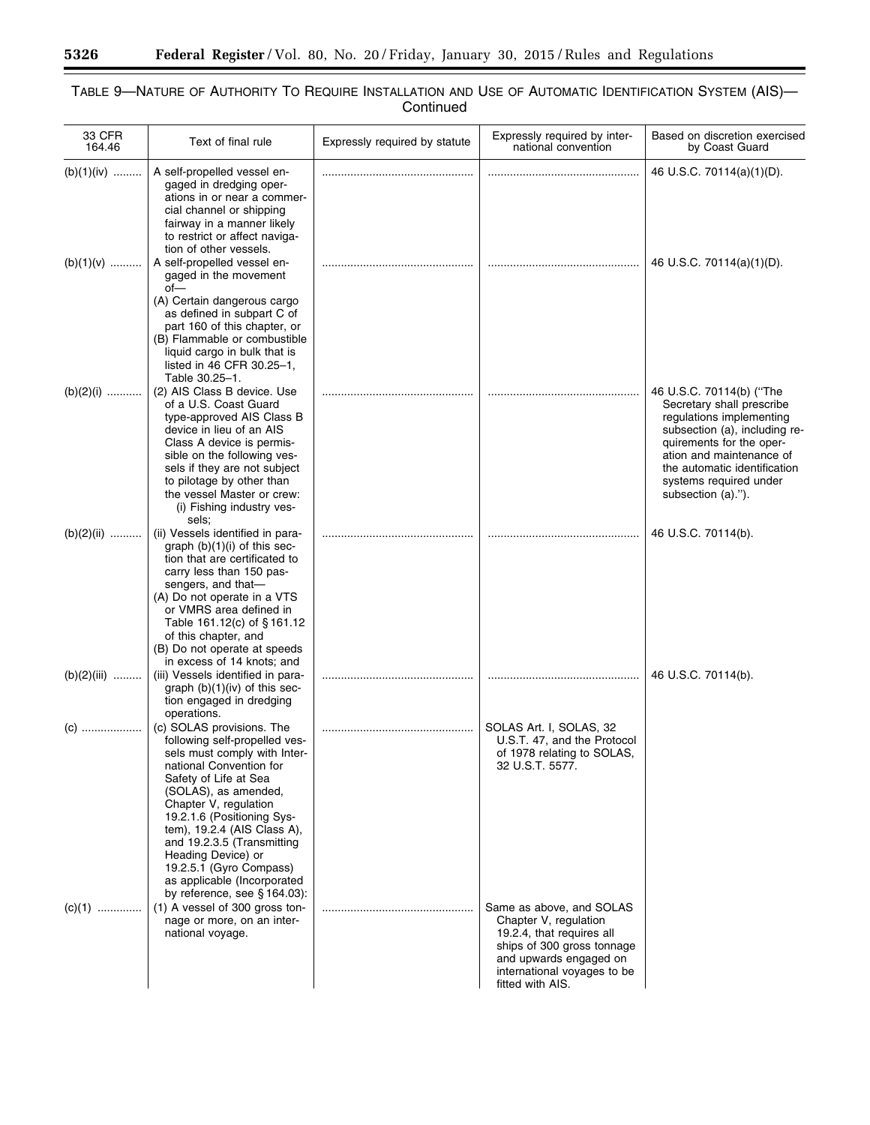$\equiv$ 

۲

| 33 CFR<br>164.46 | Text of final rule                                                                                                                                                                                                                                                                                                                                                                                         | Expressly required by statute | Expressly required by inter-<br>national convention                                                          | Based on discretion exercised<br>by Coast Guard                                                                                                |
|------------------|------------------------------------------------------------------------------------------------------------------------------------------------------------------------------------------------------------------------------------------------------------------------------------------------------------------------------------------------------------------------------------------------------------|-------------------------------|--------------------------------------------------------------------------------------------------------------|------------------------------------------------------------------------------------------------------------------------------------------------|
| $(b)(1)(iv)$     | A self-propelled vessel en-<br>gaged in dredging oper-<br>ations in or near a commer-<br>cial channel or shipping<br>fairway in a manner likely<br>to restrict or affect naviga-                                                                                                                                                                                                                           |                               |                                                                                                              | 46 U.S.C. 70114(a)(1)(D).                                                                                                                      |
| $(b)(1)(v)$      | tion of other vessels.<br>A self-propelled vessel en-<br>gaged in the movement<br>$of -$<br>(A) Certain dangerous cargo<br>as defined in subpart C of<br>part 160 of this chapter, or<br>(B) Flammable or combustible<br>liquid cargo in bulk that is                                                                                                                                                      |                               |                                                                                                              | 46 U.S.C. 70114(a)(1)(D).                                                                                                                      |
| $(b)(2)(i)$      | listed in 46 CFR 30.25-1,<br>Table 30.25-1.<br>(2) AIS Class B device. Use<br>of a U.S. Coast Guard<br>type-approved AIS Class B<br>device in lieu of an AIS<br>Class A device is permis-                                                                                                                                                                                                                  |                               |                                                                                                              | 46 U.S.C. 70114(b) ("The<br>Secretary shall prescribe<br>regulations implementing<br>subsection (a), including re-<br>quirements for the oper- |
|                  | sible on the following ves-<br>sels if they are not subject<br>to pilotage by other than<br>the vessel Master or crew:<br>(i) Fishing industry ves-<br>sels;                                                                                                                                                                                                                                               |                               |                                                                                                              | ation and maintenance of<br>the automatic identification<br>systems required under<br>subsection (a).").                                       |
| $(b)(2)(ii)$     | (ii) Vessels identified in para-<br>graph $(b)(1)(i)$ of this sec-<br>tion that are certificated to<br>carry less than 150 pas-<br>sengers, and that-<br>(A) Do not operate in a VTS<br>or VMRS area defined in<br>Table 161.12(c) of §161.12<br>of this chapter, and<br>(B) Do not operate at speeds<br>in excess of 14 knots; and                                                                        |                               |                                                                                                              | 46 U.S.C. 70114(b).                                                                                                                            |
| $(b)(2)(iii)$    | (iii) Vessels identified in para-<br>graph $(b)(1)(iv)$ of this sec-<br>tion engaged in dredging<br>operations.                                                                                                                                                                                                                                                                                            |                               |                                                                                                              | 46 U.S.C. 70114(b).                                                                                                                            |
| (C)              | (c) SOLAS provisions. The<br>following self-propelled ves-<br>sels must comply with Inter-<br>national Convention for<br>Safety of Life at Sea<br>(SOLAS), as amended,<br>Chapter V, regulation<br>19.2.1.6 (Positioning Sys-<br>tem), 19.2.4 (AIS Class A),<br>and 19.2.3.5 (Transmitting<br>Heading Device) or<br>19.2.5.1 (Gyro Compass)<br>as applicable (Incorporated<br>by reference, see § 164.03): |                               | SOLAS Art. I, SOLAS, 32<br>U.S.T. 47, and the Protocol<br>of 1978 relating to SOLAS,<br>32 U.S.I. 5577.      |                                                                                                                                                |
| $(c)(1)$         | (1) A vessel of 300 gross ton-<br>nage or more, on an inter-<br>national voyage.                                                                                                                                                                                                                                                                                                                           |                               | Same as above, and SOLAS<br>Chapter V, regulation<br>19.2.4, that requires all<br>ships of 300 gross tonnage |                                                                                                                                                |

and upwards engaged on international voyages to be

fitted with AIS.

## TABLE 9—NATURE OF AUTHORITY TO REQUIRE INSTALLATION AND USE OF AUTOMATIC IDENTIFICATION SYSTEM (AIS)— Continued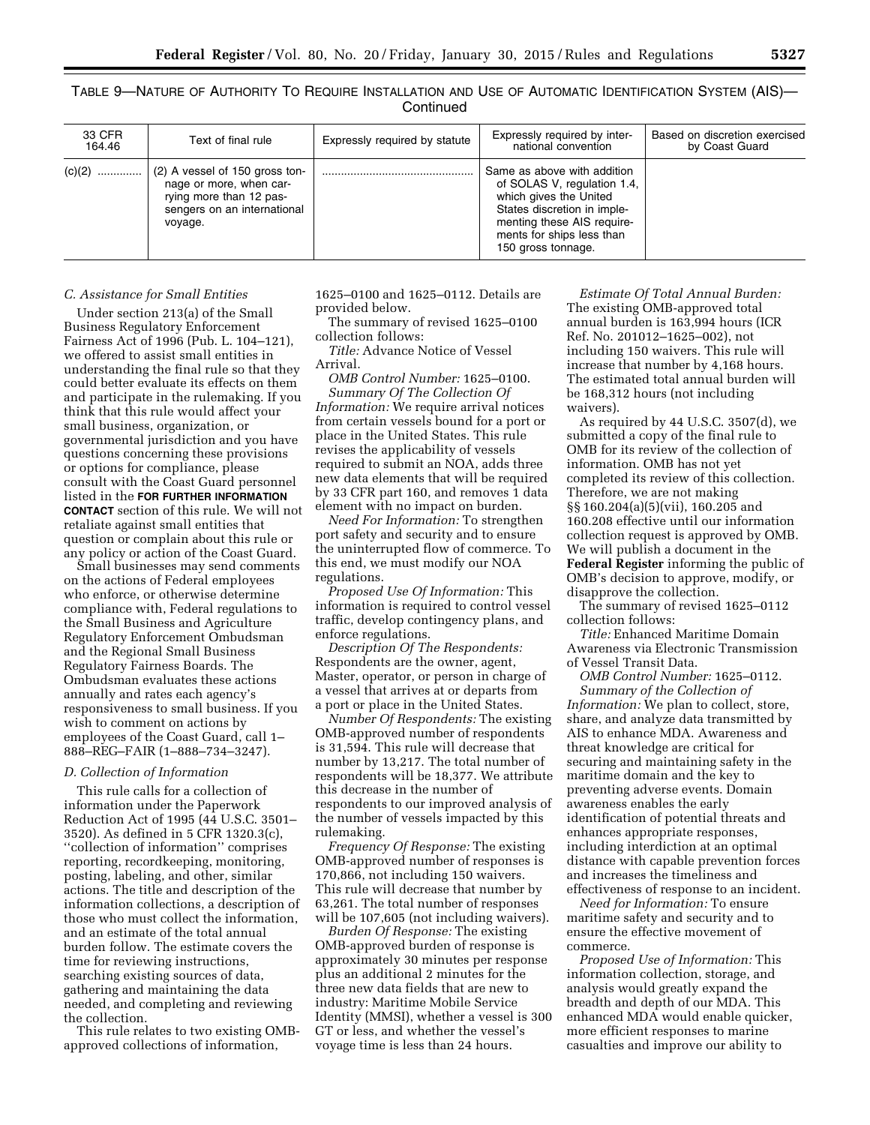TABLE 9—NATURE OF AUTHORITY TO REQUIRE INSTALLATION AND USE OF AUTOMATIC IDENTIFICATION SYSTEM (AIS)— **Continued** 

| 33 CFR<br>164.46 | Text of final rule                                                                                                             | Expressly required by statute | Expressly required by inter-<br>national convention                                                                                                                                                  | Based on discretion exercised<br>by Coast Guard |
|------------------|--------------------------------------------------------------------------------------------------------------------------------|-------------------------------|------------------------------------------------------------------------------------------------------------------------------------------------------------------------------------------------------|-------------------------------------------------|
|                  | (2) A vessel of 150 gross ton-<br>nage or more, when car-<br>rying more than 12 pas-<br>sengers on an international<br>voyage. |                               | Same as above with addition<br>of SOLAS V, regulation 1.4,<br>which gives the United<br>States discretion in imple-<br>menting these AIS require-<br>ments for ships less than<br>150 gross tonnage. |                                                 |

## *C. Assistance for Small Entities*

Under section 213(a) of the Small Business Regulatory Enforcement Fairness Act of 1996 (Pub. L. 104–121), we offered to assist small entities in understanding the final rule so that they could better evaluate its effects on them and participate in the rulemaking. If you think that this rule would affect your small business, organization, or governmental jurisdiction and you have questions concerning these provisions or options for compliance, please consult with the Coast Guard personnel listed in the **FOR FURTHER INFORMATION CONTACT** section of this rule. We will not retaliate against small entities that question or complain about this rule or any policy or action of the Coast Guard.

Small businesses may send comments on the actions of Federal employees who enforce, or otherwise determine compliance with, Federal regulations to the Small Business and Agriculture Regulatory Enforcement Ombudsman and the Regional Small Business Regulatory Fairness Boards. The Ombudsman evaluates these actions annually and rates each agency's responsiveness to small business. If you wish to comment on actions by employees of the Coast Guard, call 1– 888–REG–FAIR (1–888–734–3247).

### *D. Collection of Information*

This rule calls for a collection of information under the Paperwork Reduction Act of 1995 (44 U.S.C. 3501– 3520). As defined in 5 CFR 1320.3(c), ''collection of information'' comprises reporting, recordkeeping, monitoring, posting, labeling, and other, similar actions. The title and description of the information collections, a description of those who must collect the information, and an estimate of the total annual burden follow. The estimate covers the time for reviewing instructions, searching existing sources of data, gathering and maintaining the data needed, and completing and reviewing the collection.

This rule relates to two existing OMBapproved collections of information,

1625–0100 and 1625–0112. Details are provided below.

The summary of revised 1625–0100 collection follows:

*Title:* Advance Notice of Vessel Arrival.

*OMB Control Number:* 1625–0100. *Summary Of The Collection Of Information:* We require arrival notices from certain vessels bound for a port or place in the United States. This rule revises the applicability of vessels required to submit an NOA, adds three new data elements that will be required by 33 CFR part 160, and removes 1 data element with no impact on burden.

*Need For Information:* To strengthen port safety and security and to ensure the uninterrupted flow of commerce. To this end, we must modify our NOA regulations.

*Proposed Use Of Information:* This information is required to control vessel traffic, develop contingency plans, and enforce regulations.

*Description Of The Respondents:*  Respondents are the owner, agent, Master, operator, or person in charge of a vessel that arrives at or departs from a port or place in the United States.

*Number Of Respondents:* The existing OMB-approved number of respondents is 31,594. This rule will decrease that number by 13,217. The total number of respondents will be 18,377. We attribute this decrease in the number of respondents to our improved analysis of the number of vessels impacted by this rulemaking.

*Frequency Of Response:* The existing OMB-approved number of responses is 170,866, not including 150 waivers. This rule will decrease that number by 63,261. The total number of responses will be 107,605 (not including waivers).

*Burden Of Response:* The existing OMB-approved burden of response is approximately 30 minutes per response plus an additional 2 minutes for the three new data fields that are new to industry: Maritime Mobile Service Identity (MMSI), whether a vessel is 300 GT or less, and whether the vessel's voyage time is less than 24 hours.

*Estimate Of Total Annual Burden:*  The existing OMB-approved total annual burden is 163,994 hours (ICR Ref. No. 201012–1625–002), not including 150 waivers. This rule will increase that number by 4,168 hours. The estimated total annual burden will be 168,312 hours (not including waivers).

As required by 44 U.S.C. 3507(d), we submitted a copy of the final rule to OMB for its review of the collection of information. OMB has not yet completed its review of this collection. Therefore, we are not making §§ 160.204(a)(5)(vii), 160.205 and 160.208 effective until our information collection request is approved by OMB. We will publish a document in the **Federal Register** informing the public of OMB's decision to approve, modify, or disapprove the collection.

The summary of revised 1625–0112 collection follows:

*Title:* Enhanced Maritime Domain Awareness via Electronic Transmission of Vessel Transit Data.

*OMB Control Number:* 1625–0112. *Summary of the Collection of Information:* We plan to collect, store, share, and analyze data transmitted by AIS to enhance MDA. Awareness and threat knowledge are critical for securing and maintaining safety in the maritime domain and the key to preventing adverse events. Domain awareness enables the early identification of potential threats and enhances appropriate responses, including interdiction at an optimal distance with capable prevention forces and increases the timeliness and effectiveness of response to an incident.

*Need for Information:* To ensure maritime safety and security and to ensure the effective movement of commerce.

*Proposed Use of Information:* This information collection, storage, and analysis would greatly expand the breadth and depth of our MDA. This enhanced MDA would enable quicker, more efficient responses to marine casualties and improve our ability to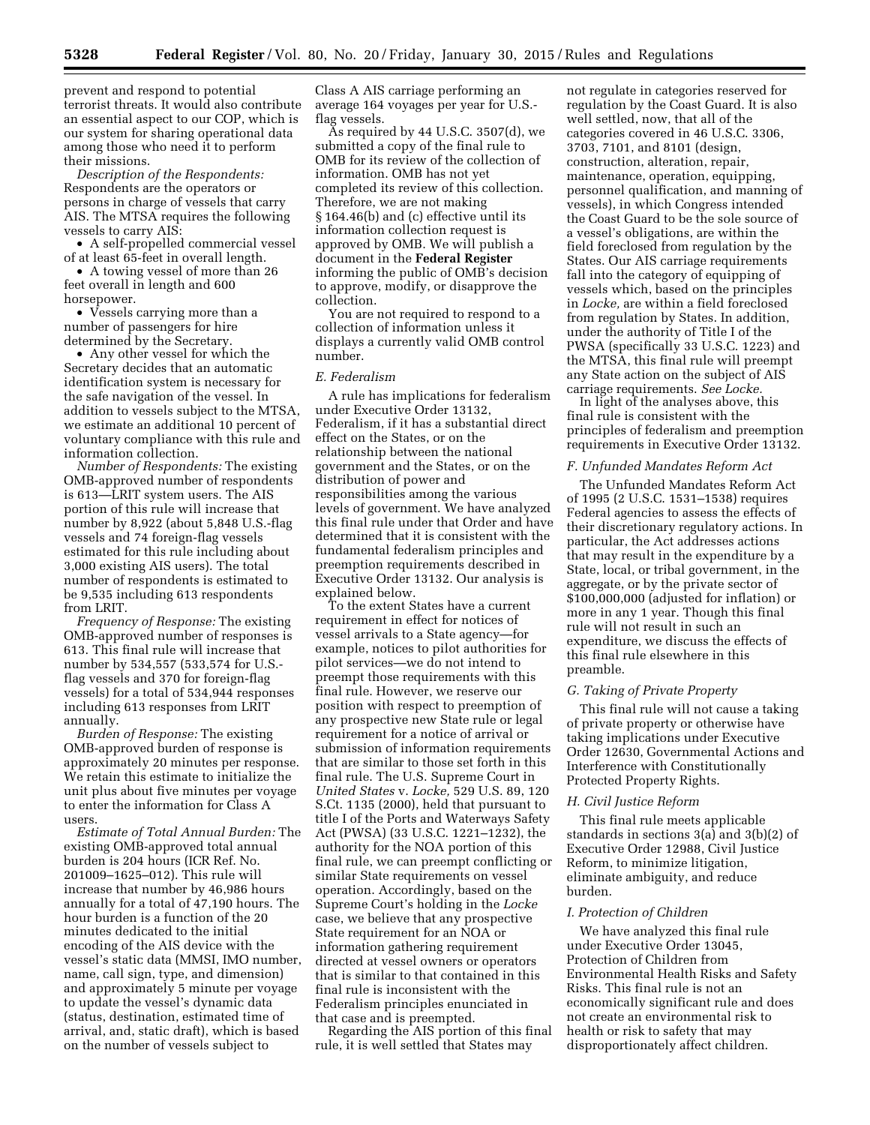prevent and respond to potential terrorist threats. It would also contribute an essential aspect to our COP, which is our system for sharing operational data among those who need it to perform their missions.

*Description of the Respondents:*  Respondents are the operators or persons in charge of vessels that carry AIS. The MTSA requires the following vessels to carry AIS:

• A self-propelled commercial vessel of at least 65-feet in overall length.

• A towing vessel of more than 26 feet overall in length and 600 horsepower.

• Vessels carrying more than a number of passengers for hire determined by the Secretary.

• Any other vessel for which the Secretary decides that an automatic identification system is necessary for the safe navigation of the vessel. In addition to vessels subject to the MTSA, we estimate an additional 10 percent of voluntary compliance with this rule and information collection.

*Number of Respondents:* The existing OMB-approved number of respondents is 613—LRIT system users. The AIS portion of this rule will increase that number by 8,922 (about 5,848 U.S.-flag vessels and 74 foreign-flag vessels estimated for this rule including about 3,000 existing AIS users). The total number of respondents is estimated to be 9,535 including 613 respondents from LRIT.

*Frequency of Response:* The existing OMB-approved number of responses is 613. This final rule will increase that number by 534,557 (533,574 for U.S. flag vessels and 370 for foreign-flag vessels) for a total of 534,944 responses including 613 responses from LRIT annually.

*Burden of Response:* The existing OMB-approved burden of response is approximately 20 minutes per response. We retain this estimate to initialize the unit plus about five minutes per voyage to enter the information for Class A users.

*Estimate of Total Annual Burden:* The existing OMB-approved total annual burden is 204 hours (ICR Ref. No. 201009–1625–012). This rule will increase that number by 46,986 hours annually for a total of 47,190 hours. The hour burden is a function of the 20 minutes dedicated to the initial encoding of the AIS device with the vessel's static data (MMSI, IMO number, name, call sign, type, and dimension) and approximately 5 minute per voyage to update the vessel's dynamic data (status, destination, estimated time of arrival, and, static draft), which is based on the number of vessels subject to

Class A AIS carriage performing an average 164 voyages per year for U.S. flag vessels.

As required by 44 U.S.C. 3507(d), we submitted a copy of the final rule to OMB for its review of the collection of information. OMB has not yet completed its review of this collection. Therefore, we are not making § 164.46(b) and (c) effective until its information collection request is approved by OMB. We will publish a document in the **Federal Register**  informing the public of OMB's decision to approve, modify, or disapprove the collection.

You are not required to respond to a collection of information unless it displays a currently valid OMB control number.

#### *E. Federalism*

A rule has implications for federalism under Executive Order 13132, Federalism, if it has a substantial direct effect on the States, or on the relationship between the national government and the States, or on the distribution of power and responsibilities among the various levels of government. We have analyzed this final rule under that Order and have determined that it is consistent with the fundamental federalism principles and preemption requirements described in Executive Order 13132. Our analysis is explained below.

To the extent States have a current requirement in effect for notices of vessel arrivals to a State agency—for example, notices to pilot authorities for pilot services—we do not intend to preempt those requirements with this final rule. However, we reserve our position with respect to preemption of any prospective new State rule or legal requirement for a notice of arrival or submission of information requirements that are similar to those set forth in this final rule. The U.S. Supreme Court in *United States* v. *Locke,* 529 U.S. 89, 120 S.Ct. 1135 (2000), held that pursuant to title I of the Ports and Waterways Safety Act (PWSA) (33 U.S.C. 1221–1232), the authority for the NOA portion of this final rule, we can preempt conflicting or similar State requirements on vessel operation. Accordingly, based on the Supreme Court's holding in the *Locke*  case, we believe that any prospective State requirement for an NOA or information gathering requirement directed at vessel owners or operators that is similar to that contained in this final rule is inconsistent with the Federalism principles enunciated in that case and is preempted.

Regarding the AIS portion of this final rule, it is well settled that States may

not regulate in categories reserved for regulation by the Coast Guard. It is also well settled, now, that all of the categories covered in 46 U.S.C. 3306, 3703, 7101, and 8101 (design, construction, alteration, repair, maintenance, operation, equipping, personnel qualification, and manning of vessels), in which Congress intended the Coast Guard to be the sole source of a vessel's obligations, are within the field foreclosed from regulation by the States. Our AIS carriage requirements fall into the category of equipping of vessels which, based on the principles in *Locke,* are within a field foreclosed from regulation by States. In addition, under the authority of Title I of the PWSA (specifically 33 U.S.C. 1223) and the MTSA, this final rule will preempt any State action on the subject of AIS carriage requirements. *See Locke.* 

In light of the analyses above, this final rule is consistent with the principles of federalism and preemption requirements in Executive Order 13132.

## *F. Unfunded Mandates Reform Act*

The Unfunded Mandates Reform Act of 1995 (2 U.S.C. 1531–1538) requires Federal agencies to assess the effects of their discretionary regulatory actions. In particular, the Act addresses actions that may result in the expenditure by a State, local, or tribal government, in the aggregate, or by the private sector of \$100,000,000 (adjusted for inflation) or more in any 1 year. Though this final rule will not result in such an expenditure, we discuss the effects of this final rule elsewhere in this preamble.

### *G. Taking of Private Property*

This final rule will not cause a taking of private property or otherwise have taking implications under Executive Order 12630, Governmental Actions and Interference with Constitutionally Protected Property Rights.

## *H. Civil Justice Reform*

This final rule meets applicable standards in sections 3(a) and 3(b)(2) of Executive Order 12988, Civil Justice Reform, to minimize litigation, eliminate ambiguity, and reduce burden.

### *I. Protection of Children*

We have analyzed this final rule under Executive Order 13045, Protection of Children from Environmental Health Risks and Safety Risks. This final rule is not an economically significant rule and does not create an environmental risk to health or risk to safety that may disproportionately affect children.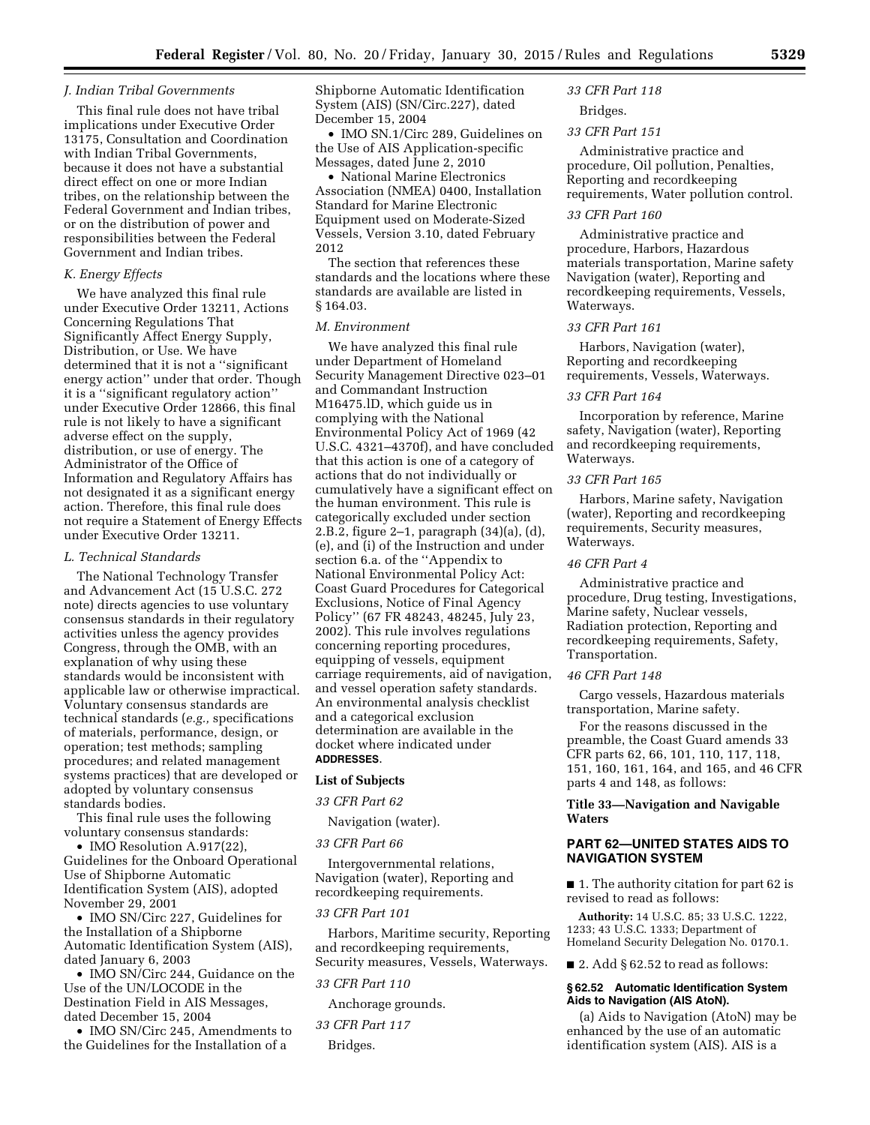### *J. Indian Tribal Governments*

This final rule does not have tribal implications under Executive Order 13175, Consultation and Coordination with Indian Tribal Governments, because it does not have a substantial direct effect on one or more Indian tribes, on the relationship between the Federal Government and Indian tribes, or on the distribution of power and responsibilities between the Federal Government and Indian tribes.

## *K. Energy Effects*

We have analyzed this final rule under Executive Order 13211, Actions Concerning Regulations That Significantly Affect Energy Supply, Distribution, or Use. We have determined that it is not a ''significant energy action'' under that order. Though it is a ''significant regulatory action'' under Executive Order 12866, this final rule is not likely to have a significant adverse effect on the supply, distribution, or use of energy. The Administrator of the Office of Information and Regulatory Affairs has not designated it as a significant energy action. Therefore, this final rule does not require a Statement of Energy Effects under Executive Order 13211.

#### *L. Technical Standards*

The National Technology Transfer and Advancement Act (15 U.S.C. 272 note) directs agencies to use voluntary consensus standards in their regulatory activities unless the agency provides Congress, through the OMB, with an explanation of why using these standards would be inconsistent with applicable law or otherwise impractical. Voluntary consensus standards are technical standards (*e.g.,* specifications of materials, performance, design, or operation; test methods; sampling procedures; and related management systems practices) that are developed or adopted by voluntary consensus standards bodies.

This final rule uses the following voluntary consensus standards:

• IMO Resolution A.917(22), Guidelines for the Onboard Operational Use of Shipborne Automatic Identification System (AIS), adopted November 29, 2001

• IMO SN/Circ 227, Guidelines for the Installation of a Shipborne Automatic Identification System (AIS), dated January 6, 2003

• IMO SN/Circ 244, Guidance on the Use of the UN/LOCODE in the Destination Field in AIS Messages, dated December 15, 2004

• IMO SN/Circ 245, Amendments to the Guidelines for the Installation of a

Shipborne Automatic Identification System (AIS) (SN/Circ.227), dated December 15, 2004

• IMO SN.1/Circ 289, Guidelines on the Use of AIS Application-specific Messages, dated June 2, 2010

• National Marine Electronics Association (NMEA) 0400, Installation Standard for Marine Electronic Equipment used on Moderate-Sized Vessels, Version 3.10, dated February 2012

The section that references these standards and the locations where these standards are available are listed in § 164.03.

#### *M. Environment*

We have analyzed this final rule under Department of Homeland Security Management Directive 023–01 and Commandant Instruction M16475.lD, which guide us in complying with the National Environmental Policy Act of 1969 (42 U.S.C. 4321–4370f), and have concluded that this action is one of a category of actions that do not individually or cumulatively have a significant effect on the human environment. This rule is categorically excluded under section 2.B.2, figure 2–1, paragraph (34)(a), (d), (e), and (i) of the Instruction and under section 6.a. of the ''Appendix to National Environmental Policy Act: Coast Guard Procedures for Categorical Exclusions, Notice of Final Agency Policy'' (67 FR 48243, 48245, July 23, 2002). This rule involves regulations concerning reporting procedures, equipping of vessels, equipment carriage requirements, aid of navigation, and vessel operation safety standards. An environmental analysis checklist and a categorical exclusion determination are available in the docket where indicated under **ADDRESSES**.

#### **List of Subjects**

## *33 CFR Part 62*

Navigation (water).

### *33 CFR Part 66*

Intergovernmental relations, Navigation (water), Reporting and recordkeeping requirements.

### *33 CFR Part 101*

Harbors, Maritime security, Reporting and recordkeeping requirements, Security measures, Vessels, Waterways.

#### *33 CFR Part 110*

Anchorage grounds.

*33 CFR Part 117* 

Bridges.

#### *33 CFR Part 118*

Bridges.

## *33 CFR Part 151*

Administrative practice and procedure, Oil pollution, Penalties, Reporting and recordkeeping requirements, Water pollution control.

#### *33 CFR Part 160*

Administrative practice and procedure, Harbors, Hazardous materials transportation, Marine safety Navigation (water), Reporting and recordkeeping requirements, Vessels, Waterways.

## *33 CFR Part 161*

Harbors, Navigation (water), Reporting and recordkeeping requirements, Vessels, Waterways.

## *33 CFR Part 164*

Incorporation by reference, Marine safety, Navigation (water), Reporting and recordkeeping requirements, Waterways.

## *33 CFR Part 165*

Harbors, Marine safety, Navigation (water), Reporting and recordkeeping requirements, Security measures, Waterways.

## *46 CFR Part 4*

Administrative practice and procedure, Drug testing, Investigations, Marine safety, Nuclear vessels, Radiation protection, Reporting and recordkeeping requirements, Safety, Transportation.

#### *46 CFR Part 148*

Cargo vessels, Hazardous materials transportation, Marine safety.

For the reasons discussed in the preamble, the Coast Guard amends 33 CFR parts 62, 66, 101, 110, 117, 118, 151, 160, 161, 164, and 165, and 46 CFR parts 4 and 148, as follows:

## **Title 33—Navigation and Navigable Waters**

## **PART 62—UNITED STATES AIDS TO NAVIGATION SYSTEM**

■ 1. The authority citation for part 62 is revised to read as follows:

**Authority:** 14 U.S.C. 85; 33 U.S.C. 1222, 1233; 43 U.S.C. 1333; Department of Homeland Security Delegation No. 0170.1.

 $\blacksquare$  2. Add § 62.52 to read as follows:

#### **§ 62.52 Automatic Identification System Aids to Navigation (AIS AtoN).**

(a) Aids to Navigation (AtoN) may be enhanced by the use of an automatic identification system (AIS). AIS is a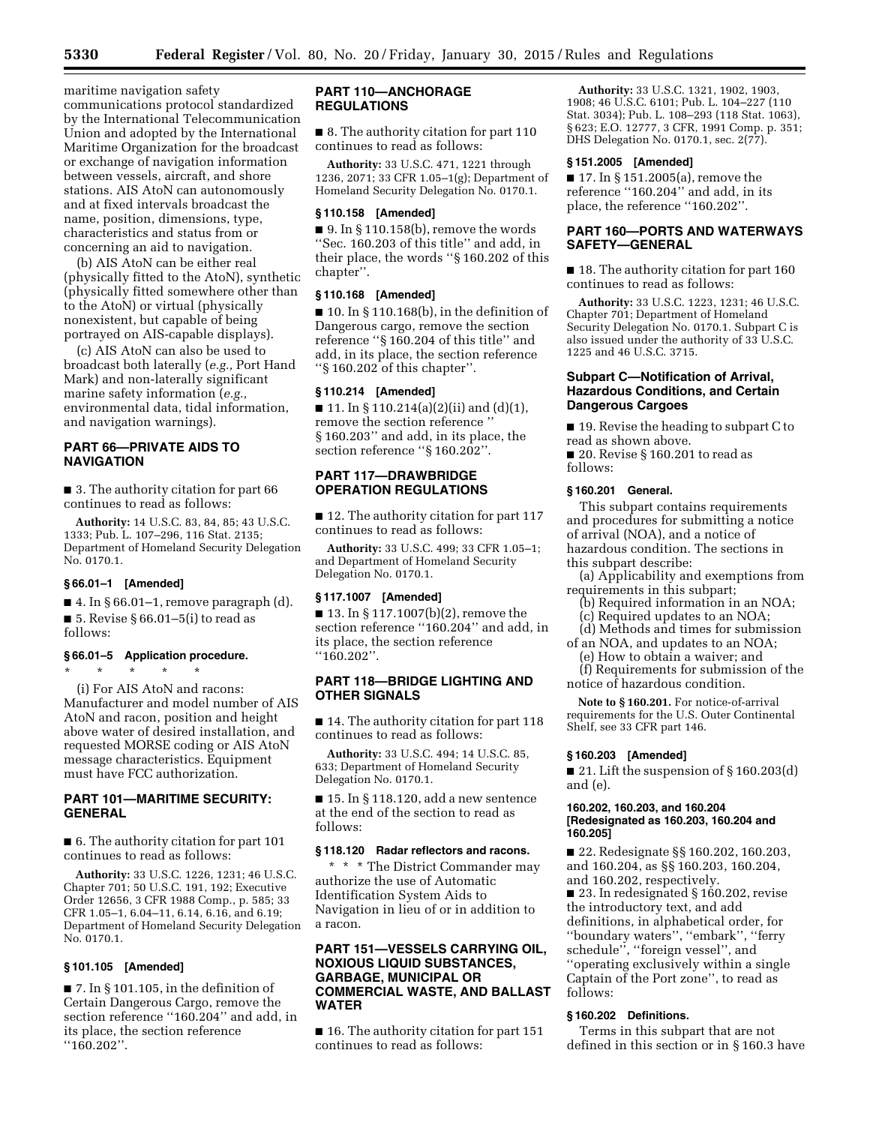maritime navigation safety communications protocol standardized by the International Telecommunication Union and adopted by the International Maritime Organization for the broadcast or exchange of navigation information between vessels, aircraft, and shore stations. AIS AtoN can autonomously and at fixed intervals broadcast the name, position, dimensions, type, characteristics and status from or concerning an aid to navigation.

(b) AIS AtoN can be either real (physically fitted to the AtoN), synthetic (physically fitted somewhere other than to the AtoN) or virtual (physically nonexistent, but capable of being portrayed on AIS-capable displays).

(c) AIS AtoN can also be used to broadcast both laterally (*e.g.,* Port Hand Mark) and non-laterally significant marine safety information (*e.g.,*  environmental data, tidal information, and navigation warnings).

## **PART 66—PRIVATE AIDS TO NAVIGATION**

■ 3. The authority citation for part 66 continues to read as follows:

**Authority:** 14 U.S.C. 83, 84, 85; 43 U.S.C. 1333; Pub. L. 107–296, 116 Stat. 2135; Department of Homeland Security Delegation No. 0170.1.

## **§ 66.01–1 [Amended]**

 $\blacksquare$  4. In § 66.01–1, remove paragraph (d). ■ 5. Revise § 66.01–5(i) to read as follows:

### **§ 66.01–5 Application procedure.**

\* \* \* \* \* (i) For AIS AtoN and racons: Manufacturer and model number of AIS AtoN and racon, position and height above water of desired installation, and requested MORSE coding or AIS AtoN message characteristics. Equipment must have FCC authorization.

## **PART 101—MARITIME SECURITY: GENERAL**

■ 6. The authority citation for part 101 continues to read as follows:

**Authority:** 33 U.S.C. 1226, 1231; 46 U.S.C. Chapter 701; 50 U.S.C. 191, 192; Executive Order 12656, 3 CFR 1988 Comp., p. 585; 33 CFR 1.05–1, 6.04–11, 6.14, 6.16, and 6.19; Department of Homeland Security Delegation No. 0170.1.

## **§ 101.105 [Amended]**

 $\blacksquare$  7. In § 101.105, in the definition of Certain Dangerous Cargo, remove the section reference ''160.204'' and add, in its place, the section reference ''160.202''.

## **PART 110—ANCHORAGE REGULATIONS**

■ 8. The authority citation for part 110 continues to read as follows:

**Authority:** 33 U.S.C. 471, 1221 through 1236, 2071; 33 CFR 1.05–1(g); Department of Homeland Security Delegation No. 0170.1.

#### **§ 110.158 [Amended]**

 $\blacksquare$  9. In § 110.158(b), remove the words ''Sec. 160.203 of this title'' and add, in their place, the words ''§ 160.202 of this chapter''.

## **§ 110.168 [Amended]**

 $\blacksquare$  10. In § 110.168(b), in the definition of Dangerous cargo, remove the section reference ''§ 160.204 of this title'' and add, in its place, the section reference ''§ 160.202 of this chapter''.

### **§ 110.214 [Amended]**

 $\blacksquare$  11. In § 110.214(a)(2)(ii) and (d)(1), remove the section reference '' § 160.203'' and add, in its place, the section reference ''§ 160.202''.

## **PART 117—DRAWBRIDGE OPERATION REGULATIONS**

■ 12. The authority citation for part 117 continues to read as follows:

**Authority:** 33 U.S.C. 499; 33 CFR 1.05–1; and Department of Homeland Security Delegation No. 0170.1.

## **§ 117.1007 [Amended]**

■ 13. In § 117.1007(b)(2), remove the section reference ''160.204'' and add, in its place, the section reference ''160.202''.

## **PART 118—BRIDGE LIGHTING AND OTHER SIGNALS**

■ 14. The authority citation for part 118 continues to read as follows:

**Authority:** 33 U.S.C. 494; 14 U.S.C. 85, 633; Department of Homeland Security Delegation No. 0170.1.

■ 15. In § 118.120, add a new sentence at the end of the section to read as follows:

### **§ 118.120 Radar reflectors and racons.**

\* \* \* The District Commander may authorize the use of Automatic Identification System Aids to Navigation in lieu of or in addition to a racon.

## **PART 151—VESSELS CARRYING OIL, NOXIOUS LIQUID SUBSTANCES, GARBAGE, MUNICIPAL OR COMMERCIAL WASTE, AND BALLAST WATER**

■ 16. The authority citation for part 151 continues to read as follows:

**Authority:** 33 U.S.C. 1321, 1902, 1903, 1908; 46 U.S.C. 6101; Pub. L. 104–227 (110 Stat. 3034); Pub. L. 108–293 (118 Stat. 1063), § 623; E.O. 12777, 3 CFR, 1991 Comp. p. 351; DHS Delegation No. 0170.1, sec. 2(77).

## **§ 151.2005 [Amended]**

■ 17. In § 151.2005(a), remove the reference ''160.204'' and add, in its place, the reference ''160.202''.

## **PART 160—PORTS AND WATERWAYS SAFETY—GENERAL**

■ 18. The authority citation for part 160 continues to read as follows:

**Authority:** 33 U.S.C. 1223, 1231; 46 U.S.C. Chapter 701; Department of Homeland Security Delegation No. 0170.1. Subpart C is also issued under the authority of 33 U.S.C. 1225 and 46 U.S.C. 3715.

## **Subpart C—Notification of Arrival, Hazardous Conditions, and Certain Dangerous Cargoes**

■ 19. Revise the heading to subpart C to read as shown above.

■ 20. Revise § 160.201 to read as follows:

## **§ 160.201 General.**

This subpart contains requirements and procedures for submitting a notice of arrival (NOA), and a notice of hazardous condition. The sections in this subpart describe:

(a) Applicability and exemptions from requirements in this subpart;

- (b) Required information in an NOA;
- (c) Required updates to an NOA;

(d) Methods and times for submission of an NOA, and updates to an NOA;

(e) How to obtain a waiver; and

(f) Requirements for submission of the notice of hazardous condition.

**Note to § 160.201.** For notice-of-arrival requirements for the U.S. Outer Continental Shelf, see 33 CFR part 146.

### **§ 160.203 [Amended]**

■ 21. Lift the suspension of § 160.203(d) and (e).

## **160.202, 160.203, and 160.204 [Redesignated as 160.203, 160.204 and 160.205]**

■ 22. Redesignate §§ 160.202, 160.203, and 160.204, as §§ 160.203, 160.204, and 160.202, respectively.

■ 23. In redesignated § 160.202, revise the introductory text, and add definitions, in alphabetical order, for ''boundary waters'', ''embark'', ''ferry schedule'', ''foreign vessel'', and ''operating exclusively within a single Captain of the Port zone'', to read as follows:

## **§ 160.202 Definitions.**

Terms in this subpart that are not defined in this section or in § 160.3 have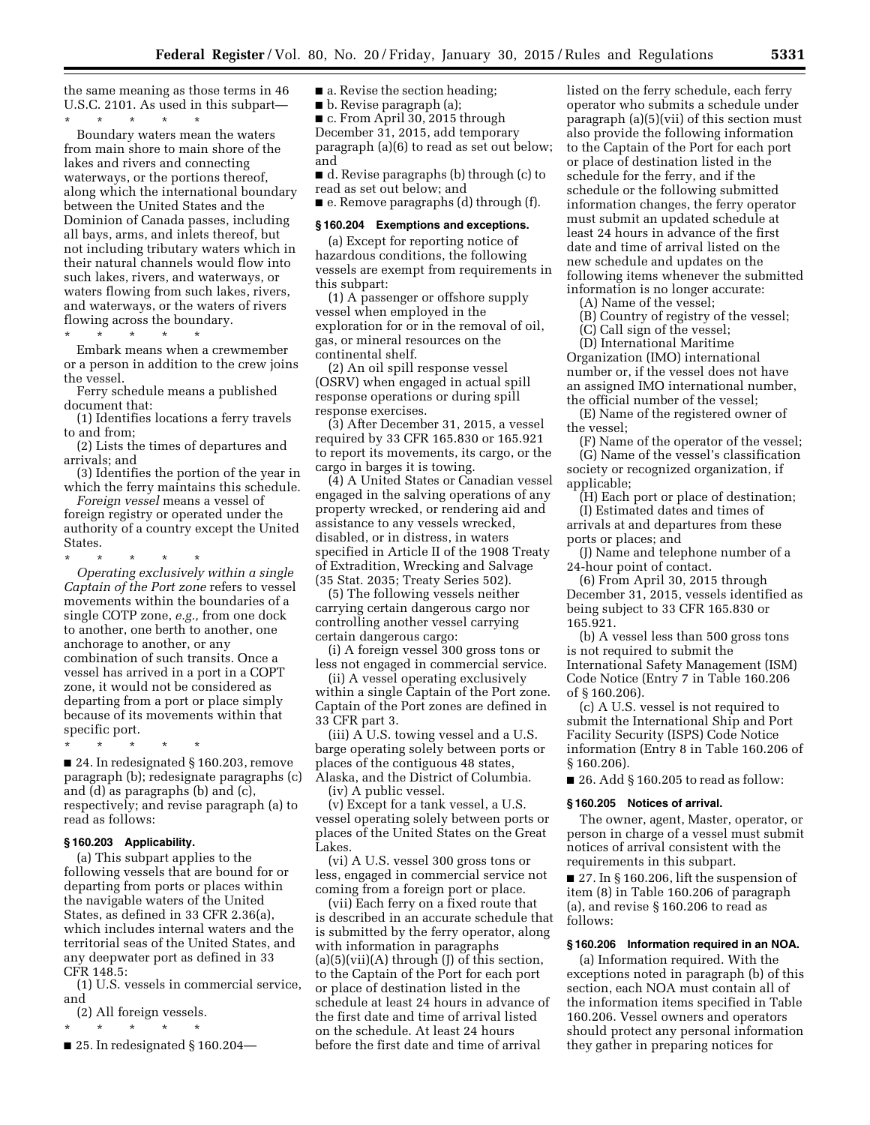the same meaning as those terms in 46 U.S.C. 2101. As used in this subpart—

\* \* \* \* \* Boundary waters mean the waters from main shore to main shore of the lakes and rivers and connecting waterways, or the portions thereof, along which the international boundary between the United States and the Dominion of Canada passes, including all bays, arms, and inlets thereof, but not including tributary waters which in their natural channels would flow into such lakes, rivers, and waterways, or waters flowing from such lakes, rivers, and waterways, or the waters of rivers flowing across the boundary.

\* \* \* \* \*

Embark means when a crewmember or a person in addition to the crew joins the vessel.

Ferry schedule means a published document that:

(1) Identifies locations a ferry travels to and from;

(2) Lists the times of departures and arrivals; and

(3) Identifies the portion of the year in which the ferry maintains this schedule.

*Foreign vessel* means a vessel of foreign registry or operated under the authority of a country except the United States.

\* \* \* \* \* *Operating exclusively within a single Captain of the Port zone* refers to vessel movements within the boundaries of a single COTP zone, *e.g.,* from one dock to another, one berth to another, one anchorage to another, or any combination of such transits. Once a vessel has arrived in a port in a COPT zone, it would not be considered as departing from a port or place simply because of its movements within that specific port.

\* \* \* \* \* ■ 24. In redesignated § 160.203, remove paragraph (b); redesignate paragraphs (c) and (d) as paragraphs (b) and (c), respectively; and revise paragraph (a) to read as follows:

#### **§ 160.203 Applicability.**

(a) This subpart applies to the following vessels that are bound for or departing from ports or places within the navigable waters of the United States, as defined in 33 CFR 2.36(a), which includes internal waters and the territorial seas of the United States, and any deepwater port as defined in 33 CFR 148.5:

(1) U.S. vessels in commercial service, and

(2) All foreign vessels.

\* \* \* \* \*

 $\blacksquare$  25. In redesignated § 160.204—

■ a. Revise the section heading:

■ b. Revise paragraph (a);

■ c. From April 30, 2015 through December 31, 2015, add temporary paragraph (a)(6) to read as set out below; and

■ d. Revise paragraphs (b) through (c) to read as set out below; and

■ e. Remove paragraphs (d) through (f).

### **§ 160.204 Exemptions and exceptions.**

(a) Except for reporting notice of hazardous conditions, the following vessels are exempt from requirements in this subpart:

(1) A passenger or offshore supply vessel when employed in the exploration for or in the removal of oil, gas, or mineral resources on the continental shelf.

(2) An oil spill response vessel (OSRV) when engaged in actual spill response operations or during spill response exercises.

(3) After December 31, 2015, a vessel required by 33 CFR 165.830 or 165.921 to report its movements, its cargo, or the cargo in barges it is towing.

(4) A United States or Canadian vessel engaged in the salving operations of any property wrecked, or rendering aid and assistance to any vessels wrecked, disabled, or in distress, in waters specified in Article II of the 1908 Treaty of Extradition, Wrecking and Salvage (35 Stat. 2035; Treaty Series 502).

(5) The following vessels neither carrying certain dangerous cargo nor controlling another vessel carrying certain dangerous cargo:

(i) A foreign vessel 300 gross tons or less not engaged in commercial service.

(ii) A vessel operating exclusively within a single Captain of the Port zone. Captain of the Port zones are defined in 33 CFR part 3.

(iii) A U.S. towing vessel and a U.S. barge operating solely between ports or places of the contiguous 48 states, Alaska, and the District of Columbia. (iv) A public vessel.

(v) Except for a tank vessel, a U.S. vessel operating solely between ports or places of the United States on the Great Lakes.

(vi) A U.S. vessel 300 gross tons or less, engaged in commercial service not coming from a foreign port or place.

(vii) Each ferry on a fixed route that is described in an accurate schedule that is submitted by the ferry operator, along with information in paragraphs  $(a)(5)(vii)(A)$  through  $(J)$  of this section, to the Captain of the Port for each port or place of destination listed in the schedule at least 24 hours in advance of the first date and time of arrival listed on the schedule. At least 24 hours before the first date and time of arrival

listed on the ferry schedule, each ferry operator who submits a schedule under paragraph (a)(5)(vii) of this section must also provide the following information to the Captain of the Port for each port or place of destination listed in the schedule for the ferry, and if the schedule or the following submitted information changes, the ferry operator must submit an updated schedule at least 24 hours in advance of the first date and time of arrival listed on the new schedule and updates on the following items whenever the submitted information is no longer accurate:

(A) Name of the vessel;

(B) Country of registry of the vessel;

(C) Call sign of the vessel;

(D) International Maritime Organization (IMO) international number or, if the vessel does not have an assigned IMO international number,

the official number of the vessel; (E) Name of the registered owner of the vessel;

(F) Name of the operator of the vessel; (G) Name of the vessel's classification society or recognized organization, if applicable;

(H) Each port or place of destination; (I) Estimated dates and times of arrivals at and departures from these ports or places; and

(J) Name and telephone number of a 24-hour point of contact.

(6) From April 30, 2015 through December 31, 2015, vessels identified as being subject to 33 CFR 165.830 or 165.921.

(b) A vessel less than 500 gross tons is not required to submit the International Safety Management (ISM) Code Notice (Entry 7 in Table 160.206 of § 160.206).

(c) A U.S. vessel is not required to submit the International Ship and Port Facility Security (ISPS) Code Notice information (Entry 8 in Table 160.206 of § 160.206).

■ 26. Add § 160.205 to read as follow:

## **§ 160.205 Notices of arrival.**

The owner, agent, Master, operator, or person in charge of a vessel must submit notices of arrival consistent with the requirements in this subpart.

■ 27. In § 160.206, lift the suspension of item (8) in Table 160.206 of paragraph (a), and revise § 160.206 to read as follows:

## **§ 160.206 Information required in an NOA.**

(a) Information required. With the exceptions noted in paragraph (b) of this section, each NOA must contain all of the information items specified in Table 160.206. Vessel owners and operators should protect any personal information they gather in preparing notices for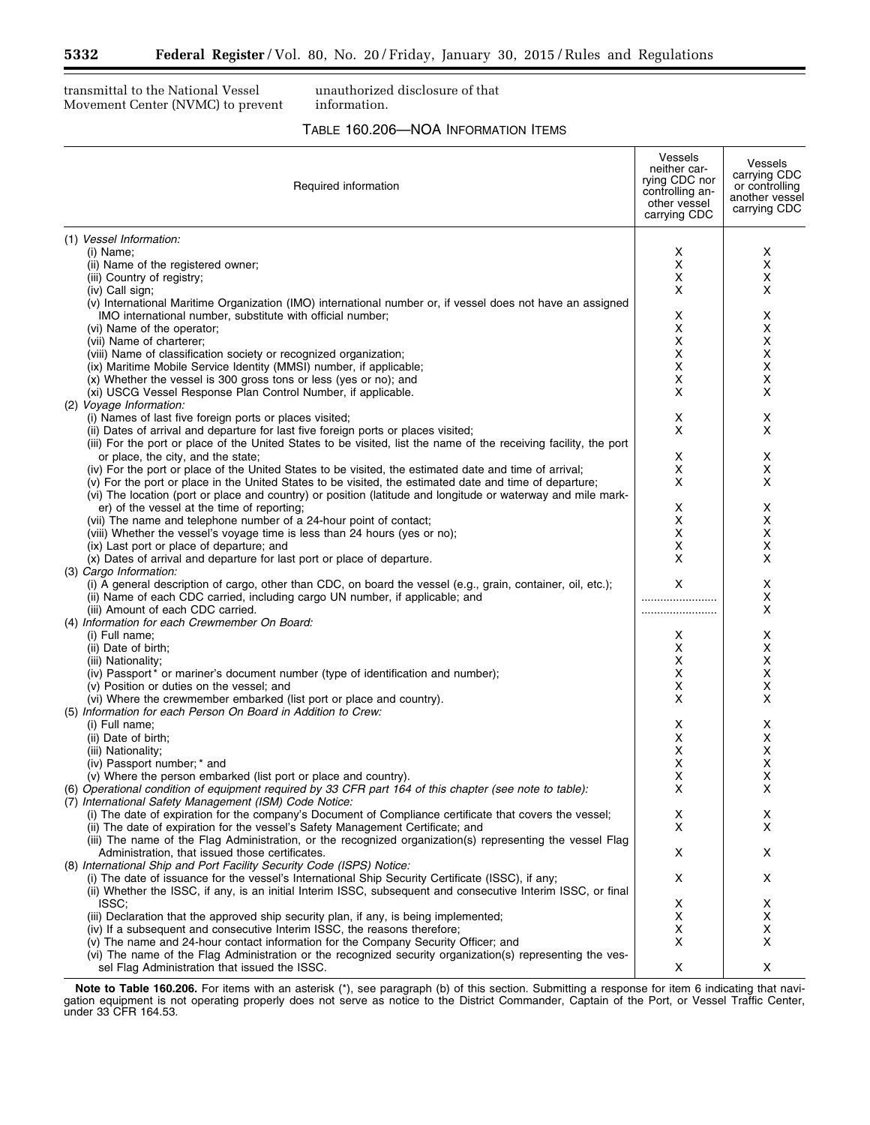Ξ

transmittal to the National Vessel Movement Center (NVMC) to prevent

unauthorized disclosure of that information.

## TABLE 160.206—NOA INFORMATION ITEMS

| Required information                                                                                                                                                                       | <b>Vessels</b><br>neither car-<br>rying CDC nor<br>controlling an-<br>other vessel<br>carrying CDC | Vessels<br>carrying CDC<br>or controlling<br>another vessel<br>carrying CDC |
|--------------------------------------------------------------------------------------------------------------------------------------------------------------------------------------------|----------------------------------------------------------------------------------------------------|-----------------------------------------------------------------------------|
| (1) Vessel Information:                                                                                                                                                                    |                                                                                                    |                                                                             |
| (i) Name;                                                                                                                                                                                  | х                                                                                                  | х                                                                           |
| (ii) Name of the registered owner;                                                                                                                                                         | X                                                                                                  | X                                                                           |
| (iii) Country of registry;                                                                                                                                                                 | х                                                                                                  | х                                                                           |
| (iv) Call sign;                                                                                                                                                                            | X                                                                                                  | x                                                                           |
| (v) International Maritime Organization (IMO) international number or, if vessel does not have an assigned                                                                                 |                                                                                                    |                                                                             |
| IMO international number, substitute with official number;                                                                                                                                 | х                                                                                                  | х                                                                           |
| (vi) Name of the operator;                                                                                                                                                                 | х                                                                                                  | х                                                                           |
| (vii) Name of charterer;                                                                                                                                                                   | х                                                                                                  | х                                                                           |
| (viii) Name of classification society or recognized organization;                                                                                                                          | X                                                                                                  | х                                                                           |
| (ix) Maritime Mobile Service Identity (MMSI) number, if applicable;                                                                                                                        | х                                                                                                  | х                                                                           |
| (x) Whether the vessel is 300 gross tons or less (yes or no); and                                                                                                                          | х                                                                                                  | х                                                                           |
| (xi) USCG Vessel Response Plan Control Number, if applicable.                                                                                                                              | X                                                                                                  | X                                                                           |
| (2) Voyage Information:<br>(i) Names of last five foreign ports or places visited;                                                                                                         | х                                                                                                  | х                                                                           |
| (ii) Dates of arrival and departure for last five foreign ports or places visited;                                                                                                         | X                                                                                                  | X                                                                           |
| (iii) For the port or place of the United States to be visited, list the name of the receiving facility, the port                                                                          |                                                                                                    |                                                                             |
| or place, the city, and the state;                                                                                                                                                         | X                                                                                                  | x                                                                           |
| (iv) For the port or place of the United States to be visited, the estimated date and time of arrival;                                                                                     | х                                                                                                  | х                                                                           |
| (v) For the port or place in the United States to be visited, the estimated date and time of departure;                                                                                    | X                                                                                                  | X                                                                           |
| (vi) The location (port or place and country) or position (latitude and longitude or waterway and mile mark-                                                                               |                                                                                                    |                                                                             |
| er) of the vessel at the time of reporting;                                                                                                                                                | х                                                                                                  | х                                                                           |
| (vii) The name and telephone number of a 24-hour point of contact;                                                                                                                         | х                                                                                                  | х                                                                           |
| (viii) Whether the vessel's voyage time is less than 24 hours (yes or no);                                                                                                                 | х                                                                                                  | х                                                                           |
| (ix) Last port or place of departure; and                                                                                                                                                  | х                                                                                                  | х                                                                           |
| (x) Dates of arrival and departure for last port or place of departure.                                                                                                                    | X                                                                                                  | X                                                                           |
| (3) Cargo Information:                                                                                                                                                                     |                                                                                                    |                                                                             |
| (i) A general description of cargo, other than CDC, on board the vessel (e.g., grain, container, oil, etc.);                                                                               | X                                                                                                  | x                                                                           |
| (ii) Name of each CDC carried, including cargo UN number, if applicable; and                                                                                                               |                                                                                                    | х                                                                           |
| (iii) Amount of each CDC carried.                                                                                                                                                          |                                                                                                    | x                                                                           |
| (4) Information for each Crewmember On Board:                                                                                                                                              |                                                                                                    |                                                                             |
| (i) Full name;<br>(ii) Date of birth;                                                                                                                                                      | х<br>х                                                                                             | х<br>х                                                                      |
| (iii) Nationality;                                                                                                                                                                         | х                                                                                                  | х                                                                           |
| (iv) Passport* or mariner's document number (type of identification and number);                                                                                                           | х                                                                                                  | х                                                                           |
| (v) Position or duties on the vessel; and                                                                                                                                                  | х                                                                                                  | х                                                                           |
| (vi) Where the crewmember embarked (list port or place and country).                                                                                                                       | X                                                                                                  | x                                                                           |
| (5) Information for each Person On Board in Addition to Crew:                                                                                                                              |                                                                                                    |                                                                             |
| (i) Full name;                                                                                                                                                                             | x                                                                                                  | х                                                                           |
| (ii) Date of birth;                                                                                                                                                                        | х                                                                                                  | х                                                                           |
| (iii) Nationality;                                                                                                                                                                         | х                                                                                                  | х                                                                           |
| (iv) Passport number; * and                                                                                                                                                                | X                                                                                                  | х                                                                           |
| (v) Where the person embarked (list port or place and country).                                                                                                                            | х                                                                                                  | х                                                                           |
| (6) Operational condition of equipment required by 33 CFR part 164 of this chapter (see note to table):                                                                                    | Χ                                                                                                  | х                                                                           |
| (7) International Safety Management (ISM) Code Notice:                                                                                                                                     |                                                                                                    |                                                                             |
| (i) The date of expiration for the company's Document of Compliance certificate that covers the vessel;<br>(ii) The date of expiration for the vessel's Safety Management Certificate; and | х<br>X                                                                                             | х<br>X                                                                      |
| (iii) The name of the Flag Administration, or the recognized organization(s) representing the vessel Flag                                                                                  |                                                                                                    |                                                                             |
| Administration, that issued those certificates.                                                                                                                                            | X                                                                                                  | x                                                                           |
| (8) International Ship and Port Facility Security Code (ISPS) Notice:                                                                                                                      |                                                                                                    |                                                                             |
| (i) The date of issuance for the vessel's International Ship Security Certificate (ISSC), if any;                                                                                          | X                                                                                                  | x                                                                           |
| (ii) Whether the ISSC, if any, is an initial Interim ISSC, subsequent and consecutive Interim ISSC, or final                                                                               |                                                                                                    |                                                                             |
| ISSC:                                                                                                                                                                                      | х                                                                                                  | x                                                                           |
| (iii) Declaration that the approved ship security plan, if any, is being implemented;                                                                                                      | х                                                                                                  | х                                                                           |
| (iv) If a subsequent and consecutive Interim ISSC, the reasons therefore;                                                                                                                  | х                                                                                                  | х                                                                           |
| (v) The name and 24-hour contact information for the Company Security Officer; and                                                                                                         | х                                                                                                  | х                                                                           |
| (vi) The name of the Flag Administration or the recognized security organization(s) representing the ves-                                                                                  |                                                                                                    |                                                                             |
| sel Flag Administration that issued the ISSC.                                                                                                                                              | х                                                                                                  | X                                                                           |

**Note to Table 160.206.** For items with an asterisk (\*), see paragraph (b) of this section. Submitting a response for item 6 indicating that navigation equipment is not operating properly does not serve as notice to the District Commander, Captain of the Port, or Vessel Traffic Center, under 33 CFR 164.53.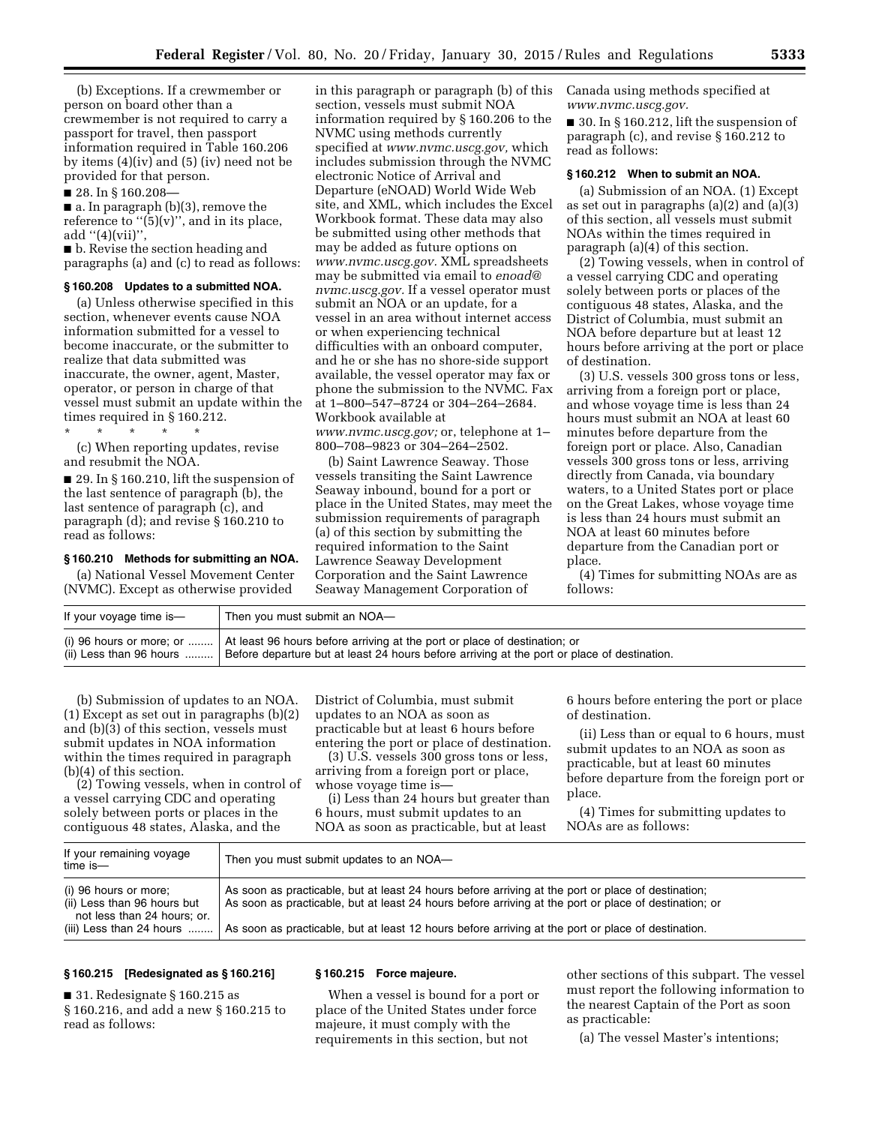(b) Exceptions. If a crewmember or person on board other than a crewmember is not required to carry a passport for travel, then passport information required in Table 160.206 by items (4)(iv) and (5) (iv) need not be provided for that person.

■ 28. In § 160.208-

■ a. In paragraph (b)(3), remove the reference to " $(5)(v)$ ", and in its place, add  $''(4)(vii)$ ",

■ b. Revise the section heading and paragraphs (a) and (c) to read as follows:

#### **§ 160.208 Updates to a submitted NOA.**

(a) Unless otherwise specified in this section, whenever events cause NOA information submitted for a vessel to become inaccurate, or the submitter to realize that data submitted was inaccurate, the owner, agent, Master, operator, or person in charge of that vessel must submit an update within the times required in § 160.212.

\* \* \* \* \*

(c) When reporting updates, revise and resubmit the NOA.

■ 29. In § 160.210, lift the suspension of the last sentence of paragraph (b), the last sentence of paragraph (c), and paragraph (d); and revise § 160.210 to read as follows:

#### **§ 160.210 Methods for submitting an NOA.**

(a) National Vessel Movement Center (NVMC). Except as otherwise provided

in this paragraph or paragraph (b) of this section, vessels must submit NOA information required by § 160.206 to the NVMC using methods currently specified at *[www.nvmc.uscg.gov,](http://www.nvmc.uscg.gov)* which includes submission through the NVMC electronic Notice of Arrival and Departure (eNOAD) World Wide Web site, and XML, which includes the Excel Workbook format. These data may also be submitted using other methods that may be added as future options on *[www.nvmc.uscg.gov.](http://www.nvmc.uscg.gov)* XML spreadsheets may be submitted via email to *[enoad@](mailto:enoad@nvmc.uscg.gov) [nvmc.uscg.gov.](mailto:enoad@nvmc.uscg.gov)* If a vessel operator must submit an NOA or an update, for a vessel in an area without internet access or when experiencing technical difficulties with an onboard computer, and he or she has no shore-side support available, the vessel operator may fax or phone the submission to the NVMC. Fax at 1–800–547–8724 or 304–264–2684. Workbook available at *[www.nvmc.uscg.gov;](http://www.nvmc.uscg.gov)* or, telephone at 1– 800–708–9823 or 304–264–2502.

(b) Saint Lawrence Seaway. Those vessels transiting the Saint Lawrence Seaway inbound, bound for a port or place in the United States, may meet the submission requirements of paragraph (a) of this section by submitting the required information to the Saint Lawrence Seaway Development Corporation and the Saint Lawrence Seaway Management Corporation of

Canada using methods specified at *[www.nvmc.uscg.gov.](http://www.nvmc.uscg.gov)* 

■ 30. In § 160.212, lift the suspension of paragraph (c), and revise § 160.212 to read as follows:

## **§ 160.212 When to submit an NOA.**

(a) Submission of an NOA. (1) Except as set out in paragraphs (a)(2) and (a)(3) of this section, all vessels must submit NOAs within the times required in paragraph (a)(4) of this section.

(2) Towing vessels, when in control of a vessel carrying CDC and operating solely between ports or places of the contiguous 48 states, Alaska, and the District of Columbia, must submit an NOA before departure but at least 12 hours before arriving at the port or place of destination.

(3) U.S. vessels 300 gross tons or less, arriving from a foreign port or place, and whose voyage time is less than 24 hours must submit an NOA at least 60 minutes before departure from the foreign port or place. Also, Canadian vessels 300 gross tons or less, arriving directly from Canada, via boundary waters, to a United States port or place on the Great Lakes, whose voyage time is less than 24 hours must submit an NOA at least 60 minutes before departure from the Canadian port or place.

(4) Times for submitting NOAs are as follows:

| If your voyage time is-   | Then you must submit an NOA-                                                                                                                                                                         |
|---------------------------|------------------------------------------------------------------------------------------------------------------------------------------------------------------------------------------------------|
| $(ii)$ Less than 96 hours | (i) 96 hours or more; or    At least 96 hours before arriving at the port or place of destination; or<br>Before departure but at least 24 hours before arriving at the port or place of destination. |

(b) Submission of updates to an NOA. (1) Except as set out in paragraphs (b)(2) and (b)(3) of this section, vessels must submit updates in NOA information within the times required in paragraph (b)(4) of this section.

(2) Towing vessels, when in control of a vessel carrying CDC and operating solely between ports or places in the contiguous 48 states, Alaska, and the

District of Columbia, must submit updates to an NOA as soon as practicable but at least 6 hours before entering the port or place of destination.

(3) U.S. vessels 300 gross tons or less, arriving from a foreign port or place, whose voyage time is—

(i) Less than 24 hours but greater than 6 hours, must submit updates to an NOA as soon as practicable, but at least

6 hours before entering the port or place of destination.

(ii) Less than or equal to 6 hours, must submit updates to an NOA as soon as practicable, but at least 60 minutes before departure from the foreign port or place.

(4) Times for submitting updates to NOAs are as follows:

| If your remaining voyage<br>time is-                                                | Then you must submit updates to an NOA-                                                                                                                                                                     |
|-------------------------------------------------------------------------------------|-------------------------------------------------------------------------------------------------------------------------------------------------------------------------------------------------------------|
| (i) 96 hours or more;<br>(ii) Less than 96 hours but<br>not less than 24 hours; or. | As soon as practicable, but at least 24 hours before arriving at the port or place of destination;<br>As soon as practicable, but at least 24 hours before arriving at the port or place of destination; or |
|                                                                                     | (iii) Less than 24 hours  As soon as practicable, but at least 12 hours before arriving at the port or place of destination.                                                                                |

### **§ 160.215 [Redesignated as § 160.216]**

■ 31. Redesignate § 160.215 as § 160.216, and add a new § 160.215 to read as follows:

#### **§ 160.215 Force majeure.**

When a vessel is bound for a port or place of the United States under force majeure, it must comply with the requirements in this section, but not

other sections of this subpart. The vessel must report the following information to the nearest Captain of the Port as soon as practicable:

(a) The vessel Master's intentions;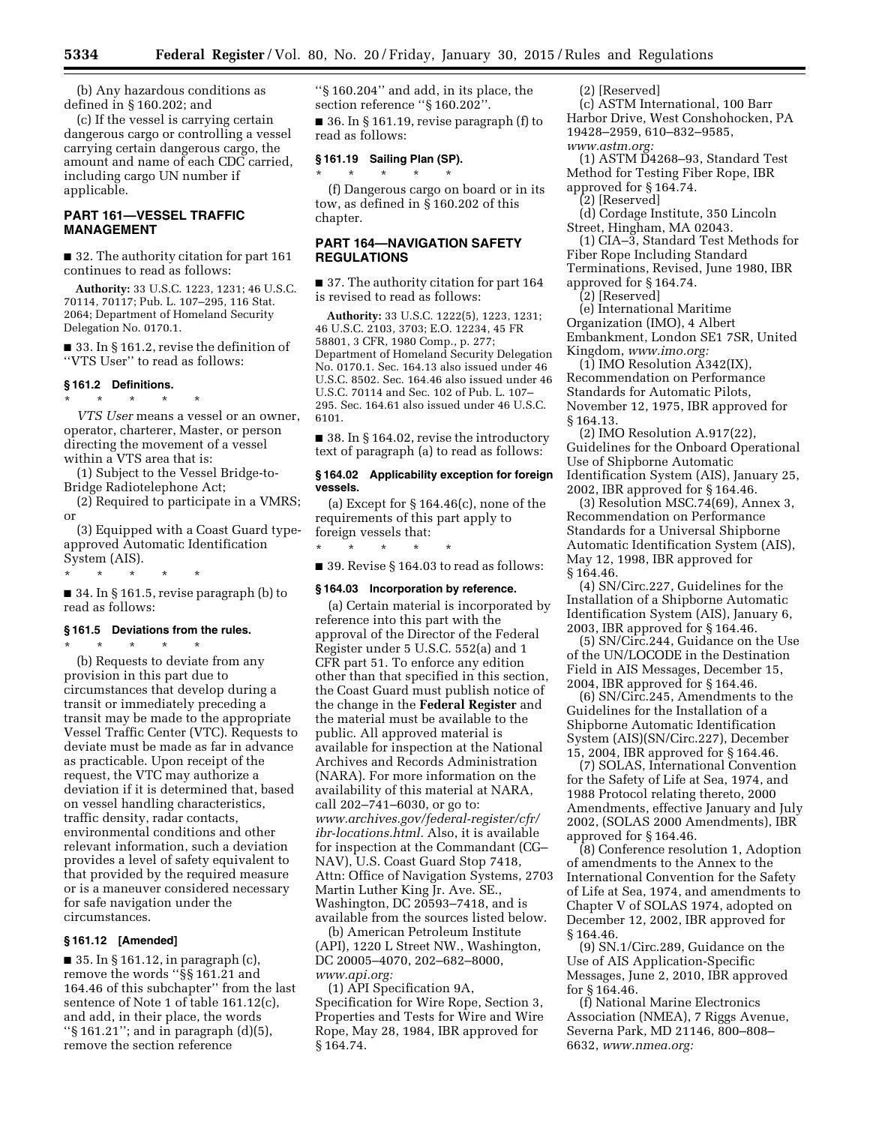(b) Any hazardous conditions as defined in § 160.202; and

(c) If the vessel is carrying certain dangerous cargo or controlling a vessel carrying certain dangerous cargo, the amount and name of each CDC carried, including cargo UN number if applicable.

## **PART 161—VESSEL TRAFFIC MANAGEMENT**

■ 32. The authority citation for part 161 continues to read as follows:

**Authority:** 33 U.S.C. 1223, 1231; 46 U.S.C. 70114, 70117; Pub. L. 107–295, 116 Stat. 2064; Department of Homeland Security Delegation No. 0170.1.

■ 33. In § 161.2, revise the definition of ''VTS User'' to read as follows:

## **§ 161.2 Definitions.**

\* \* \* \* \*

*VTS User* means a vessel or an owner, operator, charterer, Master, or person directing the movement of a vessel within a VTS area that is:

(1) Subject to the Vessel Bridge-to-Bridge Radiotelephone Act;

(2) Required to participate in a VMRS; or

(3) Equipped with a Coast Guard typeapproved Automatic Identification System (AIS).

\* \* \* \* \*

■ 34. In § 161.5, revise paragraph (b) to read as follows:

#### **§ 161.5 Deviations from the rules.**

\* \* \* \* \* (b) Requests to deviate from any provision in this part due to circumstances that develop during a transit or immediately preceding a transit may be made to the appropriate Vessel Traffic Center (VTC). Requests to deviate must be made as far in advance as practicable. Upon receipt of the request, the VTC may authorize a deviation if it is determined that, based on vessel handling characteristics, traffic density, radar contacts, environmental conditions and other relevant information, such a deviation provides a level of safety equivalent to that provided by the required measure or is a maneuver considered necessary for safe navigation under the circumstances.

#### **§ 161.12 [Amended]**

 $\blacksquare$  35. In § 161.12, in paragraph (c), remove the words ''§§ 161.21 and 164.46 of this subchapter'' from the last sentence of Note 1 of table 161.12(c), and add, in their place, the words ''§ 161.21''; and in paragraph (d)(5), remove the section reference

''§ 160.204'' and add, in its place, the section reference ''§ 160.202''.

■ 36. In § 161.19, revise paragraph (f) to read as follows:

#### **§ 161.19 Sailing Plan (SP).**  \* \* \* \* \*

(f) Dangerous cargo on board or in its tow, as defined in § 160.202 of this chapter.

## **PART 164—NAVIGATION SAFETY REGULATIONS**

■ 37. The authority citation for part 164 is revised to read as follows:

**Authority:** 33 U.S.C. 1222(5), 1223, 1231; 46 U.S.C. 2103, 3703; E.O. 12234, 45 FR 58801, 3 CFR, 1980 Comp., p. 277; Department of Homeland Security Delegation No. 0170.1. Sec. 164.13 also issued under 46 U.S.C. 8502. Sec. 164.46 also issued under 46 U.S.C. 70114 and Sec. 102 of Pub. L. 107– 295. Sec. 164.61 also issued under 46 U.S.C. 6101.

■ 38. In § 164.02, revise the introductory text of paragraph (a) to read as follows:

## **§ 164.02 Applicability exception for foreign vessels.**

(a) Except for § 164.46(c), none of the requirements of this part apply to foreign vessels that:

\* \* \* \* \* ■ 39. Revise § 164.03 to read as follows:

### **§ 164.03 Incorporation by reference.**

(a) Certain material is incorporated by reference into this part with the approval of the Director of the Federal Register under 5 U.S.C. 552(a) and 1 CFR part 51. To enforce any edition other than that specified in this section, the Coast Guard must publish notice of the change in the **Federal Register** and the material must be available to the public. All approved material is available for inspection at the National Archives and Records Administration (NARA). For more information on the availability of this material at NARA, call 202–741–6030, or go to: *[www.archives.gov/federal-register/cfr/](http://www.archives.gov/federal-register/cfr/ibr-locations.html) [ibr-locations.html.](http://www.archives.gov/federal-register/cfr/ibr-locations.html)* Also, it is available for inspection at the Commandant (CG– NAV), U.S. Coast Guard Stop 7418, Attn: Office of Navigation Systems, 2703 Martin Luther King Jr. Ave. SE., Washington, DC 20593–7418, and is available from the sources listed below.

(b) American Petroleum Institute (API), 1220 L Street NW., Washington, DC 20005–4070, 202–682–8000, *[www.api.org:](http://www.api.org)* 

(1) API Specification 9A, Specification for Wire Rope, Section 3, Properties and Tests for Wire and Wire Rope, May 28, 1984, IBR approved for § 164.74.

(2) [Reserved]

(c) ASTM International, 100 Barr Harbor Drive, West Conshohocken, PA 19428–2959, 610–832–9585, *[www.astm.org:](http://www.astm.org)* 

(1) ASTM D4268–93, Standard Test Method for Testing Fiber Rope, IBR approved for § 164.74.

(2) [Reserved]

(d) Cordage Institute, 350 Lincoln Street, Hingham, MA 02043.

(1) CIA–3, Standard Test Methods for Fiber Rope Including Standard Terminations, Revised, June 1980, IBR approved for § 164.74.

(2) [Reserved]

(e) International Maritime Organization (IMO), 4 Albert Embankment, London SE1 7SR, United Kingdom, *[www.imo.org:](http://www.imo.org)* 

(1) IMO Resolution A342(IX), Recommendation on Performance Standards for Automatic Pilots, November 12, 1975, IBR approved for § 164.13.

(2) IMO Resolution A.917(22), Guidelines for the Onboard Operational Use of Shipborne Automatic Identification System (AIS), January 25, 2002, IBR approved for § 164.46.

(3) Resolution MSC.74(69), Annex 3, Recommendation on Performance Standards for a Universal Shipborne Automatic Identification System (AIS), May 12, 1998, IBR approved for § 164.46.

(4) SN/Circ.227, Guidelines for the Installation of a Shipborne Automatic Identification System (AIS), January 6, 2003, IBR approved for § 164.46.

(5) SN/Circ.244, Guidance on the Use of the UN/LOCODE in the Destination Field in AIS Messages, December 15, 2004, IBR approved for § 164.46.

(6) SN/Circ.245, Amendments to the Guidelines for the Installation of a Shipborne Automatic Identification System (AIS)(SN/Circ.227), December 15, 2004, IBR approved for § 164.46.

(7) SOLAS, International Convention for the Safety of Life at Sea, 1974, and 1988 Protocol relating thereto, 2000 Amendments, effective January and July 2002, (SOLAS 2000 Amendments), IBR approved for § 164.46.

(8) Conference resolution 1, Adoption of amendments to the Annex to the International Convention for the Safety of Life at Sea, 1974, and amendments to Chapter V of SOLAS 1974, adopted on December 12, 2002, IBR approved for § 164.46.

(9) SN.1/Circ.289, Guidance on the Use of AIS Application-Specific Messages, June 2, 2010, IBR approved for § 164.46.

(f) National Marine Electronics Association (NMEA), 7 Riggs Avenue, Severna Park, MD 21146, 800–808– 6632, *[www.nmea.org:](http://www.nmea.org)*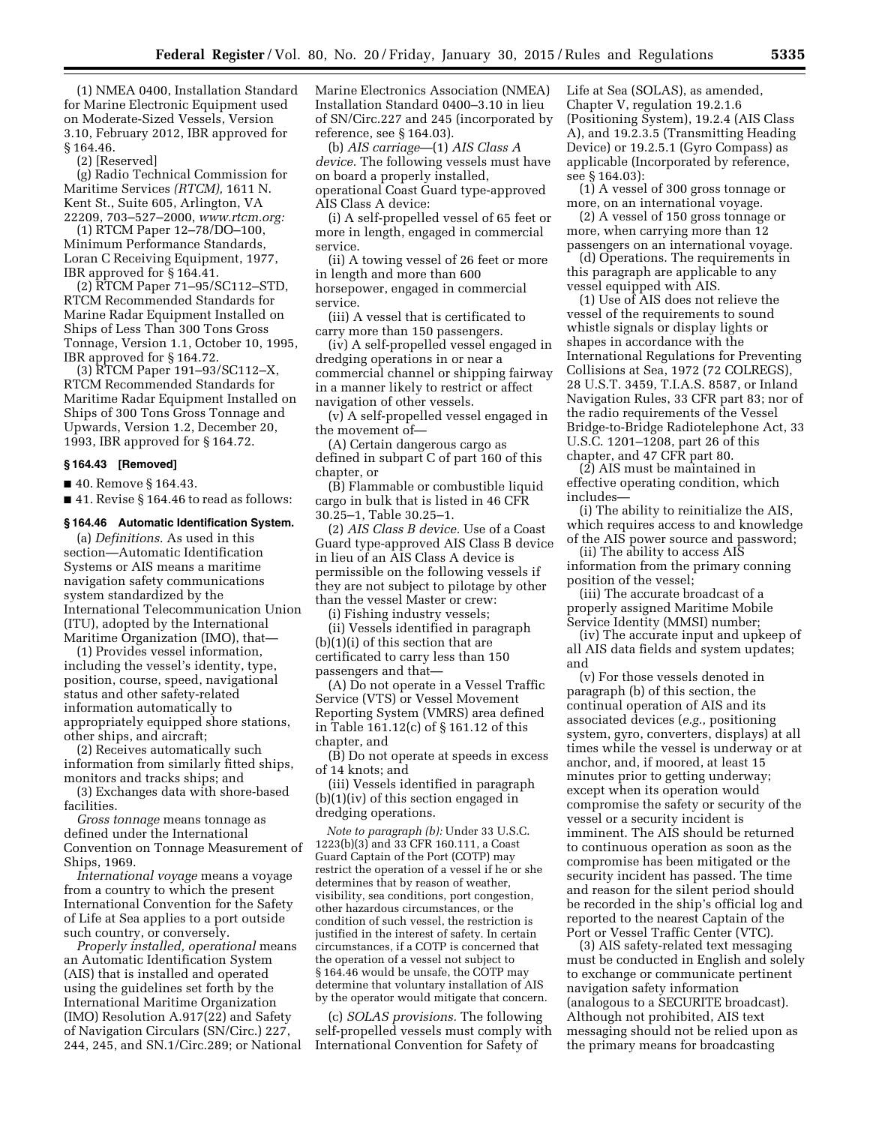(1) NMEA 0400, Installation Standard for Marine Electronic Equipment used on Moderate-Sized Vessels, Version 3.10, February 2012, IBR approved for § 164.46.

(2) [Reserved]

(g) Radio Technical Commission for Maritime Services *(RTCM),* 1611 N. Kent St., Suite 605, Arlington, VA 22209, 703–527–2000, *[www.rtcm.org:](http://www.rtcm.org)* 

(1) RTCM Paper 12–78/DO–100, Minimum Performance Standards, Loran C Receiving Equipment, 1977, IBR approved for § 164.41.

(2) RTCM Paper 71–95/SC112–STD, RTCM Recommended Standards for Marine Radar Equipment Installed on Ships of Less Than 300 Tons Gross Tonnage, Version 1.1, October 10, 1995, IBR approved for § 164.72.

(3) RTCM Paper 191–93/SC112–X, RTCM Recommended Standards for Maritime Radar Equipment Installed on Ships of 300 Tons Gross Tonnage and Upwards, Version 1.2, December 20, 1993, IBR approved for § 164.72.

#### **§ 164.43 [Removed]**

■ 40. Remove § 164.43.

■ 41. Revise § 164.46 to read as follows:

## **§ 164.46 Automatic Identification System.**

(a) *Definitions.* As used in this section—Automatic Identification Systems or AIS means a maritime navigation safety communications system standardized by the International Telecommunication Union (ITU), adopted by the International Maritime Organization (IMO), that—

(1) Provides vessel information, including the vessel's identity, type, position, course, speed, navigational status and other safety-related information automatically to appropriately equipped shore stations, other ships, and aircraft;

(2) Receives automatically such information from similarly fitted ships, monitors and tracks ships; and

(3) Exchanges data with shore-based facilities.

*Gross tonnage* means tonnage as defined under the International Convention on Tonnage Measurement of Ships, 1969.

*International voyage* means a voyage from a country to which the present International Convention for the Safety of Life at Sea applies to a port outside such country, or conversely.

*Properly installed, operational* means an Automatic Identification System (AIS) that is installed and operated using the guidelines set forth by the International Maritime Organization (IMO) Resolution A.917(22) and Safety of Navigation Circulars (SN/Circ.) 227, 244, 245, and SN.1/Circ.289; or National Marine Electronics Association (NMEA) Installation Standard 0400–3.10 in lieu of SN/Circ.227 and 245 (incorporated by reference, see § 164.03).

(b) *AIS carriage*—(1) *AIS Class A device.* The following vessels must have on board a properly installed, operational Coast Guard type-approved AIS Class A device:

(i) A self-propelled vessel of 65 feet or more in length, engaged in commercial service.

(ii) A towing vessel of 26 feet or more in length and more than 600 horsepower, engaged in commercial service.

(iii) A vessel that is certificated to carry more than 150 passengers.

(iv) A self-propelled vessel engaged in dredging operations in or near a commercial channel or shipping fairway in a manner likely to restrict or affect navigation of other vessels.

(v) A self-propelled vessel engaged in the movement of—

(A) Certain dangerous cargo as defined in subpart C of part 160 of this chapter, or

(B) Flammable or combustible liquid cargo in bulk that is listed in 46 CFR 30.25–1, Table 30.25–1.

(2) *AIS Class B device.* Use of a Coast Guard type-approved AIS Class B device in lieu of an AIS Class A device is permissible on the following vessels if they are not subject to pilotage by other than the vessel Master or crew:

(i) Fishing industry vessels;

(ii) Vessels identified in paragraph (b)(1)(i) of this section that are certificated to carry less than 150 passengers and that—

(A) Do not operate in a Vessel Traffic Service (VTS) or Vessel Movement Reporting System (VMRS) area defined in Table 161.12(c) of § 161.12 of this chapter, and

(B) Do not operate at speeds in excess of 14 knots; and

(iii) Vessels identified in paragraph (b)(1)(iv) of this section engaged in dredging operations.

*Note to paragraph (b):* Under 33 U.S.C. 1223(b)(3) and 33 CFR 160.111, a Coast Guard Captain of the Port (COTP) may restrict the operation of a vessel if he or she determines that by reason of weather, visibility, sea conditions, port congestion, other hazardous circumstances, or the condition of such vessel, the restriction is justified in the interest of safety. In certain circumstances, if a COTP is concerned that the operation of a vessel not subject to § 164.46 would be unsafe, the COTP may determine that voluntary installation of AIS by the operator would mitigate that concern.

(c) *SOLAS provisions.* The following self-propelled vessels must comply with International Convention for Safety of

Life at Sea (SOLAS), as amended, Chapter V, regulation 19.2.1.6 (Positioning System), 19.2.4 (AIS Class A), and 19.2.3.5 (Transmitting Heading Device) or 19.2.5.1 (Gyro Compass) as applicable (Incorporated by reference, see § 164.03):

(1) A vessel of 300 gross tonnage or more, on an international voyage.

(2) A vessel of 150 gross tonnage or more, when carrying more than 12 passengers on an international voyage.

(d) Operations. The requirements in this paragraph are applicable to any vessel equipped with AIS.

(1) Use of AIS does not relieve the vessel of the requirements to sound whistle signals or display lights or shapes in accordance with the International Regulations for Preventing Collisions at Sea, 1972 (72 COLREGS), 28 U.S.T. 3459, T.I.A.S. 8587, or Inland Navigation Rules, 33 CFR part 83; nor of the radio requirements of the Vessel Bridge-to-Bridge Radiotelephone Act, 33 U.S.C. 1201–1208, part 26 of this chapter, and 47 CFR part 80.

(2) AIS must be maintained in effective operating condition, which includes—

(i) The ability to reinitialize the AIS, which requires access to and knowledge of the AIS power source and password;

(ii) The ability to access AIS information from the primary conning position of the vessel;

(iii) The accurate broadcast of a properly assigned Maritime Mobile Service Identity (MMSI) number;

(iv) The accurate input and upkeep of all AIS data fields and system updates; and

(v) For those vessels denoted in paragraph (b) of this section, the continual operation of AIS and its associated devices (*e.g.,* positioning system, gyro, converters, displays) at all times while the vessel is underway or at anchor, and, if moored, at least 15 minutes prior to getting underway; except when its operation would compromise the safety or security of the vessel or a security incident is imminent. The AIS should be returned to continuous operation as soon as the compromise has been mitigated or the security incident has passed. The time and reason for the silent period should be recorded in the ship's official log and reported to the nearest Captain of the Port or Vessel Traffic Center (VTC).

(3) AIS safety-related text messaging must be conducted in English and solely to exchange or communicate pertinent navigation safety information (analogous to a SECURITE broadcast). Although not prohibited, AIS text messaging should not be relied upon as the primary means for broadcasting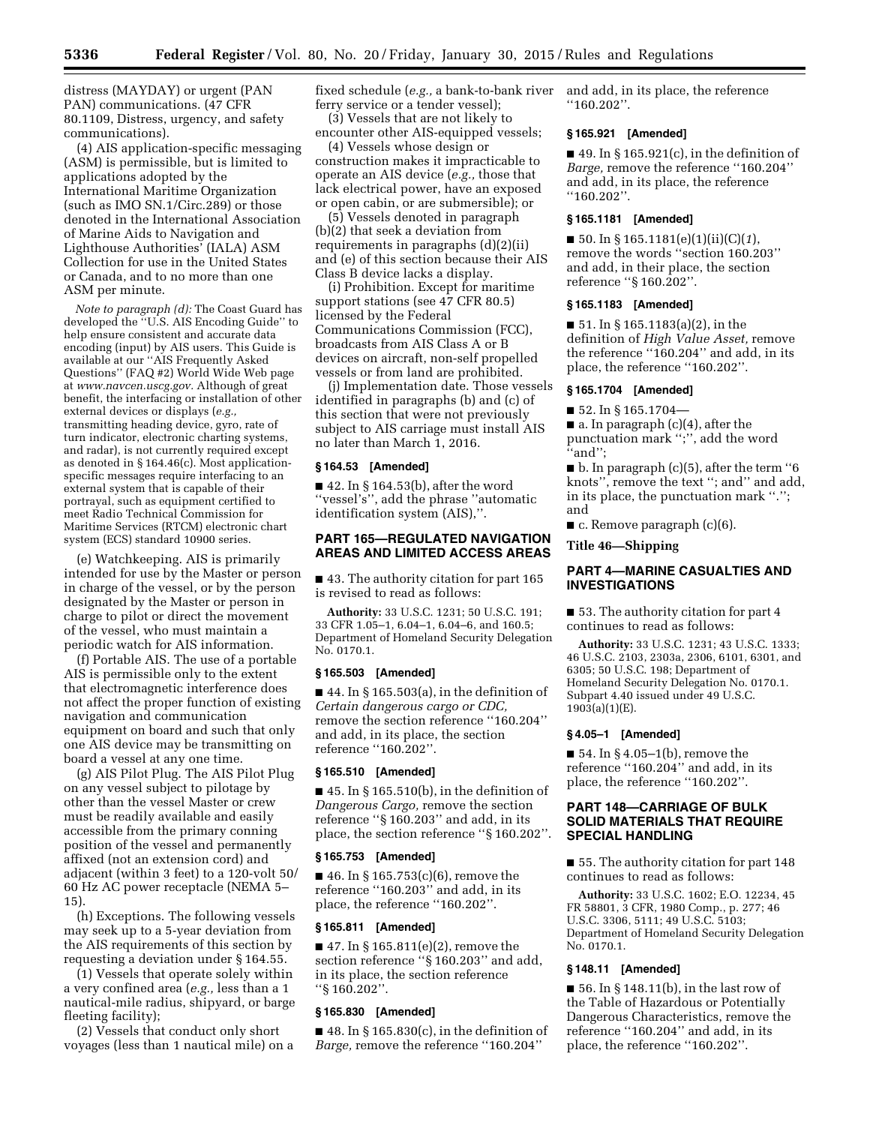distress (MAYDAY) or urgent (PAN PAN) communications. (47 CFR 80.1109, Distress, urgency, and safety communications).

(4) AIS application-specific messaging (ASM) is permissible, but is limited to applications adopted by the International Maritime Organization (such as IMO SN.1/Circ.289) or those denoted in the International Association of Marine Aids to Navigation and Lighthouse Authorities' (IALA) ASM Collection for use in the United States or Canada, and to no more than one ASM per minute.

*Note to paragraph (d):* The Coast Guard has developed the ''U.S. AIS Encoding Guide'' to help ensure consistent and accurate data encoding (input) by AIS users. This Guide is available at our ''AIS Frequently Asked Questions'' (FAQ #2) World Wide Web page at *[www.navcen.uscg.gov.](http://www.navcen.uscg.gov)* Although of great benefit, the interfacing or installation of other external devices or displays (*e.g.,*  transmitting heading device, gyro, rate of turn indicator, electronic charting systems, and radar), is not currently required except as denoted in § 164.46(c). Most applicationspecific messages require interfacing to an external system that is capable of their portrayal, such as equipment certified to meet Radio Technical Commission for Maritime Services (RTCM) electronic chart system (ECS) standard 10900 series.

(e) Watchkeeping. AIS is primarily intended for use by the Master or person in charge of the vessel, or by the person designated by the Master or person in charge to pilot or direct the movement of the vessel, who must maintain a periodic watch for AIS information.

(f) Portable AIS. The use of a portable AIS is permissible only to the extent that electromagnetic interference does not affect the proper function of existing navigation and communication equipment on board and such that only one AIS device may be transmitting on board a vessel at any one time.

(g) AIS Pilot Plug. The AIS Pilot Plug on any vessel subject to pilotage by other than the vessel Master or crew must be readily available and easily accessible from the primary conning position of the vessel and permanently affixed (not an extension cord) and adjacent (within 3 feet) to a 120-volt 50/ 60 Hz AC power receptacle (NEMA 5– 15).

(h) Exceptions. The following vessels may seek up to a 5-year deviation from the AIS requirements of this section by requesting a deviation under § 164.55.

(1) Vessels that operate solely within a very confined area (*e.g.,* less than a 1 nautical-mile radius, shipyard, or barge fleeting facility);

(2) Vessels that conduct only short voyages (less than 1 nautical mile) on a fixed schedule (*e.g.,* a bank-to-bank river ferry service or a tender vessel); (3) Vessels that are not likely to

encounter other AIS-equipped vessels; (4) Vessels whose design or

construction makes it impracticable to operate an AIS device (*e.g.,* those that lack electrical power, have an exposed or open cabin, or are submersible); or

(5) Vessels denoted in paragraph (b)(2) that seek a deviation from requirements in paragraphs (d)(2)(ii) and (e) of this section because their AIS Class B device lacks a display.

(i) Prohibition. Except for maritime support stations (see 47 CFR 80.5) licensed by the Federal Communications Commission (FCC), broadcasts from AIS Class A or B devices on aircraft, non-self propelled vessels or from land are prohibited.

(j) Implementation date. Those vessels identified in paragraphs (b) and (c) of this section that were not previously subject to AIS carriage must install AIS no later than March 1, 2016.

## **§ 164.53 [Amended]**

■ 42. In § 164.53(b), after the word ''vessel's'', add the phrase ''automatic identification system (AIS),''.

## **PART 165—REGULATED NAVIGATION AREAS AND LIMITED ACCESS AREAS**

■ 43. The authority citation for part 165 is revised to read as follows:

**Authority:** 33 U.S.C. 1231; 50 U.S.C. 191; 33 CFR 1.05–1, 6.04–1, 6.04–6, and 160.5; Department of Homeland Security Delegation No. 0170.1.

## **§ 165.503 [Amended]**

 $\blacksquare$  44. In § 165.503(a), in the definition of *Certain dangerous cargo or CDC,*  remove the section reference ''160.204'' and add, in its place, the section reference ''160.202''.

## **§ 165.510 [Amended]**

 $\blacksquare$  45. In § 165.510(b), in the definition of *Dangerous Cargo,* remove the section reference ''§ 160.203'' and add, in its place, the section reference ''§ 160.202''.

#### **§ 165.753 [Amended]**

■ 46. In § 165.753(c)(6), remove the reference ''160.203'' and add, in its place, the reference ''160.202''.

## **§ 165.811 [Amended]**

 $\blacksquare$  47. In § 165.811(e)(2), remove the section reference ''§ 160.203'' and add, in its place, the section reference ''§ 160.202''.

#### **§ 165.830 [Amended]**

 $\blacksquare$  48. In § 165.830(c), in the definition of *Barge,* remove the reference ''160.204''

and add, in its place, the reference ''160.202''.

#### **§ 165.921 [Amended]**

 $\blacksquare$  49. In § 165.921(c), in the definition of *Barge,* remove the reference ''160.204'' and add, in its place, the reference ''160.202''.

#### **§ 165.1181 [Amended]**

■ 50. In § 165.1181(e)(1)(ii)(C)(*1*), remove the words ''section 160.203'' and add, in their place, the section reference ''§ 160.202''.

#### **§ 165.1183 [Amended]**

■ 51. In § 165.1183(a)(2), in the definition of *High Value Asset,* remove the reference ''160.204'' and add, in its place, the reference ''160.202''.

#### **§ 165.1704 [Amended]**

 $\blacksquare$  52. In § 165.1704—

■ a. In paragraph (c)(4), after the punctuation mark '';'', add the word ''and'';

 $\blacksquare$  b. In paragraph (c)(5), after the term "6 knots'', remove the text ''; and'' and add, in its place, the punctuation mark "."; and

■ c. Remove paragraph (c)(6).

## **Title 46—Shipping**

## **PART 4—MARINE CASUALTIES AND INVESTIGATIONS**

■ 53. The authority citation for part 4 continues to read as follows:

**Authority:** 33 U.S.C. 1231; 43 U.S.C. 1333; 46 U.S.C. 2103, 2303a, 2306, 6101, 6301, and 6305; 50 U.S.C. 198; Department of Homeland Security Delegation No. 0170.1. Subpart 4.40 issued under 49 U.S.C.  $190\overline{3}$ (a)(1)(E).

## **§ 4.05–1 [Amended]**

■ 54. In § 4.05–1(b), remove the reference ''160.204'' and add, in its place, the reference ''160.202''.

## **PART 148—CARRIAGE OF BULK SOLID MATERIALS THAT REQUIRE SPECIAL HANDLING**

■ 55. The authority citation for part 148 continues to read as follows:

**Authority:** 33 U.S.C. 1602; E.O. 12234, 45 FR 58801, 3 CFR, 1980 Comp., p. 277; 46 U.S.C. 3306, 5111; 49 U.S.C. 5103; Department of Homeland Security Delegation No. 0170.1.

## **§ 148.11 [Amended]**

■ 56. In § 148.11(b), in the last row of the Table of Hazardous or Potentially Dangerous Characteristics, remove the reference ''160.204'' and add, in its place, the reference ''160.202''.